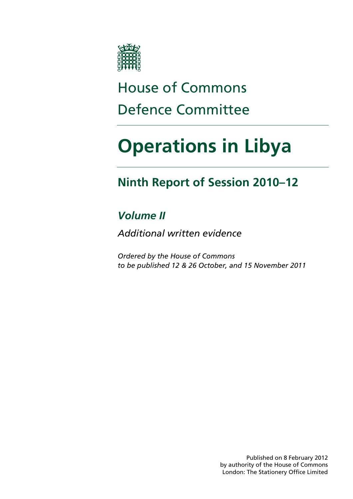

# House of Commons Defence Committee

# **Operations in Libya**

# **Ninth Report of Session 2010–12**

# *Volume II*

*Additional written evidence* 

*Ordered by the House of Commons to be published 12 & 26 October, and 15 November 2011* 

> Published on 8 February 2012 by authority of the House of Commons London: The Stationery Office Limited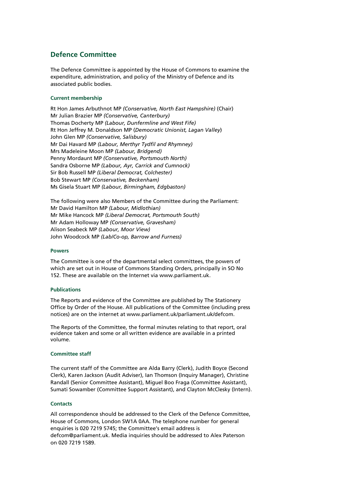# **Defence Committee**

The Defence Committee is appointed by the House of Commons to examine the expenditure, administration, and policy of the Ministry of Defence and its associated public bodies.

# **Current membership**

Rt Hon James Arbuthnot MP *(Conservative, North East Hampshire)* (Chair) Mr Julian Brazier MP *(Conservative, Canterbury)*  Thomas Docherty MP *(Labour, Dunfermline and West Fife)* Rt Hon Jeffrey M. Donaldson MP (*Democratic Unionist, Lagan Valley*) John Glen MP *(Conservative, Salisbury)* Mr Dai Havard MP *(Labour, Merthyr Tydfil and Rhymney)*  Mrs Madeleine Moon MP *(Labour, Bridgend)* Penny Mordaunt MP *(Conservative, Portsmouth North)*  Sandra Osborne MP *(Labour, Ayr, Carrick and Cumnock)*  Sir Bob Russell MP *(Liberal Democrat, Colchester)* Bob Stewart MP *(Conservative, Beckenham)*  Ms Gisela Stuart MP *(Labour, Birmingham, Edgbaston)* 

The following were also Members of the Committee during the Parliament: Mr David Hamilton MP *(Labour, Midlothian)* Mr Mike Hancock MP *(Liberal Democrat, Portsmouth South)* Mr Adam Holloway MP *(Conservative, Gravesham)* Alison Seabeck MP *(Labour, Moor View)* John Woodcock MP *(Lab/Co-op, Barrow and Furness)*

# **Powers**

The Committee is one of the departmental select committees, the powers of which are set out in House of Commons Standing Orders, principally in SO No 152. These are available on the Internet via www.parliament.uk.

# **Publications**

The Reports and evidence of the Committee are published by The Stationery Office by Order of the House. All publications of the Committee (including press notices) are on the internet at www.parliament.uk/parliament.uk/defcom.

The Reports of the Committee, the formal minutes relating to that report, oral evidence taken and some or all written evidence are available in a printed volume.

# **Committee staff**

The current staff of the Committee are Alda Barry (Clerk), Judith Boyce (Second Clerk), Karen Jackson (Audit Adviser), Ian Thomson (Inquiry Manager), Christine Randall (Senior Committee Assistant), Miguel Boo Fraga (Committee Assistant), Sumati Sowamber (Committee Support Assistant), and Clayton McClesky (Intern).

# **Contacts**

All correspondence should be addressed to the Clerk of the Defence Committee, House of Commons, London SW1A 0AA. The telephone number for general enquiries is 020 7219 5745; the Committee's email address is defcom@parliament.uk. Media inquiries should be addressed to Alex Paterson on 020 7219 1589.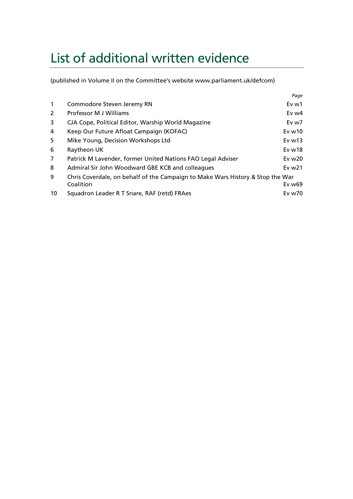# List of additional written evidence

(published in Volume II on the Committee's website www.parliament.uk/defcom)

|                |                                                                                | Page     |
|----------------|--------------------------------------------------------------------------------|----------|
| $\mathbf{1}$   | Commodore Steven Jeremy RN                                                     | Ev w1    |
| 2              | Professor M J Williams                                                         | Ev $w4$  |
| 3              | CJA Cope, Political Editor, Warship World Magazine                             | Ev w7    |
| 4              | Keep Our Future Afloat Campaign (KOFAC)                                        | Evw10    |
| 5              | Mike Young, Decision Workshops Ltd                                             | Evw13    |
| 6              | Raytheon UK                                                                    | Evw18    |
| $\overline{7}$ | Patrick M Lavender, former United Nations FAO Legal Adviser                    | Ev $w20$ |
| 8              | Admiral Sir John Woodward GBE KCB and colleagues                               | Ev $w21$ |
| 9              | Chris Coverdale, on behalf of the Campaign to Make Wars History & Stop the War |          |
|                | Coalition                                                                      | Ev w69   |
| 10             | Squadron Leader R T Snare, RAF (retd) FRAes                                    | Ev w70   |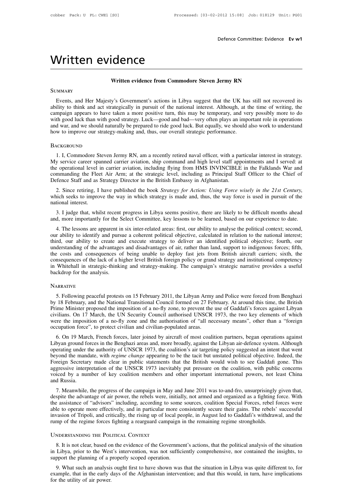# Written evidence<br>Written evidence from Commodore Sta

# **CONCE**<br>
Written evidence from Commodore Steven Jermy RN

# **SUMMARY**

WITTLENT EVIDETICE<br>Written evidence from Commodore Steven Jermy RN<br>Events, and Her Majesty's Government's actions in Libya suggest that the UK has still not recovered its<br>ility to think and act strategically in pursuit of **EXECUTE SUMMARY**<br> **Ability to think and Her Majesty's Government's actions in Libya suggest that the UK has still not recovered its<br>
ability to think and act strategically in pursuit of the national interest. Although, at Example 19 SUMMARY**<br> **CAMPAIGN EXECUTE SUMMARY**<br> **CAMPAIGN EXECUTE EXECUTE SUMMARY**<br> **CAMPAIGN EXECUTE EXECUTE SUMMARY**<br> **CAMPAIGN ADDED EXECUTE SUMMARY**<br> **CAMPAIGN A** and Her Majesty's Government's actions in Libya sugge Written evidence from Commodore Steven Jermy RN<br>
SUMMARY<br>
Events, and Her Majesty's Government's actions in Libya suggest that the UK has still not recovered its<br>
ability to think and act strategically in pursuit of the na SUMMARY<br>Events, and Her Majesty's Government's actions in Libya suggest that the UK has still not recovered its<br>ability to think and act strategically in pursuit of the national interest. Although, at the time of writing, Events, and Her Majesty's Government's actions in Libya suggest that the UK has still not recovered its ability to think and act strategically in pursuit of the national interest. Although, at the time of writing, the camp 1. I, Commodore Steven Jermy RN, am a recently retired naval officer, with a particular interest in strategy.<br>
1. I, Commodore Steven Jermy RN, am a recently retired naval officer, with a particular interest in strategy.<br>

# **BACKGROUND**

My service career spanned carrier aviation, ship command and high level staff appointments and war, and we should naturally be prepared to ride good luck. But equally, we should also work to understand how to improve our s The operational level in carrier aviation, sure overall strategic performance.<br>
BACKGROUND<br>
1. I, Commodore Steven Jermy RN, am a recently retired naval officer, with a particular interest in strategy.<br>
My service career s BACKGROUND<br>
1. I, Commodore Steven Jermy RN, am a recently retired naval officer, with a particular interest in strategy.<br>
My service career spanned carrier aviation, ship command and high level staff appointments and I se 1. I, Commodore Steven Jermy RN, am a recently retired naval officer, with a particular interest in strategy.<br>
My service career spanned carrier aviation, ship command and high level staff appointments and I served: at<br>
th 1. I, Commodore Steven Jermy RN, am a recently retired naval officer, with a particular interest in strategy.<br>
2. Since retiring for Action: Including flying from HMS INVINCIBLE in the Falklands War and<br>
2. Since Force Sta

commanding the Fleet Air Arm; at the strategic level, including as Principal Staff Officer to the Chief of Defence Staff and as Strategy Director in the British Embassy in Afghanistan.<br>
2. Since retiring, I have published mmanding the Fleet Air Arm; at the strategic level, including as Principal Staff Officer to the Chief of efence Staff and as Strategy Director in the British Embassy in Afghanistan.<br>
2. Since retiring, I have published the Defence Staff and as Strategy Director in the British Embassy in Afghanistan.<br>
2. Since retiring, I have published the book *Strategy for Action: Using Force wisely in the 21st Century*,<br>
which seeks to improve the way in

2. Since retiring, I have published the book *Strategy for Action: Using Force wisely in the 21st Century*, inch seeks to improve the way in which strategy is made and, thus, the way force is used in pursuit of the tional which seeks to improve the way in which strategy is made and, thus, the way force is used in pursuit of the national interest.<br>3. I judge that, whilst recent progress in Libya seems positive, there are likely to be difficu The mational interest.<br>
3. I judge that, whilst recent progress in Libya seems positive, there are likely to be difficult months ahead<br>
and, more importantly for the Select Committee, key lessons to be learned, based on ou 3. I judge that, whilst recent progress in Libya seems positive, there are likely to be difficult months ahead and, more importantly for the Select Committee, key lessons to be learned, based on our experience to date.<br>4. 5. I judge that, whilst fecent progress in Libya seems positive, there are likely to be difficult infolms ahead and, more importantly for the Select Committee, key lessons to be learned, based on our experience to date.<br>4. and, more importantly for the select Commutee, key lessons to be learned, based of our experience to date.<br>
4. The lessons are apparent in six inter-related areas: first, our ability to analyse the political context; secon 4. The lessons are apparent in six inter-related areas: first, our ability to analyse the political context; second, our ability to identify and pursue a coherent political objective, calculated in relation to the national our ability to identify and purs<br>third, our ability to create are<br>understanding of the advantage<br>the costs and consequences o<br>consequences of the lack of a hi<br>in Whitehall in strategic-thinki<br>backdrop for the analysis.<br>NAR For the lack of a higher level British foreign policy or grand strategy and institutional competency<br>Whitehall in strategic-thinking and strategy-making. The campaign's strategic narrative provides a useful<br>ckdrop for the

# **NARRATIVE**

in Whitehall in strategic-thinking and strategy-making. The campaign's strategic narrative provides a useful<br>backdrop for the analysis.<br>NARRATIVE<br>5. Following peaceful protests on 15 February 2011, the Libyan Army and Poli Prime Minister proposed the imposition of a no-fly zone, to prime Minister proposed the imposition of a no-fly zone, to prevent the use of Gaddafi's forces against Libyan Prime Minister proposed the imposition of a no-fly S. Following peaceful protests on 15 February 2011, the Libyan Army and Police were forced from Benghazi<br>by 18 February, and the National Transitional Council formed on 27 February. At around this time, the British<br>Prime M NARRATIVE<br>5. Following peaceful protests on 15 February 2011, the Libyan Army and Police were forced from Benghazi<br>by 18 February, and the National Transitional Council formed on 27 February. At around this time, the Briti 5. Following peaceful protests on 15 February 2011, the Libyan Army<br>by 18 February, and the National Transitional Council formed on 27 Fe<br>Prime Minister proposed the imposition of a no-fly zone, to prevent the<br>civilians. O 5. Fonowing peacetul process on 15 February 2011, the Eloyal Affily and Fonce were forced from Benguazi 18 February, and the National Transitional Council formed on 27 February. At around this time, the British ime Ministe by To February, and the Ivational Transitional Council formed on 27 February. At around this time, the British<br>Prime Minister proposed the imposition of a no-fly zone, to prevent the use of Gaddafi's forces against Libyan<br>

Frime Willians. On 17 March, the UN Security Council authorised UNSCR 1973, the two key elements of which were the imposition of a no-fly zone and the authorisation of "all necessary means", other than a "foreign occupatio beyond the mandate, with *regime* change appearing to be the tacit but unstated political openeris or which were the imposition of a no-fly zone and the authorisation of "all necessary means", other than a "foreign occupat were the imposition of a no-hy zone and the authorisation of an necessary means, other than a Toteign occupation force", to protect civilian and civilian-populated areas.<br>
6. On 19 March, French forces, later joined by air occupation force, to protect civinal and civinal-populated ateas.<br>
6. On 19 March, French forces, later joined by aircraft of most coalition partners, began operations against<br>
Libyan ground forces in the Benghazi areas an 6. On 19 March, French forces, later joined by aircraft of most coalition partners, began operations against Libyan ground forces in the Benghazi areas and, more broadly, against the Libyan air-defence system. Although ope Libyan ground fo<br>operating under t<br>beyond the mand<br>Foreign Secretar<br>aggressive interp<br>voiced by a nun<br>and Russia.<br>7. Meanwhile, Framing under the adunotity of CNSCK 1975, the coantion's ant targeting policy suggested an intent that went yond the mandate, with *regime change* appearing to be the tacit but unstated political objective. Indeed, the re despite the manuate, with *regime change* appearing to be the tact but unstated pointcal objective. Indeed, the Foreign Secretary made clear in public statements that the British would wish to see Gaddafi gone. This aggres

Totelgh secretary made clear in public statements that the British would wish to see Gaddan gone. This aggressive interpretation of the UNSCR 1973 inevitably put pressure on the coalition, with public concerns voiced by a able to operate more effectively, and in particular more consistently per pressure of the coantion, which public concerns voiced by a number of key coalition members and other important international powers, not least Chin Figure 1. Meanwhile, the progress of the campaign in May and June 2011 was to-and-fro, unsurprisingly given that, despite the advantage of air power, the rebels were, initially, not armed and organized as a fighting force. 7. Meanwhile, the progress of the campaign in May and June 2011 was to-and-fro, unsurprisingly despite the advantage of air power, the rebels were, initially, not armed and organized as a fighting f<br>the assistance of "advi Sole to operate more effectively, and in particular more consistently secure their gains. The rebels' successful<br>vasion of Tripoli, and critically, the rising up of local people, in August led to Gaddafi's withdrawal, and

invasion of Tripoli, and critically, the rising up of local people, in August led to Gaddafi's withdrawal, and the rump of the regime forces fighting a rearguard campaign in the remaining regime strongholds.<br>
UNDERSTANDING invasion of Tripoli, and critically, the rising up of local people, in August led to Gaddafi's withdrawal, and the<br>rump of the regime forces fighting a rearguard campaign in the remaining regime strongholds.<br>UNDERSTANDING

S. It is not clear, based on the evidence of the Government's actions, that the political analysis of the situation Libya, prior to the West's intervention, was not sufficiently comprehensive, nor contained the insights, t UNDERSTANDING THE POLITICAL CONTEXT<br>
8. It is not clear, based on the evidence of the Government's actions, that the political analysis of the situation<br>
in Libya, prior to the West's intervention, was not sufficiently com support the planning of a properly scoped operation.<br>9. What such an analysis ought first to have shown<br>example, that in the early days of the Afghanistan in<br>for the utility of air power.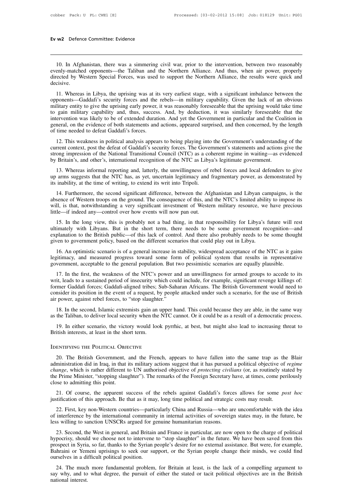10. In Afghanistan, there was a simmering civil war, prior to the intervention, between two reasonably<br>10. In Afghanistan, there was a simmering civil war, prior to the intervention, between two reasonably<br>10. In Afghanist Evenly-matched opponents—the Taliban and the Northern Alliance. And thus, when air power, properly directed by Western Special Forces, was used to support the Northern Alliance, the results were quick and decisive. Ev w2 Defence Committee: Evidence<br>
10. In Afghanistan, there was a simmering civil war, prior to the intervention, between two reasonably<br>
evenly-matched opponents—the Taliban and the Northern Alliance. And thus, when air decisive. 10. In Afghanistan, there was a simmering civil war, prior to the intervention, between two reasonably<br>enly-matched opponents—the Taliban and the Northern Alliance. And thus, when air power, properly<br>rected by Western Spec

10. In Afghanistan, there was a simmering civil war, prior to the intervention, between two reasonably evenly-matched opponents—the Taliban and the Northern Alliance. And thus, when air power, properly directed by Western motion and the Northern Alliance. And thus, when air power, properly directed by Western Special Forces, was used to support the Northern Alliance, the results were quick and decisive.<br>
11. Whereas in Libya, the uprising w Eventy-matched opponents—the Tanball and the Northern Amance. And thus, when an power, property directed by Western Special Forces, was used to support the Northern Alliance, the results were quick and decisive.<br>
11. Where intertion by Western spectral rotecs, was used to support the Northern Annance, the resurs were quick and decisive.<br>
11. Whereas in Libya, the uprising was at its very earliest stage, with a significant imbalance between t 11. Whereas in Libya, the uprising was at its very earliest stage, with a significant imbalance between the opponents—Gaddafi's security forces and the rebels—in military capability. Given the lack of an obvious military e 11. Whereas in Libya, the uprising was at its opponents—Gaddafi's security forces and the military entity to give the uprising early power, to gain military capability and, thus, success intervention was likely to be of ex 12. This weakness in political analysis appears to being playing into the Government's understanding of the errention was likely to be of extended duration. And yet the Government in particular and the Coalition in errent, minary entry to give the uprising early power, it was reasonably foresceable that the uprising would take this<br>to gain military capability and, thus, success. And, by deduction, it was similarly foreseeable that the<br>interv

structure in the National Transitional Council (NTC) as a coherent regime in variing—as evidence of the National Transitional Council (NTC) as a coherent regime in waiting—as evidenced by Britain's, and other's, internatio intervention was likely to be of extended duration. And yet the Government in particular and the Coalition in general, on the evidence of both statements and actions, appeared surprised, and then concerned, by the length o time needed to defeat Gaddafi's forces.<br>
12. This weakness in political analysis appears to being playing into the Government's understanding of the<br>
rrent context, post the defeat of Gaddafi's security forces. The Governm 12. This weakness in political analysis appears to being playing into the Government's understanding of the current context, post the defeat of Gaddafi's security forces. The Government's statements and actions give the st

by Britain's, and other's, international recognition of the NTC as Libya's legitimate government.<br>
13. Whereas informal reporting and, latterly, the unwillingness of rebel forces and local defenders to give<br>
up arms sugges

ong impression of the National Transitional Council (NTC) as a coherent regime in waiting—as evidenced<br>Britain's, and other's, international recognition of the NTC as Libya's legitimate government.<br>13. Whereas informal rep by Britain's, and other's, international recognition of the NTC as Libya's legitimate government.<br>
13. Whereas informal reporting and, latterly, the unwillingness of rebel forces and local defenders to give<br>
up arms sugges 13. Whereas informal reporting and, latterly, the unwillingness of rebel forces and local defenders to give<br>up arms suggests that the NTC has, as yet, uncertain legitimacy and fragmentary power, as demonstrated by<br>its inab up arms suggests that the NTC has, as yet, uncertain legitimacy and fragmentary power, as demonstrated by<br>its inability, at the time of writing, to extend its writ into Tripoli.<br>14. Furthermore, the second significant diff inability, at the time of writing, to extend its writ into Tripoli.<br>
14. Furthermore, the second significant difference, between the Afghanistan and Libyan campaigns, is the<br>
sence of Western troops on the ground. The cons

14. Furthermore, the second significant difference, between the Afghanistan and Libyan campaigns, is the absence of Western troops on the ground. The consequence of this, and the NTC's limited ability to impose its will, i For a factor of Western troops on the ground. The consequence of this, and the NTC's limited ability to impose its will, is that, notwithstanding a very significant investment of Western military resource, we have precious ultimately with Libyans. But in the short term, there needs to be some government recognition—and explanation to the British public—of this lack of control. And there also probably needs to be some thought given to governm 16—if indeed any—control over how events will now pan out.<br>
15. In the long view, this is probably not a bad thing, in that responsibility for Libya's future will rest<br>
imately with Libyans. But in the short term, there ne 15. In the long view, this is probably not a bad thing, in that responsibility for Libya's future will rest ultimately with Libyans. But in the short term, there needs to be some government recognition—and explanation to t For the lultimately with Libyans. But in the short term, there needs to be some government recognition—a explanation to the British public—of this lack of control. And there also probably needs to be some thought in explan

planation to the British public—of this lack of control. And there also probably needs to be some thought<br>ven to government policy, based on the different scenarios that could play out in Libya.<br>16. An optimistic scenario

given to government policy, based on the different scenarios that could play out in Libya.<br>
16. An optimistic scenario is of a general increase in stability, widespread acceptance of the NTC as it gains<br>
legitimacy, and me 16. An optimistic scenario is of a general increase in stability, widespread acceptance of the NTC as it gains legitimacy, and measured progress toward some form of political system that results in representative governmen It is a representative solution is of a general included in stability, whice prediate consider that results in representative government, acceptable to the general population. But two pessimistic scenarios are equally plau dependently, and measured progress toward some form of government, acceptable to the general population. But two p<br>approximation. But two p<br>17. In the first, the weakness of the NTC's power and an<br>writ, leads to a sustaine 17. In the first, the weakness of the NTC's power and an unwillingness for armed groups to accede to its it, leads to a sustained period of insecurity which could include, for example, significant revenge killings of: mer Fr. In the first, the weakiness of the NTC s power and an unwimigness for annear groups to accede to its<br>writ, leads to a sustained period of insecurity which could include, for example, significant revenge killings of:<br>fo mer Gaddafi forces; Gaddafi-aligned tribes; Sub-Saharan Africans. The British Government would need to nsider its position in the event of a request, by people attacked under such a scenario, for the use of British power,

as the Taliban, to deliver local security when the NTC cannot. Or it could be as a result of a democratic process.

air power, against rebel forces, to "stop slaughter."<br>
18. In the second, Islamic extremists gain an upper hand. This could because they are able, in the same way<br>
as the Taliban, to deliver local security when the NTC can

20. The British Government, and the French, appears to have fallen into the same trap as the Blair<br>20. The British Government, and the French, appears to have fallen into the same trap as the Blair<br>20. The British Governme 19. In either scenario, the victory would look pyrrhic, at best, but might also lead to increasing threat to<br>British interests, at least in the short term.<br>IDENTIFYING THE POLITICAL OBJECTIVE<br>20. The British Government, an **EXECUTE:**<br> **CHANGE IS THE POLITICAL OBJECTIVE**<br> **CO.** The British Government, and the French, appears to have fallen into the same trap as the Blair<br>
administration did in Iraq, in that its military actions suggest that i TO THE POLITICAL OBJECTIVE<br>
20. The British Government, and the French, appears to have fallen into the same trap as the Blair<br>
administration did in Iraq, in that its military actions suggest that it has pursued a politic 20. The British Government, and the French, appears to have fallen into the same trap as the Blair administration did in Iraq, in that its military actions suggest that it has pursued a political objective of *regime cha* 20. The British Government, and the French, appears to have fallen into the same trap as the Blair<br>ministration did in Iraq, in that its military actions suggest that it has pursued a political objective of *regime*<br>*ange* 20. The British Government, and the Tenent, appears to have failed into the same trap as the administration did in Iraq, in that its military actions suggest that it has pursued a political objective of *change*, which is

ange, which is rather different to UN authorised objective of *protecting civilians* (or, as routinely stated by Prime Minister, "stopping slaughter"). The remarks of the Foreign Secretary have, at times, come perilously o the Prime Minister, "stopping slaughter"). The remarks of the Foreign Secretary have, at times, come perilously<br>close to admitting this point.<br>21. Of course, the apparent success of the rebels against Gaddafi's forces allo 21. Of course, the apparent success of the rebels against Gaddafi's force<br>justification of this approach. Be that as it may, long time political and strategic<br>22. First, key non-Western countries—particularly China and Rus

21. Of course, the apparent success of the rebels against Gaddafi's forces allows for some *post hoc* stification of this approach. Be that as it may, long time political and strategic costs may result.<br>22. First, key non-Justification of this approach. Be that as it may, long time political and strategic costs may result.<br>
22. First, key non-Western countries—particularly China and Russia—who are uncomfortable with the idea<br>
of interferenc 22. First, key non-Western countries—particularly China and Russia—who are uncomfortable with the idea of interference by the international community in internal activities of sovereign states may, in the future, be less w 22. This, key non-western countries—particularly Clima and Russia—who are uncomforable with the fue<br>of interference by the international community in internal activities of sovereign states may, in the future, be<br>less will of interference by the international community in internal activities of sovereign states may, in the future, be<br>less willing to sanction UNSCRs argued for genuine humanitarian reasons.<br>23. Second, the West in general, and 23. Second, the West in general, and Britain and France in particular, are now open to the charge of political pocrisy, should we choose not to intervene to "stop slaughter" in the future. We have been saved from this ospe 25. Second, the west in general, and Driam and Trance in particular, are how open to the entage or pointed hypocrisy, should we choose not to intervene to "stop slaughter" in the future. We have been saved from this prospe

ourselves in a difficult political position.<br>24. The much more fundamental pro<br>say why, and to what degree, the pursu<br>national interest.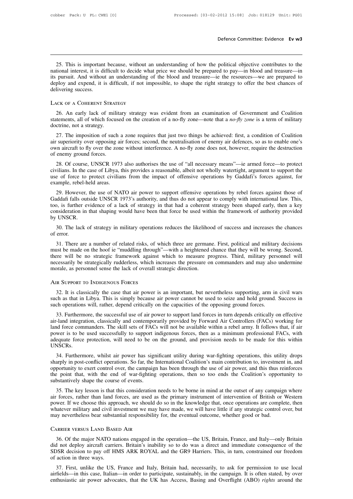Defence Committee: Evidence Ev w3<br>
25. This is important because, without an understanding of how the political objective contributes to the<br>
125. This is important because, without an understanding of how the political ob Defence Committee: Evidence Ev w3<br>
25. This is important because, without an understanding of how the political objective contributes to the<br>
national interest, it is difficult to decide what price we should be prepared to **Defence Committee: Evidence Ev w3**<br> **25.** This is important because, without an understanding of how the political objective contributes to the<br>
national interest, it is difficult to decide what price we should be prepare 25. This is important because, without an understanding of how the political objective contributes to the national interest, it is difficult to decide what price we should be prepared to pay—in blood and treasure—in its pu 25. This is important because, without and<br>tional interest, it is difficult to decide what<br>its pursuit. And without an understanding of<br>deploy and expend, it is difficult, if not im<br>delivering success.<br>LACK OF A COHERENT S 26. An early lack of military strategy was evident from an examination of Government and Coalition<br>26. An early lack of military strategy was evident from an examination of Government and Coalition<br>26. An early lack of mi

statements, all of which focused on the creation of a no-fly zone—note that a *no-fly zone* is a term of military doctrine, not a strategy.<br>
27. The context of military strategy was evident from an examination of Governmen delivering success.<br>
LACK OF A COHERENT STRATEGY<br>
26. An early lack of military strategy was evident from an examination of Government and Coalition<br>
statements, all of which focused on the creation of a no-fly zone—note t

26. An early lack of military strategy was evident from an examination of Government and Coalition<br>26. An early lack of military strategy was evident from an examination of Government and Coalition<br>27. The imposition of s LACK OF A COHERENT STRATEGY<br>
26. An early lack of military strategy was evident from an examination of Government and Coalition<br>
statements, all of which focused on the creation of a no-fly zone—note that a *no-fly zone* 26. An early lack of military strategy was evident from an examination of Government and Coalition statements, all of which focused on the creation of a no-fly zone—note that a *no-fly zone* is a term of military doctrine, 20. All early fack of finite<br>statements, all of which focus<br>doctrine, not a strategy.<br>27. The imposition of such<br>air superiority over opposing a<br>own aircraft to fly over the zo-<br>of enemy ground forces.<br>28. Of course, UNSCR ctrine, not a strategy.<br>
27. The imposition of such a zone requires that just two things be achieved: first, a condition of Coalition<br>
28. Of course, UNSCR 1973 also authorises the use of "all necessary means"—ie armed for 27. The imposition of such a zone requires that just two things be achieved: first, a condition of Coalition air superiority over opposing air forces; second, the neutralisation of enemy air defences, so as to enable one's

27. The imposition of such a zone requires that just two timigs be achieved. Inst, a condition of Colation air superiority over opposing air forces; second, the neutralisation of enemy air defences, so as to enable one's o of enemy ground forces.<br>
28. Of course, UNSCR 1973 also authorises the use of "all necessary means"—ie armed force—to protect<br>
civilians. In the case of Libya, this provides a reasonable, albeit not wholly watertight, argu enemy ground forces.<br>
28. Of course, UNSCR 1973 also authorises the use of "all necessary means"—ie armed force—to protect<br>
ilians. In the case of Libya, this provides a reasonable, albeit not wholly watertight, argument t

28. Of course, UNSCR 1973 also authorises the use of "all necessary means"—ie armed force—to protect<br>civilians. In the case of Libya, this provides a reasonable, albeit not wholly watertight, argument to support the<br>use of 26. Of course, CINSCK 1973 also additioness the use of an hecessary means —le affiled force—to protect civilians. In the case of Libya, this provides a reasonable, albeit not wholly watertight, argument to support the use consideration in that shaping would have been that force be used within the framework of authority provided by UNSCR 1973's authority, and thus do not appear to comply with international law. This, too, is further evidence the complete of the example, rebel-he<br>
29. However, t<br>
Gaddafi falls outs<br>
too, is further ev<br>
consideration in t<br>
by UNSCR.<br>
30. The lack of 20. However, the use of NATO air power to support offensive operations by rebel forces against those of addafi falls outside UNSCR 1973's authority, and thus do not appear to comply with international law. This, <br>
20, is f 29. Howev<br>Gaddafi falls<br>too, is further<br>consideration<br>by UNSCR.<br>30. The lac<br>of error. 1, is further evidence of a lack of strategy in that had a coherent strategy been shaped early, then a key nsideration in that shaping would have been that force be used within the framework of authority provided UNSCR.<br>
3

consideration in that shaping would have been that force be used within the framework of authority provided<br>by UNSCR.<br>30. The lack of strategy in military operations reduces the likelihood of success and increases the chan by UNSCR.<br>
30. The lack of strategy in military operations reduces the likelihood of success and increases the chances<br>
of error.<br>
31. There are a number of related risks, of which three are germane. First, political and m 30. The lack of strategy in military operations reduces the likelihood of success and increases the chances of error.<br>31. There are a number of related risks, of which three are germane. First, political and military decis 31. There are a number of related risks, of which three are german<br>must be made on the hoof ie "muddling through"—with a heightened there will be no strategic framework against which to measure pr<br>necessarily be strategica See the case will be no strategic framework against which to measure progress. Third, military personnel will<br>cessarily be strategically rudderless, which increases the pressure on commanders and may also undermine<br>prale,

such as that in Libya. This is simply because air power cannot be used to seize and hold ground. Such as that in Libya. This is simply because air power cannot be used to seize and hold ground. Success in such as that in L morale, as personnel sense the lack of overall strategic direction.<br>
AIR SUPPORT TO INDIGENOUS FORCES<br>
32. It is classically the case that air power is an important, but nevertheless supporting, arm in civil wars<br>
such as The SUPPORT TO INDIGENOUS FORCES<br>32. It is classically the case that air power is an important, but nevertheless supporting, arm in civil wars<br>ch as that in Libya. This is simply because air power cannot be used to seize a

AIR SUPPORT TO INDIGENOUS FORCES<br>32. It is classically the case that air power is an important, but nevertheless supporting, arm in civil wars<br>such as that in Libya. This is simply because air power cannot be used to seize 32. It is classically the case that air power is an important, but nevertheless supporting, arm in civil wars such as that in Libya. This is simply because air power cannot be used to seize and hold ground. Success in such 32. It is classically the case that an power is an important, out nevertheress supporting, ann in civit was such as that in Libya. This is simply because air power cannot be used to seize and hold ground. Success in such o such as that in Eloya. This is simply because an power callibro to used to selze and non ground. Success in<br>such operations will, rather, depend critically on the capacities of the opposing ground forces.<br>air-land integrat UNSCRs. 33. Furthermore, the successity use of air power to support fant forces in turn depends criticany on effective<br>-land integration, classically and contemporarily provided by Forward Air Controllers (FACs) working for<br>ad for an-land integration, classically and contemporally provided by Forward All Collitioners (FACs) working for<br>land force commanders. The skill sets of FACs will not be available within a rebel army. It follows that, if air<br>po

FACS will note exert control over, the skill sets of FACs will not be available within a feber airly. It follows that, if all power is to be used successfully to support indigenous forces, then as a minimum professional FA the point that, with the end of war-fighting operations, then so too ends the Coalition's opportunity to exert conflict operations. So far, the International Coalition's main contribution to, investment in, and opportunity Substantively in potection, will need to be on<br>UNSCRs.<br>34. Furthermore, whilst air power has signalized the control over, the campaign<br>opportunity to exert control over, the campaign<br>the point that, with the end of war-fig 34. Furthermore, whilst air power has significant utility during war-fighting operations, this utility drops<br>arply in post-conflict operations. So far, the International Coalition's main contribution to, investment in, and 34. Futulentione, wintst air power has signinciant utinty during waa-rigining operations, this utinty drops<br>sharply in post-conflict operations. So far, the International Coalition's main contribution to, investment in, an

shappy in post-conflict operations. So far, the international coantion s mant controlution to, investment in, and<br>opportunity to exert control over, the campaign has been through the use of air power, and this thus reinfor or the point that, with the end of war-fighting operations, then so too ends the Coalition's opportunity to substantively shape the course of events.<br>35. The key lesson is that this consideration needs to be borne in mind may nevertheless bear substantial responsibility for, the eventual outcome, whether good or bad.<br>
CARRIER VERSUS LAND BASED AIR 36. Of the major NATO nations engaged in the operation—the US, Britain, France, and Italy—only Britain and ever military and civil investment we may have made, we will have little if any strategic control over, but any nev

whatever military and civil investment we may have made, we will have little if any strategic control over, but<br>may nevertheless bear substantial responsibility for, the eventual outcome, whether good or bad.<br>CARRIER VERSU SUBARTER VERSUS LAND BASED AIR<br>
SONS decision to pay off HMS ARK ROYAL and the GR9 Harriers. This, in turn, constrained our freedom<br>
SONS decision to pay off HMS ARK ROYAL and the GR9 Harriers. This, in turn, constrained o CARRIER VERSUS LAND BASE<br>36. Of the major NATO na<br>did not deploy aircraft carries<br>SDSR decision to pay off HI<br>of action in three ways.<br>37. First, unlike the US, STARIER VERSUS LAND BASED AIR<br>
36. Of the major NATO nations engaged in the operation—the US, Britain, France, and Italy—only Britain<br>
1 not deploy aircraft carriers. Britain's inability so to do was a direct and immediate 36. Of the major NATO nations engaged in the operation—the US, Britain, France, and Italy—only Britain did not deploy aircraft carriers. Britain's inability so to do was a direct and immediate consequence of the SDSR decis For the major NATO hations engaged in the operation—the US, Britain, France, and Italy—olny Britain did not deploy aircraft carriers. Britain's inability so to do was a direct and immediate consequence of the SDSR decision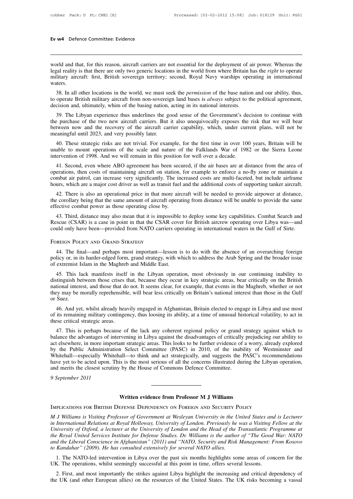**Ev w4** Defence Committee: Evidence<br>
world and that, for this reason, aircraft carriers are not essential for the deployment of air power. Whereas the<br>
legal reality is that there are only two generic locations in the worl legal reality is that there are only two generic locations in the world from where Britain has the *right* to operate legal reality is that there are only two generic locations in the world from where Britain has the *righ* **Ev w4** Defence Committee: Evidence<br>
world and that, for this reason, aircraft carriers are not essential for the deployment of air power. Whereas the<br>
legal reality is that there are only two generic locations in the worl waters. 38. In all other locations in the world from where Britain has the *right* to operate litary aircraft: first, British sovereign territory; second, Royal Navy warships operating in international atters.<br>38. In all other loc to operate British military aircraft carriers are not essential for the deployment of air power. Whereas the legal reality is that there are only two generic locations in the world from where Britain has the *right* to ope decision and that, for this reason, ancraft carriers are not essential for the deproyment of a<br>legal reality is that there are only two generic locations in the world from where Britain h<br>military aircraft: first, British

Iitary aircraft: first, British sovereign territory; second, Royal Navy warships operating in international<br>ters.<br>38. In all other locations in the world, we must seek the *permission* of the base nation and our ability, t

waters.<br>
38. In all other locations in the world, we must seek the *permission* of the base nation and our ability, thus,<br>
to operate British military aircraft from non-sovereign land bases is *always* subject to the polit 38. In all other locations in the world, we must seek the *permission* of the base nation and our ability, thus, to operate British military aircraft from non-sovereign land bases is *always* subject to the political agree 38. In all other locations in the world, we must set<br>to operate British military aircraft from non-sovereig<br>decision and, ultimately, whim of the basing nation,<br>39. The Libyan experience thus underlines the g<br>the purchase ision and, ultimately, whim of the basing nation, acting in its national interests.<br>
39. The Libyan experience thus underlines the good sense of the Government's decision to continue with<br>
2013 purchase of the two new airc 39. The Libyan experience thus underlines the good sense of the Government's decision to continue with<br>the purchase of the two new aircraft carriers. But it also unequivocally exposes the risk that we will bear<br>between now 39. The Libyan experience thus underlines the good sense of the Government's deferent purchase of the two new aircraft carriers. But it also unequivocally exposes the between now and the recovery of the aircraft carrier ca

tween now and the recovery of the aircraft carrier capability, which, under current plans, will not be<br>eaningful until 2023, and very possibly later.<br>40. These strategic risks are not trivial. For example, for the first ti

meaningful until 2023, and very possibly later.<br>
40. These strategic risks are not trivial. For example, for the first time in over 100 years, Britain will be<br>
unable to mount operations of the scale and nature of the Falk 40. These strategic risks are not trivial. For example, for the first time in over 100 years, Britain will be unable to mount operations of the scale and nature of the Falklands War of 1982 or the Sierra Leone intervention For the strategic risks are not trivial. For example, for the first time in over 100 years, Britain win be unable to mount operations of the scale and nature of the Falklands War of 1982 or the Sierra Leone intervention of ervention of 1998. And we will remain in this position for well over a decade.<br>41. Second, even where ABO agreement has been secured, if the air bases are at distance from the area of<br>erations, then costs of maintaining ai 41. Second, even where ABO agreement has been secured, if the air bases are at distance from the area of operations, then costs of maintaining aircraft on station, for example to enforce a no-fly zone or maintain a combat 41. Second, even where ABO agreement has been secured, if the air bases are at distance from the area of operations, then costs of maintaining aircraft on station, for example to enforce a no-fly zone or maintain a combat

mbat air patrol, can increase very significantly. The increased costs are multi-faceted, but include airframe<br>urs, which are a major cost driver as well as transit fuel and the additional costs of supporting tanker aircraf hours, which are a major cost driver as well as transit fuel and the additional costs of supporting tanker aircraft.<br>42. There is also an operational price in that more aircraft will be needed to provide airpower at distan 42. There is also an operational price in that more aircraft will be needed to provide airpower at distance, the corollary being that the same amount of aircraft operating from distance will be unable to provide the same e

43. Third, distance may also mean that it is impossible to deploy some key capabilities. Combat Search and sscue (CSAR) is a case in point in that the CSAR cover for British aircrew operating over Libya was—and uld only ha policy or, in its harder-edged form, grand strategy, with which to address the Arab Spring and the broader has Foreston Policy and Grand Strategy, with which is a case in point in that the CSAR cover for British aircrew op could only have been—provided from NATO carriers operating in international waters in the Gulf of Sirte.<br>
FOREIGN POLICY AND GRAND STRATEGY<br>
44. The final—and perhaps most important—lesson is to do with the absence of an o DREIGN POLICY AND GRAND STRATEGY<br>
44. The final—and perhaps most important—lesson is to do with the absence of an overarching foreign<br>
licy or, in its harder-edged form, grand strategy, with which to address the Arab Sprin

FOREIGN POLICY AND GRAND STRATEGY<br>
44. The final—and perhaps most important—lesson is to do with the absence of an overarching foreign<br>
policy or, in its harder-edged form, grand strategy, with which to address the Arab Sp 44. The final—and perhaps most important—lesson is to do with the absence of an overarching foreign policy or, in its harder-edged form, grand strategy, with which to address the Arab Spring and the broader issue of extrem they may be morally reprehensible, will bear less critically on Britain's national interest than those in the Gulf or Success that, because they occur in key strategic areas, bear critically on the British national interes distinguish between those crises that, because they occur in key strategic areas, bear critically on the British national interest, and those that do not. It seems clear, for example, that events in the Maghreb, whether or 45. This lack manifests itself in the Libyan operation, most obviously in our continuing inability to stinguish between those crises that, because they occur in key strategic areas, bear critically on the British tional in 45. This fack mannests fised in the Libyan operation, most obviously in our continuing mathiny to distinguish between those crises that, because they occur in key strategic areas, bear critically on the British national in Instinguish between those crises in<br>the mational interest, and those that do<br>they may be morally reprehensible<br>or Suez.<br>46. And yet, whilst already hea<br>of its remaining military continge<br>these critical strategic areas.<br>47.

because of the lack any coherent regional policy or grand strategy against which to the Sulf Suez.<br>46. And yet, whilst already heavily engaged in Afghanistan, Britain elected to engage in Libya and use most<br>its remaining m

or Suez.<br>
46. And yet, whilst already heavily engaged in Afghanistan, Britain elected to engage in Libya and use most<br>
of its remaining military contingency, thus loosing its ability, at a time of unusual historical volati 46. And yet, whilst already heavily engaged in Afghanistan, Britain elected to engage in Libya and use most<br>of its remaining military contingency, thus loosing its ability, at a time of unusual historical volatility, to ac 40. Allal yet, whilst already heavily engaged in Alghamstan, Britain elected to engage in Libya and use host<br>of its remaining military contingency, thus loosing its ability, at a time of unusual historical volatility, to a of its femalling initially contingency, thus loosing its ability, at a time of unusual instorteal volatinty, to act in<br>these critical strategic areas.<br>47. This is perhaps because of the lack any coherent regional policy or 47. This is perhaps because of the lack any coherent regional policy or grand strategy against which to balance the advantages of intervening in Libya against the disadvantages of critically prejudicing our ability to act 47. This is perhaps because of the lack any coherent regional policy or grand s<br>balance the advantages of intervening in Libya against the disadvantages of critically<br>act elsewhere, in more important strategic areas. This balance the advantages of intext elsewhere, in more impor<br>by the Public Administration<br>Whitehall—especially White<br>have yet to be acted upon. T<br>and merits the closest scrutin<br>9 September 2011 an—to think and act strategically, and suggests the 1783<br>is is the most serious of all the concerns illustrated during<br>by the House of Commons Defence Committee.<br>Written evidence from Professor M J Williams<br>EFENSE DEPENDEN Whitehall—especially Whitehall—to think and act strategically, and suggests the PASC's recommentative yet to be acted upon. This is the most serious of all the concerns illustrated during the Libyand merits the closest scr

*M M M M M M Williams<br>MPLICATIONS FOR BRITISH DEFENSE DEPENDENCY ON FOREIGN AND SECURITY POLICY<br><i>M J Williams is Visiting Professor of Government at Wesleyan University in the United States and is Lecturer<br>in in International Relations at Royal Holloway, University of University of University in the University and is Lecturer***<br>***in International Relations at Royal Holloway, University of London. Previously he was a Visiting Fe* **Written evidence from Professor M J Williams**<br>*IMPLICATIONS FOR BRITISH DEFENSE DEPENDENCY ON FOREIGN AND SECURITY POLICY*<br>*M J Williams is Visiting Professor of Government at Wesleyan University in the United States and* **the Royal United Services Institute Common Services Institute of Manufactures Institute In J Williams is Visiting Professor of Government at Wesleyan University in the United States and is Lecturer<br>in International Relati IMPLICATIONS FOR BRITISH DEFENSE DEPENDENCY ON FOREIGN AND SECURITY POLICY**<br>*M J Williams is Visiting Professor of Government at Wesleyan University in the United States and is Lecturer*<br>in International Relations at Roya *to Kandahar to Kandahar" (2009). He has consulted extensively for several MJ Williams is Visiting Professor of Government at Wesleyan University in the Lin International Relations at Royal Holloway, University of London* 1. The NATO-led intervention in Libya over the past six months highlights some areas of concern for the six months were past six months highly a six months higher the past six months highly are at the University of London In miernational Retations at Royal Hottoway, Oniversity of London. Freviously he was a visiting F<br>University of Oxford, a lecturer at the University of London and the Head of the Transatlantic Pr<br>the Royal United Services Example *Royal United Services Institute for Defense Studies. Dr. Williams is the author of "The Good War: NATO<br>d the Liberal Conscience in Afghanistan" (2011) and "NATO, Security and Risk Management: From Kosovo<br>Kandahar"* 

to Kandahar" (2009). He has consulted extensively for several NATO allies.<br>
1. The NATO-led intervention in Libya over the past six months highlights some areas of concern for the UK.<br>
1. The operations, whilst seemingly s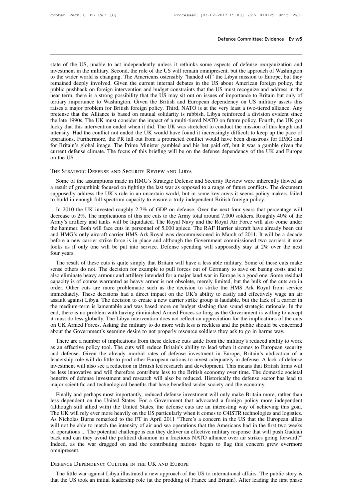**Defence Committee: Evidence Ev w5**<br>State of the US, unable to act independently unless it rethinks some aspects of defense reorganization and<br>investment in the military. Second, the role of the US will remain omnipresent, **interty** befence Committee: Evidence **Ev w5**<br>state of the US, unable to act independently unless it rethinks some aspects of defense reorganization and<br>investment in the military. Second, the role of the US will remain om Defence Committee: Evidence Ev w5<br>state of the US, unable to act independently unless it rethinks some aspects of defense reorganization and<br>investment in the military. Second, the role of the US will remain omnipresent, b state of the US, unable to act independently unless it rethinks some aspects of defense reorganization and investment in the military. Second, the role of the US will remain omnipresent, but the approach of Washington to t state of the US, unable to act independently unless it rethinks some aspects of defense reorganization and investment in the military. Second, the role of the US will remain omnipresent, but the approach of Washington to t state of the US, unable to act independently unless it rethinks some aspects of defense reorganization and investment in the military. Second, the role of the US will remain omnipresent, but the approach of Washington to t state of the US, unable to act independently unless it rethinks some aspects of defense reorganization and investment in the military. Second, the role of the US will remain omnipresent, but the approach of Washington to t investment in the military. Second, the role of the US will remain omnipresent, but the approach of Washington<br>to the wider world is changing. The Americans ostensibly "handed off" the Libya mission to Europe, but they<br>rem to the wider world is changing. The Americans ostensibly "handed off" the Libya mission to Europe, but they remained deeply involved. Given the current internal debates in the US about American foreign policy, the public p remained deeply involved. Given the current internal debates in the US about American foreign policy, the public pushback on foreign intervention and budget constraints that the US must recognize and address in the near te public pushback on foreign intervention and budget constraints that the US must recognize and address in the near term, there is a strong possibility that the US may sit out on issues of importance to Britain but only of t inter a strong possibility that the US may sit out on issues of importance to Britain but only of tertiary importance to Washington. Given the British and European dependency on US military assets this raises a major probl tertiary importance to Washington. Given the British and European dependency on US military assets this raises a major problem for British foreign policy. Third, NATO is at the very least a two-tiered alliance. Any pretens raises a major problem for British foreign policy. Third, NATO is at the very least a two-tiered alliance. Any<br>pretense that the Alliance is based on mutual solidarity is rubbish. Libya reinforced a division evident since<br> pretense that the Alliance is based on mutual solidarity is rubbish. Libya reinforced a division evident since<br>the late 1990s. The UK must consider the impact of a multi-tiered NATO on future policy. Fourth, the UK got<br>luc The late 1990s. The UK must consider the impact of a multi-tiered NATO lucky that this intervention ended when it did. The UK was stretched to co<br>intensity. Had the conflict not ended the UK would have found it increasis<br>o Some of the assumptions made in HMG's Strategic Defense and Security Review were inherently flawed as<br>Expected defense climate. The focus of this briefing will be on the defense dependency of the UK and Europe<br>the US.<br>IE S

For Final defense climate. The focus of this briefing will be on the defense dependency of the UK and Europe<br>on the US.<br>THE STRATEGIC DEFENSE AND SECURITY REVIEW AND LIBYA<br>Some of the assumptions made in HMG's Strategic De SUPPOSE ADDRESS THE STRATEGIC DEFENSE AND SECURITY REVIEW AND LIBYA<br>
Some of the assumptions made in HMG's Strategic Defense and Security Review were inherently flawed as<br>
a result of groupthink focused on fighting the las THE STRATEGIC DEFENSE AND SECURITY REVIEW AND LIBYA<br>
Some of the assumptions made in HMG's Strategic Defense and Security Review were inherently flawed as<br>
a result of groupthink focused on fighting the last war as opposed IE STRATEGIC DEFENSE AND SECURITY REVIEW AND LIBYA<br>
Some of the assumptions made in HMG's Strategic Defense and Security Review were inherently flawed as<br>
esult of groupthink focused on fighting the last war as opposed to

Some of the assumptions made in HMG's Strategic Defense and Security Review were inherently flawed as a result of groupthink focused on fighting the last war as opposed to a range of future conflicts. The document supposed Some of the assumptions made in Filology Stategic Defense and Security Review were interesting hawed as a result of groupthink focused on fighting the last war as opposed to a range of future conflicts. The document suppos a result of groupular focused of ngining the rast war as opposed to a range of future connects. The document<br>supposedly address the UK's role in an uncertain world, but in some key areas it seems policy-makers failed<br>to bu supposedly address the UK s fole in an uncertain world, but in some key areas it seems policy-makers raned to build in enough full-spectrum capacity to ensure a truly independent British foreign policy.<br>In 2010 the UK inve to bund in enough fun-spectrum capacity to ensure a trury intelleption. But for protey.<br>In 2010 the UK invested roughly 2.7% of GDP on defense. Over the next four years that percentage will<br>decrease to 2%. The implications In 2010 the UK invested roughly 2.7% of GDP on defense. Over the next four years that percentage will decrease to 2%. The implications of this are cuts to the Army total around 7,000 soldiers. Roughly 40% of the Army's art decrease to 2%.<br>Army's artillery<br>the hammer. Bot<br>and HMG's only<br>before a new ca<br>looks as if only<br>four years.<br>The result of The result of these cuts is quite simply that Britain will have a less able military. Some of these cuts make others are others are others are an parameter. Both will face cuts in personnel of 5,000 apiece. The RAF Harrier ine hanner. Bout win face cuts in personner of 3,000 apece. The KAP Trainer anctant have aneady been cut<br>and HMG's only aircraft carrier HMS Ark Royal was decommissioned in March of 2011. It will be a decade<br>before a new c

and HNG s only alletait caller HNS AK Royal was decommissioned in Match of 2011. It will be a decade before a new carrier strike force is in place and although the Government commissioned two carriers it now looks as if on before a new carrier strike force is in place and antiough the Oovernment commissioned two carriers it now looks as if only one will be put into service. Defense spending will supposedly stay at 2% over the next four years From years.<br>
The result of these cuts is quite simply that Britain will have a less able military. Some of these cuts make<br>
sense others do not. The decision for example to pull forces out of Germany to save on basing cost The result of these cuts is quite simply that Britain will have a less able military. Some of these cuts make<br>sense others do not. The decision for example to pull forces out of Germany to save on basing costs and to<br>also The result of these cuts is quite simply that Britain will have a less able military. Some of these cuts make sense others do not. The decision for example to pull forces out of Germany to save on basing costs and to also sense others do not. The decision for example to pull forces out of Germany to save on basing costs and to also eliminate heavy armour and artillery intended for a major land war in Europe is a good one. Some residual capa also eliminate heavy armour and artillery intended for a major land war in Europe is a good one. Some residual<br>capacity is of course warranted as heavy armor is not obsolete, merely limited, but the bulk of the cuts are in capacity is of course warranted as heavy armor is not obsolete, merely limited, but the bulk of the cuts are in order. Other cuts are more problematic such as the decision to strike the HMS Ark Royal from service immediate order. Other cuts are more problematic such as the decision to strike the HMS Ark Royal from service<br>immediately. These decisions had a direct impact on the UK's ability to easily and effectively wage an air<br>assault agains immediately. These decisions had a direct impact on the UK's ability to easily and effectively wage an air assault against Libya. The decision to create a new carrier strike group is laudable, but the lack of a carrier in For a number of implications from these defense cuts aside from the military's reduced and we are a new calibrations from solutions of the cuts d, there is no problem with having diminished Armed Forces so long as the Gove and the statement is annehidable and was based mote on budget stashing than sound strategic rationale. In the<br>end, there is no problem with having diminished Armed Forces so long as the Government is willing to accept<br>it m

end, there is no problem with naving diminished Armed Potees so long as the Oovernment is winnig to accept<br>it must do less globally. The Libya intervention does not reflect an appreciation for the implications of the cuts<br> It must do less globany. The Endya intervention does not fenect an appreciation for the implications of the cuts<br>on UK Armed Forces. Asking the military to do more with less is reckless and the public should be concerned<br>a on UK Affined Forces. Asking the finitary to do infide with less is feckless and the public should be concerned<br>about the Government's seeming desire to not properly resource soldiers they ask to go in harms way.<br>There are about the Government s seeming deshe to not property resource solders they ask to go in narms way.<br>There are a number of implications from these defense cuts aside from the military's reduced ability to work<br>as an effectiv There are a number of implications from these defense cuts aside from the military's reduced ability to work as an effective policy tool. The cuts will reduce Britain's ability to lead when it comes to European security an and defense. Given the already morbid rates of defense investment in Europe, Britain's abdication of a leadership role will do little to prod other European nations to invest adequately in defense. A lack of defense invest In derinse. Orven the aneady morbid rates of derinse investment in Europe, Britain's abdication of a<br>dership role will do little to prod other European nations to invest adequately in defense. A lack of defense<br>restment wi readership fole will do flute to plod offer European hations to invest adequately in detense. A fack of defense investment will also see a reduction in British led research and development. This means that British firms wi

Investment win also see a reduction in British ed research and development. This ineans that British innis win<br>be less innovative and will therefore contribute less to the British economy over time. The domestic societal<br>b be less innovative and with interefore contribute less to the British economy over time. The domestic socretar<br>benefits of defense investment and research will also be reduced. Historically the defense sector has lead to<br>m benents of deferse investment and research will also be reduced. This<br>ofference sector has lead to major scientific and technological benefits that have benefited wider society and the economy.<br>Finally and perhaps most imp major scientinc and ecomological benefits that have benefited where society and the economy.<br>
Finally and perhaps most importantly, reduced defense investment will only make Britain more, rather than<br>
less dependent on the Finally and perhaps most importantly, reduced defense investment will only make Britain more, rather than<br>less dependent on the United States. For a Government that advocated a foreign policy more independent<br>(although sti less dependent on the United States. For a Government that advocated a foreign policy more independent (although still allied with) the United States, the defense cuts are an interesting way of achieving this goal. The UK (although still allied with) the United States, the defense cuts are an interesting way of achieving this goal.<br>The UK will rely ever more heavily on the US particularly when it comes to C4ISTR technologies and logistics.<br> omnipresent. The UK will rely ever more heavily on the US particularly when it comes to C4ISTR technologies and logistics.<br>As Nicholas Burns remarked to the FT in April 2011 "There's a concern in the US that the European allies<br>will no Separations ... The pointing the political distunion in a fractions NATO alliance over air strikes going forward?"<br>The little war dragged on and the contributing nations began to flag this concern grew evermore<br>inipresent. Indeed, as the war dragged on and the contributing nations began to flag this concern grew evermore omnipresent.<br>
DEFENCE DEPENDENCY CULTURE IN THE UK AND EUROPE<br>
The little war against Libya illustrated a new approach of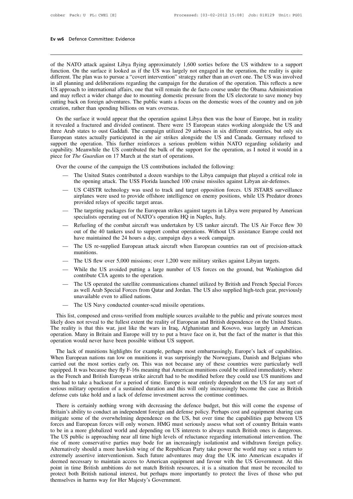**Ev w6** Defence Committee: Evidence<br> **Committee:** Evidence<br>
of the NATO attack against Libya flying approximately 1,600 sorties before the US withdrew to a support<br>
function. On the surface it looked as if the US was large Function. On the surface it looked as if the US was largely not engaged in the OS with the with the surface it looked as if the US was largely not engaged in the operation, the reality is quite different. The plan was to p Ev w6 Defence Committee: Evidence<br>
of the NATO attack against Libya flying approximately 1,600 sorties before the US withdrew to a support<br>
function. On the surface it looked as if the US was largely not engaged in the ope in all planning and deliberations regarding the campaign 1,600 sorties before the US withdrew to a support function. On the surface it looked as if the US was largely not engaged in the operation, the reality is quite diff of the NATO attack against Libya flying approximately 1,600 sorties before the US withdrew to a support function. On the surface it looked as if the US was largely not engaged in the operation, the reality is quite differe of the NATO attack against Libya flying approximately 1,600 sorties before the US withdrew to a support function. On the surface it looked as if the US was largely not engaged in the operation, the reality is quite differe of the NATO attack against Libya flying approximately 1,600 sorties before the US withdrew to a support function. On the surface it looked as if the US was largely not engaged in the operation, the reality is quite differe function. On the surface it looked as if the US was largely r<br>different. The plan was to pursue a "covert intervention" strate<br>in all planning and deliberations regarding the campaign for t<br>US approach to international aff Ficher. The plan was to pulsate affect and the contribution stategy ranker hall an overt one. The G5 was involved<br>all planning and deliberational affairs, one that will remain the de facto course under the Obama Administra In an planting and denocrations regarding the dampargin for the duration of the operation. This fencets a new<br>
US approach to international affairs, one that will remain the de facto course under the Obama Administration<br>

three Arab states are and divided continent. There were also below the US electorate to save money buy cutting back on foreign adventures. The public wants a focus on the domestic woes of the country and on job creation, r European states actually participated in the air strikes alongside in the US checknate to save money ouy cutting back on foreign adventures. The public wants a focus on the domestic woes of the country and on job creation, between the operation, rather than spending billions on wars overseas.<br>
On the surface it would appear that the operation against Libya then was the hour of Europe, but in reality<br>
it revealed a fractured and divided conti Capability. Meanwhile the US contributed the bulk of the support for the operation, as I noted it would in a piece for *The Guardian* on 17 March at the start of operation. There were 15 European states working alongside t On the surface it would appear that the operation against Libya the Guardian of the Guardian of the Guardian Chevardian Chevardian Chevardian European states actually participated in the air strikes alongside to support th The course of the course of the contributed a dozen warships to the Libya campaign the operation. This further reinforces a serious problem within NATO repability. Meanwhile the US contributed the bulk of the support for t bean states actually participated in the air strikes alongside the US and Canada. Germany refused to<br>ort the operation. This further reinforces a serious problem within NATO regarding solidarity and<br>ility. Meanwhile the US capability. Meanwhile the US contributed the bulk of the support for the operation, as I noted it would in a<br>piece for *The Guardian* on 17 March at the start of operations.<br>Over the course of the campaign the US contribut

- 
- US CAISTR technology was used to track and target oppositions, while US Predator drones provided relays of specific target areas.<br>
 US C4ISTR technology was used to track and target opposition forces. US JSTARS surveillan *Ince Guaratan* on 17 March at the start of operations.<br>
E course of the campaign the US contributions included the following:<br>
The United States contributed a dozen warships to the Libya campaign that played a critical ro e course of the campaign the US contribution<br>The United States contributed a dozen warsh<br>the opening attack. The USS Florida launche<br>US C4ISTR technology was used to track a<br>irplanes were used to provide offshore intel<br>pro — The United States contributed a dozen warships to the Libya campaign that played a critical role in<br>the opening attack. The USS Florida launched 100 cruise missiles against Libyan air-defenses.<br>— US C4ISTR technology was The online states contributed a dozen warsings to the Endya campaign<br>the opening attack. The USS Florida launched 100 cruise missiles again<br>US C4ISTR technology was used to track and target opposition forces<br>airplanes were — US C4ISTR technology was used to track and target opposition forces. US JSTARS surveillance<br>airplanes were used to provide offshore intelligence on enemy positions, while US Predator drones<br>provided relays of specific ta
- 
- out of the 40 tankers used to support combat and tanger opposition forces. So 35 FARS surventance airplanes were used to provide offshore intelligence on enemy positions, while US Predator drones provided relays of specifi an phanes were used to provide offshore intemgence on enemy positions, wi<br>provided relays of specific target areas.<br>The targeting packages for the European strikes against targets in Libya wer<br>specialists operating out of — The targeting packages for the European strikes against targets in Libya were prepared by American<br>specialists operating out of NATO's operation HQ in Naples, Italy.<br>
— Refueling of the combat aircraft was undertaken by — Refueling of the combat aircraft was undertaken by US tanker aircraft. The US Air Force flew out of the 40 tankers used to support combat operations. Without US assistance Europe could have maintained the 24 hours a day, out of the 40 tankers used to support combat operations. Without US assistance Europe could not<br>have maintained the 24 hours a day, campaign days a week campaign.<br>— The US re-supplied European attack aircraft when European
- munitions.
- 
- have maintained the 24 hours a day, campaig<br>The US re-supplied European attack aircraf<br>munitions.<br>The US flew over 5,000 missions; over 1,20<br>While the US avoided putting a large num<br>contribute CIA agents to the operation.<br>
- The US re-supplied European attack aircraft when European countries ran out of precision-attack<br>
 The US flew over 5,000 missions; over 1,200 were military strikes against Libyan targets.<br>
 While the US avoided putting munitions.<br>The US flew over 5,000 missions; over 1,200 were military strikes against Libyan targets.<br>While the US avoided putting a large number of US forces on the ground, but Washington did<br>contribute CIA agents to the o The US flew over 5,000 missions; over<br>While the US avoided putting a large<br>contribute CIA agents to the operation.<br>The US operated the satellite communic<br>as well Arab Special Forces from Qatar<br>unavailable even to allied na — While the US avoided putting a large number of US forces<br>
contribute CIA agents to the operation.<br>
— The US operated the satellite communications channel utilized<br>
as well Arab Special Forces from Qatar and Jordan. The U The US operated the satellite communications channel utilized by British and French Special Forces<br>as well Arab Special Forces from Qatar and Jordan. The US also supplied high-tech gear, previously<br>unavailable even to alli
	-

In the US operated the satellite communications channel utilized by British and French Special Forces<br>as well Arab Special Forces from Qatar and Jordan. The US also supplied high-tech gear, previously<br>unavailable even to a as well Arab Special Forces from Qatar and Jordan. The US also supplied high-tech gear, previously<br>unavailable even to allied nations.<br>— The US Navy conducted counter-scud missile operations.<br>
This list, composed and cross operation. Many in Britain and Europe will try to put a brave face on it, but the fact of the matter is that this war, just like the wars in Iraq, Afghanistan and Kosovo, was largely an American operation. Many in Britain — The US Navy conducted counter-scud missile operations.<br>
This list, composed and cross-verified from multiple sources available to the public and private sources most<br>
likely does not reveal to the fullest extent the real This list, composed and cross-verified from multiple sources available to the public and private sources most<br>ely does not reveal to the fullest extent the reality of European and British dependence on the United States.<br>e Iikely does not reveal to the fullest extent the reality of European and British dependence on the United States.<br>The reality is that this war, just like the wars in Iraq, Afghanistan and Kosovo, was largely an American op

The reality is that this war, just like the wars in Iraq, Afghanistan and Kosovo, was largely an American operation. Many in Britain and Europe will try to put a brave face on it, but the fact of the matter is that this op Fraction. Many in Britain and Europe will try to put a brave face on it, but the fact of the matter is that this operation would never have been possible without US support.<br>The lack of munitions highlights for example, pe be pertaion. Hany in Britain and Barope win ay to part a stave face on it, sat the fact of the inater is that this operation would never have been possible without US support.<br>The lack of munitions highlights for example, The lack of munitions highlights for example, perhaps most embarrassingly, Europe's lack of capabilities.<br>When European nations ran low on munitions it was surprisingly the Norwegians, Danish and Belgians who<br>carried out t The lack of munitions highlights for example, perhaps most embarrassingly, Europe's lack of capabilities.<br>When European nations ran low on munitions it was surprisingly the Norwegians, Danish and Belgians who<br>carried out t When European nations ran low on munitions it was surprisingly the Norwegians, Danish carried out the most sorties early on. This was not because any of these countries were equipped. It was because they fly F-16s meaning There is certainly onthing the accertain is well be uniformally well under the Fench and British European strike aircraft had to be modified before they could be utilized immediately, where the Fench and British European s equipped. It was seculate they hy 1–10s including that Alterlam inditions count of their conducts immediately, where<br>the French and British European strike aircraft had to be modified before they could use US munitions and

as the French and Drissi Early early strike and the out of the outlined between they cold ase to maniforms and<br>thus had to take a backseat for a period of time. Europe is near entirely dependent on the US for any sort of<br>s Forces and European forces will only worsen. HMG must seriously become the case as British defense cuts take hold and a lack of defense investment across the continue continues.<br>There is certainly nothing wrong with decrea defense cuts take hold and a lack of defense investment across the continue continues.<br>There is certainly nothing wrong with decreasing the defence budget, but this will come the expense of<br>Britain's ability to conduct an There is certainly nothing wrong with decreasing the defence budget, but this will come the expense of Britain's ability to conduct an independent foreign and defense policy. Perhaps cost and equipment sharing can mitigate There is certainly nothing wrong with decreasing the defence budget, but this will come the expense of Britain's ability to conduct an independent foreign and defense policy. Perhaps cost and equipment sharing can mitigate Britain's ability to conduct an independent foreign and defense policy. Perhaps cost and equipment sharing can<br>mitigate some of the overwhelming dependence on the US, but over time the capabilities gap between US<br>forces an mitigate some of the overwhelming dependence on the US, but over time the capabilities gap between US forces and European forces will only worsen. HMG must seriously assess what sort of country Britain wants to be in a mor forces and European forces will only worsen. HMG must seriously assess what sort of country Britain wants<br>to be in a more globalized world and depending on US interests to always match British ones is dangerous.<br>The US pub to be in a more globalized world and depending on US interests to always match British ones is dangerous.<br>The US public is approaching near all time high levels of reluctance regarding international intervention. The<br>rise The US public is approaching near all time high levels of reluctance regarding international intervention. The rise of more conservative parties may bode for an increasingly isolationist and withdrawn foreign policy. Alter rise of more conservative parties may bode for an increasingly isolationist and withdrawn foreign policy. Alternatively should a more hawkish wing of the Republican Party take power the world may see a return to extremely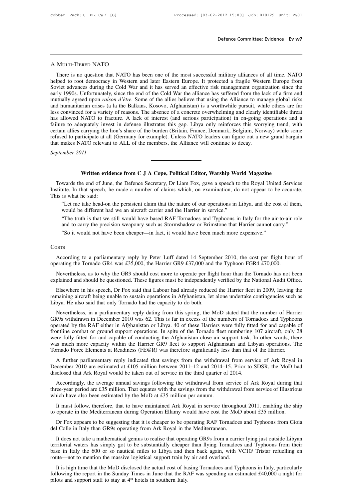# A Multi-Tiered NATO

Defence Committee: Evidence Ev w7<br>MULTI-TIERED NATO<br>There is no question that NATO has been one of the most successful military alliances of all time. NATO<br>Iped to root democracy in Western and later Eastern Europe. It pro A MULTI-TIERED NATO<br>
There is no question that NATO has been one of the most successful military alliances of all time. NATO<br>
helped to root democracy in Western and later Eastern Europe. It protected a fragile Western Eur A MULTI-TIERED NATO<br>There is no question that NATO has been one of the most successful military alliances of all time. NATO<br>helped to root democracy in Western and later Eastern Europe. It protected a fragile Western Europ A MULTI-TIERED NATO<br>There is no question that NATO has been one of the most successful military alliances of all time. NATO<br>helped to root democracy in Western and later Eastern Europe. It protected a fragile Western Europ A MULTI-TIERED NATO<br>There is no question that NATO has been one of the most successful military alliances of all time. NATO<br>helped to root democracy in Western and later Eastern Europe. It protected a fragile Western Europ There is no question that NATO has been one of the most successful military alliances of all time. NATO helped to root democracy in Western and later Eastern Europe. It protected a fragile Western Europe from Soviet advanc There is no question that NATO has been one of the most successful military alliances of all time. NATO helped to root democracy in Western and later Eastern Europe. It protected a fragile Western Europe from Soviet advanc helped to root democracy in Western and later Eastern Europe. It protected a fragile Western Europe from<br>Soviet advances during the Cold War and it has served an effective risk management organization since the<br>early 1990s Soviet advances during the Cold War and it has served an effective risk management organization since the early 1990s. Unfortunately, since the end of the Cold War the alliance has suffered from the lack of a firm and mutu early 1990s. Unfortunately, since the end of the Cold War the alliance has suffered from the lack of a firm and mutually agreed upon *raison d'être*. Some of the allies believe that using the Alliance to manage global risk mutually agreed upon *raison d'être*. Some of the allies believe that using the Alliance to manage global risks and humanitarian crises (a la the Balkans, Kosovo, Afghanistan) is a worthwhile pursuit, while others are far and humanitarian crises (a la the Balkans, Kosovo, Afghanistan) is a worthwhile pursuit, wh<br>less convinced for a variety of reasons. The absence of a concrete overwhelming and clearly is<br>has allowed NATO to fracture. A lac ress convinced for a variety<br>has allowed NATO to frace<br>failure to adequately inves<br>certain allies carrying the li<br>refused to participate at all<br>that makes NATO relevant<br>*September 2011* **Example 20** and the state of the statements. The control of the setticipate at all (Germany for example). Unless NATO leaders can figure out a new grand barg ATO relevant to ALL of the members, the Alliance will continue

Towards the end of June, the Defence Secretary, Dr Liam Fox, gave a speech to the Royal United Services<br>Towards the end of June, the Defence Secretary, Dr Liam Fox, gave a speech to the Royal United Services<br>stitute. In th Institute. In that speech, he made a number of claims which, on examination, do not appear to be accurate.<br>Institute. In that speech, he made a number of claims which, on examination, do not appear to be accurate.<br>This is September 2011<br>
Written evidence from C J A Cope, Political Editor, Warship World Magazine<br>
Towards the end of June, the Defence Secretary, Dr Liam Fox, gave a speech to the Royal United Services<br>
Institute. In that speech Written evidence from C J A Cope, Political Editor, Warship World Magazine<br>wards the end of June, the Defence Secretary, Dr Liam Fox, gave a speech to the Royal United Services<br>ute. In that speech, he made a number of clai **Written evidence from C J A Cope, Political Editor, Warship World I** wards the end of June, the Defence Secretary, Dr Liam Fox, gave a speech to the ute. In that speech, he made a number of claims which, on examination, d wards the end of June, the Defence Secretary, Dr Liam Fox, gave a speech to the Royal United Services<br>tute. In that speech, he made a number of claims which, on examination, do not appear to be accurate.<br>
"Let me take head wates the end of June, the Defence Secretary, Dr Etam Fox, gave a specen to the Royal officed Services<br>the. In that speech, he made a number of claims which, on examination, do not appear to be accurate.<br>"Let me take head-

"Let me take head-on the persistent claim that the nature of our operations in Libya, and the cost of them, would be different had we an aircraft carrier and the Harrier in service."<br>"The truth is that we still would have The truth is that we still would have based RAF Tornadoes and Typhoons in Italy for the air-to-air role<br>and to carry the precision weaponry such as Stormshadow or Brimstone that Harrier cannot carry."<br>So it would not have

# **Costs**

According to a parliamentary reply by Peter Luff dated 14 September 2010, the cost per flight hour of operating the Tornado GR4 was £35,000, the Harrier GR9 £37,000 and the Typhoon FGR4 £70,000.<br>Nevertheless, as to why the So It would not have been cheaper—in fact, it would have been interfinite expensive.<br>
So It would not have been cheaper—in fact, it would have been interfinite expensive.<br>
According to a parliamentary reply by Peter Luff d Costra<br>According to a parliamentary reply by Peter Luff dated 14 September 2010, the cost per flight hour of<br>operating the Tornado GR4 was £35,000, the Harrier GR9 £37,000 and the Typhoon FGR4 £70,000.<br>Nevertheless, as to

According to a parliamentary reply by Peter Luff dated 14 September 2010, the cost per flight hour of erating the Tornado GR4 was £35,000, the Harrier GR9 £37,000 and the Typhoon FGR4 £70,000.<br>Nevertheless, as to why the G According to a parliamentary reply by Peter Luff dated 14 September 2010, the cost per flight hour of operating the Tornado GR4 was £35,000, the Harrier GR9 £37,000 and the Typhoon FGR4 £70,000.<br>Nevertheless, as to why the explained and should be questioned. These figures must be independently verified by the National Audit Office.<br>Elsewhere in his speech, Dr Fox said that Labour had already reduced the Harrier fleet in 2009, leaving the rem

Nevertheless, as to why the GR9 should cost more to operate per flight hour than the Tornado has not been plained and should be questioned. These figures must be independently verified by the National Audit Office. Elsewhe explained and should be questioned. These figures must be independently verified by the National Audit Office.<br>Elsewhere in his speech, Dr Fox said that Labour had already reduced the Harrier fleet in 2009, leaving the<br>rem Elsewhere in his speech, Dr Fox said that Labour had already reduced the Harrier fleet in 2009, leaving the remaining aircraft being unable to sustain operations in Afghanistan, let alone undertake contingencies such as Li Eisewhete in ins speech, D1 Fox said that Labour had aneady reduced the Francher lifeet in 2009, leaving the<br>remaining aircraft being unable to sustain operations in Afghanistan, let alone undertake contingencies such as<br>L Finalism and the engulation of the capacity to do both.<br>
Nevertheless, in a parliamentary reply dating from this spring, the MoD stated that the number of Harrier<br>
GR9s withdrawn in December 2010 was 62. This is far in exc Eloya. The also said that only formado had the capacity to do both.<br>
Severtheless, in a parliamentary reply dating from this spring, the MoD stated that the number of Harrier GR9s withdrawn in December 2010 was 62. This is operated by the RAF either in Afghanistan or Libya. 40 of these Harriers were fully fitted for and capable of frontline combat or ground support operations. In spite of the Tornado fleet numbering 107 aircraft, only 28 wer Example and the RAF either in Afghanistan or Libya. 40 of these Harriers were fully fitted for and capable of ontline combat or ground support operations. In spite of the Tornado fleet numbering 107 aircraft, only 28 are f betaca by the KAP citief in Argnamistan of Eloya. 40 of these Frances were fully fitted for and capable of conducting the Afghanistan close air support task. In other words, there was much more capacity within the Harrier were fully fitted for and capable of conducting the Afghanistan close air support task. In other words, there was much more capacity within the Harrier GR9 fleet to support Afghanistan and Libyan operations. The Tornado Fo

is much more capacity within the Harrier GR9 fleet to support Afghanistan and Libyan operations. The rnado Force Elements at Readiness (FE@R) was therefore significantly less than that of the Harrier.<br>A further parliamenta Tornado Force Elements at Readiness (FE@R) was therefore significantly less than that of the Harrier.<br>
A further parliamentary reply indicated that savings from the withdrawal from service of Ark Royal in<br>
December 2010 a disclosed that Ark Royal would be taken out of service in the third quarter of 2014.<br>Accordingly, the average annual savings following the withdrawal from service of Ark Royal during that<br>three-year period are £35 million. Example 2010 are estimated at £105 million between 2011–12 and 2014–15. Prior to SDSR, the MoD had sclosed that Ark Royal would be taken out of service in the third quarter of 2014.<br>Accordingly, the average annual savings three-year period are £35 million. That equates with the savings from the withdrawal from service of Illustrious<br>which have also been estimated by the MoD at £35 million per annum.<br>It must follow, therefore, that to have m Accordingly, the average annual savings following the withdrawal from service of Ark Royal during that ree-year period are £35 million. That equates with the savings from the withdrawal from service of Illustrious inch hav

to operate in the Mediterranean during Operation Ellamy would have cost the MoD about £35 million.<br>Dr Fox appears to be suggesting that it is cheaper to be operating RAF Tornadoes and Typhoons from Gioia<br>del Colle in Italy

It must follow, therefore, that to have maintained Ark Royal in service throughout 2011, enabling the ship<br>operate in the Mediterranean during Operation Ellamy would have cost the MoD about £35 million.<br>Dr Fox appears to b It must follow, therefore, that to have maintained Ark Royal in service throughout 2011, enabling the ship<br>to operate in the Mediterranean during Operation Ellamy would have cost the MoD about £35 million.<br>Dr Fox appears t to operate in the Mediterranean during Operation Ellamy would have cost the MoD about £35 million.<br>
Dr Fox appears to be suggesting that it is cheaper to be operating RAF Tornadoes and Typhoons from Gioia<br>
del Colle in Ita Dr Fox appears to be suggesting that it is cheaper to be operating RAF Tornadoes<br>del Colle in Italy than GR9s operating from Ark Royal in the Mediterranean.<br>It does not take a mathematical genius to realise that operating I Colle in Italy than GR9s operating from Ark Royal in the Mediterranean.<br>It does not take a mathematical genius to realise that operating GR9s from a carrier lying just outside Libyan<br>ritorial waters has simply got to be It does not take a mathematical genius to realise that operating GR9s from a carrier lying just outside Libyan<br>territorial waters has simply got to be substantially cheaper than flying Tornadoes and Typhoons from their<br>bas It does not take a manicmatical genus to realise that operate<br>reritorial waters has simply got to be substantially cheapen<br>base in Italy the 600 or so nautical miles to Libya and th<br>route—not to mention the massive logist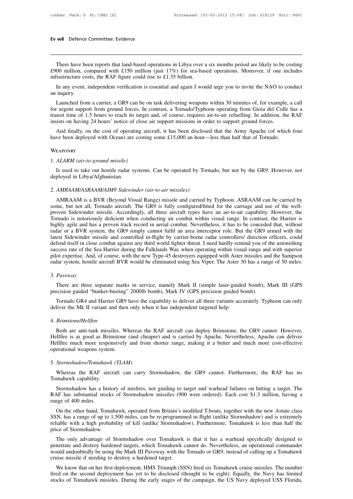we Defence Committee: Evidence<br>There have been reports that land-based operations in Libya over a six months period are likely to be costing<br>00 million, compared with £150 million (just 17%) for sea-based operations. Moreo Ev w8 Defence Committee: Evidence<br>
There have been reports that land-based operations in Libya over a six months period are likely to be costing<br>
£900 million, compared with £150 million (just 17%) for sea-based operations Ev w8 Defence Committee: Evidence<br>
There have been reports that land-based operations in Libya over a<br>
£900 million, compared with £150 million (just 17%) for sea-bas<br>
infrastructure costs, the RAF figure could rise to £1. There have been reports that land-based operations in Libya over a six months period are likely to be costing 00 million, compared with £150 million (just  $17\%$ ) for sea-based operations. Moreover, if one includes frastr There have be<br>f900 million, comprast the sum of the set of the set of the set of the set of the set of the set of the set of the set of the set of the set of the set of the set of the set of the set of the set of the set o

There have been reports that land-based operations in Libya over a six months period are likely to be costing 00 million, compared with £150 million (just 17%) for sea-based operations. Moreover, if one includes frastructu  $\pounds$ 900 million, compared with  $\pounds$ 150 million (just 17%) for sea-based operations. Moreover, if one includes infrastructure costs, the RAF figure could rise to  $\pounds$ 1.35 billion.<br>In any event, independent verification infrastructure costs, the RAF figure could rise to £1.35 billion.<br>
In any event, independent verification is essential and again I would urge you to invite the NAO to conduct<br>
an inquiry.<br>
Launched from a carrier, a GR9 ca In any event, independent verification is essential and again I would urge you to invite the NAO to c<br>an inquiry.<br>Launched from a carrier, a GR9 can be on task delivering weapons within 30 minutes of, for example<br>for urgen inquiry.<br>Launched from a carrier, a GR9 can be on task delivering weapons within 30 minutes of, for example, a call<br>r urgent support from ground forces. In contrast, a Tornado/Typhoon operating from Gioia del Colle has a<br>n Launched from a carrier, a GR9 can be on task delivering weapons within 30 minutes of, for example, and for urgent support from ground forces. In contrast, a Tornado/Typhoon operating from Gioia del Colle has than that tim

Insists on having 24 hours' notice of clos<br>
And finally, on the cost of operating a<br>
have been deployed with Ocean) are cost<br>
WEAPONRY<br>
1. *ALARM (air-to-ground missile)*<br>
Is used to take out hostile radar syster

# **WEAPONRY**

And finally, on the cost of operating aircraft, it has been disclosed that the Army Apache (of which four we been deployed with Ocean) are costing some £15,000 an hour—less than half that of Tornado.<br>EAPONRY<br>*ALARM (air-to* have been deployed with Ocean) are<br>WEAPONRY<br>1. ALARM (air-to-ground missile)<br>Is used to take out hostile radar s:<br>deployed in Libya/Afghanistan.<br>2. AMRAAM/ASRAAM/AIM9 Sidewir WEAPONRY<br>
1. *ALARM (air-to-ground missile)*<br>
1s used to take out hostile radar systems. Can be operated by To<br>
deployed in Libya/Afghanistan.<br>
2. *AMRAAM/ASRAAM/AIM9 Sidewinder (air-to-air missiles)*<br>
AMRAAM is a BVR (Bey

ALARM (air-to-ground missile)<br>Is used to take out hostile radar systems. Can be operated by Tornado, but not by the GR9. However, not<br>ployed in Libya/Afghanistan.<br>AMRAAM/ASRAAM/AIM9 Sidewinder (air-to-air missiles)<br>AMRAAM Is used to take out hostile radar systems. Can be operated by Tornado, but not by the GR9. However, not deployed in Libya/Afghanistan.<br>
2. AMRAAM/ASRAAM/AIM9 Sidewinder (air-to-air missiles)<br>
AMRAAM is a BVR (Beyond Visual proven Sidewinder missile. Accordingly, all three aircraft types have an air-to-air capability. However, the deployed in Libya/Afghanistan.<br>
2. AMRAAM/ASRAAM/AIM9 Sidewinder (air-to-air missiles)<br>
SMRAAM is a BVR (Beyond V 2. *AMRAAM/ASRAAM/AIM9 Sidewinder (air-to-air missiles)*<br>
AMRAAM is a BVR (Beyond Visual Range) missile and carried by Typhoon. ASRAAM can be carried by<br>
some, but not all, Tornado aircraft. The GR9 is fully configured/fit 2. AMRAAM/ASRAAM/AIM9 Sidewinder (air-to-air missiles)<br>AMRAAM is a BVR (Beyond Visual Range) missile and carried by Typhoon. ASRAAM can be carried by<br>some, but not all, Tornado aircraft. The GR9 is fully configured/fitted 2. AMRAAM/ASRAAM/AIM9 Statewhater (atr-to-atr missites)<br>AMRAAM is a BVR (Beyond Visual Range) missile and carried by Typhoon. ASRAAM can be carried by<br>some, but not all, Tornado aircraft. The GR9 is fully configured/fitted AMRAAM is a BVR (Beyond Visual Range) missile and carried by Typhoon. ASRAAM can be carried by<br>some, but not all, Tornado aircraft. The GR9 is fully configured/fitted for the carriage and use of the well-<br>proven Sidewinder some, but not all, Tornado aircraft. The GR9 is fully configured/fitted for the carriage and use of the well-<br>proven Sidewinder missile. Accordingly, all three aircraft types have an air-to-air capability. However, the<br>Tor proven Sidewinder missile. Accordingly, all three aircraft types have an air-to-air capability. However, the Tornado is notoriously deficient when conducting air combat within visual range. In contrast, the Harrier is high Tornado is notoriously deficient when conducting air combat within visual range. In contrast, the Harrier is highly agile and has a proven track record in aerial combat. Nevertheless, it has to be conceded that, without ra highly agile and has a proven track record in aerial combat. Nevertheless, it has to be conceded that, without radar or a BVR system, the GR9 simply cannot fulfil an area interceptor role. But the GR9 armed with the latest There are three separate marks in service, namely Mark II (simple laser-guided bomb), Mark III (GPS<br>cess rate of the Sea Harrier during the Falklands War, when operating within visual range and with superior<br>of expertise. preciss that of the search marker daring the Fanklands War, when operating whim Visaal range and<br>prior expertise. And, of course, with the new Type-45 destroyers equipped with Aster missiles an<br>radar system, hostile aircra

# 3. *Paveway*

dar system, hostile aircraft BVR would be eliminated using Sea Viper. The Aster 30 has a range of 50 miles.<br> *Paveway*<br>
There are three separate marks in service, namely Mark II (simple laser-guided bomb), Mark III (GPS<br>
e 3. Paveway<br>There are three separate marks in service, namely Mark II (simple laser-guide<br>precision guided "bunker-busting" 2000lb bomb), Mark IV (GPS precision guided b<br>Tornado GR4 and Harrier GR9 have the capability to de

# 4. *Brimstone/Hellfire*

ecision guided "bunker-busting" 2000lb bomb), Mark IV (GPS precision guided bomb).<br>Tornado GR4 and Harrier GR9 have the capability to deliver all three variants accurately. Typhoon can only<br>liver the Mk II variant and then Tornado GR4 and Harrier GR9 have the capability to deliver all three variants accurately. Typhoon can only<br>deliver the Mk II variant and then only when it has independent targeted help.<br>4. *Brimstone/Hellfire*<br>Both are ant Hellfire much more responsively and from shorter and from shorter and much more variants accurately. Typhoon can omy<br>deliver the Mk II variant and then only when it has independent targeted help.<br>4. *Brimstone/Hellfire*<br>Bo Example 18 A R variant and then<br>
4. *Brimstone/Hellfire*<br>
Both are anti-tank missiles. WI<br>
Hellfire is as good as Brimstone<br>
Hellfire much more responsively<br>
operational weapons system.<br>
5. *Stormshadow/Tomahawk (TLAM* 4. *Brinistone/Heigne*<br>
Both are anti-tank missiles. Whereas the<br>
Hellfire is as good as Brimstone (and chearnel Hellfire much more responsively and from<br>
operational weapons system.<br>
5. *Stormshadow/Tomahawk (TLAM)*<br>
Wher Bout all the RAF aircraft can carry Stormshadow, the GR9 cannot. Furthermore, the RAF has no<br>experiments the RAF aircraft can carry Stormshadow, the GR9 cannot. Furthermore, the RAF has no<br>mahawk capability. Hellfire much more responsively and from shorter range, making it a better and much more cost-effective<br>operational weapons system.<br>5. Stormshadow/Tomahawk (TLAM)<br>Whereas the RAF aircraft can carry Stormshadow, the GR9 can

erational weapons system.<br>
Stormshadow/Tomahawk (TLAM)<br>
Whereas the RAF aircraft can carry Stormshadow, the GR9 cannot. Furthermore, the RAF has no<br>
mahawk capability.<br>
Stormshadow has a history of misfires, not guiding to 5. *Stormshadow/Tomahawk (TLAM)*<br>Whereas the RAF aircraft can carry Stormshadow, the GR9 cannot. Furthermore, the RAF has no<br>Tomahawk capability.<br>Stormshadow has a history of misfires, not guiding to target and warhead fai 5. *Stormshadow/Tomahav*<br>Whereas the RAF ai<br>Tomahawk capability.<br>Stormshadow has a hi<br>RAF has substantial stoc<br>range of 400 miles.<br>On the other hand, Tor

Whereas the RAF aircraft can carry Stormshadow, the GR9 cannot. Furthermore, the RAF has no<br>mahawk capability.<br>Stormshadow has a history of misfires, not guiding to target and warhead failures on hitting a target. The<br>HF h Tomahawk capability.<br>
Stormshadow has a history of misfires, not guiding to target and warhead failures on hitting a target. The<br>
RAF has substantial stocks of Stormshadow missiles (900 were ordered). Each cost \$1.3 millio Stormshadow has a history of misfires, not guiding to target and warhead failures on hitting a target. The RAF has substantial stocks of Stormshadow missiles (900 were ordered). Each cost \$1.3 million, having a range of 40 Somishadow has a history<br>RAF has substantial stocks<br>range of 400 miles.<br>On the other hand, Tomah<br>SSN, has a range of up to 1,<br>reliable with a high probab<br>price of Stormshadow.<br>The only advantage of S 1980 of 400 miles.<br>
On the other hand, Tomahawk, operated from Britain's modified T-boats, together with the new Astute class<br>
N, has a range of up to 1,500 miles, can be re-programmed in flight (unlike Stormshadow) and is On the other hand, Tomahawk, operated from Britain's modified T-boats, together with the new Astute class SSN, has a range of up to 1,500 miles, can be re-programmed in flight (unlike Stormshadow) and is extremely reliable

On the other hand, folialiawk, operated from Britain's modified 1-boats, together with the flew Astute class<br>SSN, has a range of up to 1,500 miles, can be re-programmed in flight (unlike Stormshadow) and is extremely<br>relia SSIN, has a range of up to 1,500 films, can be re-programm<br>reliable with a high probability of kill (unlike Stormshade<br>price of Stormshadow.<br>The only advantage of Stormshadow over Tomahawk<br>penetrate and destroy hardened ta ice of Stormshadow.<br>The only advantage of Stormshadow over Tomahawk is that it has a warhead specifically designed to<br>netrate and destroy hardened targets, which Tomahawk cannot do. Nevertheless, an operational commander<br>u The only advantage of Stormshadow over Tomahawk is that it has a warhead specifically designed to<br>penetrate and destroy hardened targets, which Tomahawk cannot do. Nevertheless, an operational commander<br>would undoubtedly b The only advantage of Stofhshadow over Tomahawk is that it has a wantead specifically designed to<br>penetrate and destroy hardened targets, which Tomahawk cannot do. Nevertheless, an operational commander<br>would undoubtedly b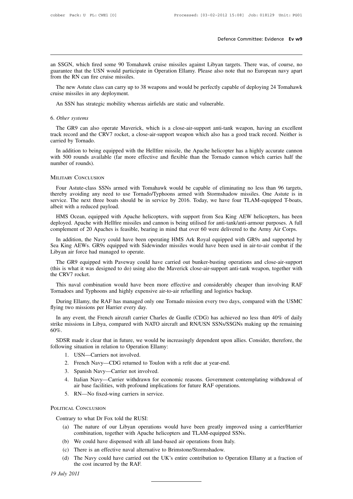Defence Committee: Evidence Ev w9<br>an SSGN, which fired some 90 Tomahawk cruise missiles against Libyan targets. There was, of course, no<br>guarantee that the USN would participate in Operation Ellamy. Please also note that n Defence Committee: Evidence Ev w9<br>an SSGN, which fired some 90 Tomahawk cruise missiles against Libyan targets. There was, of course, no<br>guarantee that the USN would participate in Operation Ellamy. Please also note that n From SSGN, which fired some 90 Tomahaw<br>guarantee that the USN would participate<br>from the RN can fire cruise missiles.<br>The new Astute class can carry up to 38 SSGN, which fired some 90 Tomahawk cruise missiles against Libyan targets. There was, of course, no<br>arantee that the USN would participate in Operation Ellamy. Please also note that no European navy apart<br>m the RN can fire an SSGN, which fired some 90 Tomah<br>guarantee that the USN would participa<br>from the RN can fire cruise missiles.<br>The new Astute class can carry up to 3<br>cruise missiles in any deployment.<br>An SSN has strategic mobility where: guarantee that the USN would participate in Operation Ellamy. Please also note that no European navy apart<br>from the RN can fire cruise missiles.<br>The new Astute class can carry up to 38 weapons and would be perfectly capabl

From the KIN can fire crui<br>The new Astute class c<br>cruise missiles in any dep<br>An SSN has strategic r<br>6. *Other systems*<br>The GR9 can also ope

The GR9 can also operate Maverick, which is a close-air-support anti-tank weapon, having an excellent CR9 can also operate Maverick, which is a close-air-support anti-tank weapon, having an excellent ck record and the CRV7 track record and the CRV7 rocket, a close-air-support and vulnerable.<br>
The GR9 can also operate Maverick, which is a close-air-support anti-tank weapon, having an excellent<br>
track record and the CRV7 rocket, a close-air-su An SSN has strategic 1<br>6. *Other systems*<br>The GR9 can also op<br>track record and the CRN<br>carried by Tornado.<br>In addition to being eq

Other systems<br>The GR9 can also operate Maverick, which is a close-air-support anti-tank weapon, having an excellent<br>ck record and the CRV7 rocket, a close-air-support weapon which also has a good track record. Neither is<br>T 6. Other systems<br>The GR9 can also operate Maverick, which is a close-air-support anti-tank weapon, having an excellent<br>track record and the CRV7 rocket, a close-air-support weapon which also has a good track record. Neithe The GR9 can also op<br>track record and the CR<br>carried by Tornado.<br>In addition to being ex<br>with 500 rounds availab<br>number of rounds). The GR9 can also operate Maver<br>track record and the CRV7 rocket, a<br>carried by Tornado.<br>In addition to being equipped with<br>with 500 rounds available (far more<br>number of rounds).<br>MILITARY CONCLUSION In addition to being equipped with the Hellfire missile, the Apache helicopter has a highly accurate cannon<br>th 500 rounds available (far more effective and flexible than the Tornado cannon which carries half the<br>mber of ro

with 500 rounds available (far more effective and flexible than the Tornado cannon which carries half the<br>number of rounds).<br>MILITARY CONCLUSION<br>Four Astute-class SSNs armed with Tomahawk would be capable of eliminating no Service. The next three boats should be in service by 2016. Today, we have four TLAM-equipped T-boats, thereby avoiding any need to use Tornado/Typhoons armed with Stormshadow missiles. One Astute is in service. The next t MILITARY CONCLUSION<br>Four Astute-class SSNs armed v<br>thereby avoiding any need to use<br>service. The next three boats shoul<br>albeit with a reduced payload.<br>HMS Ocean, equipped with Apa ILITARY CONCLUSION<br>Four Astute-class SSNs armed with Tomahawk would be capable of eliminating no less than 96 targets,<br>reby avoiding any need to use Tornado/Typhoons armed with Stormshadow missiles. One Astute is in<br>vice. Four Astute-class SSNs armed with Tomahawk would be capable of eliminating no less than 96 targets,<br>thereby avoiding any need to use Tornado/Typhoons armed with Stormshadow missiles. One Astute is in<br>service. The next thre From Astuc-class SSNs affined with Tomanawk would be capable of climmating no less than 90 tagets, thereby avoiding any need to use Tornado/Typhoons armed with Stormshadow missiles. One Astute is in service. The next three

rvice. The next three boats should be in service by 2016. Today, we have four TLAM-equipped T-boats, beit with a reduced payload.<br>HMS Ocean, equipped with Apache helicopters, with support from Sea King AEW helicopters, has albeit with a reduced payload.<br>
HMS Ocean, equipped with Apache helicopters, with support from Sea King AEW helicopters, has been<br>
deployed. Apache with Hellfire missiles and cannon is being utilised for anti-tank/anti-arm HMS Ocean, equipped with Apache helicopters, with support from Sea King AEW helicopters, has been deployed. Apache with Hellfire missiles and cannon is being utilised for anti-tank/anti-armour purposes. A full complement o

In addition, the Nav<br>Sea King AEWs. GR9<br>Libyan air force had m<br>The GR9 equipped<br>(this is what it was des<br>the CRV7 rocket.<br>This naval combina

ployed. Apache with Hellfire missiles and cannon is being utilised for anti-tank/anti-armour purposes. A full<br>mplement of 20 Apaches is feasible, bearing in mind that over 60 were delivered to the Army Air Corps.<br>In additi complement of 20 Apaches is feasible, bearing in mind that over 60 were delivered to the Army Air Corps.<br>In addition, the Navy could have been operating HMS Ark Royal equipped with GR9s and supported by<br>Sea King AEWs. GR9s a King AEWs. GR9s equipped with Sidewinder missiles would have been used in air-to-air combat if the<br>byan air force had managed to operate.<br>The GR9 equipped with Paveway could have carried out bunker-busting operations and Libyan air force had managed to operate.<br>
The GR9 equipped with Paveway could have carried out bunker-busting operations and (this is what it was designed to do) using also the Maverick close-air-support anti-tank weapt<br>
t The GR9 equipped with Paveway could have carried out bunker-busting operations and close-air-support<br>is is what it was designed to do) using also the Maverick close-air-support anti-tank weapon, together with<br>eCRV7 rocket.

the CRV7 rocket.<br>
This naval combination would have been more effective and considerably cheaper than involving RAF<br>
Tornadoes and Typhoons and highly expensive air-to-air refuelling and logistics backup.<br>
During Ellamy, t

This naval combination would have been more effective and considerably cheaper than involving RAF rnadoes and Typhoons and highly expensive air-to-air refuelling and logistics backup.<br>During Ellamy, the RAF has managed onl This naval combination would have been more effective and considerably cheaper than involving RAF<br>Tornadoes and Typhoons and highly expensive air-to-air refuelling and logistics backup.<br>During Ellamy, the RAF has managed o 60%. During Ellamy, the RAF has managed only one Tornado mission every two days, compared with the USMC<br>ing two missions per Harrier every day.<br>In any event, the French aircraft carrier Charles de Gaulle (CDG) has achieved no l flying two missions per Harrier every day.<br>
In any event, the French aircraft carrier Charles de Ga<br>
strike missions in Libya, compared with NATO aircraft a<br>
60%.<br>
SDSR made it clear that in future, we would be increas<br>
fo my event, the French aircraft carrier C<br>missions in Libya, compared with NA<br>SR made it clear that in future, we wou<br>ing situation in relation to Operation E<br>1. USN—Carriers not involved.<br>2. French Navy—CDG returned to T

missions in Libya, compared with NATO aircraft and RN/USN SSNs/SSGNs<br>
SR made it clear that in future, we would be increasingly dependent upon allie<br>
ing situation in relation to Operation Ellamy:<br>
1. USN—Carriers not invo SR made it clear that in future, we would be in<br>ing situation in relation to Operation Ellamy:<br>1. USN—Carriers not involved.<br>2. French Navy—CDG returned to Toulon w:<br>3. Spanish Navy—Carrier not involved.<br>4. Italian Navy—Ca

- 
- 
- 
- 5. Italian Navy—Carrier withdrawn for economic reasons. Government contemplating withdrawal of<br>
1. USN—Carriers not involved.<br>
2. French Navy—CDG returned to Toulon with a refit due at year-end.<br>
3. Spanish Navy—Carrier no situation in relation to Operation Ellamy:<br>
USN—Carriers not involved.<br>
French Navy—CDG returned to Toulon with a refit due at year-end.<br>
Spanish Navy—Carrier not involved.<br>
Italian Navy—Carrier withdrawn for economic reas 1. USN—Carriers not involved.<br>
2. French Navy—CDG returned to Toulon with<br>
3. Spanish Navy—Carrier not involved.<br>
4. Italian Navy—Carrier withdrawn for econon<br>
air base facilities, with profound implications<br>
5. RN—No fixe 1. USN—Carriers not involved<br>
2. French Navy—CDG returne<br>
3. Spanish Navy—Carrier not<br>
4. Italian Navy—Carrier with<br>
air base facilities, with prof<br>
5. RN—No fixed-wing carrier<br>
POLITICAL CONCLUSION 4. Italian Navy—Carrier withdrawn for e<br>air base facilities, with profound impli-<br>5. RN—No fixed-wing carriers in service<br>pLITICAL CONCLUSION<br>Contrary to what Dr Fox told the RUSI:<br>(a) The nature of our Libyan operations<br>c
	-

- (a) The nature of our Libyan operations would have been greatly improved using a carrier/Harrier<br>(a) The nature of our Libyan operations would have been greatly improved using a carrier/Harrier<br>combination, together with A RN—No fixed-wing carriers in service.<br>
Conclusion<br>
y to what Dr Fox told the RUSI:<br>
The nature of our Libyan operations would have been greatly improved usin<br>
combination, together with Apache helicopters and TLAM-equipped FICAL CONCLUSION<br>
Intrary to what Dr Fox told the RUSI:<br>
(a) The nature of our Libyan operations would have been greatly improved<br>
combination, together with Apache helicopters and TLAM-equipped SSNs.<br>
(b) We could have di FOLITICAL CONCLUSION<br>
Contrary to what Dr Fox told the RUSI:<br>
(a) The nature of our Libyan operations would have been greatly improved using a carrier/Harrier<br>
combination, together with Apache helicopters and TLAM-equippe
	-
	-
- ntrary to what Dr Fox told the RUSI:<br>
(a) The nature of our Libyan operations would have been greatly improved using a carrier/Harrier<br>
combination, together with Apache helicopters and TLAM-equipped SSNs.<br>
(b) We could ha (b) We could have dispensed with all land-based air operations from Italy.<br>
(c) There is an effective naval alternative to Brimstone/Stormshadow.<br>
(d) The Navy could have carried out the UK's entire contribution to Oper<br> <sup>2</sup><br>
(b) W<sub>6</sub><br>
(c) Th<br>
(d) Th<br>
the<br>
19 July 2011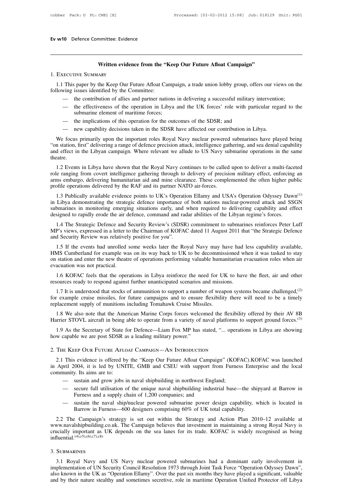# **Written evidence from the "Keep Our Future Afloat Campaign"**

**1.1** This paper by the Keep Our Future Afloat Campaign, a trade union lobby group, offers our views on the lowing issues identified by the Committee:<br>
This paper by the Keep Our Future Afloat Campaign, a trade union lobby **SECUTIVE SUMMARY**<br>1. EXECUTIVE SUMMARY<br>1.1 This paper by the Keep Our Future Afloat Car<br>following issues identified by the Committee:<br>— the contribution of allies and partner national Written evidence from the "Keep Our Future Afloat Campaign"<br>
This paper by the Keep Our Future Afloat Campaign, a trade union lobby group, offers our views on the<br>
wing issues identified by the Committee:<br>
— the contributi

- 
- ECUTIVE SUMMARY<br>
This paper by the Keep Our Future Afloat Campaign, a trade union lobby group, offers our views on the<br>
simple issues identified by the Committee:<br>
 the contribution of allies and partner nations in delive 1. EXECUTIVE SUMMARY<br>
1.1 This paper by the Keep Our Future Afloat Campaign, a trade union lobby group, offers our views on the<br>
following issues identified by the Committee:<br>
— the contribution of allies and partner natio This paper by the Keep Our Future Afloat Campaign, a trade union lobby group, offering issues identified by the Committee:<br>
— the contribution of allies and partner nations in delivering a successful military i<br>
— the effe
	-
	-

We focus primarily upon the important roles Royal Navy nuclear powered submarines have played being "on station, first" delivering a range of defence precision attack, intelligence gathering, and sea denial capability — the contribution or alles and partner nations in delivering a successful military intervention;<br>
— the effectiveness of the operation in Libya and the UK forces' role with particular regard to the<br>
submarine element of m - the effectiveness of the operation in Libya and the UK forces' role with particular regard to the submarine element of maritime forces;<br>- the implications of this operation for the outcomes of the SDSR; and<br>- new capabil submarine element of maritime forces;<br>
— the implications of this operation for the outcomes of the SDSR; and<br>
— new capability decisions taken in the SDSR have affected our contribution in Libya.<br>
We focus primarily upon theatre. mew capability decisions taken in the SDSR have affected our contribution in Libya.<br>We focus primarily upon the important roles Royal Navy nuclear powered submarines have played being<br>in station, first" delivering a range We focus primarily upon the important roles Royal Navy nuclear powered submarines have played being<br>
"on station, first" delivering a range of defence precision attack, intelligence gathering, and sea denial capability<br>
an

are in the United States are provided with the States and States and States and States and effect in the Libyan campaign. Where relevant we allude to US Navy submarine operations in the same theatre.<br>
1.2 Events in Libya h and effect in the Libyan campaign. Where relevant we allude to US Navy submarine operations in the same<br>theatre.<br>1.2 Events in Libya have shown that the Royal Navy continues to be called upon to deliver a multi-faceted<br>rol eatre.<br>
1.2 Events in Libya have shown that the Royal Navy continues to be called upon to deliver a multi-faceted<br>
le ranging from covert intelligence gathering through to delivery of precision military effect, enforcing a 1.2 Events in Libya have shown that the Royal Navy continues to be called upon to deliver a multi-faceted<br>role ranging from covert intelligence gathering through to delivery of precision military effect, enforcing an<br>arms

1.2 Events in Enoya have shown that the Royal Navy Columnes to be called upon to deliver a multi-raceted<br>role ranging from covert intelligence gathering through to delivery of precision military effect, enforcing an<br>arms From the air superior of the air defence in Section 1997 and the air defence. These complemented the often higher purpofile operations delivered by the RAF and its partner NATO air-forces.<br>
1.3 Publically available evidenc ofile operations delivered by the RAF and its partner NATO air-forces.<br>
1.3 Publically available evidence points to UK's Operation Ellamy and USA's Operation Odyssey Dawn<sup>(1)</sup><br>
Libya demonstrating the strategic defence imp 1.3 Publically available evidence points to UK's Operation Ellamy and USA's Operation Odyssey Dawn<sup>(1)</sup><br>in Libya demonstrating the strategic defence importance of both nations nuclear-powered attack and SSGN<br>submarines in 1.3 Fuoncany avanable evidence points to OK's Operation<br>in Libya demonstrating the strategic defence importance of<br>submarines in monitoring emerging situations early, and<br>designed to rapidly erode the air defence, command

by by the events in monitoring emerging situations early, and when required to delivering capability and effect signed to rapidly erode the air defence, command and radar abilities of the Libyan regime's forces.<br>
1.4 The S

designed to rapidly erode the air defence, command and radar abilities of the Libyan regime's forces.<br>
1.4 The Strategic Defence and Security Review's (SDSR) commitment to submarines reinforces Peter Luff<br>
MP's views, expr 1.4 The Strategic Defence and Security Review's (SDSR) commitment to submarines reinforces Peter Luff<br>MP's views, expressed in a letter to the Chairman of KOFAC dated 11 August 2011 that "the Strategic Defence<br>and Security 1.4 The Suategic Defence and S<br>
MP's views, expressed in a letter to<br>
and Security Review was relatively<br>
1.5 If the events had unrolled s<br>
HMS Cumberland for example was<br>
on station and enter the new theatr<br>
evacuation wa 1.5 If the events had unrolled some weeks later the Royal Navy may have had less capability available,<br>1.5 If the events had unrolled some weeks later the Royal Navy may have had less capability available,<br>1.6 KOFAC feels 1.5 If the events had unrolled some weeks later the Royal Navy may have had less capability available,<br>HMS Cumberland for example was on its way back to UK to be decommissioned when it was tasked to stay<br>on station and en MS Cumberland for example was on its way back to UK to be decommissioned when it was tasked to stay<br>station and enter the new theatre of operations performing valuable humanitarian evacuation roles when air<br>acuation was n

for example cruise missiles, for future campaigns and to ensure Missiles.<br>
1.6 KOFAC feels that the operations in Libya reinforce the need for UK to have the fleet, air and other resources ready to respond against further evacuation was not practical.<br>
1.6 KOFAC feels that the operations in Libya reinforce the need for UI<br>
resources ready to respond against further unanticipated scenarios and missic<br>
1.7 It is understood that stocks of ammu 1.6 KOFAC feels that the operations in Libya reinforce the need for UK to have the fleet, air and other<br>sources ready to respond against further unanticipated scenarios and missions.<br>1.7 It is understood that stocks of amm resources ready to respond against further unanticipated scenarios and missions.<br>
1.7 It is understood that stocks of ammunition to support a number of weapon systems became challenged,<sup>(2)</sup><br>
for example cruise missiles, f 1.7 It is understood that stocks of ammunition to support a number of weapon systems became challenged,<sup>(2)</sup> rexample cruise missiles, for future campaigns and to ensure flexibility there will need to be a timely placemen

for example cruise missiles, for future campaigns and to ensure flex<br>replacement supply of munitions including Tomahawk Cruise Missiles.<br>1.8 We also note that the American Marine Corps forces welcomed<br>Harrier STOVL aircraf 1.8 We also note that the American Marine Corps forces welcomed the flexibility offered by their AV 8B<br>Harrier STOVL aircraft in being able to operate from a variety of naval platforms to support ground forces.<sup>(3)</sup><br>1.9 As

1.9 As the Secretary of State for Defence—Liam Fox MP has stated, "... operations in Libya are showing w capable we are post SDSR as a leading military power."<br>THE KEEP OUR FUTURE AFLOAT CAMPAIGN—AN INTRODUCTION<br>2.1 This e 1.9 As the Secretary of State for Defence—Liam Fox MP has stated, "... operations in Libya are showing<br>how capable we are post SDSR as a leading military power."<br>2. THE KEEP OUR FUTURE AFLOAT CAMPAIGN—AN INTRODUCTION<br>2.1 T For the secretary of state<br>2. The KEEP OUR FUTURE AFLO<br>2.1 This evidence is offered by<br>in April 2004, it is led by UNI<br>community. Its aims are to:<br>— sustain and grow jobs i E KEEP OUR FUTURE AFLOAT CAMPAIGN—AN INTRODUCTION<br>
This evidence is offered by the "Keep Our Future Afloat Campaign" (KOF<br>
oril 2004, it is led by UNITE, GMB and CSEU with support from Furnes<br>
nunity. Its aims are to:<br>
— s E KEEP OUR FUTURE AFLOAT CAMPAIGN—AN INTRODUCTION<br>
This evidence is offered by the "Keep Our Future Afloat Campaign" (KOFAC).KOFAC was launched<br>
oril 2004, it is led by UNITE, GMB and CSEU with support from Furness Enterpr s evidence is offered by the "Keep Our Future Afloat Campaig 0004, it is led by UNITE, GMB and CSEU with support from<br>y. Its aims are to:<br>sustain and grow jobs in naval shipbuilding in northwest Englan<br>secure full utilisat pril 2004, it is led by UNITE, GMB and CSEU with support from Furness Enterprise and the local<br>nunity. Its aims are to:<br>— sustain and grow jobs in naval shipbuilding in northwest England;<br>— secure full utilisation of the

- 
- community. Its aims are to:<br>
 sustain and grow jobs in naval shipbuilding in northwest England;<br>
 secure full utilisation of the unique naval shipbuilding industrial base—the shipyard at Barrow in<br>
Furness and a supply c
	-

— sustain and grow jobs in naval shipbuilding in northwest England;<br>
— secure full utilisation of the unique naval shipbuilding industrial base—the shipyard at Barrow in<br>
Furness and a supply chain of 1,200 companies; and<br> — secure full utilisation of the unique naval shipbuilding industrial base—the shipyard at Barrow in Furness and a supply chain of 1,200 companies; and<br>— sustain the naval ship/nuclear powered submarine power design capab Furness and a supply chain of 1,200 companies; and<br>
— sustain the naval ship/nuclear powered submarine power design capability, which is located in<br>
Barrow in Furness—600 designers comprising 60% of UK total capability.<br>
2 influential.(4),(5),(6),(7),(8) Example and the Campaign believes that investment in maintaining a strong Royal Navy is<br>not and believes that investment in maintaining a strong Royal Navy is<br>incially important as UK depends on the sea lanes for its trad

# 3. Submarines

In the call and Security Council Resolution 1973 through Joint Task Force "Operation Odyssey Dawn",<br>
S. SUBMARINES<br>
3. SUBMARINES<br>
3. SUBMARINES<br>
3. SUBMARINES<br>
3. SUBMARINES<br>
3. SUBMARINES<br>
3. SUBMARINES<br>
3. SUBMARINES<br>
3 also known in the UK as "Operation Ellamy". Over the past six months they have played a significant, valuable and by their nature stealthy and sometimes secretive, role in maritime Operation Odyssey Dawn", also known in t 3. SUBMARINES<br>3.1 Royal Navy and US Navy nuclear powered submarines had a dominant early involvement in<br>implementation of UN Security Council Resolution 1973 through Joint Task Force "Operation Odyssey Dawn",<br>also known in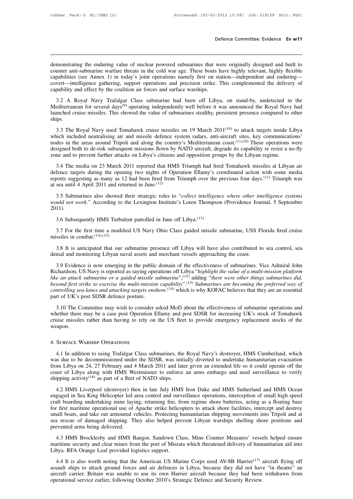Defence Committee: Evidence Ev w11<br>demonstrating the enduring value of nuclear powered submarines that were originally designed and built to<br>counter anti-submarine warfare threats in the cold war age. These boats have high Defence Committee: Evidence Ev w11<br>demonstrating the enduring value of nuclear powered submarines that were originally designed and built to<br>counter anti-submarine warfare threats in the cold war age. These boats have high Defence Committee: Evidence Ev w11<br>demonstrating the enduring value of nuclear powered submarines that were originally designed and built to<br>counter anti-submarine warfare threats in the cold war age. These boats have high demonstrating the enduring value of nuclear powered submarines that were originally designed and built to counter anti-submarine warfare threats in the cold war age. These boats have highly relevant, highly flexible capabi demonstrating the enduring value of nuclear powered submarines that we counter anti-submarine warfare threats in the cold war age. These boats h capabilities (see Annex 1) in today's joint operations namely first on stacov monstrating the enduring value of nuclear powered submarines that were originally designed and built to unter anti-submarine warfare threats in the cold war age. These boats have highly relevant, highly flexible pabilities counter anti-submarine warfare threats in the cold war age. These boats have highly relevant, highly flexible capabilities (see Annex 1) in today's joint operations namely first on station—independent and enduring—covert—i

expabilities (see Annex 1) in today's joint operations namely first on station—independent and enduring—<br>covert—intelligence gathering, support operations and precision strike. This complemented the delivery of<br>capability ships. Bability and effect by the coantion an forces and surface watships.<br>
3.2 A Royal Navy Trafalgar Class submarine had been off Libya, on stand-by, undetected in the<br>
editerranean for several days<sup>(9)</sup> operating independently 3.2 A Royal Navy Trafalgar Class submarine had been off Libya, on stand-by, undetected in the Mediterranean for several days<sup>(9)</sup> operating independently well before it was announced the Royal Navy had launched cruise mis

nodes in the areas around Tripoli and along the country's Mediterranean for several days<sup>(9)</sup> operating independently well before it was announced the Royal Navy had launched cruise missiles. This showed the value of subm Fractional to de-risk subsequent missiles on 19 March 2011<sup>(10)</sup> to attack targets inside Libya ships.<br>
3.3 The Royal Navy used Tomahawk cruise missiles on 19 March 2011<sup>(10)</sup> to attack targets inside Libya which included zone and to prevent further attacks on Libya's citizens and opposition groups by the Libyan regime.<br>
3.3 The Royal Navy used Tomahawk cruise missiles on 19 March 2011<sup>(10)</sup> to attack targets inside L<br>
which included neutr 3.3 The Royal Navy used Tomahawk cruise missiles on 19 March 2011<sup>(10)</sup> to attack targets inside Libya<br>nich included neutralising air and missile defence system radars, anti-aircraft sites, key communications'<br>des in the which included neutralising air and missile defence system radars, anti-aircraft sites, key communications'<br>nodes in the areas around Tripoli and along the country's Mediterranean coast.<sup>(1),(10)</sup> These operations were<br>de

modes in the areas around Tripoli and along the country's Mediterranean coast.<sup>(1),(10)</sup> These operations were designed both to de-risk subsequent missions flown by NATO aircraft, degrade its capability re resist a no-fly designed both to de-risk subsequent missions flown by<br>designed both to de-risk subsequent missions flown by<br>zone and to prevent further attacks on Libya's citizens<br> $3.4$  The media on 23 March 2011 reported that HN<br>defence ne and to prevent further attacks on Libya s citizens and opposition groups by the Libyan regime.<br>
3.4 The media on 23 March 2011 reported that HMS Triumph had fired Tomahawk missiles at Libyan air<br>
fence targets during th <sup>3.4</sup> The media on 23 March 2011 reported that HMS Triumph had fired Tomahawk missiles at Libyan air defence targets during the opening two nights of Operation Ellamy's coordinated action with some media reports suggesting

2011). 3.5 Submarines also showed their strategic roles to "*collect intelligould not work*." According to the Lexington Institute's Loren Thomp 11).<br>3.6 Subsequently HMS Turbulent patrolled in June off Libya.<sup>(13)</sup><br>3.7 For the 3.5 Submarines also showed their strategic roles to "*collect intelligence where other intelligence systems uuld not work.*" According to the Lexington Institute's Loren Thompson (Providence Journal, 5 September 11).<br>3.6 *S.3* Submarines also showe<br>would not work." According to<br>2011).<br>3.6 Subsequently HMS Turk<br>3.7 For the first time a mod<br>missiles in combat.<sup>(14),(15)</sup><br>3.8 It is anticipated that ou

3.6 Subsequently HMS Turbulent patrolled in June off Libya.<sup>(13)</sup><br>3.7 For the first time a modified US Navy Ohio Class guided missile submarine, USS Florida fired cruise<br>ssiles in combat.<sup>(14),(15)</sup><br>3.8 It is anticipated 3.7 For the first time a modified US Navy Ohio Class guided missile submarine, USS Florida fired cruise<br>missiles in combat.<sup>(14),(15)</sup><br>3.8 It is anticipated that our submarine presence off Libya will have also contributed

3.7 For the first time a modified US Navy Ohio Class guided missile submarine, USS Florida fired cruise<br>ssiles in combat.<sup>(14),(15)</sup><br>3.8 It is anticipated that our submarine presence off Libya will have also contributed t For the first time a moduled US Navy Official chass guided missile submarine, USS Fiorida fired cruise<br>missiles in combat.<sup>(14),(15)</sup><br>3.8 It is anticipated that our submarine presence off Libya will have also contributed t *like an attack submarine presence off Libya will have also contributed to sea control, sea* denial and monitoring Libyan naval assets and merchant vessels approaching the coast.<br> *like an attack submarine in the public do* <sup>9</sup> 3.8 It is anticipated that our submarine presence off Libya will have also contributed to sea control, sea<br>denial and monitoring Libyan naval assets and merchant vessels approaching the coast.<br><sup>9</sup> 3.9 Evidence is now e 3.6 It is anticipated that our submanine presence of Eloya with have also controlled to sea control, sea<br>denial and monitoring Libyan naval assets and merchant vessels approaching the coast.<br>3.9 Evidence is now emerging in 3.9 Evidence is now emerging in the public<br>Richardson, US Navy is reported as saying oper<br>like an attack submarine or a guided missile s<br>beyond first strike to exercise the multi-mission<br>controlling sea-lanes and attacking 2.13.10 The Committee may wish to consider asked MoD about the effectiveness of submarines and the may be a case ported as saying operations off Libya "highlight the value of a multi-mission platform e an attack submarine Fike an attack submarine or a guided missile submarine",<sup>(15)</sup> adding "there were other things submarines did, beyond first strike to exercise the multi-mission capability".<sup>(15)</sup> adding "there were other things submarines

beyond first strike to exercise the multi-mission capability".<sup>(15)</sup> Submarines are becoming the preferred way of controlling sea-lanes and attacking targets onshore.<sup>(14)</sup> which is why KOFAC believes that they are an esse weapon. controlling sea-lanes and attacking targets onshore.<sup>(14)</sup> which is why KOFAC believes that they are an essential<br>part of UK's post SDSR defence posture.<br>3.10 The Committee may wish to consider asked MoD about the effectiv

ether there may be a case post Operation Ellamy and post SDSR for increasing UK's stock of Tomahawk<br>ise missiles rather than having to rely on the US fleet to provide emergency replacement stocks of the<br>apon.<br>SURFACE WARSH eruise missiles rather than having to rely on the US fleet to provide emergency replacement stocks of the<br>weapon.<br>4. SURFACE WARSHIP OPERATIONS<br>4.1 In addition to using Trafalgar Class submarines, the Royal Navy's destroye 4. SURFACE WARSHIP OPERATIONS<br>4. SURFACE WARSHIP OPERATIONS<br>4.1 In addition to using Trafalgar Class submarines, the Royal Navy's destroyer, HMS Cumberland, which<br>was due to be decommissioned under the SDSR, was initially 4. SURFACE WARSHIP OPERATIONS<br>4.1 In addition to using Trafalgar Class submarines, the Royal Navy's destroyer, HMS Cumberland, which<br>was due to be decommissioned under the SDSR, was initially diverted to undertake humanita 4. SURFACE WARSHIP OPERATIONS<br>4.1 In addition to using Trafalgar Class submarines, the<br>was due to be decommissioned under the SDSR, was initi<br>from Libya on 24, 27 February and 4 March 2011 and late<br>coast of Libya along wit 4.1 In addition to using Trafalgar Class submarines, the Royal Navy's destroyer, HMS Cumberland, which<br>is due to be decommissioned under the SDSR, was initially diverted to undertake humanitarian evacuation<br>im Libya on 24, not all the decommissioned under the SDSR, was initially diverted to undertake humanitarian evacuation<br>from Libya on 24, 27 February and 4 March 2011 and later given an extended life so it could operate off the<br>coast of Li

may are the coast of Libya on 24, 27 February and 4 March 2011 and later given an extended life so it could operate off the coast of Libya along with HMS Westminster to enforce an arms embargo and used surveillance to veri coast of Libya along with HMS Westminster to enforce an arms embargo and used surveillance to verify shipping activity<sup>(16)</sup> as part of a fleet of NATO ships.<br>
4.2 HMS Liverpool (destroyer) then in late July HMS Iron Duke shipping activity<sup>(16)</sup> as part of a fleet of NATO ships.<br>4.2 HMS Liverpool (destroyer) then in late July HMS Iron Duke and HMS Sutherland and HMS Ocean<br>engaged in Sea King Helicopter led area control and surveillance oper supplying activity and pair of a neet of lattic of staps.<br>
4.2 HMS Liverpool (destroyer) then in late July HMS Iron Duke and HMS Sutherland and HMS Ocean<br>
engaged in Sea King Helicopter led area control and surveillance op 4.2 HMS Liverpool (destroyer) thengaged in Sea King Helicopter led a<br>craft boarding undertaking mine layin<br>for first maritime operational use of .<br>small boats, and take out armoured v<br>sea rescue of damaged shipping. Th<br>pre Expect and Data metal and the boarding mine laying, returning fire, from regime shore batteries, acting as a floating base<br>
f first maritime operational use of Apache strike helicopters to attack shore facilities, intercep For first maritime operational use of Apache strike helicopters to attack shore facilities, intercept and destroy small boats, and take out armoured vehicles. Protecting humanitarian shipping movements into Tripoli and at Libya. RFA Orange Leaf provided logistics support.<br>
1.3 HMS Brocklesby and HMS Bangor, Sandown Classical provided arms being delivered.<br>
1.3 HMS Brocklesby and HMS Bangor, Sandown Classical maritime security and clear mine

Figure 3.1 Internal and Marine Divid Warships Shering Shore positions and<br>evented arms being delivered.<br>4.3 HMS Brocklesby and HMS Bangor, Sandown Class, Mine Counter Measures' vessels helped ensure<br>aritime security and cl

1.3 HMS Brocklesby and HMS Bangor, Sandown Class, Mine Counter Measures' vessels helped ensure<br>maritime security and clear mines from the port of Misrata which threatened delivery of humanitarian aid into<br>Libya. RFA Orange 4.3 HMS Brocklesby and HMS Bangor, Sandown Class, Mine Counter Measures' vessels helped ensure<br>maritime security and clear mines from the port of Misrata which threatened delivery of humanitarian aid into<br>Libya. RFA Orange naritime security and clear mines Eduator, bandown Chass, three Counter Intensations Vessex maritime security and clear mines from the port of Misrata which threatened delivery of hum Libya. RFA Orange Leaf provided logist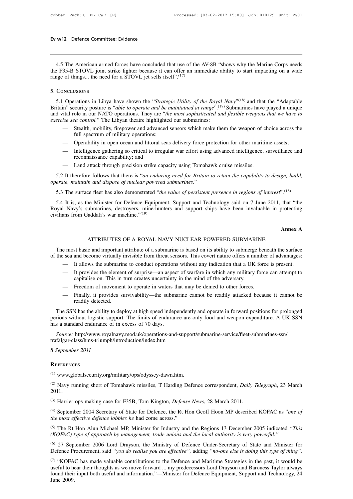**4.5 The American armed forces have concluded that use of the AV-8B "shows why the Marine Corps needs**<br>
E F35-B STOVL joint strike fighter because it can offer an immediate ability to start impacting on a wide<br>
rate of thi **EV W12** Defence Committee: Evidence<br>
4.5 The American armed forces have concluded that use of the AV-8B "shows why the Marine Corps needs<br>
the F35-B STOVL joint strike fighter because it can offer an immediate ability to **Ev w12** Defence Committee: Evidence<br> **The American armed forces have concluded that use of the F35-B STOVL joint strike fighter because it can offer an i<br>
range of things... the need for a STOVL jet sells itself".<sup>(17)</sup><br>** 

# 5. Conclusions

4.5 The American armed forces have concluded that use of the AV-8B "shows why the M<br>
<sup>2</sup> F35-B STOVL joint strike fighter because it can offer an immediate ability to start im<br>
1990 of things... the need for a STOVL jet se why the Marine Corps needs<br>o start impacting on a wide<br><sup>(18)</sup> and that the "Adaptable<br>arines have played a unique<br>ble weapons that we have to the F35-B STOVL joint strike fighter because it can offer an immediate ability to start impacting on a wide<br>range of things... the need for a STOVL jet sells itself".<sup>(17)</sup><br>5. CONCLUSIONS<br>5.1 Operations in Libya have shown range of things... the need for a STOVL jet sells itself".<sup>(17)</sup><br>
5. Conclusions<br>
5.1 Operations in Libya have shown the "*Strategic Utility of the Royal Navy*"<sup>(18)</sup> and that the "Adaptable<br>
Britain" security posture is " **Example 3** and set of the ASS (CONCLUSIONS<br> **Exercise sea control.** The Libyan theatre highlighted our submarined at range".<sup>(18)</sup><br>
and vital role in our NATO operations. They are "*the most sophisticated and*<br> *exercise* Dependions in Libya have shown the "*Strategic Utility of the Royal Navy*"<sup>(18)</sup> and that the "Adaptable in" security posture is "*able to operate and be maintained at range*".<sup>(18)</sup> Submarines have played a unique ital r Frations in Libya have shown the "*Strateg*<br>curity posture is "*able to operate and be n*<br>ole in our NATO operations. They are "*the*<br>*indi* control." The Libyan theatre highlighted<br>Stealth, mobility, firepower and advance Britain" security posture is "able to operate and be maintained at range".<sup>(18)</sup> Submarines have played a unique and vital role in our NATO operations. They are "*the most sophisticated and flexible weapons that we have to* ital role in our NATO operations. They are "*the most sophisticated and flexible weapons that we have to*<br>ise sea control." The Libyan theatre highlighted our submarines:<br>
— Stealth, mobility, firepower and advanced sensor

- 
- 
- *ea control.*" The Libyan theatre highlighte<br>Stealth, mobility, firepower and advanced<br>full spectrum of military operations;<br>Operability in open ocean and littoral sea<br>Intelligence gathering so critical to irregui<br>reconnai — Stealth, mobility, firepower and advanced sensors which make them the weapon of c<br>full spectrum of military operations;<br>— Operability in open ocean and littoral seas delivery force protection for other maritin<br>— Intellig
- 

5.2 It therefore follows that there is "*an enduring need for Britain to retain the capability to design, build, operation of nuclear powered submarines.*<br> *operate, maintain and dispose of nuclear powered submarines.*<br>
5.2 It therefore follows that there is "*an enduring need for Britain to retain the capability to design, build,*<br>

— Land attack through precision strike capacity using Tomahawk cruise missiles.<br>
5.2 It therefore follows that there is "an enduring need for Britain to retain the capability to design, build,<br>
erate, maintain and dispose 5.2 It therefore follows that there is "an enduring need for Britain to retain the capability to design, build, operate, maintain and dispose of nuclear powered submarines."<br>5.3 The surface fleet has also demonstrated "th 5.4 It is, as the Minister for Defence Equipment, Support and Technology said on 7 June 2011, that "the Royal Navy's submarines, destroyers, mine-hunters and support ships have been invaluable in protecting civilians from <sup>2</sup>.<sup>(18)</sup><br>that "the<br>protecting<br>**Annex A** he Minister for Defence Equipment, Support and Technology said on 7 June 2011, that "ubmarines, destroyers, mine-hunters and support ships have been invaluable in protective addafi's war machine."<sup>(19)</sup><br>Annex ATTRIBUTES OF

The most basic and important attribute of a submarine is based on its ability to submerge beneath the surface<br>The most basic and important attribute of a submarine is based on its ability to submerge beneath the surface<br>th Annex A<br>ATTRIBUTES OF A ROYAL NAVY NUCLEAR POWERED SUBMARINE<br>The most basic and important attribute of a submarine is based on its ability to submerge beneath the surface<br>of the sea and become virtually invisible from thre AISTRIBUTES OF A ROYAL NAVY NUCLEAR POWERED SUBMARINE<br>The most basic and important attribute of a submarine is based on its ability to submerge beneath the surface<br>of the sea and become virtually invisible from threat sens ATTRIBUTES OF A ROYAL NAVY NUCLEAR POWERED SUBMARINE<br>
e most basic and important attribute of a submarine is based on its ability to submerge beneath the surface<br>
ese and become virtually invisible from threat sensors. Thi ATTRIBUTES OF A ROYAL NAVY NUCLEAR POWERED SUBMARI<br>st basic and important attribute of a submarine is based on its ability to submerge<br>and become virtually invisible from threat sensors. This covert nature offers a nul<br>It e most basic and important attribute of a submarine is based on its ability to submerge ben<br>  $\cdot$  sea and become virtually invisible from threat sensors. This covert nature offers a number<br>
— It allows the submarine to con

- 
- 
- 
- exa and become virtually invisible from threat sensors. This covert nature offers a number of advantages:<br>
 It allows the submarine to conduct operations without any indication that a UK force is present.<br>
 It provides t It allows the submarin<br>It provides the element<br>capitalise on. This in<br>Freedom of movemen<br>Finally, it provides su<br>readily detected.<br>N has the ability to dep

- It provides the element of surprise—an aspect of warfare in which any military force can attempt to capitalise on. This in turn creates uncertainty in the mind of the adversary.<br>- Freedom of movement to operate in waters capitalise on. This in turn creates uncertainty in the mind of the adversary.<br>
— Freedom of movement to operate in waters that may be denied to other forces.<br>
— Finally, it provides survivability—the submarine cannot be re - Freedom of movement to operate in waters the SI-<br>Finally, it provides survivability—the submare readily detected.<br>The SSN has the ability to deploy at high speed indep<br>periods without logistic support. The limits of endu periods without logistic support. The limits of endurance are only food and weapon expenditure. A UK SSN has a standard endurance of in excess of 70 days.<br> *Source:* http://www.royalnavy.mod.uk/operations-and-support/subma

*Source:* http://www.royalnavy.mod.uk/operations-and-support/submarine-service/fleet-submarines-ssn/ trafalgar-class/hms-triumph/introduction/index.htm

# **REFERENCES**

(1) www.globalsecurity.org/military/ops/odyssey-dawn.htm.

(1) Navy running short of Tomahawk missiles, T Harding Defence correspondent, *Daily Telegraph*, 23 March<br>
(2) Navy running short of Tomahawk missiles, T Harding Defence correspondent, *Daily Telegraph*, 23 March<br>
(3)  $V$ 2011. (1) www.globalsecurity.org/military/ops/odyssey-dawn.htm.<br>
(2) Navy running short of Tomahawk missiles, T Harding Defence correspondent, *Daily* 1<br>
2011.<br>
(3) Harrier ops making case for F35B, Tom Kington, *Defense News*, <sup>(2)</sup> Navy running short of Tomahawk missiles, T Harding Defence 2011.<br><sup>(3)</sup> Harrier ops making case for F35B, Tom Kington, *Defense Nev*<br><sup>(4)</sup> September 2004 Secretary of State for Defence, the Rt Hon G<br>*the most effectiv* 

(1) www.globalsecurity.org/military/ops/odyssey-dawn.htm.<br>
(2) Navy running short of Tomahawk missiles, T Harding Defence correspondent, *Daily Telegraph*, 23 March 2011.<br>
(3) Harrier ops making case for F35B, Tom Kington, (3) Harrier ops making case for F35B, Tom Kington, *Defense News*, 28 March 2011.<br>
(4) September 2004 Secretary of State for Defence, the Rt Hon Geoff Hoon MP described KOFAC as *"one of*<br> *the most effective defence lobbi* <sup>(3)</sup> Harrier ops making case for F35B, Tom Kington, *Defense News*, 28 March 2011.<br>
<sup>(4)</sup> September 2004 Secretary of State for Defence, the Rt Hon Geoff Hoon MP described KOFAC as "*one of the most effective defence lo* (4) September 2004 Secretary of State for Defence, the Rt Hon Geoff Hoon MP described KOFAC as "one of the most effective defence lobbies he had come across."<br>
(5) The Rt Hon Alun Michael MP, Minister for Industry and the (4) September 2004 Secretary of State for Defence, the Rt Hon Geoff Hoon MP described KOFAC as "*one of* the most effective defence lobbies he had come across."<br>
(5) The Rt Hon Alun Michael MP, Minister for Industry and t

<sup>(5)</sup> The Rt Hon Alun Michael MP, Minister for Industry and the Regions 13 December 2005 indicated "This (*KOFAC*) type of approach by management, trade unions and the local authority is very powerful."<br>
<sup>(6)</sup> 27 Septembe <sup>(5)</sup> The Rt Hon Alun Michael MP, Minister for Industry and the Regions 13 December 2005 indicated "*This* (*KOFAC*) *type of approach by management, trade unions and the local authority is very powerful."*<br>
(6) 27 Septem (*KOFAC*) type of approach by management, trade unions and the local authority is very powerful."<br>
(6) 27 September 2006 Lord Drayson, the Ministry of Defence Under-Secretary of State and Minister for<br>
Defence Procurement (6) 27 Sep<br>Defence Pr<br>(7) "KOFA<br>useful to he<br>found their<br>June 2009.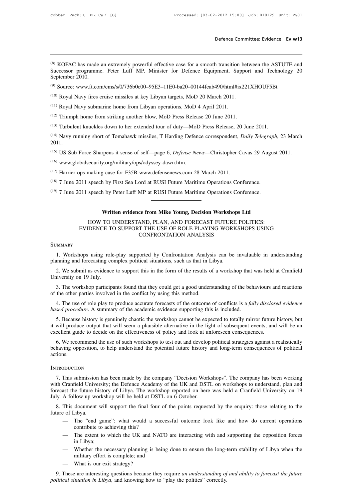Defence Committee: Evidence Ev w13<br>
(8) KOFAC has made an extremely powerful effective case for a smooth transition between the ASTUTE and<br>
Successor programme. Peter Luff MP, Minister for Defence Equipment, Support and Te Defence Committee: Evidence Ev w13<br>
Successor programme. Peter Luff MP, Minister for Defence Equipment, Support and Technology 20<br>
September 2010.<br>
Support and Technology 20<br>
September 2010. <sup>(8)</sup> KOFAC has made a<br>Successor programme<br>September 2010.<br><sup>(9)</sup> Source: www.ft.com (8) KOFAC has made an extremely powerful effective case for a smooth transition between the ASTUTE<br>Successor programme. Peter Luff MP, Minister for Defence Equipment, Support and Technology<br>September 2010.<br>(9) Source: www. <sup>(8)</sup> KOFAC has made an extremely powerful effective case for a smooth transition between the ASTUTE and Successor programme. Peter Luff MP, Minister for Defence Equipment, Support and Technology 20 September 2010.<br><sup>(9)</sup> Successor programme. Peter Luff MP, Minister for Defence Equipment, Sup<br>September 2010.<br><sup>(9)</sup> Source: www.ft.com/cms/s/0/736b0c00–95E3–11E0-ba20–00144feab490/html#ix<br><sup>(10)</sup> Royal Navy fires cruise missiles at key Libyan ta

(9) Source: www.ft.com/cms/s/0/736b0c00–95E3–11E0-ba20–00144feab490/html#ix221<br>(10) Royal Navy fires cruise missiles at key Libyan targets, MoD 20 March 2011.<br>(11) Royal Navy submarine home from Libyan operations, MoD 4 Ap

(10) Royal Navy fires cruise missiles at key Libyan targets, MoD 20 March 2011.<br>
(10) Royal Navy fires cruise missiles at key Libyan targets, MoD 20 March 2011.<br>
(11) Royal Navy submarine home from Libyan operations, MoD 4 (16) Royal Navy fires cruise missiles at key Libyan targets, MoD 20 March 2011.<br>
(11) Royal Navy submarine home from Libyan operations, MoD 4 April 2011.<br>
(12) Triumph home from striking another blow, MoD Press Release 20 2011. (12) Triumph home from striking another blow, MoD Press Release 20 June 2011.<br>
(13) Turbulent knuckles down to her extended tour of duty—MoD Press Release, 20 June 2011.<br>
(14) Navy running short of Tomahawk missiles, T Har (14) Navy running short of Tomahawk missiles, T Harding Defence correspondent, *L* 2011.<br>
(15) US Sub Force Sharpens it sense of self—page 6, *Defense News*—Christopher C.<br>
(16) www.globalsecurity.org/military/ops/odyssey

<sup>(15)</sup> US Sub Force Sharpens it sense of self—page 6, *Defense News*—Christopher Cavas 29 Augu<sup>(16)</sup> www.globalsecurity.org/military/ops/odyssey-dawn.htm.<br><sup>(16)</sup> www.globalsecurity.org/military/ops/odyssey-dawn.htm.<br><sup>(17)</sup>

(16) www.globalsecurity.org/military/ops/odyssey-dawn.htm.

(15) US Sub Force Sharpens it sense of self—page 6, *Defense News*—Christopher Cavas 29 Augu<br>
(16) www.globalsecurity.org/military/ops/odyssey-dawn.htm.<br>
(17) Harrier ops making case for F35B www.defensenews.com 28 March

# g case for F35B www.defensenews.com 28 March 2011.<br>
1 by First Sea Lord at RUSI Future Maritime Operations Conference.<br>
1 by Peter Luff MP at RUSI Future Maritime Operations Conference.<br> **Written evidence from Mike Young,** speech by First Sea Lord at RUSI Future Maritime Operations Conference.<br>
speech by Peter Luff MP at RUSI Future Maritime Operations Conference.<br> **Written evidence from Mike Young, Decision Workshops Ltd**<br>
HOW TO UNDERSTAND Oll speech by Peter Luff MP at RUSI Future Maritime Operations Conference.<br>
Written evidence from Mike Young, Decision Workshops Ltd<br>
HOW TO UNDERSTAND, PLAN, AND FORECAST FUTURE POLITICS:<br>
EVIDENCE TO SUPPORT THE USE OF R (19) 7 June 2011 speech by Peter Luff MP at RUSI Future Maritime Operations Conference.<br>
Written evidence from Mike Young, Decision Workshops Ltd<br>
HOW TO UNDERSTAND, PLAN, AND FORECAST FUTURE POLITICS:<br>
EVIDENCE TO SUPPORT 1. WORKSHOPS USING HOMEON THE USE OF ROLE PLAYING WORKSHOPS USING<br>
EVIDENCE TO SUPPORT THE USE OF ROLE PLAYING WORKSHOPS USING<br>
CONFRONTATION ANALYSIS<br>
1. Workshops using role-play supported by Confrontation Analysis can b HOW TO UNDERSTAND, PLAN, AND FORECAST FUTURE<br>
EVIDENCE TO SUPPORT THE USE OF ROLE PLAYING WORK<br>
CONFRONTATION ANALYSIS<br>
SUMMARY<br>
1. Workshops using role-play supported by Confrontation Analysis can be<br>
planning and forecas

# **SUMMARY**

2. We submit as evidence to supported by Confrontation Analysis can be invaluable in understanding<br>
2. We submit as evidence to support this in the form of the results of a workshop that was held at Cranfield<br>
2. The submi SUMMARY<br>1. Workshops using role<br>planning and forecasting co<br>2. We submit as evidence<br>University on 19 July.<br>3. The workshop participa 3. The workshops using role-play supported by Confrontation Analysis can be invaluable in understanding<br>anning and forecasting complex political situations, such as that in Libya.<br>2. We submit as evidence to support this i 1. Workshops using role-play supported by Confrontation Analys<br>planning and forecasting complex political situations, such as that in L<br>2. We submit as evidence to support this in the form of the results of<br>University on 1

4. The workshop participants found that they could get a good understanding of the behaviours and reactions the other participants found that they could get a good understanding of the behaviours and reactions the other pa 2. We submit as evidence to support this in the form of the results of a workshop that<br>University on 19 July.<br>3. The workshop participants found that they could get a good understanding of the beh<br>of the other parties invo

1. The workshop participants found that they could get a good understanding of the behaviours and reactions<br>
1. The use of role play to produce accurate forecasts of the outcome of conflicts is a *fully disclosed evidence* 3. The workshop participants found that they could get a good understanding of the behaviours and reactions of the other parties involved in the conflict by using this method.<br>4. The use of role play to produce accurate fo of the other parties involved in the conflict by using this method.<br>
4. The use of role play to produce accurate forecasts of the outcome of conflicts is a *fully disclose*<br> *based procedure*. A summary of the academic evi 4. The use of role play to produce accurate forecasts of the outcome of conflicts is a *fully disclosed evidence sed procedure*. A summary of the academic evidence supporting this is included.<br>5. Because history is genui based procedure. A summary of the academic evidence supporting this is included.<br>5. Because history is genuinely chaotic the workshop cannot be expected to totally mirror future history, but<br>it will produce output that wil

actions. Fraction to help understand the potential future history and long-term consequences of political phaving opposition, to help understand the potential future history and long-term consequences of political ions.<br>TRODUCTION<br>

# **INTRODUCTION**

We behaving opposition, to help understand the potential future history and long-term consequences of political actions.<br>
INTRODUCTION<br>
7. This submission has been made by the company "Decision Workshops". The company has For a strengtheonormy of Libya. The company "Decision Workshops". The company has been working<br>The submission has been made by the company "Decision Workshops". The company has been working<br>with Cranfield University; the D INTRODUCTION<br>
7. This submission has been made by the company "Decision Work<br>
with Cranfield University; the Defence Academy of the UK and DST<br>
forecast the future history of Libya. The workshop reported on here<br>
July. A f TRODUCTION<br>
8. This submission has been made by the company "Decision Workshops". The company has been working<br>
th Cranfield University; the Defence Academy of the UK and DSTL on workshops to understand, plan and<br>
recast t 7. This submission<br>with Cranfield Univer<br>forecast the future hi<br>July. A follow up wo<br>8. This document<br>future of Libya.<br>— The "end<br>contribute to Cranfield University; the Defence Academy of the UK and DSTL on workshops to understand, plan and<br>ast the future history of Libya. The workshop reported on here was held a Cranfield University on 19<br>A follow up workshop wi is future history of Libya. The works<br>llow up workshop will be held at DST<br>document will support the final four<br>libya.<br>The "end game": what would a succontribute to achieving this?<br>The extent to which the UK and NA'<br>in I i

- document will<br>ibya.<br>The "end gam<br>contribute to ac<br>The extent to v<br>in Libya;<br>Whether the ne<br>military effort i The "end game": what would a success<br>contribute to achieving this?<br>The extent to which the UK and NATO a<br>in Libya;<br>Whether the necessary planning is being<br>military effort is complete; and<br>What is our exit strategy?
- A follow up workshop will be held at DSTL on 6 October.<br>
This document will support the final four of the points requested by the enquiry: those relating to the<br>  $\therefore$  of Libya.<br>
 The "end game": what would a successful o contribute to achieving this?<br>
— The extent to which the UK and N<br>
in Libya;<br>
— Whether the necessary planning is<br>
military effort is complete; and<br>
— What is our exit strategy?<br>
These are interesting questions because the
- Exercible 1.1<br>
 The "end game": what would a successful outcome look like and how do current operations<br>
contribute to achieving this?<br>
 The extent to which the UK and NATO are interacting with and supporting the opposit 9. The extent to which the UK and NATO are interacting with and supporting the opposition forces<br>
in Libya;<br>
1. Whether the necessary planning is being done to ensure the long-term stability of Libya when the<br>
military eff
	-

*political situation in Libya*, and knowing is being done to ensure the long-<br>
military effort is complete; and<br> *political situation in Libya*, and knowing how to "play the politics" correctly.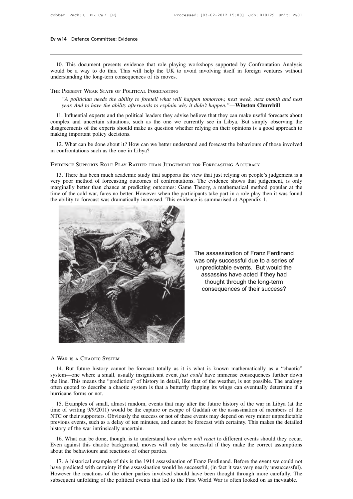10. This document presents evidence that role playing workshops supported by Confrontation Analysis<br>10. This document presents evidence that role playing workshops supported by Confrontation Analysis<br>10. This way to do thi **EV W14** Defence Committee: Evidence<br>
10. This document presents evidence that role playing workshops supported by Confrontation Analysis<br>
20. Words be a way to do this. This will help the UK to avoid involving itself in f Ev w14 Defence Committee: Evidence<br>
10. This document presents evidence that role playing worksho<br>
would be a way to do this. This will help the UK to avoid inv<br>
understanding the long-tern consequences of its moves.<br>
THE *This document presents evidence that role playing workshops supported by Confrontation Analysis d be a way to do this. This will help the UK to avoid involving itself in foreign ventures without rstanding the long-tern co year. And to have the ability afterwards to explain why it didn't happen."*—**Winston Churchill**<br> *Wear. And to have the ability afterwards to explain why it didn't happen."*—**Winston Churchill**<br>
11. Influential experts an

THE PRESENT WEAK STATE OF POLITICAL FORECASTING<br>
"A politician needs the ability to foretell what will happen tomorrow, next week, next month and next<br>
year. And to have the ability afterwards to explain why it didn't happ THE PRESENT WEAK STATE OF POLITICAL FORECASTING<br>
"A politician needs the ability to foretell what will happen tomorrow, next week, next month and next<br>
year. And to have the ability afterwards to explain why it didn't happ THE PRESENT WEAK STATE OF POLITICAL FORECASTING<br>
"A politician needs the ability to foretell what will happen tomorrow, next week, next month and next<br>
year. And to have the ability afterwards to explain why it didn't happ "A politician needs the ability to  $f$ <br>year. And to have the ability afterward the political<br>11. Influential experts and the political<br>complex and uncertain situations, such<br>disagreements of the experts should make making year. And to have the ability afterwards to explain why it didn't happen."—**Winston Churchill**<br>11. Influential experts and the political leaders they advise believe that they can make useful forecasts about<br>mplex and uncer 11. Influential experts and the political leaders they advise believe that they can make useful forecast complex and uncertain situations, such as the one we currently see in Libya. But simply observed is agreements of the

12. What can be done about it? How can we better understand and forecast the behaviours of those involved<br>confrontations such as the one in Libya?<br>
TIDENCE SUPPORTS ROLE PLAY RATHER THAN JUDGEMENT FOR FORECASTING ACCURACY<br> 12. What can be done about it? How can we better understand and forecast the behaviours of those involved<br>in confrontations such as the one in Libya?<br>EVIDENCE SUPPORTS ROLE PLAY RATHER THAN JUDGEMENT FOR FORECASTING ACCURA in confrontations such as the one in Libya?<br>
EVIDENCE SUPPORTS ROLE PLAY RATHER THAN JUDGEMENT FOR FORECASTING ACCURACY<br>
13. There has been much academic study that supports the view that just relying on people's judgement EVIDENCE SUPPORTS ROLE PLAY RATHER THAN JUDGEMENT FOR FORECASTING ACCURACY<br>13. There has been much academic study that supports the view that just relying on people's judgement is a<br>very poor method of forecasting outcomes EVIDENCE SUPPORTS ROLE PLAY RATHER THAN JUDGEMENT FOR FORECASTING ACCURACY<br>13. There has been much academic study that supports the view that just relying on people's judge<br>very poor method of forecasting outcomes of confr



The assassination of Franz Ferdinand was only successful due to a series of unpredictable events. But would the assassins have acted if they had thought through the long-term consequences of their success?

NAR IS A CHAOTIC SYSTEM<br>
14. But future history cannot be forecast totally as it is what is known mathematically as a "chaotic"<br>
14. But future history cannot be forecast totally as it is what is known mathematically as a System—one where a small, usually insignificant event *just could* have immense consequences further down the line. This means the "prediction" of history in detail, like that of the weather, is not possible. The analogy o The line of MAR IS A CHAOTIC SYSTEM<br>14. But future history cannot be forecast totally as it is what is known mathematically as a "chaotic"<br>system—one where a small, usually insignificant event *just could* have immense con A WAR IS A CHAOTIC SYSTEM<br>
14. But future history cannot be forecast totally as it is what is known mathematically as a "chaotic"<br>
system—one where a small, usually insignificant event *just could* have immense consequence A WAR IS A CHAOTIC SYSTE<br>14. But future history ca<br>system—one where a small,<br>the line. This means the "pre<br>often quoted to describe a c<br>hurricane forms or not.<br>15. Examples of small, ali 14. But future history cannot be forecast totally as it is what is known mathematically as a "chaotic"<br>stem—one where a small, usually insignificant event *just could* have immense consequences further down<br>e line. This me 14. But future instory cannot be folecast totany as it is what is known mathematically as a chaotic system—one where a small, usually insignificant event *just could* have immense consequences further down the line. This m

System—olie where a sinan, usuany insignmeant event *just could* have immense consequences further down the line. This means the "prediction" of history in detail, like that of the weather, is not possible. The analogy oft incelled to describe a chaotic system is that a butterfly flapping its wings can eventually determine if a hurricane forms or not.<br>
15. Examples of small, almost random, events that may alter the future history of the war often quoted to describe a chaotic system is that a butterfly flapping its wings can eventually determine if a<br>hurricane forms or not.<br>15. Examples of small, almost random, events that may alter the future history of the w 15. Examples of small, almost random, events that may alter the future history of the war in Libya (at the nee of writing 9/9/2011) would be the capture or escape of Gaddafi or the assassination of members of the TC or the Even against this chaotic background, we will also a state that the successity of the war in Ebya (at the time of writing 9/9/2011) would be the capture or escape of Gaddafi or the assassination of members of the NTC or t

previous events, such as a delay of ten minutes, and cannot be forecast with certainty. This makes the detailed<br>history of the war intrinsically uncertain.<br>16. What can be done, though, is to understand *how others will re* is events, such as a delay of ten minutes, and cannot be forecast with certainty. This makes the detailed<br>tory of the war intrinsically uncertain.<br>16. What can be done, though, is to understand *how others will react* to d

history of the war intrinsically uncertain.<br>
16. What can be done, though, is to understand *how others will react* to different events should they occur.<br>
Even against this chaotic background, moves will only be successfu 16. What can be done, though, is to understand *how others will react* to different events should they occur.<br>Even against this chaotic background, moves will only be successful if they make the correct assumptions<br>about t However the reactions of the other parties involved should have been thought through more carefully. The subsequent unfolding of the political events that led to the First World War is often looked on as inevitable.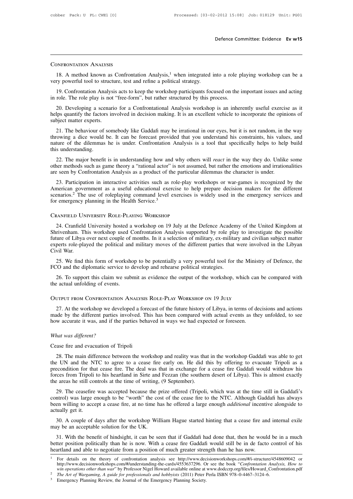# Confrontation Analysis

18. DIMERONTATION ANALYSIS<br>
18. A method known as Confrontation Analysis,<sup>1</sup> when integrated into a role playing workshop can be a<br>
18. A method known as Confrontation Analysis,<sup>1</sup> when integrated into a role playing works CONFRONTATION ANALYSIS<br>
18. A method known as Confrontation Analysis,<sup>1</sup> when integrated i<br>
very powerful tool to structure, test and refine a political strategy.<br>
19. Confrontation Analysis acts to keep the workshop parti

EXERIBATION ANALYSIS<br>
18. A method known as Confrontation Analysis,<sup>1</sup> when integrated into a role playing workshop can be a<br>
19. Confrontation Analysis acts to keep the workshop participants focused on the important issue CONFRONTATION ANALYSIS<br>
18. A method known as Confrontation Analysis,<sup>1</sup> when integrated into a role p<br>
very powerful tool to structure, test and refine a political strategy.<br>
19. Confrontation Analysis acts to keep the wo

18. A method known as Confrontation Analysis,<sup>1</sup> when integrated into a role playing workshop can be a<br>ry powerful tool to structure, test and refine a political strategy.<br>19. Confrontation Analysis acts to keep the worksh 18. A method known as Confrontation Analysis,<sup>1</sup> when integrated into a role playing workshop can be a very powerful tool to structure, test and refine a political strategy.<br>
19. Confrontation Analysis acts to keep the wo very powerful tool to structure, test and refine a political strategy.<br>
19. Confrontation Analysis acts to keep the workshop participants focused on the important issues and acting<br>
in role. The role play is not "free-form

19. Confrontation Analysis acts to keep the workshop participants focused on the important issues and acting<br>
role. The role play is not "free-form", but rather structured by this process.<br>
20. Developing a scenario for a in role. The role play is not "free-form", but rather structured by this process.<br>
20. Developing a scenario for a Confrontational Analysis workshop is an inherently useful exercise as it<br>
helps quantify the factors involv 20. Developing a scenario for a Confrontational Analysis workshop is an inherently useful exercise as it<br>helps quantify the factors involved in decision making. It is an excellent vehicle to incorporate the opinions of<br>sub nature of the dilemmas he is under. Confrontation Analysis is a tool that specifically helps to help build<br>this understanding.<br>22. The major benefit is in understanding how and why others will *react* in the way they do. U bject matter experts.<br>21. The behaviour of somebody like Gaddafi may be irrational in our eyes, but it is not random, in the way<br>owing a dice would be. It can be forecast provided that you understand his constraints, his v 21. The behaviour of somebody like Gaddafi may be irrational in our eyes, but it is not random, in the way throwing a dice would be. It can be forecast provided that you understand his constraints, his values, and nature o 21. The behaviour of solitioody like Gaduari may be firational in our cycs, but it is not ratition, in the throwing a dice would be. It can be forecast provided that you understand his constraints, his value nature of the

ture of the dilemmas he is under. Confrontation Analysis is a tool that specifically helps to help build<br>s understanding.<br>22. The major benefit is in understanding how and why others will *react* in the way they do. Unlike 22. The major benefit is in understanding how and why others will *react* in the way they do. Unlike some other methods such as game theory a "rational actor" is not assumed, but rather the emotions and irrationalities are 22. The major benefit is in understanding how and why others will *react* in the way they do. Unlike some other methods such as game theory a "rational actor" is not assumed, but rather the emotions and irrationalities are  $22$ . The major benefit is in understanding now and wiry out<br>other methods such as game theory a "rational actor" is not ass<br>are seen by Confrontation Analysis as a product of the particu<br>23. Participation in interactive merican government as a useful educational exercise to help prepare decision makers for the different<br>enarios.<sup>2</sup> The use of roleplaying command level exercises is widely used in the emergency services and<br>remergency plann

Scenarios.<sup>2</sup> The use of roleplaying command level exercises is widely used in the emergency services and<br>for emergency planning in the Health Service.<sup>3</sup><br>CRANFIELD UNIVERSITY ROLE-PLAYING WORKSHOP<br>24. Cranfield University FURNATIELD UNIVERSITY ROLE-PLAYING WORKSHOP<br>24. Cranfield University hosted a workshop on 19 July at the Defence Academy of the United Kingdom at<br>Shrivenham. This workshop used Confrontation Analysis supported by role play CRANFIELD UNIVERSITY ROLE-PLAYING WORKSHOP<br>24. Cranfield University hosted a workshop on 19 July at the Defence Academy of the United Kingdom at<br>Shrivenham. This workshop used Confrontation Analysis supported by role play CRANFIELD UN<br>
24. Cranfield<br>
Shrivenham. The<br>
future of Libya<br>
experts role-pla<br>
Civil War.<br>
25. We find the 24. Cranfield University hosted a workshop on 19 July at the Defence Academy of the United Kingdom at rivenham. This workshop used Confrontation Analysis supported by role play to investigate the possible ture of Libya ove 24. Craincid University hosted a workshop on 19 July at the Detchee Academ<br>Shrivenham. This workshop used Confrontation Analysis supported by role pla<br>future of Libya over next couple of months. In it a selection of milita ture of Libya over next couple of months. In it a selection of military, ex-military and civilian subject matter<br>perts role-played the political and military moves of the different parties that were involved in the Libyan<br>

experts role-played the political and<br>Civil War.<br>25. We find this form of worksho<br>FCO and the diplomatic service to c<br>26. To support this claim we sub:<br>the actual unfolding of events.<br>OUTPUT FROM CONERONTATION AN experts role-played the political and military moves of the different parties that were inversively considered.<br>Civil War.<br>25. We find this form of workshop to be potentially a very powerful tool for the Minis-<br>FCO and the

26. To support this claim we submit as evidence the output of the workshop, which can be compared with a actual unfolding of events.<br>
27. At the workshop we developed a forecast of the future history of Libya, in terms of 26. To support this claim we submit as evidence the output of the workshop, which can be compared with<br>the actual unfolding of events.<br>OUTPUT FROM CONFRONTATION ANALYSIS ROLE-PLAY WORKSHOP ON 19 JULY<br>27. At the workshop we the actual unfolding of events.<br>
OUTPUT FROM CONFRONTATION ANALYSIS ROLE-PLAY WORKSHOP ON 19 JULY<br>
27. At the workshop we developed a forecast of the future history of Libya, in terms of de<br>
made by the different parties i **COUTPUT FROM CONFRONTATION**<br>27. At the workshop we deve<br>made by the different parties is<br>how accurate it was, and if the<br>*What was different?*<br>Cease fire and evacuation of Ti 27. At the workshop we developed a formade by the different parties involved. Thow accurate it was, and if the parties beh<br>What was different?<br>Cease fire and evacuation of Tripoli<br>28. The main difference between the work

28. The main difference between the workshop and reality was that in the workshop Gaddafi was able to get we main difference between the workshop and reality was that in the workshop Gaddafi was able to get between the wor What was different?<br>
Cease fire and evacuation of Tripoli<br>
28. The main difference between the workshop and reality was that in the workshop Gaddafi was able to get<br>
the UN and the NTC to agree to a cease fire early on. He What was different?<br>Cease fire and evacuation of Tripoli<br>28. The main difference between the workshop and reality was that in the workshop Gaddafi was able to get<br>the UN and the NTC to agree to a cease fire early on. He di What was different?<br>
Cease fire and evacuation of Tripoli<br>
28. The main difference between the workshop and reality was that in the workshop Gaddafi was able to get<br>
the UN and the NTC to agree to a cease fire early on. H Cease fire and evacuation of Tripoli<br>
28. The main difference between the workshop and reality was that in the workshop Gaddafi was able to get<br>
the UN and the NTC to agree to a cease fire early on. He did this by offering 28. The main difference between the workshop and reality was that in the workshop Gaddafi was able to get<br>
20 UN and the NTC to agree to a cease fire early on. He did this by offering to evacuate Tripoli as a<br>
20 econditio 26. The main difference between the workshop and reamly was that in the workshop Gaddafi was able to get<br>the UN and the NTC to agree to a cease fire early on. He did this by offering to evacuate Tripoli as a<br>precondition f

been will in the control of that cease fire. The deal was that in exchange for a cease fire Gaddafi would withdraw his forces from Tripoli to his heartland in Sirte and Fezzan (the southern desert of Libya). This is almost the areas he still controls at the time of writing, (9 September).<br>
29. The ceasefire was accepted because the prize offered (Tripoli, which was at the time still in Gaddafi's<br>
control) was large enough to be "worth" the c Exercise areas he still controls at the time of writing, (9 September).<br>
29. The ceasefire was accepted because the prize offered (Tripoli, which was at the time still in Gaddafi's<br>
throl) was large enough to be "worth" th control) was large enough to be "worth" the cost of the cease fire to the NTC. Although Gaddafi has always<br>been willing to accept a cease fire, at no time has he offered a large enough *additional* incentive alongside to<br>a

ntrol) was large enough to be "worth" the cost of the cease fire to the NTC. Although Gaddafi has always<br>en willing to accept a cease fire, at no time has he offered a large enough *additional* incentive alongside to<br>tuall been willing to accept a cease fire, at no time has he offered a large enough *additional* incentive alongside to actually get it.<br>
30. A couple of days after the workshop William Hague started hinting that a cease fire an actually get it.<br>
30. A couple of days after the workshop William Hague started hinting that a cease fire and internal exile<br>
may be an acceptable solution for the UK.<br>
31. With the benefit of hindsight, it can be seen tha <sup>2</sup><br>31. With the benefit of hindsight, it can be seen that if Gaddafi had done that, then he would be in a much<br>ter position politically than he is now. With a cease fire Gaddafi would still be in de facto control of his<br>a 31. With the benefit of hindsight, it can be seen that if Gaddafi had done that, then he would be in a much<br>ter position politically than he is now. With a cease fire Gaddafi would still be in de facto control of his<br>artla

better position politically than he is now. With a cease fire Gaddafi would still be in de facto cont<br>heartland and able to negotiate from a position of much greater strength than he has now.<br><sup>1</sup> For details on the theory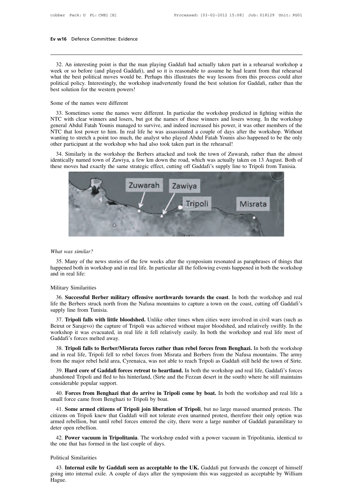132. An interesting point is that the man playing Gaddafi had actually taken part in a rehearsal workshop a<br>132. An interesting point is that the man playing Gaddafi had actually taken part in a rehearsal workshop a<br>1991 a **EV W16** Defence Committee: Evidence<br> **EVALUATE:**<br>
32. An interesting point is that the man playing Gaddafi had actually taken part in a rehearsal workshop a<br>
week or so before (and played Gaddafi), and so it is reasonable **EV w16** Defence Committee: Evidence<br> **EV w16** Defence Committee: Evidence<br>
32. An interesting point is that the man playing Gaddafi had actually taken part in a rehearsal workshop a<br>
week or so before (and played Gaddafi) 32. An interesting point is that the man playing Gaddafi had actually taken part in a rehearsal workshop a week or so before (and played Gaddafi), and so it is reasonable to assume he had learnt from that rehearsal what th 32. An interesting point is that the man p<br>week or so before (and played Gaddafi), an<br>what the best political moves would be. Per<br>political policy. Interestingly, the workshop<br>best solution for the western powers!<br>Some of week or so before (and played Gaddafi), and so it is reasonable to assume he had learnt from that rehearsal<br>what the best political moves would be. Perhaps this illustrates the way lessons from this process could alter<br>pol Sometimes some the names were different. In particular the workshop predicted in fighting within the test political policy. Interestingly, the workshop inadvertently found the best solution for Gaddafi, rather than the st

NTC with clear winners were different<br>
Some of the names were different<br>
Some of the names were different<br>
33. Sometimes some the names were different. In particular the workshop predicted in fighting within the<br>
NTC with general Abdul Fatah Younis managed to survive, and indeed increased his power, it was other members of the names were different. In particular the workshop predicted in fighting within the NTC with clear winners and losers Some of the names were different<br>33. Sometimes some the names were different. In particular the workshop predicted in fighting within the<br>NTC with clear winners and losers, but got the names of those winners and losers wro Some of the names were different<br>33. Sometimes some the names were different. In particular the workshop predicted in fighting within the<br>NTC with clear winners and losers, but got the names of those winners and losers wro NTC with clear winners and losers, but got the names of those winners and losers wrong. In the workshop general Abdul Fatah Younis managed to survive, and indeed increased his power, it was other members of the NTC that lo 33. Solietinies solie the halles were different. In particular the workshop predicted in righting within the IC with clear winners and losers, but got the names of those winners and losers wrong. In the workshop neral Abdu INTC with clear winners and losers, but got the haines of those whilers and losers wrong. In the workshop<br>general Abdul Fatah Younis managed to survive, and indeed increased his power, it was other members of the<br>NTC that NTC that lost power to him. In real life he was assassinated a couple of days after the workshop. Without wanting to stretch a point too much, the analyst who played Abdul Fatah Younis also happened to be the only other pa



35. Many of the news stories of the few weeks after the symposium resonated as paraphrases of things that ppened both in workshop and in real life. In particular all the following events happened in both the workshop d in What was similar?<br>
35. Many of the news stories of the few weeks after the symposium resonated as paraphrases of things that<br>
happened both in workshop and in real life. In particular all the following events happened in b What was similar?<br>35. Many of the ne<br>happened both in worl<br>and in real life:<br>Military Similarities What was similar?<br>35. Many of the news stor<br>happened both in workshop a<br>and in real life:<br>Military Similarities<br>36. Successful Berber mi 35. Many of the news stories of the few weeks after the symposium resonated as paraphrases of things that ppened both in workshop and in real life. In particular all the following events happened in both the workshop d in

life the Berbers struck north from the Nafusa mountains to capture a town on the coast, cutting off Gaddafi's<br>supply line from Tunisia.<br>The Berbers struck north from the Nafusa mountains to capture a town on the coast, cut happened both in workshop and in real life. In particular all the following events happened in both the workshop<br>and in real life:<br>Military Similarities<br>36. Successful Berber military offensive northwards towards the coast

ilitary Similarities<br>36. **Successful Berber military offensive northwards towards the coast**. In both the workshop and real<br>the Berbers struck north from the Nafusa mountains to capture a town on the coast, cutting off Gad Military Similarities<br>
36. Successful Berber military offensive northwards towards the coast. In both the workshop and real<br>
life the Berbers struck north from the Nafusa mountains to capture a town on the coast, cutting o 36. Successful Berber military offensive northwards towards the coast. In both the workshop and real life the Berbers struck north from the Nafusa mountains to capture a town on the coast, cutting off Gaddafi's supply lin 36. Successian Berber Ininiary<br>life the Berbers struck north from the<br>supply line from Tunisia.<br>37. **Tripoli falls with little blood**<br>Beirut or Sarajevo) the capture of T<br>workshop it was evacuated, in real<br>Gaddafi's forces pply line from Tunisia.<br>37. **Tripoli falls with little bloodshed.** Unlike other times when cities were involved in civil wars (such as<br>irut or Sarajevo) the capture of Tripoli was achieved without major bloodshed, and rela 37. **Tripoli falls with little bloodshed.** Unlike other times when cities were involved in civil wars (such as Beirut or Sarajevo) the capture of Tripoli was achieved without major bloodshed, and relatively swiftly. In th From the major rebel held area, Cyrenaica, was not able to reach Tripoli as Gaddafi's forces metted away.<br> **Seirut or Sarajevo**) the capture of Tripoli was achieved without major bloodshed, and relatively swiftly. In the w

brkshop it was evacuated, in real life it fell relatively easily. In both the workshop and real life most of ddafi's forces melted away.<br>38. **Tripoli falls to Berber/Misrata forces rather than rebel forces from Benghazi.** Gaddafi's forces melted away.<br>
38. **Tripoli falls to Berber/Misrata forces rather than rebel forces from Benghazi.** In both the workshop<br>
and in real life, Tripoli fell to rebel forces from Misrata and Berbers from the Na 38. **Tripoli falls to Berber/Misr**<br>and in real life, Tripoli fell to reber<br>from the major rebel held area, Cyr<br>39. **Hard core of Gaddafi force**<br>abandoned Tripoli and fled to his h<br>considerable popular support.<br>40. **Forces** d in real life, Tripoli fell to rebel forces from Misrata and Berbers from the Nafusa mountains. The army<br>bm the major rebel held area, Cyrenaica, was not able to reach Tripoli as Gaddafi still held the town of Sirte.<br>39. from the major rebel held area, Cyrenaica, was not able to<br>39. **Hard core of Gaddafi forces retreat to heartland**<br>abandoned Tripoli and fled to his hinterland, (Sirte and the<br>considerable popular support.<br>40. **Forces from** 

199. **Hard core of Gaddafi forces retreat to heartland.** In both the workshop and real life, Gaddafi's forces andoned Tripoli and fled to his hinterland, (Sirte and the Fezzan desert in the south) where he still maintains abandoned Tripoli and fled to his hinterland, (Sirte and the Fezzan desert in the south) where he still maintains<br>considerable popular support.<br>40. **Forces from Benghazi that do arrive in Tripoli come by boat**. In both the considerable popular support.<br>
40. **Forces from Benghazi that do arrive in Tripoli come by boat.** In both the workshop and real life a small force came from Benghazi to Tripoli by boat.<br>
41. **Some armed citizens of Tripoli** 40. **Forces from Bengl**<br>small force came from Be<br>41. **Some armed citize**<br>citizens on Tripoli knew t<br>armed rebellion, but until<br>deter open rebellion.<br>42. **Power vacuum in** all force came from Benghazi to Tripoli by boat.<br>41. **Some armed citizens of Tripoli join liberation of Tripoli**, but no large massed unarmed protests. The<br>izens on Tripoli knew that Gaddafi will not tolerate even unarmed 41. **Some armed citizens of Tripoli join liberation** citizens on Tripoli knew that Gaddafi will not tolerate armed rebellion, but until rebel forces entered the city, deter open rebellion.<br>42. **Power vacuum in Tripolitania** Francisco Comparison Tripori intervalsed<br>armed rebellion, but until related<br>42. **Power vacuum in Tri**<br>the one that has formed in the<br>Political Similarities<br>43. **Internal exile by Gad** 

Free open rebellion.<br>42. **Power vacuum in Tripolitania**. The workshop ended with a power vacuum in Tripolitania, identical to<br>20 e one that has formed in the last couple of days.<br>43. **Internal exile by Gaddafi seen as acce** 42. **Power vacuum in Tripolitania**. The workshop ended with a power vacuum in Tripolitania, identical to the one that has formed in the last couple of days.<br>Political Similarities<br>43. **Internal exile by Gaddafi seen as acc** Hague.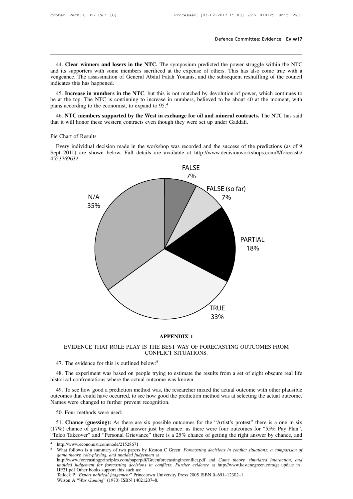**Example 144. Clear winners and losers in the NTC.** The symposium predicted the power struggle within the NTC of its supporters with some members sacrificed at the expense of others. This has also come true with a mgeance. **Example 144. Clear winners and losers in the NTC.** The symposium predicted the power struggle within the NTC and its supporters with some members sacrificed at the expense of others. This has also come true with a vengean Defence Committee: Evidence Ev w17<br>
44. Clear winners and losers in the NTC. The symposium predicted the power struggle within the NTC<br>
and its supporters with some members sacrificed at the expense of others. This has als 44. Clear winners and losers<br>and its supporters with some me<br>vengeance. The assassination of indicates this has happened.<br>45. Increase in numbers in the 44. **Clear winners and losers in the NTC.** The symposium predicted the power struggle within the NTC d its supporters with some members sacrificed at the expense of others. This has also come true with a ngeance. The assas 44. **Clear winners and losers in the NTC**. The symposium predicted the power struggle within the NTC and its supporters with some members sacrificed at the expense of others. This has also come true with a vengeance. The 45. **Change 1999** Have the expansion of General Abdul Fatah Youanis, and the subsequent reshuffling of the council<br>variates this has also come true with a<br>vengeance. The assassination of General Abdul Fatah Youanis, and th

indicates this has happened.<br>
45. **Increase in numbers in the NTC**, but this is not matched by devolution of power, which continues to<br>
be at the top. The NTC is continuing to increase in numbers, believed to be about 40 be at the top. The NTC is corplans according to the economy<br>46. NTC members support<br>that it will honor these wested<br>Pie Chart of Results<br>Every individual decision

The NTC members supported by the West in exchange for oil and mineral contracts. The NTC has said<br>at it will honor these western contracts even though they were set up under Gaddafi.<br>Every individual decision made in the w 46. NTC members supported by the West in exchange for oil and mineral contracts. The NTC has said<br>that it will honor these western contracts even though they were set up under Gaddafi.<br>Pie Chart of Results<br>Every individual 4553769632.



**APPENDIX 1**<br>
EVIDENCE THAT ROLE PLAY IS THE BEST WAY OF FORECASTING OUTCOMES FROM<br>
CONFLICT SITUATIONS.<br>
47. The evidence for this is outlined below:<sup>5</sup><br>
48. The experiment was based on people trying to estimate the resul EVIDENCE THAT ROLE PLAY IS THE BEST WAY OF FO<br>CONFLICT SITUATIONS.<br>47. The evidence for this is outlined below:<sup>5</sup><br>48. The experiment was based on people trying to estimate the re<br>historical confrontations where the actual

CONFLICT SITUATIONS.<br>47. The evidence for this is outlined below:<sup>5</sup><br>48. The experiment was based on people trying to estimate the results from a set of eight obscure real life<br>torrical confrontations where the actual outc 47. The evidence for this is outlined below:<sup>5</sup><br>48. The experiment was based on people trying to estimate the results from a set of eight obscure real life<br>historical confrontations where the actual outcome was known.<br>49. 47. The evidence for this is outlined below:<sup>5</sup><br>48. The experiment was based on people trying to estimate the results from a set of eight obscure real life<br>historical confrontations where the actual outcome was known.<br>49. 49. To see how good a prediction method was, the researcher mixed the actual outcome with other plausible outcomes that could have occurred, to see how good the prediction method was at selecting the actual outcome.<br>Names

49. To see how good a prediction method was, the researcher mixed the actual outcome with other plausible tcomes that could have occurred, to see how good the prediction method was at selecting the actual outcome.<br>
50. Fou (17%) 49. To see how good a prediction method was, the researcher mixed the actual outcome with other plausible outcomes that could have occurred, to see how good the prediction method was at selecting the actual outcome. outcomes that could have occurred, to see how good the prediction method was at selecting the actual outcome.<br>
S0. Four methods were used:<br>
51. **Chance (guessing):** As there are six possible outcomes for the "Artist's prot 51. **Chance (guessing):** As there are six possible outcomes for the "Artist's protest" there is a one in six (17%) chance of getting the right answer just by chance: as there were four outcomes for "55% Pay Plan", "Telco T 51. **Chance (guessing):** As there are six possible 7%) chance of getting the right answer just by chector Takeover" and "Personal Grievance" there is http://www.economist.com/node/21528671 What follows is a summary of two

<sup>&</sup>lt;sup>4</sup> http://www.economist.com/node/21528671<br>5 What follows is a summary of two paper

We) chance of getting the right answer just by chance: as there were four outcomes for "55% Pay Plan", elco Takeover" and "Personal Grievance" there is a 25% chance of getting the right answer by chance, and http://www.eco *unded judgement for forecasting decisions in conflicts: Further evidence* at http://www.economist.com/node/21528671<br>
What follows is a summary of two papers by Keston C Green: *Forecasting decisions in conflict situations* IFF21. The matrix of the Machine Street and Tersonal Strevance<br>Interlations is a summary of two papers by Ke<br>game theory, role-playing, and unaided judgemen<br>http://www.forecastingprinciples.com/paperpdf/Grunaided judgement What follows is a summary of two papers by Keston C Green: *Forecasting decisions in conflict situations: a comparison of game theory, role-playing, and unaided judgement* at http://www.forecastingprinciples.com/paperpdf What follows is a summary of two papers by Kest<br>game theory, role-playing, and unaided judgement as<br>thtp://www.forecastingprinciples.com/paperpdf/Greet<br>unaided judgement for forecasting decisions in ca<br>IF21.pdf Other books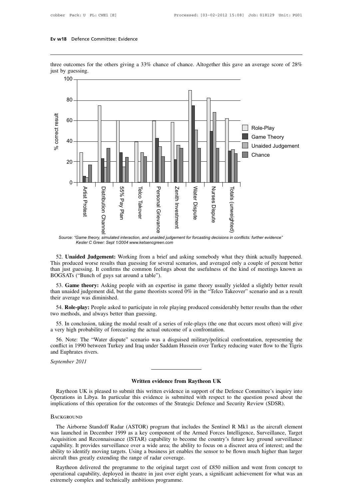Ev w18 Defence Committee: Evidence<br>three outcomes for the others giving a 33% chance of chance. Altogether this gave an average score of 28%<br>just by guessing.<br>100 — Ev w18 Defence Com<br>
three outcomes for the<br>
just by guessing.<br>  $\frac{100}{100}$ 



*Source: "Game theory, simulated interaction, and unaided judgement for forcasting decisions in conflicts: further evidence" Kesler C Greer: Sept 1/2004 www.ketsencgreen.com*

Source: "Game theory, simulated interaction, and unaided judgement for forcasting decisions in conflicts: further evidence"<br>
Kesler C Greer: Sept 1/2004 www.ketsencgreen.com<br>
52. **Unaided Judgement:** Working from a brief Source: "Game theory, simulated interaction, and unaided judgement for forcasting decisions in conflicts: further evidence"<br>
Kesler C Greer: Sept 1/2004 www.ketsencgreen.com<br>
52. **Unaided Judgement:** Working from a brief Source: "Game theory, simulated interaction, and unaided judgent Kesler C Greer: Sept 1/2004 www.ketsencgreen.com<br>
52. **Unaided Judgement:** Working from a brief an<br>
This produced worse results than guessing for several<br>
th 52. **Unaided Judgement:** Working from a brief and asking somebody what they think actually happened.<br>is produced worse results than guessing for several scenarios, and averaged only a couple of percent better<br>in just guess 52. **Unaided Judgement:** Working from a brief and asking somebody what they think actually happened.<br>This produced worse results than guessing for several scenarios, and averaged only a couple of percent better<br>than just 32. **Chanced Judgement:** WORT<br>This produced worse results than g<br>than just guessing. It confirms the<br>BOGSATs ("Bunch of guys sat aroo<br>53. **Game theory:** Asking peopl<br>than unaided judgement did, but the<br>their average was di

in just guessing. It confirms the common feelings about the usefulness of the kind of meetings known as<br>
DGSATs ("Bunch of guys sat around a table").<br>
53. **Game theory:** Asking people with an expertise in game theory usual BOGSATs ("Bunch of guys sat around a table").<br>53. **Game theory:** Asking people with an expert<br>than unaided judgement did, but the game theorists s<br>their average was diminished.<br>54. **Role-play:** People asked to participate 53. **Game theory:** Asking people with an expertise in game theory usually yielded a slightly better result<br>an unaided judgement did, but the game theorists scored 0% in the "Telco Takeover" scenario and as a result<br>eir ave

their average was diminished.<br>
54. **Role-play:** People asked to participate in role playing produced considerably better results than the other<br>
two methods, and always better than guessing.<br>
55. In conclusion, taking the

54. **Role-play:** People asked to participate in role playing produced considerably better results than the other o methods, and always better than guessing.<br>55. In conclusion, taking the modal result of a series of role-pl 54. **Role-play:** People asked to participate in role playing produced considerably better results than the other two methods, and always better than guessing.<br>55. In conclusion, taking the modal result of a series of roletwo methods, and always b<br>55. In conclusion, taking<br>a very high probability of<br>56. Note: The "Water c<br>conflict in 1990 between T<br>and Euphrates rivers.<br>September 2011 55. In conclusion, taking<br>a very high probability of 1<br>56. Note: The "Water d<br>conflict in 1990 between Tu<br>and Euphrates rivers.<br>September 2011 **Example 8 a** disguised minimally pointed community I Iraq under Saddam Hussein over Turkey reducing water<br> **Written evidence from Raytheon UK**<br>
it this written evidence in support of the Defence Comm

Written evidence from Raytheon UK<br>
Raytheon UK is pleased to submit this written evidence in support of the Defence Committee's inquiry into<br>
berations in Libya. In particular this evidence is submitted with respect to the Operations IV Written evidence from Raytheon UK<br>
Naytheon UK is pleased to submit this written evidence in support of the Defence Committee's inquiry into<br>
Operations in Libya. In particular this evidence is submitted with **implications of this operations of the outcomes of the outcomes of the outcomes of the Defence Committee's inquiry in Operations in Libya. In particular this evidence is submitted with respect to the question posed about** 

# **BACKGROUND**

Raytheon UK is pleased to submit this written evidence in support of the Defence Committee's inquiry into<br>perations in Libya. In particular this evidence is submitted with respect to the question posed about the<br>plications May the Start of the Spease of stabilities with the switch extended in Support of the Defence committee's singling into<br>Operations in Libya. In particular this evidence is submitted with respect to the question posed about B submitted with respect to the question posed about the implications of this operation for the outcomes of the Strategic Defence and Security Review (SDSR).<br>BACKGROUND<br>The Airborne Standoff Radar (ASTOR) program that incl EXECANDIND<br>
The Airborne Standoff Radar (ASTOR) program that includes the Sentinel R Mk1 as the aircraft element<br>
was launched in December 1999 as a key component of the Armed Forces Intelligence, Surveillance, Target<br>
Acq BACKGROUND<br>
The Airborne Standoff Radar (ASTOR) program that includes the Sentinel R Mk1 as the aircraft element<br>
was launched in December 1999 as a key component of the Armed Forces Intelligence, Surveillance, Target<br>
Acq The Airborne Standoff Radar (ASTOR) program that includes the Sentinel R Mk1 as the aircraft element<br>was launched in December 1999 as a key component of the Armed Forces Intelligence, Surveillance, Target<br>Acquisition and R The Antoonie Standorf Kadal (ASTOK) program that includes the Sentiner K MKT as the ancraft element<br>is launched in December 1999 as a key component of the Armed Forces Intelligence, Surveillance, Target<br>quisition and Recon was faulted in December 1999 as a key component of the Affilied Potces intempente, surventance, ranget Acquisition and Reconnaissance (ISTAR) capability to become the country's future key ground surveillance capability. It capability. It provides surveillance over a wide area; the ability to focus on a discreet area of interest; and the ability to identify moving targets. Using a business jet enables the sensor to be flown much higher than l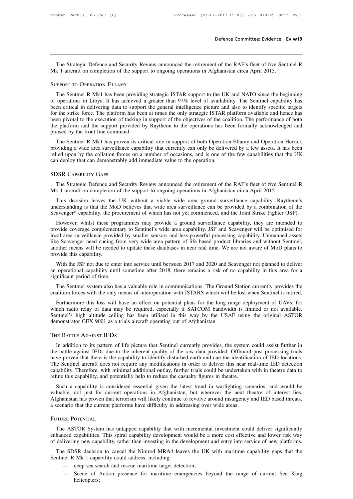Defence Committee: Evidence Ev w19<br>The Strategic Defence and Security Review announced the retirement of the RAF's fleet of five Sentinel R<br>k 1 aircraft on completion of the support to ongoing operations in Afghanistan cir Defence Committee: Evidence E<br>
The Strategic Defence and Security Review announced the retirement of the RAF's fleet of five Sent<br>
Mk 1 aircraft on completion of the support to ongoing operations in Afghanistan circa April The Strategic Defence and Security Review announced the retirement of the RAF's fleet of five Sentinel R<br>Mk 1 aircraft on completion of the support to ongoing operations in Afghanistan circa April 2015.<br>SUPPORT TO OPERATIO

The Strategic Defence and Security Review announced the retirement of the RAF's fleet of five Sentinel R<br>
k 1 aircraft on completion of the support to ongoing operations in Afghanistan circa April 2015.<br>
IPPORT TO OPERATIO The Strategic Defence and Security Review announced the retirement of the RAF's fleet of five Sentinel R<br>Mk 1 aircraft on completion of the support to ongoing operations in Afghanistan circa April 2015.<br>SUPPORT TO OPERATIO been critical in delivering data to support to ongoing operations in Afghanistan circa April 2015.<br>SUPPORT TO OPERATION ELLAMY<br>The Sentinel R Mk1 has been providing strategic ISTAR support to the UK and NATO since the begi For the Supposition of the step of engoing operations in Figuremental creation priority.<br>The Sentinel R Mk1 has been providing strategic ISTAR support to the UK and NATO since the beginning<br>of operations in Libya. It has a SUPPORT TO OPERATION ELLAMY<br>The Sentinel R Mk1 has been providing strategic ISTAR support to the UK and NATO since the beginning<br>of operations in Libya. It has achieved a greater than 97% level of availability. The Sentine The Sentinel R Mk1 has been providing strategic ISTAR support to the UK and NATO since the beginning<br>of operations in Libya. It has achieved a greater than 97% level of availability. The Sentinel capability has<br>been critic The Sentinel R Mk1 has been providing strategic ISTAR support to the UK and NATO since the beginning<br>of operations in Libya. It has achieved a greater than 97% level of availability. The Sentinel capability has<br>been critic operations in Eloya. It has achieved a greater than 97% fever of availability. The sentified capability has<br>en critical in delivering data to support the general intelligence picture and also to identify specific targets<br>r been citical in derivering data to support the general interligence picture and also to identity specific targets<br>for the strike force. The platform has been at times the only strategic ISTAR platform available and hence h

For the surke force. The platform has been at times the only strategic ISTAN platform available and lefter has<br>been pivotal to the execution of tasking in support of the objectives of the coalition. The performance of both been protan to the execution of tasking in support of the objectives of the cost<br>the platform and the support provided by Raytheon to the operations has b<br>praised by the front line command.<br>The Sentinel R Mk1 has proven it Definition and Security Review announced the retirement of the RAF's fleet of five Sentinel R<br>The Strategic Defence and Security Review announced the retirement of the RAF's fleet of five Sentinel R<br>SR CAPABILITY GAPS<br>The The Strategic Defence and Security Review announced the retirement of the few capabilities that the can deploy that can demonstrably add immediate value to the operation.<br>
SDSR CAPABILITY GAPS<br>
The Strategic Defence and Se

n deploy that can demonstrably add immediate value to the operation.<br>
The Strategic Defence and Security Review announced the retirement of the RAF's fleet of five Sentinel R<br>
k 1 aircraft on completion of the support to o SDSR CAPABILITY GAPS<br>
The Strategic Defence and Security Review announced the retirement of the RAF's fleet of five Sentinel R<br>
Mk 1 aircraft on completion of the support to ongoing operations in Afghanistan circa April 20 SDSR CAPABILITY GAPS<br>The Strategic Defence and Security Review announced the retirement of the RAF's fleet of five Sentinel R<br>Mk 1 aircraft on completion of the support to ongoing operations in Afghanistan circa April 2015

The Strategic Defence and Security Review announced the retirement of the RAF's fleet of five Sentinel R<br>
k 1 aircraft on completion of the support to ongoing operations in Afghanistan circa April 2015.<br>
This decision leav Mk 1 aircraft on completion of the support to ongoing operations in Afghanistan circa April 2015.<br>
This decision leaves the UK without a viable wide area ground surveillance capability. Raytheon's<br>
understanding is that th This decision leaves the UK without a viable wide area ground surveillance capability. Raytheon's understanding is that the MoD believes that wide area surveillance can be provided by a combination of the Scavenger\* capabi Ins decision leaves the OK without a viable whice area ground surventance capability. Kaytheon's understanding is that the MoD believes that wide area surveillance can be provided by a combination of the Scavenger\* capabil and the needed to update these databases in near real time. We are not aware of MoD plans to provide coverage complementary to Sentinel's wide area capability. ISF and Scavenger will be optimised for provide coverage compl Scavenger Capability, the p<br>However, whilst these pr<br>provide coverage compleme<br>local area surveillance provi<br>like Scavenger need cueing<br>another means will be neede<br>provide this capability.<br>With the JSF not due to er Thowever, winst these programmes may provide a ground survernance capability, they are intended to ovide coverage complementary to Sentinel's wide area capability. JSF and Scavenger will be optimised for cal area surveilla provide coverage complementary to seminer's wide area capability. J31<sup>2</sup> and scavenger will be optimised for local area surveillance provided by smaller sensors and less powerful processing capability. Unmanned assets like like Scavenger need cueing from very wide area pattern of life based product libraries and without Sentinel, another means will be needed to update these databases in near real time. We are not aware of MoD plans to provid

other means will be needed to update these databases in near real time. We are not aware of MoD plans to ovide this capability.<br>With the JSF not due to enter into service until between 2017 and 2020 and Scavenger not plann provide this capability.<br>With the JSF not due to enter into service until between 2017 and 2020 and Scavenger not planned to deliver<br>an operational capability until sometime after 2018, there remains a risk of no capabilit

With the JSF not due to enter into service until between 2017 and 2020 and Scavenger not planned to deliver<br>operational capability until sometime after 2018, there remains a risk of no capability in this area for a<br>ginific an operational capability until sometime after 2018, there remains a risk of no capability in this area for a<br>significant period of time.<br>The Sentinel system also has a valuable role in communications. The Ground Station c significant period of time.<br>The Sentinel system also has a valuable role in communications. The Ground Station currently provides the<br>coalition forces with the only means of interoperation with JSTARS which will be lost wh The Sentinel system also has a valuable role in communications. The Grour<br>coalition forces with the only means of interoperation with JSTARS which will<br>Furthermore this loss will have an effect on potential plans for the l Inch radio relay of data may be required, especially if SATCOM bandwidth is limited or not available.<br>In adio relay of data may be required, especially if SATCOM bandwidth is limited or not available.<br>In addition GEX 9001

Sentinel's high altitude ceiling has been utilised in this way by the USAF using the original ASTOR<br>demonstrator GEX 9001 as a trials aircraft operating out of Afghanistan.<br>THE BATTLE AGAINST IEDS<br>In addition to its patter demonstrator GEX 9001 as a trials aircraft operating out of Afghanistan.<br>THE BATTLE AGAINST IEDS<br>In addition to its pattern of life picture that Sentinel currently provides, the system could assist further in<br>the battle ag THE BATTLE AGAINST IEDS<br>In addition to its pattern of life picture that Sentinel currently provides, the system could assist further in<br>the battle against IEDs due to the inherent quality of the raw data provided. Offboard THE BATTLE AGAINST IEDS<br>In addition to its pattern of life picture that Sentinel currently provides, the system could assist further in<br>the battle against IEDs due to the inherent quality of the raw data provided. Offboard In addition to its pattern of life picture that Sentinel currently provides, the system<br>the battle against IEDs due to the inherent quality of the raw data provided. Offboard<br>have proven that there is the capability to ide In addition to its pattern of the picture that sentimer currently provides, the system could assist further in<br>
the battle against IEDs due to the inherent quality of the raw data provided. Offboard post processing trials<br> The Sattle against EEDs due to the inherent quality of the raw data provided. Onboard post processing trials have proven that there is the capability to identify disturbed earth and cue the identification of IED locations.

Have proven that there is the capability to identify disturbed earth and cue the identification of HED locations.<br>The Sentinel aircraft does not require any modifications in order to deliver this near real-time IED detecti Further and that the current platforms have difficulty in addressing over wide areas.<br>
Further this capability, and potentially help to reduce the casualty figures in theatre.<br>
Such a capability is considered essential giv The ASTOR System has untapped capability that with incremental investment could deliver significantly secenario that the current plerations have difficulty in addressing over wide areas.<br>The ASTOR System has untapped capab

Afghanistan has proven that terrorism will likely continue to revolve around insurgency and IED based threats,<br>a scenario that the current platforms have difficulty in addressing over wide areas.<br>FUTURE POTENTIAL<br>The ASTOR of delivering new capability, rather than investing over wide areas.<br>
FUTURE POTENTIAL<br>
The ASTOR System has untapped capability that with incremental investment could deliver significantly<br>
enhanced capabilities. This spi THE ASTOR System has untapped capability that with incremental investment could deliver significantly<br>hanced capabilities. This spiral capability development would be a more cost effective and lower risk way<br>delivering new FUTURE POTENTIAL<br>
The ASTOR System has untapped capability that with incremental investment could deliver significantly<br>
enhanced capabilities. This spiral capability development would be a more cost effective and lower ri The ASTOR System has untapped capability that with incremental investment could deliver significantly

- 
- head capabilities. This spiral capability development would be a more cost effective and lower risk way<br>ilvering new capability, rather than investing in the development and entry into service of new platforms.<br>e SDSR deci helicopters;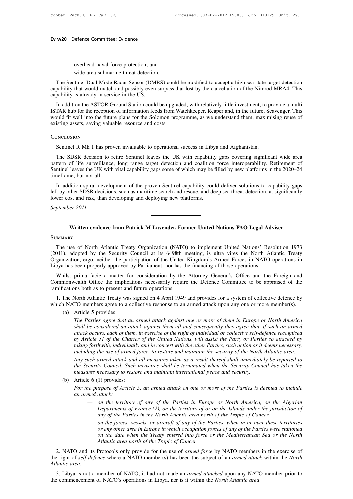- 
- 20 Defence Committee: Evidence<br>
 overhead naval force protection; and<br>
 wide area submarine threat detection.

Ev w20 Defence Committee: Evidence<br>
— overhead naval force protection; and<br>
— wide area submarine threat detection.<br>
The Sentinel Dual Mode Radar Sensor (DMRS) could be modified to accept a high sea state target detection<br> — overhead naval force protection; and<br>
— wide area submarine threat detection.<br>
The Sentinel Dual Mode Radar Sensor (DMRS) could be modified to accept a high sea state target detection<br>
pability that would match and possi - overhead naval force protection; and<br>
- wide area submarine threat detection.<br>
The Sentinel Dual Mode Radar Sensor (DMRS) could be modified to accept a high sea state target detection<br>
capability that would match and pos - overhead naval force protection; and<br>
- wide area submarine threat detection<br>
The Sentinel Dual Mode Radar Sensor (DMI<br>
capability that would match and possibly even<br>
capability is already in service in the US.<br>
In addit

— overnead naval force protection; and<br>
— wide area submarine threat detection.<br>
The Sentinel Dual Mode Radar Sensor (DMRS) could be modified to accept a high sea state target detection<br>
pability that would match and possi — wide area submarine threat detection.<br>
The Sentinel Dual Mode Radar Sensor (DMRS) could be modified to accept a high sea state target detection<br>
capability that would match and possibly even surpass that lost by the canc The Sentinel Dual Mode Radar Sensor (DMRS) could be modified to accept a high sea state target detection capability that would match and possibly even surpass that lost by the cancellation of the Nimrod MRA4. This capabili The sentinet Dual Mode Radal Sellsof (DMRS) could<br>capability that would match and possibly even surpass th<br>capability is already in service in the US.<br>In addition the ASTOR Ground Station could be upgrae<br>ISTAR hub for the ISTAR hub for the reception of information feeds from Watchkeeper, Reaper and, in the future, Scavenger. This would fit well into the future plans for the Solomon programme, as we understand them, maximising reuse of exist

# **CONCLUSION**

build fit well into the future plans for the Solomon programme, as we understand them, maximising reuse of<br>isting assets, saving valuable resource and costs.<br>DNCLUSION<br>Sentinel R Mk 1 has proven invaluable to operational s existing assets, saving valuable resource and costs.<br>
CONCLUSION<br>
Sentinel R Mk 1 has proven invaluable to operational success in Libya and Afghanistan.<br>
The SDSR decision to retire Sentinel leaves the UK with capability g Sentinel R Mk 1 has proven invaluable to operational success in Libya and Afghanistan.<br>The SDSR decision to retire Sentinel leaves the UK with capability gaps covering significant wide area<br>pattern of life surveillance, lo Conclusion<br>
Sentinel R Mk 1 has prov<br>
The SDSR decision to re<br>
pattern of life surveillance,<br>
Sentinel leaves the UK with<br>
timeframe, but not all.<br>
In addition spiral develop Sentinel R Mk 1 has proven invaluable to operational success in Libya and Afghanistan.<br>The SDSR decision to retire Sentinel leaves the UK with capability gaps covering significant wide area<br>ttern of life surveillance, long The SDSR decision to retire Sentinel leaves the UK with capability gaps covering significant wide area pattern of life surveillance, long range target detection and coalition force interoperability. Retirement of Sentinel The SDSK decision to feltile sentimer leaves the OK with capability<br>pattern of life surveillance, long range target detection and coalition<br>Sentinel leaves the UK with vital capability gaps some of which may be f<br>timeframe

Sentinel leaves the UK with vital capability gaps some of which may be filled by new platforms in the 2020–24 timeframe, but not all.<br>In addition spiral development of the proven Sentinel capability could deliver solutions Written evidence from Patrick M Lavender, Former United Nations FAO Legal Adviser<br>Written evidence from Patrick M Lavender, Former United Nations FAO Legal Adviser

# **SUMMARY**

Written evidence from Patrick M Lavender, Former United Nations FAO Legal Adviser<br>
IMMARY<br>
The use of North Atlantic Treaty Organization (NATO) to implement United Nations' Resolution 1973<br>
111), adopted by the Security Co Written evidence from Patrick M Lavender, Former United Nations FAO Legal Adviser<br>
SUMMARY<br>
The use of North Atlantic Treaty Organization (NATO) to implement United Nations' Resolution 1973<br>
(2011), adopted by the Security Written evidence from Patrick M Lavender, Former United Nations FAO Legal Adviser<br>SUMMARY<br>The use of North Atlantic Treaty Organization (NATO) to implement United Nations' Resolution 1973<br>(2011), adopted by the Security Co Written evidence from Patrick M Lavender, Former United Nations FAO Legal Ad<br>SUMMARY<br>The use of North Atlantic Treaty Organization (NATO) to implement United Nations' Res<br>(2011), adopted by the Security Council at its 6498 IMMARY<br>The use of North Atlantic Treaty Organization (NATO) to implement United Nations' Resolution 1973<br>111), adopted by the Security Council at its 6498th meeting, is ultra vires the North Atlantic Treaty<br>ganization, erg The use of North Atlantic Treaty Organization (NATO) to implement United Nations' Resolution 1973<br>
(2011), adopted by the Security Council at its 6498th meeting, is ultra vires the North Atlantic Treaty<br>
Organization, ergo The use of North Atlantic Treaty Organization (NATO) to implement United Nations' Resolution 1973 (2011), adopted by the Security Council at its 6498th meeting, is ultra vires the North Atlantic Treaty Organization, ergo,

ganization, ergo, neither the participation of the United Kingdom's Armed Forces in NATO operations in<br>by a has been properly approved by Parliament, nor has the financing of those operations.<br>Whilst prima facie a matter f Libya has been properly approved by Parliament, nor has the financing of those operations.<br>
Whilst prima facie a matter for consideration by the Attorney General's Office and the Foreign and<br>
Commonwealth Office the implic illst prima facie a matter for<br>monwealth Office the implications both as to present and<br>The North Atlantic Treaty was<br>a NATO members agree to a c<br>(a) Article 5 provides:<br>The Parties agree that a<br>shall be considered an a

*The Parties agree that an armed attack against one or more of them in Europe or Morth Atlantic Treaty was signed on 4 April 1949 and provides for a system of collective defence by TO members agree to a collective response shall and the considered an attack against one or more of them in Europe or Morth Atlantic Treaty was signed on 4 April 1949 and provides for a system of collective defence by TO members agree to a collective response to* North Atlantic Treaty was signed on 4 April 1949 and provides for a system of collective defence by<br>*TO* members agree to a collective response to an armed attack upon any one or more member(s).<br>*Article 5 provides:*<br>*The by Article 5* provides:<br> *by Article 5* provides:<br> *by Article 5* provides:<br> *Article 5* provides:<br> *Phe Parties agree that an armed attack against one or more of them in Europe or North America<br>
<i>shall be considered* **the Parties agree to a collective response to an armed attack upon any one or more member(s).**<br>*The Parties agree that an armed attack against one or more of them in Europe or North America<br>shall be considered an attack a* Article 5 provides:<br>*The Parties agree that an armed attack against one or more of them in Europe or North America<br>shall be considered an attack against them all and consequently they agree that, if such an armed<br>attack oc The Parties agree that an armed attack against one or more of them in Europe or North America*<br>
shall be considered an attack against them all and consequently they agree that, if such an armed<br>
attack occurs, each of the *shall be considered an attack against them all and consequently they agree that, if such an armed attack occurs, each of them, in exercise of the right of individual or collective self-defence recognised by Article 51 of by Article 51 of the Charter of the United Nations, will assist the Party or Parties so attacked by taking forthwith, individually and in concert with the other Parties, such action as it deems necessary, including the us* 

by Article 51 of the Charler<br>taking forthwith, individually<br>including the use of armed f<br>Any such armed attack and<br>the Security Council. Such the<br>measures necessary to restor<br>(b) Article 6 (1) provides:<br>For the purpose of *For the purpose of Article 5, an armed attack on one or more of the Parties is deemed to the Security Council. Such measures taken as a result thereof shall immediately be reported to the Security Council. Such measures s the Security Council. Such measures shall be terminated when the Security Council has taken the measures necessary to restore and maintain international peace and security.<br>Article 6 (1) provides:*<br>For the purpose of Arti

- *A Accurity Council. Such measures shall be terminated when the Security Council has taken the*<br>*Heres necessary to restore and maintain international peace and security.*<br> **Accurity** *Council has taken the*<br> *Accurity C Departments of France (2), on the territory of or on the Islands under the include*<br> *Departments of Article 5, an armed attack on one or more of the Parties is deemed to include*<br> *different of Article 5, an armed attack accessary to resiste and manufally international peace and security.*<br>
1) provides:<br> *arrow of Article 5, an armed attack on one or more of the Parties is deemed to in*<br> *attack:*<br> *on the territory of any of the Parties de purpose of Article 5, an armed attack on one or more of the Parties is deemed to include*<br> *med attack:*<br> *in the territory of any of the Parties in Europe or North America, on the Algerian*<br> *Departments of France (2)*
- *or area in the territory of any of the Parties in Europe or North America, on the Algerian*<br> *on the territory of any of the Parties in Europe or North America, on the Algerian*<br> *Departments of France (2), on the territo on the territory of any of the Parties in Europe or North America, on the Algerian Departments of France (2), on the territory of or on the Islands under the jurisdiction of any of the Parties in the North Atlantic area n Atlanting of any of the Parties in Euro,*<br>*Atlanting Departments of France (2), on the territory of orany of the Parties in the North Atlantic area north on the forces, vessels, or aircraft of any of the For any other are* 2. NATO and its Protocols only provide for the use of *armed force* by NATO members in the *North Atlantic area north* of *the Parties*, when in or over these territories or any other area in *Europe in which occupation* the forces, vessels, or aircraft of any of the Parties, when in or over these territories<br>or any other area in Europe in which occupation forces of any of the Parties were stationed<br>on the date when the Treaty entered into *Atlantic area*. 3. Libya is not a member of NATO, it had not made an *armed attacked* upon any *of the Parties were stationed* on the date when the Treaty enterty entertial to force or the Mediterranean Sea or the North A

Atlantic area north of the *Tropic of Cancer*.<br>
2. NATO and its Protocols only provide for the use of *armed force* by NATO members in the exercise of<br>
the right of *self-defence* where a NATO member(s) has been the subjec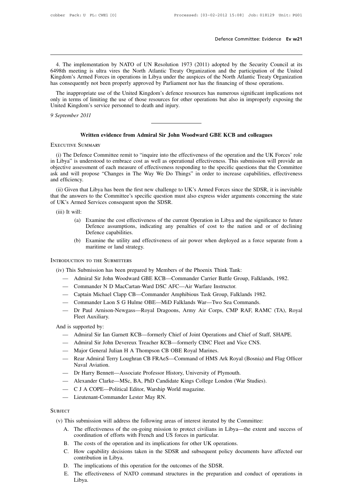Defence Committee: Evidence Ev w21<br>4. The implementation by NATO of UN Resolution 1973 (2011) adopted by the Security Council at its<br>98th meeting is ultra vires the North Atlantic Treaty Organization and the participation **Example 1949** Specifical meeting is ultra vires the North Atlantic Treaty Organization and the participation of the United Kingdom's Armed Forces in operations in Libya under the auspices of the North Atlantic Treaty Orga Defence Committee: Evidence Ev w21<br>
4. The implementation by NATO of UN Resolution 1973 (2011) adopted by the Security Council at its<br>
6498th meeting is ultra vires the North Atlantic Treaty Organization and the participat 4. The implementation by NATO of UN Resolution 1973 (2011) adopted by the Security Council at its 6498th meeting is ultra vires the North Atlantic Treaty Organization and the participation of the United Kingdom's Armed For 4. The implementation by NATO of UN Resolution 1973 (2011) adopted by the Security Council at its 98th meeting is ultra vires the North Atlantic Treaty Organization and the participation of the United ngdom's Armed Forces 4. The implementation by NATO of UN Resolution 1973 (2011) adopted by the Security Council at its 6498th meeting is ultra vires the North Atlantic Treaty Organization and the participation of the United Kingdom's Armed For 4. The implementation by NATO of ON Resolution 1975<br>6498th meeting is ultra vires the North Atlantic Treaty Or<br>Kingdom's Armed Forces in operations in Libya under the aus<br>has consequently not been properly approved by Parl

Kingdom's Armed Forces in<br>has consequently not been pr<br>The inappropriate use of th<br>only in terms of limiting the<br>United Kingdom's service pe<br>9 September 2011 Written evidence from Admiral Sir John Woodward GBE KCB and colleagues<br>
Written evidence from Admiral Sir John Woodward GBE KCB and colleagues<br>
Written evidence from Admiral Sir John Woodward GBE KCB and colleagues United Kingdom's service personnel to death and injury.<br>
9 September 2011<br>
Written evidence from Admiral Sir John Woodward GBE KCB and colleagues<br>
EXECUTIVE SUMMARY

Vertiten evidence from Admiral Sir John Woodward GBE KCB and colleagues<br>
ECUTIVE SUMMARY<br>
(i) The Defence Committee remit to "inquire into the effectiveness of the operation and the UK Forces' role<br>
Libya" is understood to **in Libya**<br> **EXECUTIVE SUMMARY**<br>
(i) The Defence Committee remit to "inquire into the effectiveness of the operation and the UK Forces' role<br>
in Libya" is understood to embrace cost as well as operational effectiveness. Th Written evidence from Admiral Sir John Woodward GBE KCB and colleagues<br>EXECUTIVE SUMMARY<br>(i) The Defence Committee remit to "inquire into the effectiveness of the operation and the UK Forces' role<br>in Libya" is understood t Written evidence from Admiral Sir John Woodward GBE KCB and colleagues<br>EXECUTIVE SUMMARY<br>(i) The Defence Committee remit to "inquire into the effectiveness of the operation and the UK Forces' role<br>in Libya" is understood t EXECUTIVE SUMMAI<br>
(i) The Defence C<br>
in Libya" is underst<br>
objective assessmen<br>
ask and will propos<br>
and efficiency.<br>
(ii) Given that Lib (i) The Defence Committee remit to "inquire into the effectiveness of the operation and the UK Forces' role Libya" is understood to embrace cost as well as operational effectiveness. This submission will provide an jective (i) The Detence Committee fellin to Inquire into the enectiveness of the operation and the OK Forces Tole<br>in Libya" is understood to embrace cost as well as operational effectiveness. This submission will provide an<br>objec In Libya Is understood to embrace cost as well as operated<br>objective assessment of each measure of effectiveness respeask and will propose "Changes in The Way We Do Thin<br>and efficiency.<br>(ii) Given that Libya has been the f

(ii) Given that Libya has been the first new challenge to UK's Armed Forces since the SDSR, it is inevitable<br>that the answers to the Committee's specific question must also express wider arguments concerning the state<br>of U (a) Examine the cost effectiveness of the current Operation in Libya and the significance to future of Services consequent upon the SDSR.<br>
(a) Examine the cost effectiveness of the current Operation in Libya and the signif

- It Libya has been the first new challenge to UK's Armed Forces since the SDSR, it is inevitable<br>s to the Committee's specific question must also express wider arguments concerning the state<br>Services consequent upon the SDS that the answers to the Committee's specific question must also express wider arguments concerning the state<br>of UK's Armed Services consequent upon the SDSR.<br>(iii) It will:<br>(a) Examine the cost effectiveness of the current Find Services consequent upon the SDSR.<br>
Vill:<br>
(a) Examine the cost effectiveness of the current Operation in Libya and the significance to future<br>
Defence assumptions, indicating any penalties of cost to the nation and o (a) Examine the cost effectiveness of the current Operation in Libya and the significance to future<br>Defence assumptions, indicating any penalties of cost to the nation and or of declining<br>Defence capabilities.<br>(b) Examine (iii) It will:<br>
(a) Examine the cost effectivenes<br>
Defence assumptions, indical<br>
Defence capabilities.<br>
(b) Examine the utility and effect<br>
maritime or land strategy.<br>
INTRODUCTION TO THE SUBMITTERS
	- Defence capabilities.<br>
	(b) Examine the utility and effectiveness of air power when deployed as a fo<br>
	maritime or land strategy.<br>
	TRODUCTION TO THE SUBMITTERS<br>
	(iv) This Submission has been prepared by Members of the Phoeni (b) Examine the utility and effectiveness of air power when deployed as a force separate from a<br>maritime or land strategy.<br>DDUCTION TO THE SUBMITTERS<br>This Submission has been prepared by Members of the Phoenix Think Tank:<br>

- DENTION TO THE SUBMITTERS<br>
This Submission has been prepared by Members of the Phoenix Think Tank:<br>
 Admiral Sir John Woodward GBE KCB—Commander Carrier Battle Group, Falklands, 1<br>
 Commander N D MacCartan-Ward DSC AFC—A
- 
- maritime or land strategy.<br>
DDUCTION TO THE SUBMITTERS<br>
This Submission has been prepared by Members of the Phoenix Think Tank:<br>
 Admiral Sir John Woodward GBE KCB—Commander Carrier Battle Group,<br>
 Commander N D MacCarta
- 
- This Submission has been prepared by Members of the Phoenix Think Tank:<br>
 Admiral Sir John Woodward GBE KCB—Commander Carrier Battle Group, Falklands<br>
 Commander N D MacCartan-Ward DSC AFC—Air Warfare Instructor.<br>
 Capt Frames Submission has been prepared by Members of the Phoenix Think Tank:<br>
— Admiral Sir John Woodward GBE KCB—Commander Carrier Battle Group, Falklands, 1982.<br>
— Commander N D MacCartan-Ward DSC AFC—Air Warfare Instructor Admiral Sir John Wo<br>Commander N D Ma<br>Captain Michael Clap<br>Commander Laon S<br>Dr Paul Arnison-Ne<br>Fleet Auxiliary.<br>supported by: — Commander N D M<br>
— Captain Michael Cl<br>
— Commander Laon S<br>
— Dr Paul Arnison-N<br>
Fleet Auxiliary.<br>
And is supported by:<br>
— Admiral Sir Ian Ga — Captain Michael Clapp CB—Commander Amphibious Task Group, Falklands 1982.<br>
— Commander Laon S G Hulme OBE—MiD Falklands War—Two Sea Commands.<br>
— Dr Paul Arnison-Newgass—Royal Dragoons, Army Air Corps, CMP RAF, RAMC (TA), — Commander Laon S G Hulme OBE—MID Falklands war—1wo Sea Commands.<br>
— Dr Paul Arnison-Newgass—Royal Dragoons, Army Air Corps, CMP RAF, RAMC<br>
Fleet Auxiliary.<br>
— Admiral Sir Ian Garnett KCB—formerly Chief of Joint Operation

- 
- 
- 
- Dr Paul Arnison-Newgass—Royal Dragoons, Army Air Corps, Cr<br>Fleet Auxiliary.<br>d is supported by:<br>— Admiral Sir Ian Garnett KCB—formerly Chief of Joint Operations a<br>— Admiral Sir John Devereux Treacher KCB—formerly CINC Fle d is supported by:<br>
— Admiral Sir Ian Garnett KCB—formerly Chief of Joint Operations and Chief of Staff, SHAPE.<br>
— Admiral Sir John Devereux Treacher KCB—formerly CINC Fleet and Vice CNS.<br>
— Major General Julian H A Thomps supported by:<br>Admiral Sir Ian Garn<br>Admiral Sir John De<br>Major General Julian<br>Rear Admiral Terry L<br>Naval Aviation.<br>Dr Harry Bennett—A — Admiral Sir John Devereux Treacher KCB—formerly CINC Fleet and Vice CNS.<br>
— Major General Julian H A Thompson CB OBE Royal Marines.<br>
— Rear Admiral Terry Loughran CB FRAeS—Command of HMS Ark Royal (Bosnia) and Flag Offic — Admiral Sir John Devereux Treacher KCB—formerly CINC Fleet and Vice CNS.<br>
— Major General Julian H A Thompson CB OBE Royal Marines.<br>
— Rear Admiral Terry Loughran CB FRAeS—Command of HMS Ark Royal (Bosnia) and Fl<br>
Naval — Major General Julian H A Thompson CB OBE Royal Marines.<br>
— Rear Admiral Terry Loughran CB FRAeS—Command of HMS<br>
Naval Aviation.<br>
— Dr Harry Bennett—Associate Professor History, University of<br>
— Alexander Clarke—MSc, BA, — Rear Admiral Terry Loughran CB FRAeS—Commander Mayal Aviation.<br>
— Dr Harry Bennett—Associate Professor Histor<br>
— Alexander Clarke—MSc, BA, PhD Candidate<br>
— C J A COPE—Political Editor, Warship World<br>
— Lieutenant-Command
- 
- 
- 
- 

# **SUBJECT**

- Alexander Clarke—MSc, BA, PhD Candidate Kings College London (War Studies).<br>
 C J A COPE—Political Editor, Warship World magazine.<br>
 Lieutenant-Commander Lester May RN.<br>
DEJECT<br>
(v) This submission will address the fol - C J A COPE-Political Editor, Warship World magazine.<br>
- Lieutenant-Commander Lester May RN.<br>
ECT<br>
This submission will address the following areas of interest iterated by the Committee:<br>
A. The effectiveness of the on-go Lieutenant-Commander Lester May RN.<br>
submission will address the following areas of interest iterated by the<br>
The effectiveness of the on-going mission to protect civilians in Li<br>
coordination of efforts with French and US This submission will address the following areas of interest iterated by the Comm<br>A. The effectiveness of the on-going mission to protect civilians in Libya—the<br>coordination of efforts with French and US forces in particul submission will address the<br>The effectiveness of the one coordination of efforts with<br>The costs of the operation at<br>How capability decisions to<br>contribution in Libya.<br>The implications of this operations A. The effectiveness of the on-going mission to protect civilians in Liby:<br>coordination of efforts with French and US forces in particular.<br>B. The costs of the operation and its implications for other UK operations<br>C. How
	-
	- C. This submission will address the following areas of interest iterated by the Committee:<br>
	A. The effectiveness of the on-going mission to protect civilians in Libya—the extent and success of<br>
	coordination of efforts with coordination of efforts with French and US forces in particular.<br>
	B. The costs of the operation and its implications for other UK operations.<br>
	C. How capability decisions taken in the SDSR and subsequent policy documents h
	-
	- Libya.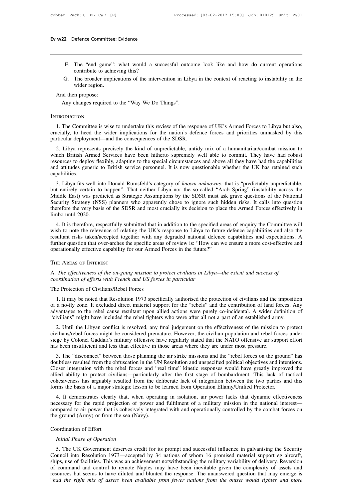- F. The "end game": what would a successful outcome look like and how do current operations<br>contribute to achieving this?<br>The broader implications of the intervention in Libya in the context of reacting to instability in th Exercise Committee: Evidence<br>The "end game": what would a succontribute to achieving this?<br>The broader implications of the interventive
- F. The "end game": what would a successful outcome look like and how do current operations<br>contribute to achieving this?<br>G. The broader implications of the intervention in Libya in the context of reacting to instability in The "end game":<br>contribute to achie<br>The broader implic<br>wider region.<br>n propose: F. The "end game"<br>
contribute to ach<br>
G. The broader imp<br>
wider region.<br>
And then propose:<br>
Any changes required F. The "end game": what would a successful outcocontribute to achieving this?<br>
G. The broader implications of the intervention in Liby wider region.<br>
Any changes required to the "Way We Do Things".<br>
ODUCTION

# **INTRODUCTION**

1. The Committee is wise to undertake this review of the response of UK's Armed Forces to Libya but also,<br>1. The Committee is wise to undertake this review of the response of UK's Armed Forces to Libya but also,<br>1. The Com And then propose:<br>
Any changes required to the "Way We Do Things".<br>
INTRODUCTION<br>
1. The Committee is wise to undertake this review of the response of UK's Armed Forces to Libya but also,<br>
crucially, to heed the wider impl Any changes required to the "Way We Do Things".<br>
INTRODUCTION<br>
1. The Committee is wise to undertake this review of the response of UK's Armed Forces to Libya but also,<br>
crucially, to heed the wider implications for the na

2. The Committee is wise to undertake this review of the response of UK's Armed Forces to Libya but also, incially, to heed the wider implications for the nation's defence forces and priorities unmasked by this reticular d INTRODUCTION<br>
1. The Committee is wise to undertake this review of the response of UK's Armed Forces to Libya but also,<br>
crucially, to heed the wider implications for the nation's defence forces and priorities unmasked by 1. The Committee is wise to undertake this review of the response of UK's Armed Forces to Libya but also, crucially, to heed the wider implications for the nation's defence forces and priorities unmasked by this particular and attitudes generic to British service personnel. It is now questionable whether the UK has retained such capabilities.<br>
2. Libya represents precisely the kind of unpredictable, untidy mix of a humanitarian/combat missio capabilities. 2. Libya represents precisely the kind of unpredictable, untidy mix of a humanitarian/combat mission to ich British Armed Services have been hitherto supremely well able to commit. They have had robust sources to deploy fl 2. Libya represents precisery the kind of unpredictable, unitay first of a humanitarian combat mission to which British Armed Services have been hitherto supremely well able to commit. They have had robust resources to dep

Winch British Armed Services have been intifierto suppremely wen able to commit. They have had footst resources to deploy flexibly, adapting to the special circumstances and above all they have had the capabilities and att Essources to deploy nextify, adapting to the spectral cricumstances and above an they have had the capabilities<br>and attitudes generic to British service personnel. It is now questionable whether the UK has retained such<br>ca and attridues generic to British service personner. It is now questionable whether the OK has retained such capabilities.<br>
3. Libya fits well into Donald Rumsfeld's category of *known unknowns*: that is "predictably unpred 3. Libya fits well in<br>but entirely certain to<br>buiddle East) was pred<br>Security Strategy (NS:<br>therefore the very basis<br>limbo until 2020.<br>4. It is therefore, res 3. Libya lits well into Donald Ruinsield's category of *khown unknowns*. That is predictably unpredictable, t entirely certain to happen". That neither Libya nor the so-called "Arab Spring" (instability across the didle Ea but entirely certain to happen. That heritier Eloya not the so-cancel Ariao Spring (instability across the Middle East) was predicted as Strategic Assumptions by the SDSR must ask grave questions of the National Security S

Frequency Strategy (NSS) planners who apparently chose to ignore such hidden risks. It calls into question therefore the very basis of the SDSR and most crucially its decision to place the Armed Forces effectively in limbo Security strategy (1835) planners who apparently chose to fighter start induent fisks. It cans into question therefore the very basis of the SDSR and most crucially its decision to place the Armed Forces effectively in lim limbo until 2020.<br>
4. It is therefore, respectfully submitted that in addition to the specified areas wish to note the relevance of relating the UK's response to Libya to future def<br>
resultant risks taken/accepted together A. The effectiveness of the on-going mission to protect civilians in Libya—the extent and success of coordinations of the on-going mission to protect civilians in Libya—the extent and success of coordination of efforts wit *contraint Fisks discursedged together with any degraded haroldar defitrither question that over-arches the specific areas of review is: "How cooperationally effective capability for our Armed Forces in the future?"*<br>THE A

operationally effective capability for our Armed P<br>THE AREAS OF INTEREST<br>A. The effectiveness of the on-going mission to proordination of efforts with French and US forces<br>The Protection of Civilians/Rebel Forces<br>1. It may

The effectiveness of the on-going mission to protect civilians in Libya—the extent and success of<br>ordination of efforts with French and US forces in particular<br>ne Protection of Civilians/Rebel Forces<br>1. It may be noted tha The Finding of The Theoris of The no-going mission to protect civilians in Libya—the extent and success of coordination of efforts with French and US forces in particular<br>The Protection of Civilians/Rebel Forces<br>1. It may A. The effectiveness of the on-going mission to protect civilians in Libya—the extent and success of coordination of efforts with French and US forces in particular<br>The Protection of Civilians/Rebel Forces<br>1. It may be not coordination of efforts with French and US forces in particular<br>
The Protection of Civilians/Rebel Forces<br>
1. It may be noted that Resolution 1973 specifically authorised the protection of civilians and the imposition<br>
of 1. It may be noted that Resolution 1973 specifically authorised the protection of civilians and the imposition<br>
2. It may be noted that Resolution 1973 specifically authorised the protection of civilians and the imposition 1. It may be noted that Resolution 1973 specifically authorised the protection of civilians and the imposition of a no-fly zone. It excluded direct materiel support for the "rebels" and the contribution of land forces. Any

I. It may be noted that Resolution 1973 specifically authorised the protection of civilians and the imposition of a no-fly zone. It excluded direct materiel support for the "rebels" and the contribution of land forces. An or a no-ny zone. It excluded direct inaterier support for the Tebers and the contribution or fand to<br>advantages to the rebel cause resultant upon allied actions were purely co-incidental. A wider det<br>"civilians" might have ivilians" might have included the rebel fighters who were after all not a part of an established army.<br>
2. Until the Libyan conflict is resolved, any final judgement on the effectiveness of the mission to protect<br>
vilians/

2. Until the Libyan conflict is resolved, any final judgement on the effectiveness of the mission to protect<br>civilians/rebel forces might be considered premature. However, the civilian population and rebel forces under<br>sie 2. Online Eloyan collinct is resolved, any final judgement on the erlectiveness of the insision to protect<br>civilians/rebel forces might be considered premature. However, the civilian population and rebel forces under<br>siege Evalually about the considered permature. However, the civilian population and fever forces under<br>siege by Colonel Gaddafi's military offensive have regularly stated that the NATO offensive air support effort<br>has been insu siege by Coloner Gaduari s imitially offersive lave regularly stated that the txATO offersive an support enott<br>has been insufficient and less than effective in those areas where they are under most pressure.<br>3. The "discon From Soven insufficient and less than effective in those areas where they are under most pressure.<br>
3. The "disconnect" between those planning the air strike missions and the "rebel forces on the groun<br>
doubtless resulted 3. The disconnect between those planting the an strike inssions and the Teber forces on the ground has ubtless resulted from the obfuscation in the UN Resolution and unspecified political objectives and intentions.<br>
Soser necessary for the rebel forces and "real time" kinetic responses would have greatly improved the Closer integration with the rebel forces and "real time" kinetic responses would have greatly improved the allied ability to

croser integration with the feber forces and "feat time" kinetic responses would have greatly improved the allied ability to protect civilians—particularly after the first stage of bombardment. This lack of tactical cohesi cohesiveness has arguably resulted from the deliberate lack of integration between the two parties and this forms the basis of a major strategic lesson to be learned from Operation Ellamy/Unified Protector.<br>4. It demonstra 4. It demonstrates clearly<br>necessary for the rapid projecompared to air power that if<br>the ground (Army) or from the coordination of Effort<br>*Coordination of Effort*<br>*Initial Phase of Operation Increase CERT CHA and Secure 1.13 and 1.43 and 1.43 and 1.43 and 1.43 and 1.43 and 1.43 and 1.43 and 1.43 and 1.43 and 1.43 and 1.44 and 1.44 and 1.44 and 1.44 and 1.44 and 1.44 and 1.44 and 1.44 and 1.44 and 1.45 and 1.4* 

mpared to air power that is cohesively integrated with and operationally controlled by the combat forces on<br>
e ground (Army) or from the sea (Navy).<br>
Dordination of Effort<br>
Initial Phase of Operation<br>
5. The UK Government The ground (Army) or from the sea (Navy).<br>
Coordination of Effort<br> *Initial Phase of Operation*<br>
5. The UK Government deserves credit for its prompt and successful influence in galvanising the Security<br>
Council into Resolu Coordination of Effort<br>Initial Phase of Operation<br>5. The UK Government deserves credit for its prompt and successful influence in galvanising the Security<br>Council into Resolution 1973—accepted by 34 nations of whom 16 prom Coordination of Effort<br> *Initial Phase of Operation*<br>
5. The UK Government deserves credit for its prompt and successful influence in galvanising the Security<br>
Council into Resolution 1973—accepted by 34 nations of whom 16 *Initial Phase of Operation*<br>5. The UK Government deserves credit for its prompt and successful influence in galvanising the Security<br>Council into Resolution 1973—accepted by 34 nations of whom 16 promised material support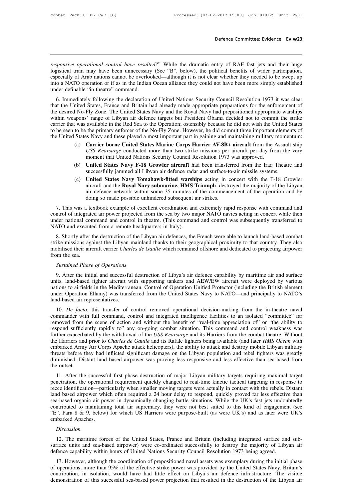*responsive operational control have resulted?*" While the dramatic entry of RAF fast jets and their huge logistical train may have been unnecessary (See "B", below), the political benefits of wider participation, especial **Defence Committee: Evidence Ev w23**<br> **Example 1998** *responsive operational control have resulted?*" While the dramatic entry of RAF fast jets and their huge<br>
logistical train may have been unnecessary (See "B", below), t **Example 18 Consumption**<br> **Examples 28**<br> **Examples 28**<br> **Examples 28**<br> **Examples 28**<br> **Examples 28**<br> **Examples 28**<br> **Examples 28**<br> **Examples 28**<br> **Examples 28**<br> **Examples 28**<br> **Examples 28**<br> **Examples 28**<br> **Examples 28**<br> into a NATO operational control have resulted?" While the dramatic entry of RAF fast jets and their huge logistical train may have been unnecessary (See "B", below), the political benefits of wider participation, especiall responsive operational control have resulted?" While the dramatic entry of RAF fast jets and their huge logistical train may have been unnecessary (See "B", below), the political benefits of wider participation, especially Sponsive operational control have resulted?" While the dramatic entry of RAF fast jets and their huge<br>gistical train may have been unnecessary (See "B", below), the political benefits of wider participation,<br>pecially of Ar The United States of Libyan air defence targets but President Obama decided not to commit the strike weapons' reapons we have been unnecessary (See "B", below), the political benefits of wider participation, especially of

the desired No-Fly Zone. The United States Navy and the Royal Navy have been nore simply established under definable "in the are when Ocean alliance they could not have been more simply established under definable "in the especially of Arab hations callifict be overlooked—almough it is not creat whether they needed to be swept up<br>into a NATO operation or if as in the Indian Ocean alliance they could not have been more simply established<br>und Into a NATO operation of It as in the mulan Ocean antance they count not have been more simply established<br>under definable "in theatre" command.<br>6. Immediately following the declaration of United Nations Security Council R to be seen to be the primary enforcer of the No-Fly Zone. However, he did commit the Assault shin the United States, France and Britain had already made appropriate preparations for the enforcement of the desired No-Fly Zo 6. Immediately following the declaration of United Nations Security Council Resolution 1973 it was clear<br>that the United States, France and Britain had already made appropriate preparations for the enforcement of<br>the desi inited States, France and Britain had already made appropriate preparations for the enforcement of No-Fly Zone. The United States Navy and the Royal Navy had prepositioned appropriate warships appons' range of Libyan air d Fly Zone. The United States Navy and the Royal Navy had prepositioned appropriate warships<br>
i' range of Libyan air defence targets but President Obama decided not to commit the strike<br>
available in the Red Sea to the Opera <sup>2</sup> range of Libyan air defence targets but President Obama decided not to commi available in the Red Sea to the Operation; ostensibly because he did not wish the U<sub>1</sub> the primary enforcer of the No-Fly Zone. However, he d

- (c) United States Navy **F-18 Growler aircraft** had been transferred from the F-18 Growler (c) United States Navy Tomahawk-fitted warships acting in concert with the F-18 Growler (c) United States Navy **F-18 Growler aircraf** to be seen to be the primary enforcer of the No-Fly Zone. However, he did commit three important elements of<br>the United States Navy and these played a most important part in gaining and maintaining military momentum:<br>(a)
	-
- (a) **Carrier borne United States Marine Corps Harrier AV-8B+ aircraft** from the Assault ship USS *Kearsarge* conducted more than two strike missions per aircraft per day from the very moment that United Nations Security Co Carrier borne United States Marine Corps Harrier Av-ob+ aircraft flom the Assault sinp<br>USS Kearsarge conducted more than two strike missions per aircraft per day from the very<br>moment that United Nations Security Council Re Cost *Rearsarge* conducted inter unit wo strike inissions per ancial per day from the very moment that United Nations Security Council Resolution 1973 was approved.<br> **United States Navy F-18 Growler aircraft** had been tra successfully jammed all Libyan air defence radar and surface-to-air missile systems.<br>
(c) **United States Navy Tomahawk-fitted warships** acting in concert with the F-18 Growler<br>
aircraft and the **Royal Navy submarine, HMS T** Successfully jammed all Libyan air defence radar and surface-to-air missile systems.<br>
(c) **United States Navy Tomahawk-fitted warships** acting in concert with the F-18 Growler aircraft and the **Royal Navy submarine, HMS Tr**

Find States Navy Tomahawk-fitted warships acting in concert with the F-18 Growler aircraft and the **Royal Navy submarine, HMS Triumph**, destroyed the majority of the Libyan air defence network within some 35 minutes of the Let  $\alpha$  and the **national command and control in the set of the commencement** of the operation and by doing so made possible unhindered subsequent air strikes.<br>
7. This was a textbook example of excellent coordination an Figure 1.1 and the **Royal Navy submarine, Thylis**<br>air defence network within some 35 minutes of<br>doing so made possible unhindered subsequent and<br>control of integrated air power projected from the sea by two m<br>under nationa doing so made possible unhindered subsequent air strikes.<br>
7. This was a textbook example of excellent coordination and extremely rapid response with command and<br>
ntrol of integrated air power projected from the sea by two

7. This was a textbook example of excellent coordination and extremely rapid response with command and control of integrated air power projected from the sea by two major NATO navies acting in concert while then under nati 7. This was a textbook example of excellent coordination and extremely rapid response with command and control of integrated air power projected from the sea by two major NATO navies acting in concert while then under nati From the integrated under national constants and execute<br>8. Shortly after the strike missions again abilised their aircommunity from the sea.<br>Sustained Phase NATO and executed from a remote headquarters in Italy).<br>
8. Shortly after the destruction of the Libyan air defences, the French were able to launch land-based combat<br>
strike missions against the Libyan mainland thanks to 8. Shortly after the destruction of the Libyan air defences, the French were able to launch land-based combat<br>ike missions against the Libyan mainland thanks to their geographical proximity to that country. They also<br>bibli

Strike missions against the Libyan mainland thanks to their geographical proximity to that country. They also<br>mobilised their aircraft carrier *Charles de Gaulle* which remained offshore and dedicated to projecting airpowe mobilised their aircraft carrier *Charles de Gaulle* which remained offshore and dedicated to projecting airpower<br>from the sea.<br>Sustained Phase of Operations<br>9. After the initial and successful destruction of Libya's air d Sustained Phase of Operations<br>
9. After the initial and successful destruction of Libya's air defence capability by maritime air and surface<br>
units, land-based fighter aircraft with supporting tankers and AEW/EW aircraft w Sustained Phase of Operations<br>9. After the initial and successful<br>units, land-based fighter aircraft w<br>nations to airfields in the Mediterrar<br>under Operation Ellamy) was transi-<br>land-based air representatives.<br>10. De facto 9. After the initial and successful destruction of Libya's air defence capability by maritime air and surface<br>its, land-based fighter aircraft with supporting tankers and AEW/EW aircraft were deployed by various<br>tions to a For the filter the minds and successful destinction of Libya's an defence capability by maritime an and surface<br>units, land-based fighter aircraft with supporting tankers and AEW/EW aircraft were deployed by various<br>nation

antions to airfields in the Mediterranean. Control of Operation Unified Protector (including the British element<br>under Operation Ellamy) was transferred from the United States Navy to NATO—and principally to NATO's<br>land-ba respond sufficiently rapidly to" any on-going combat situation. This command principally to NATO's land-based air representatives.<br>
10. *De facto*, this transfer of control removed operational decision-making from the in-t under Operation Ellamy) was transferred from the United States Navy to NATO—and principally to NATO's<br>land-based air representatives.<br>10. *De facto*, this transfer of control removed operational decision-making from the in 10. *De facto*, this transfer of control removed operational decision-making from the in-theatre naval commander with full command, control and integrated intelligence facilities to an isolated "committee" far removed from 10. *De facto*, this transfer of control removed operational decision-making from the in-theatre naval commander with full command, control and integrated intelligence facilities to an isolated "committee" far removed from commander with full command, control and integrated intelligence facilities to an isolated "committee" far<br>removed from the scene of action and without the benefit of "real-time appreciation of" or "the ability to<br>respond removed from the scene of action and without the benefit of "real-time appreciation of" or "the ability to<br>respond sufficiently rapidly to" any on-going combat situation. This command and control weakness was<br>further exace respond sufficie<br>further exacerba<br>the Harriers and<br>embarked Army<br>threats before tl<br>diminished. Dis<br>the outset.<br>11. After the The summary and prior to *Charles de Gaulle* and its Rafale fighters being available (and later *HMS Ocean* with barked Army Air Corps Apache attack helicopters), the ability to attack and destroy mobile Libyan military ea in the ratriets and proto to chartes are Gautie and its Katate igniters being available (and later *Thus Ocean* with<br>embarked Army Air Corps Apache attack helicopters), the ability to attack and destroy mobile Libyan milit

embaked Army An Corps Apache attack hencopters), the ability to attack and destroy mobile Libyan infinitary<br>threats before they had inflicted significant damage on the Libyan population and rebel fighters was greatly<br>dimin diminished. Distant land based airpower was proving less responsive and less effective than sea-based from<br>the outset.<br>11. After the successful first phase destruction of major Libyan military targets requiring maximal tar infinished. Distant land based anyower was proving less responsive and less effective than sea-based from<br>the outset.<br>11. After the successful first phase destruction of major Libyan military targets requiring maximal targ 11. After the successful first phase destruction of major Libyan military targets requiring maximal target<br>penetration, the operational requirement quickly changed to real-time kinetic tactical targeting in response to<br>rec 11. After the successful first phase destruction of major Libyan military targets requiring maximal target penetration, the operational requirement quickly changed to real-time kinetic tactical targeting in response to rec penetration, the operation<br>recce identification—part<br>land based airpower whis<br>sea-based organic air pov<br>contributed to maintainin<br>"E", Para 8 & 9, below)<br>embarked Apaches.<br>Discussion A shased organic air power in dynamically changing battle situations. While the UK's fast jets undoubtedly intributed to maintaining total air supremacy, they were not best suited to this kind of engagement (see<br>
", Para 8

# *Discussion*

surfaced to maintaining total air supremacy, they were not best suited to this kind of engagement (see<br>
"E", Para 8 & 9, below) for which US Harriers were purpose-built (as were UK's) and as later were UK's<br>
embarked Apach E", Para 8 & 9, below) for which US Harriers were purpose-built (as were UK's) and as later were<br>embarked Apaches.<br>Discussion<br>12. The maritime forces of the United States, France and Britain (including integrated surface a

Discussion<br>
12. The maritime forces of the United States, France and Britain (including integrated surface and sub-<br>
frace units and sea-based airpower) were co-ordinated successfully to destroy the majority of Libyan air<br> Discussion<br>12. The maritime forces of the United States, France and Britain (including integrated surface and sub-<br>surface units and sea-based airpower) were co-ordinated successfully to destroy the majority of Libyan air<br> 12. The maritime forces of the United States, France and Britain (including integrated surface and sub-<br>surface units and sea-based airpower) were co-ordinated successfully to destroy the majority of Libyan air<br>defence cap 12. The mantume forces of the onted states, France and Britain (including integrated starace and sub-<br>surface units and sea-based airpower) were co-ordinated successfully to destroy the majority of Libyan air<br>defence capab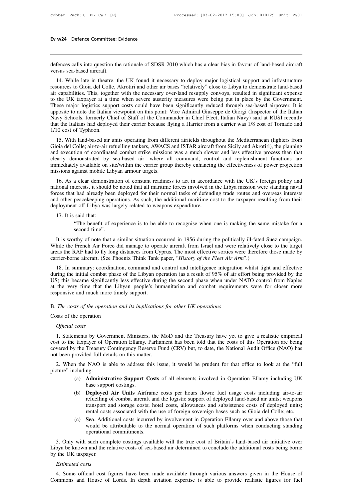Ev w24 Defence Committee: Evidence<br>
defences calls into question the rationale of SDSR 2010 which has a clear bias in favour of land-based aircraft<br>
14 While late in the tax the UV found it assessments dealer major legisla **Ev w24** Defence Committee: Evidence<br> **Committee:** Evidence<br>
defences calls into question the rationale of SDSR 2010 which has a clear bias in favour of land-based aircraft<br>
versus sea-based aircraft.<br>
14. While late in th

The scalls into question the rationale of SDSR 2010 which has a clear bias in favour of land-based aircraft<br>
14. While late in theatre, the UK found it necessary to deploy major logistical support and infrastructure<br>
sourc defences calls into question the rationale of SDSR 2010 which has a clear bias in favour of land-based aircraft<br>versus sea-based aircraft.<br>14. While late in theatre, the UK found it necessary to deploy major logistical sup defences calls into question the rationale of SDSR 2010 which has a clear bias in favour of land-based aircraft<br>versus sea-based aircraft.<br>14. While late in theatre, the UK found it necessary to deploy major logistical sup defences calls into question the rationale of SDSR 2010 which has a clear bias in favour of land-based aircraft<br>versus sea-based aircraft.<br>14. While late in theatre, the UK found it necessary to deploy major logistical sup deferices cans into question the rationate of SDSK 2010 which has a clear bias in ravour of rand-based aircraft<br>versus sea-based aircraft.<br>14. While late in theatre, the UK found it necessary to deploy major logistical sup versus sea-based ancrant.<br>
14. While late in theatre, the UK found it necessary to deploy major logistical support and infrastructure<br>
resources to Gioia del Colle, Akrotiri and other air bases "relatively" close to Libya 14. While late in theatre, the UK found it necessary to deploy major logistical support and infrastructure resources to Gioia del Colle, Akrotiri and other air bases "relatively" close to Libya to demonstrate land-based ai resources to Gioia del Colle, Akrotiri and other air bases "relatively" close to Libya to demonstrate land-based<br>air capabilities. This, together with the necessary over-land resupply convoys, resulted in significant expen air capabilities. This, together with the necessary over-land resupply convoys, resulted in significant expense<br>to the UK taxpayer at a time when severe austerity measures were being put in place by the Government.<br>These m The UK taxpayer at a time when severe austerity measures were being put in place by the Government.<br>
Integral or major logistics support costs could have been significantly reduced through sea-based airpower. It is<br>
posite These major logistics support costs could have been significantly reduced unlough sea-based anpower. It is apposite to note the Italian viewpoint on this point: Vice Admiral Giuseppe de Giorgi (Inspector of the Italian Nav

and execution of coordinated by sea-based air: where all command, control and replemishment functions are immediately available on site/within the carrier promation of coordinated combat strike missions was a much slower a Example 10 Start of the Commander in Cine Freet, italian Navy) said at KOSI recently<br>that the Italians had deployed their carrier because flying a Harrier from a carrier was 1/8 cost of Tornado and<br>1/10 cost of Typhoon.<br>15 ind the Hanalis had deployed then carrier because hying a Hariter from a carrier was 176 cost of formado and 1/10 cost of Typhoon.<br>
15. With land-based air units operating from different airfields throughout the Mediterran 1710 cost of Typhoon.<br>
15. With land-based air units operating from differ<br>
Gioia del Colle; air-to-air refuelling tankers, AWACS<br>
and execution of coordinated combat strike missions<br>
clearly demonstrated by sea-based air: 15. Whil iand-based an units operating from different afficies unoughout the Mediterratian (fighters from<br>
oia del Colle; air-to-air refuelling tankers, AWACS and ISTAR aircraft from Sicily and Akrotiri), the planning<br>
d e national del Colle, all-lo-all feltering talkets, AWACS and ISTAR all claim thom Sichy and Akfolin), the planning<br>and execution of coordinated combat strike missions was a much slower and less effective process than that<br>c

For deployment of Coloration of contributed compatible missions was a much slower and less effective plocess than that clearly demonstrated by sea-based air: where all command, control and replenishment functions are immed Exercise of power and other peace with the carrier group thereby enhancing the effectiveness of power projection<br>missions against mobile Libyan armour targets.<br>16. As a clear demonstration of constant readiness to act in a minedately available on stell within the carrier group thereby emailering<br>missions against mobile Libyan armour targets.<br>16. As a clear demonstration of constant readiness to act in accorda<br>national interests, it should be 16. As a clear demonstration of constant readiness to act in accordance with the UK's foreign policy and national interests, it should be noted that all maritime forces involved in the Libya mission were standing naval for terests, it should be noted that all maritime forces involved in the Libya mission were standing naval<br>
thad already been deployed for their normal tasks of defending trade routes and overseas interests<br>
peacekeeping opera I had already been<br>peacekeeping operated that:<br>said that:<br>"The benefit of expressional time".<br>thy of note that a

It is said that a similar situation occurred in 1956 during the politically ill-fated Suez campaign.<br>It is worthy of note that a similar situation occurred in 1956 during the politically ill-fated Suez campaign.<br>It is wort deployment off Libya was largely related to weapons expenditure.<br>
17. It is said that:<br>
"The benefit of experience is to be able to recognise when one is making the same mistake for a<br>
second time".<br>
It is worthy of note t 17. It is said that:<br>
"The benefit of experience is to be able to recognise when one is making the same mistake for a<br>
second time".<br>
It is worthy of note that a similar situation occurred in 1956 during the politically il <sup>177</sup> The state dual:<br>
"The benefit of experience is to be able to recognise when one is making the sam<br>
second time".<br>
It is worthy of note that a similar situation occurred in 1956 during the politically ill-fated<br>
While second time".<br>It is worthy of note that a similar situation occurred in 1956 during the politically ill-fated Suez campaign.<br>hile the French Air Force did manage to operate aircraft from Israel and were relatively close to

It is worthy of note that a similar situation occurred in 1956 during the politically ill-fated Suez campaign.<br>While the French Air Force did manage to operate aircraft from Israel and were relatively close to the target<br>a It is wotuty of note that a similar situation occurred in 1950 during the pointcanty in-rated suez campaign.<br>While the French Air Force did manage to operate aircraft from Israel and were relatively close to the target<br>are wille the French All Folce durinalge to operate ancial from Islael and were relatively close to the taget<br>areas the RAF had to fly long distances from Cyprus. The most effective sorties were therefore those made by<br>carrier areas the RAF had to fly long distances from Cyprus. The most effective sorties were therefore those made by carrier-borne aircraft. (See Phoenix Think Tank paper, "*History of the Fleet Air Arm*".)<br>18. In summary: coordin 18. In summary: coordination, command and control and intelligence integration during the initial combat phase of the Libyan operation (as a result of 95% of air e US) this became significantly less effective during the se Example in the obtained phase of<br>US) this became significantly les<br>at the very time that the Liby;<br>responsive and much more timely<br>B. The costs of the operation and<br>Costs of the operation<br>Official costs **B.** The costs of the operation and its implications for other UK operations<br> **B.** The costs of the operation and its implications for other UK operations<br>
Costs of the operation<br> *Official costs*<br>
1. Statements by Governm

The costs of the operation and its implications for other UK operations<br>sosts of the operation<br>Official costs<br>1. Statements by Government Ministers, the MoD and the Treasury have yet to give a realistic empirical<br>st to the Example of the operation and its implications for other UK operations<br>
Costs of the operation<br>
Official costs<br>
1. Statements by Government Ministers, the MoD and the Treasury have yet to give a realistic empirical<br>
cost to Costs of the operation<br> *Official costs*<br>
1. Statements by Government Ministers, the MoD and the Treasury have yet to give a realistic empirical<br>
cost to the taxpayer of Operation Ellamy. Parliament has been told that the Costs of the operation<br>
Official costs<br>
1. Statements by Government Ministers, the M<br>
cost to the taxpayer of Operation Ellamy. Parlian<br>
covered by the Treasury Contingency Reserve Fu<br>
not been provided full details on thi Official costs<br>
1. Statements by Government Ministers, the MoD and the Treasury have yet to give a realistic empirical<br>
st to the taxpayer of Operation Ellamy. Parliament has been told that the costs of this Operation are 1. Statements by Gover<br>
cost to the taxpayer of C<br>
covered by the Treasury<br>
not been provided full de<br>
2. When the NAO is<br>
picture" including:<br>
(a) **Administ**<br>
hase suppr (a) **Administrative Support** Costs of all elements involved in Operation Ellamy including in-to-air<br>
(a) **Administrative Support Costs** of all elements involved in Operation Ellamy including UK<br>
(a) **Administrative Support** covered by the Treasury Contingency Reserve Fund (CRV) but, to date, the National Audit Office (NAO) has<br>not been provided full details on this matter.<br>2. When the NAO is able to address this issue, it would be prudent for

- 
- Frovided full details on this matter.<br>
The NAO is able to address this issue, it would be prudent for that office to look at the "full<br>
cluding:<br>
(a) **Administrative Support Costs** of all elements involved in Operation Ell NAO is able to address this issue, it would be prudent for that office to look at the "full<br>ng:<br>**Administrative Support Costs** of all elements involved in Operation Ellamy including UK<br>base support costings.<br>**Deployed Air** TRAO IS able to address this issue, it would be prudent for that office to flook at the Tuff<br>ng:<br>**Administrative Support Costs** of all elements involved in Operation Ellamy including UK<br>base support costings.<br>**Deployed Air Administrative Support Costs** of all elements involved in Operation Ellamy including UK<br>base support costings.<br>**Deployed Air Units** Airframe costs per hours flown; fuel usage costs including air-to-air<br>refuelling of comba (a) **Administrative support Costs** of all elements involved in Operation Enlamy including OK<br>base support costings.<br>(b) **Deployed Air Units** Airframe costs per hours flown; fuel usage costs including air-to-air<br>refuelling be attributable to the normal operation of the normal operation of the normal operation of the normal operation of the normal operation of such platforms when conducting standing of combat aircraft and the logistic support **Deployed Air Units** Airframe<br>refuelling of combat aircraft and<br>transport and storage costs; ho<br>rental costs associated with the<br>**Sea**. Additional costs incurred<br>would be attributable to the n<br>operational commitments.<br>such
- 

transport and storage costs; hotel costs, allowances and subsistence costs of deployed units;<br>rental costs associated with the use of foreign sovereign bases such as Gioia del Colle; etc.<br>(c) **Sea**. Additional costs incurr rental costs associated with the use of foreign sovereign bases such as Gioia del Colle; etc.<br>
(c) **Sea**. Additional costs incurred by involvement in Operation Ellamy over and above those that<br>
would be attributable to the (c) **Sea**. Addit would be operationa<br>would be operationa<br>3. Only with such com<br>Libya be known and the r<br>by the UK taxpayer.<br>*Estimated costs* would be a<br>
operational<br>
3. Only with such comp<br>
bya be known and the re<br>
the UK taxpayer.<br> *Estimated costs*<br>
4. Some official cost fi 4. Some official cost figures have been made available through various answers given in the House of the UK taxpayer.<br>4. Some official cost figures have been made available through various answers given in the House of 4. Commons and House of Lords. In depth aviation expertise is able to provide realistic figures for the UK taxpayer.<br>
Commons and House of Lords. In depth aviation expertise is able to provide realistic figures for fuel<br>
Comm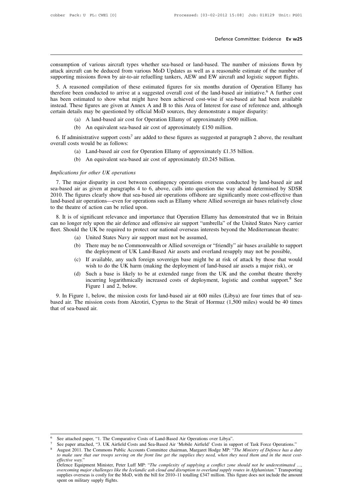**Defence Committee: Evidence Ev w25**<br> **Consumption** of various aircraft types whether sea-based or land-based. The number of missions flown by attack aircraft can be deduced from various MoD Updates as well as a reasonable **Example 19 Second attack aircraft can be deduced from various MoD Updates as well as a reasonable estimate of the number of supporting missions flown by air-to-air refuelling tankers, AEW and EW aircraft and logistic supp** Defence Committee: Evidence Ev w25<br>
Supporting missions aircraft types whether sea-based or land-based. The number of missions flown by<br>
attack aircraft can be deduced from various MoD Updates as well as a reasonable estim

Sumption of various aircraft types whether sea-based or land-based. The number of missions flown by<br>ack aircraft can be deduced from various MoD Updates as well as a reasonable estimate of the number of<br>pporting missions f consumption of various aircraft types whether sea-based or land-based. The number of missions flown by attack aircraft can be deduced from various MoD Updates as well as a reasonable estimate of the number of supporting mi consumption of various aircraft types whether sea-based or land-based. The number of missions flown by attack aircraft can be deduced from various MoD Updates as well as a reasonable estimate of the number of supporting mi consumption of various ancraft types whether sea-based of failed-based. The infinite of infisions flown by attack aircraft can be deduced from various MoD Updates as well as a reasonable estimate of the number of supportin attack anciant can be deduced from various MoD Opdates as wen as a reasonable estimate of the insupporting missions flown by air-to-air refuelling tankers, AEW and EW aircraft and logistic support 5. A reasoned compilation all absolute the contract form in the contract form and the set of the same conducted to arrive at a suggested overall cost of the land-based air initiative.<sup>6</sup> estimated to show what might have been achieved cost-wise if asoned compilation of these estimated figures for six months duration of<br>been conducted to arrive at a suggested overall cost of the land-based air is<br>estimated to show what might have been achieved cost-wise if sea-based<br> 6. If administrative support costs<sup>7</sup> are added to these figures as suggested at paragraph 2 above, the resultant cost wise if sea-based air data although rtain details may be questioned by official MoD sources, they demon

- 
- 

certain details may be questioned by official MoD sources, they demonstrate a major disparity:<br>
(a) A land-based air cost for Operation Ellamy of approximately £900 million.<br>
(b) An equivalent sea-based air cost of approx (a) A land-based air cost for Operation Ellamy of approximately £900 million.<br>
(b) An equivalent sea-based air cost of approximately £150 million.<br>
ministrative support costs<sup>7</sup> are added to these figures as suggested at **1133** 6. If administrative support costs<sup>7</sup> are added overall costs would be as follows:<br>
(a) Land-based air cost for Operations<br>
(b) An equivalent sea-based air content UK operations<br>
7. The major disparity in cost betwe

- (a) Land-based air cost for Operation Ellamy of approximately £1.35 billion.<br>(b) An equivalent sea-based air cost of approximately £0.245 billion.<br>Implications for other UK operations
	-

erall costs would be as follows:<br>
(a) Land-based air cost for Operation Ellamy of approximately £1.35 billion.<br>
(b) An equivalent sea-based air cost of approximately £0.245 billion.<br>
plications for other UK operations<br>
7. (a) Land-based air cost for Operation Ellamy of approximately £1.35 billion.<br>
(b) An equivalent sea-based air cost of approximately £0.245 billion.<br>
Implications for other UK operations<br>
7. The major disparity in cost bet 2010. The major disparity in cost between contingency operations overseas conducted by land-based air and sea-based air as given at paragraphs 4 to 6, above, calls into question the way ahead determined by SDSR 2010. The f *land-based air operations*<br>
T. The major disparity in cost between contingency operations overseas conducted by land-based air and<br>
sea-based air as given at paragraphs 4 to 6, above, calls into question the way ahead de Implications for other UK operations<br>7. The major disparity in cost between conti<br>sea-based air as given at paragraphs 4 to 6, ab<br>2010. The figures clearly show that sea-based ai<br>land-based air operations—even for operatio 7. The major disparity in cost between contingency operations overseas conducted by land-based air and<br>a-based air as given at paragraphs 4 to 6, above, calls into question the way ahead determined by SDSR<br>10. The figures 7. The hiajor disparity in cost between contingency operations overseas conducted by faind-based air and sea-based air as given at paragraphs 4 to 6, above, calls into question the way ahead determined by SDSR 2010. The fi Sea-based an as given at paragraphs 4 to 0, above, cans into question the way ahead determined by SDSK<br>2010. The figures clearly show that sea-based air operations offshore are significantly more cost-effective than<br>land-b 2010. The figures clearly show that sea-based air operations offshore are significantly more cost-effective than land-based air operations—even for operations such as Ellamy where Allied sovereign air bases relatively clos

(b) the relied upon.<br>
(b) the value of significant relevance and importance that Operation Ellamy has demonstrated that we in Britain<br>
ger rely upon the air defence and offensive air support "umbrella" of the United States the deployment of UK Land-Based Air assets and overland resets a major risk) or<br>the UK has the deployment of UK be required to protect our national overseas interests beyond the Mediterranean theatre:<br>United States Navy ai The Term was interest and offensive air support "umbrella" of the United States Navy carrier<br>
Id the UK be required to protect our national overseas interests beyond the Mediterranean theatre:<br>
(a) United States Navy air s

- 
- 
- We UK be required to protect our national overseas interests beyond the Mediterranean theatre:<br>
United States Navy air support must not be assumed,<br>
There may be no Commonwealth or Allied sovereign or "friendly" air bases
- (a) United States Navy air support must not be assumed,<br>
(b) There may be no Commonwealth or Allied sovereign or "friendly" air bases available to support<br>
the deployment of UK Land-Based Air assets and overland resupply There may be no Commonwealth or Allied sovereign or "friendly" air bases available to support<br>the deployment of UK Land-Based Air assets and overland resupply may not be possible,<br>If available, any such foreign sovereign There may be no Commonw<br>the deployment of UK Land<br>If available, any such foreig<br>wish to do the UK harm (m.<br>Such a base is likely to be<br>incurring logarithmically in<br>Figure 1 and 2, below.<br>1, below, the mission costs

9. In Figure 1, below, the mission costs for land-based air at 600 miles (Libya) are four times that of sea-based air. The mission costs for land-based air at 600 miles (Libya) are four times that of sea-sed air. The miss based air. The mission costs from Akrotiri, Cyprus to the Strait of Hormuz (1,500 miles) would be 40 times that of sea-based air.<br>
The mission costs from Akrotiri, Cyprus to the Strait of Hormuz (1,500 miles) would be 40 t (d) Such a based incurring 1<br>incurring 1<br>Figure 1 a<br>9. In Figure 1, below, thased air. The mission contained by the sea-based air.

<sup>&</sup>lt;sup>6</sup> See attached paper, "1. The Comparative Costs of Land-Based Air Operations over Libya".<br><sup>7</sup> See paper attached, "3. UK Airfield Costs and Sea-Based Air 'Mobile Airfield' Costs in support of Task Force Operations."<br><sup>8</sup> See attached paper, "1. The Comparative Costs of Land-Based Air Operations over Libya".<br>
<sup>6</sup> See paper attached, "3. UK Airfield Costs and Sea-Based Air 'Mobile Airfield' Costs in support of Task Force Operations."<br>
<sup>8</sup> A See attached paper, "1. The Comparative Costs of Land-Based Air Operations over Libya".<br>
See paper attached, "3. UK Airfield Costs and Sea-Based Air 'Mobile Airfield' Costs in support of Task Force Operations."<br> *August 20* 

See attached paper, "1. The Comparative Costs of Land-Based Air Operations over Libya".<br>See paper attached, "3. UK Airfield Costs and Sea-Based Air 'Mobile Airfield' Costs in support of Task Force Operations."<br>August 2011. See attached paper, "1. The Comparative Costs of Land-Based Air Operations over Libya".<br>
See paper attached, "3. UK Airfield Costs and Sea-Based Air 'Mobile Airfield' Costs in support of Task Force Operations."<br>
August 201 See paper attached, "3. UK Airfield Costs and Sea-Based Air 'Mobile Airfield' Costs in support of Task Force Operations."<br>August 2011. The Commons Public Accounts Committee chairman, Margaret Hodge MP: "The Ministry of Def spent on military supply flights.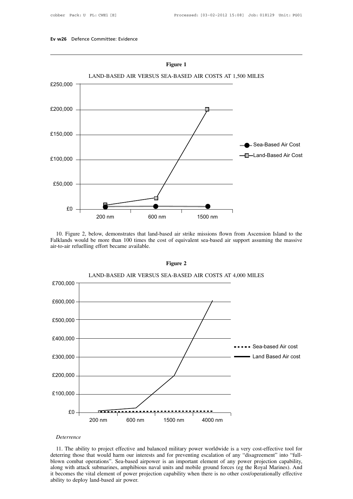

10. Figure 2, below, demonstrates that land-based air strike missions flown from Ascension Island to the liklands would be more than 100 times the cost of equivalent sea-based air support assuming the massive v-to-air refu



# *Deterrence*

200 nm 600 nm 1500 nm 4000 nm<br> *Deterrence*<br>
11. The ability to project effective and balanced military power worldwide is a very cost-effective tool for<br>
deterring those that would harm our interests and for preventing es Deterrence<br>
11. The ability to project effective and balanced military power worldwide is a very cost-effective tool for<br>
deterring those that would harm our interests and for preventing escalation of any "disagreement" in Deterrence<br>11. The ability to project effective and balanced military power worldwide is a very cost-effective tool for<br>deterring those that would harm our interests and for preventing escalation of any "disagreement" into Deterrence<br>11. The ability to project effective and balanced military power worldwide is a very cost-effective tool for<br>deterring those that would harm our interests and for preventing escalation of any "disagreement" into 11. The ability to project effective and deterring those that would harm our in blown combat operations". Sea-based along with attack submarines, amphibit becomes the vital element of power. Ability to deploy land-based ai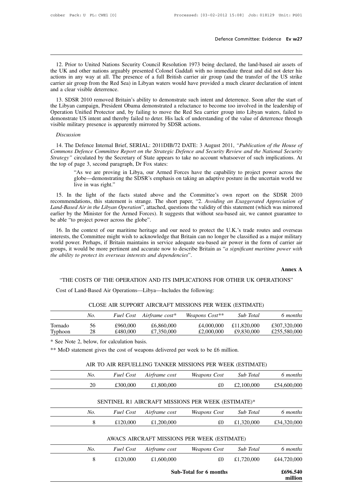**12. Prior to United Nations Security Council Resolution 1973 being declared, the land-based air assets of e UK and other nations arguably presented Colonel Gaddafi with no immediate threat and did not deter his tions in a Example 12.** Prior to United Nations Security Council Resolution 1973 being declared, the land-based air assets of the UK and other nations arguably presented Colonel Gaddafi with no immediate threat and did not deter his **Example 12.** Prior to United Nations Security Council Resolution 1973 being declared, the land-based air assets of the UK and other nations arguably presented Colonel Gaddafi with no immediate threat and did not deter his 12. Prior to United Nations Security Council Resolution 1973 being declared, the land-based air assets of the UK and other nations arguably presented Colonel Gaddafi with no immediate threat and did not deter his actions i 12. Prior to United Nations Security Council Resolution 1973 being declared, the land-based air assets of the UK and other nations arguably presented Colonel Gaddafi with no immediate threat and did not deter his actions i 12. Prior to United Nations Security Council Resolution 1973 being declared, the land-based air assets of e UK and other nations arguably presented Colonel Gaddafi with no immediate threat and did not deter his tions in an 12. Thot to United Nations Security Council Resolution 1975 ocing declared, the fait-based an assets of<br>the UK and other nations arguably presented Colonel Gaddafi with no immediate threat and did not deter his<br>actions in

Incomes in any way at all. The presence of a full British carrier air group (and the transfer of the US strike<br>carrier air group from the Red Sea) in Libyan waters would have provided a much clearer declaration of intent<br>a demonstrate US intent and thereby failed to deter. His lack of understanding of the value of deterrence and a clear visible deterrence.<br>
13. SDSR 2010 removed Britain's ability to demonstrate such intent and deterrence. So the Libyan campaign, President Obama demonstrated a reluctance to become too involved in the leadership of Operation Unified Protector and, by failing to move the Red Sea carrier group into Libyan waters, failed to demonst 14. The Defence Internal Brief, SERIAL: 2011DIB/72 DATE: 3 August 2011, *"Publication of the House of* Defence Internal Brief, SERIAL: 2011DIB/72 DATE: 3 August 2011, *"Publication of the House of and thereby failed to d* 

# *Discussion*

*Commons Defence Committee Report on the Strategic Defence and Security Review and the to demonstrate US intent and thereby failed to deter. His lack of understanding of the value of deterrence through visible military pre Strategy Taleat appears is apparently mirrored by SDSR actions.*<br> *Discussion*<br> *Strategy Pesence Internal Brief, SERIAL: 2011DIB/72 DATE: 3 August 2011, "<i>Publication of the House of Commons Defence Committee Report on t* visible military presence is apparently mirrored by SDSR<br>Discussion<br>14. The Defence Internal Brief, SERIAL: 2011DIB/72<br>Commons Defence Committee Report on the Strategic De<br>Strategy" circulated by the Secretary of State app ion<br>
Defence Internal Brief, SERIAL: 2011DIB/72 DATE: 3 August 2011, "Publication of the House of<br>
Defence Committee Report on the Strategic Defence and Security Review and the National Security<br>
circulated by the Secretar Defence Internal Brief, SERIAL: 2011DIB/72 DATE: 3 August 2011, "Publication of the House of Defence Committee Report on the Strategic Defence and Security Review and the National Security circulated by the Secretary of St Defence Internal Brief, SEE<br>Defence Committee Report<br>circulated by the Secretary<br>page 3, second paragraph, I<br>"As we are proving in Lib<br>globe—demonstrating the S<br>live in was right."<br>the light of the facts st

exter in the Secretary of State appears to take no account whatsoever of such implications. At<br>
the top of page 3, second paragraph, Dr Fox states:<br>
"As we are proving in Libya, our Armed Forces have the capability to proj The top of page 3, second paragraph, Dr Fox states:<br>
"As we are proving in Libya, our Armed Forces have the capability to project power across the<br>
globe—demonstrating the SDSR's emphasis on taking an adaptive posture in t *Land-Based Air in the Libyan Operation*", attached, questions the validity to project power across the globe—demonstrating the SDSR's emphasis on taking an adaptive posture in the uncertain world we live in was right."<br>
1 examples are proving in Enga, our Armed Forces have the eapaomity to project power across the globe—demonstrating the SDSR's emphasis on taking an adaptive posture in the uncertain world we live in was right."<br>15. In the l globe—demonstrating the SDSR's emphasis on taking an adaptive posture in the uncertain world we<br>live in was right."<br>15. In the light of the facts stated above and the Committee's own report on the SDSR 2010<br>recommendations 15. In the light of the facts stated above and the Committee's own report on the SDSR 2010<br>commendations, this statement is strange. The short paper, "2. Avoiding an Exaggerated Appreciation of<br>*nd-Based Air in the Libyan* From the Fight of the Facts stated above and the Committee's own feport on the BBSK 2010<br>recommendations, this statement is strange. The short paper, "2. Avoiding an Exaggerated Appreciation of<br>cand-Based Air in the Libyan

Example 1.1 The studies of the studies of the studies of this statement (which was mirrored earlier by the Minister for the Armed Forces). It suggests that without sea-based air, we cannot guarantee to be able "to project Editate Dasked Att in the Libyan Operation, studied, questions the validity of this statement (which was inflored earlier by the Minister for the Armed Forces). It suggests that without sea-based air, we cannot guarantee t Figure 1 by the Millister for the Affilied Porces). It suggests that which the abile "to project power across the globe".<br>
16. In the context of our maritime heritage and our need to prointerests, the Committee might wish overseas<br>r military<br>carrier air<br>*wer with*<br>**Annex A**<br>DNS" Id power. Perhaps, if Britain maintains in service adequate sea-based air power in the form of carrier air<br>ups, it would be more pertinent and accurate now to describe Britain as "*a significant maritime power with*<br>abilit EVALUATION AND TTS IMPLICATIONS FOR Cost of Land-Based Air Operations—Libya—Includes the following:<br>Cost of Land-Based Air Operations—Libya—Includes the following:<br>COST COST AIR SUPPORT AIRCRAFT MISSIONS PER WEED

|         |     |                                             |                                                                 |                                                                                 |             | Annex A      |
|---------|-----|---------------------------------------------|-----------------------------------------------------------------|---------------------------------------------------------------------------------|-------------|--------------|
|         |     |                                             |                                                                 | "THE COSTS OF THE OPERATION AND ITS IMPLICATIONS FOR OTHER UK OPERATIONS"       |             |              |
|         |     |                                             | Cost of Land-Based Air Operations—Libya—Includes the following: |                                                                                 |             |              |
|         |     |                                             |                                                                 | CLOSE AIR SUPPORT AIRCRAFT MISSIONS PER WEEK (ESTIMATE)                         |             |              |
|         | No. | <b>Fuel Cost</b>                            | Airframe cost*                                                  | Weapons Cost**                                                                  | Sub Total   | 6 months     |
| Tornado | 56  | £960,000                                    | £6,860,000                                                      | £4,000,000                                                                      | £11,820,000 | £307,320,000 |
| Typhoon | 28  | £480,000                                    | £7,350,000                                                      | £2,000,000                                                                      | £9,830,000  | £255,580,000 |
|         |     | * See Note 2, below, for calculation basis. |                                                                 | ** MoD statement gives the cost of weapons delivered per week to be £6 million. |             |              |
|         |     |                                             |                                                                 |                                                                                 |             |              |
|         |     |                                             |                                                                 | AIR TO AIR REFUELLING TANKER MISSIONS PER WEEK (ESTIMATE)                       |             |              |
|         | No. | Fuel Cost                                   | Airframe cost                                                   | <i>Weapons Cost</i>                                                             | Sub Total   | 6 months     |

|     | * See Note 2, below, for calculation basis. |               |                                                                                 |            |             |
|-----|---------------------------------------------|---------------|---------------------------------------------------------------------------------|------------|-------------|
|     |                                             |               | ** MoD statement gives the cost of weapons delivered per week to be £6 million. |            |             |
|     |                                             |               | AIR TO AIR REFUELLING TANKER MISSIONS PER WEEK (ESTIMATE)                       |            |             |
| No. | <b>Fuel Cost</b>                            | Airframe cost | Weapons Cost                                                                    | Sub Total  | 6 months    |
| 20  | £300,000                                    | £1,800,000    | £0                                                                              | £2,100,000 | £54,600,000 |
|     |                                             |               | SENTINEL R1 AIRCRAFT MISSIONS PER WEEK (ESTIMATE)*                              |            |             |
| No. | <b>Fuel Cost</b>                            | Airframe cost | Weapons Cost                                                                    | Sub Total  | 6 months    |
| 8   | £120,000                                    | £1,200,000    | £0                                                                              | £1,320,000 | £34,320,000 |

| 20  | £300,000         | £1,800,000    | £0                                                 | £2,100,000       | £54,600,000 |
|-----|------------------|---------------|----------------------------------------------------|------------------|-------------|
|     |                  |               |                                                    |                  |             |
|     |                  |               | SENTINEL R1 AIRCRAFT MISSIONS PER WEEK (ESTIMATE)* |                  |             |
| No. | <b>Fuel Cost</b> | Airframe cost | Weapons Cost                                       | <b>Sub</b> Total | 6 months    |
| 8   | £120,000         | £1,200,000    | £0                                                 | £1,320,000       | £34,320,000 |
|     |                  |               |                                                    |                  |             |
|     |                  |               | AWACS AIRCRAFT MISSIONS PER WEEK (ESTIMATE)        |                  |             |
| No. | <b>Fuel Cost</b> | Airframe cost | Weapons Cost                                       | Sub Total        | 6 months    |

|     |                  |               | Sub-Total for 6 months                      |            | £696.540<br>million |
|-----|------------------|---------------|---------------------------------------------|------------|---------------------|
| 8   | £120,000         | £1,600,000    | £0                                          | £1,720,000 | £44,720,000         |
| No. | <b>Fuel Cost</b> | Airframe cost | Weapons Cost                                | Sub Total  | 6 months            |
|     |                  |               | AWACS AIRCRAFT MISSIONS PER WEEK (ESTIMATE) |            |                     |
| 8   | £120,000         | £1,200,000    | £0                                          | £1,320,000 | £34,320,000         |
| No. | <b>Fuel Cost</b> | Airframe cost | Weapons Cost                                | Sub Total  | 6 months            |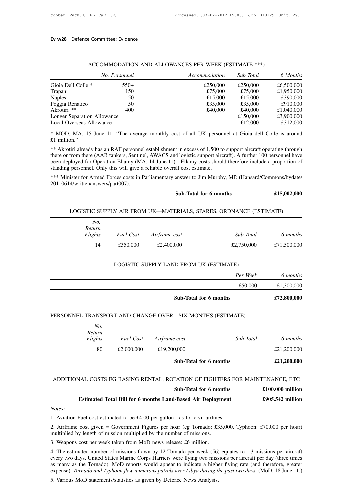|                             |               | ACCOMMODATION AND ALLOWANCES PER WEEK (ESTIMATE ***) |           |            |
|-----------------------------|---------------|------------------------------------------------------|-----------|------------|
|                             | No. Personnel | Accommodation                                        | Sub Total | 6 Months   |
| Gioia Dell Colle *          | $550+$        | £250,000                                             | £250,000  | £6,500,000 |
| Trapani                     | 150           | £75,000                                              | £75,000   | £1,950,000 |
| <b>Naples</b>               | 50            | £15,000                                              | £15,000   | £390,000   |
| Poggia Renatico             | 50            | £35,000                                              | £35,000   | £910,000   |
| Akrotiri **                 | 400           | £40,000                                              | £40,000   | £1,040,000 |
| Longer Separation Allowance |               |                                                      | £150,000  | £3,900,000 |
| Local Overseas Allowance    |               |                                                      | £12,000   | £312,000   |

Longer Separation Allowance<br>
Local Overseas Allowance<br>
\* MOD, MA, 15 June 11: "The average monthly cost of all UK personnel at Gioia dell Colle is around<br>  $\pounds1$  million."<br>
\*\* Akrotiri already has an RAF personnel establis **E12,000** E312,000<br>
\* MOD, MA, 15 June 11: "The average monthly cost of all UK personnel at Gioia dell Colle is around<br>  $\pounds1$  million."<br>
\*\* Akrotiri already has an RAF personnel establishment in excess of 1,500 to suppor \* MOD, MA, 15 June 11: "The average monthly cost of all UK persons £1 million."<br>
\*\* Akrotiri already has an RAF personnel establishment in excess of 1,500 to<br>
there or from there (AAR tankers, Sentinel, AWACS and logistic <sup>\*\*</sup> Akrotiri already has an RAF personnel establishment in excess of 1,500 to support aircraft operating through<br>there or from there (AAR tankers, Sentinel, AWACS and logistic support aircraft). A further 100 personnel ha d logistic support aircraft). A further 100 personnel have<br>
—Ellamy costs should therefore include a proportion of<br>
ull cost estimate.<br> **E15,002,000**<br> **E15,002,000** 

20110614/writtenanswers/part007). Lister for Armed Forces costs in Parliamentary answer to Jim Murphy, MP. (Hansard/Commons/bydate 4/writtenanswers/part007).<br> **Sub-Total for 6 months £15,002,00**<br> **ELOGISTIC SUPPLY AIR FROM UK—MATERIALS, SPARES, ORDNANCE** 

| No.     |                  |               |            |             |
|---------|------------------|---------------|------------|-------------|
| Return  |                  |               |            |             |
| Flights | <b>Fuel Cost</b> | Airframe cost | Sub Total  | 6 months    |
| 14      | £350,000         | £2,400,000    | £2,750,000 | £71,500,000 |

| No.     |           | PERSONNEL TRANSPORT AND CHANGE-OVER-SIX MONTHS (ESTIMATE) |                  |             |
|---------|-----------|-----------------------------------------------------------|------------------|-------------|
|         |           | <b>Sub-Total for 6 months</b>                             |                  | £72,800,000 |
|         |           |                                                           | £50,000          | £1,300,000  |
|         |           |                                                           | Per Week         | 6 months    |
|         |           | LOGISTIC SUPPLY LAND FROM UK (ESTIMATE)                   |                  |             |
| 14      | £350,000  | £2,400,000                                                | £2,750,000       | £71,500,000 |
| r ugnis | ruet Cost | Airframe cost                                             | <i>Sub Toldi</i> | o monins    |

|                          |                  | SUD-TOTAL TOP 6 MONTHS                                                       |           | £72,800,000        |
|--------------------------|------------------|------------------------------------------------------------------------------|-----------|--------------------|
|                          |                  | PERSONNEL TRANSPORT AND CHANGE-OVER-SIX MONTHS (ESTIMATE)                    |           |                    |
| No.<br>Return<br>Flights | <b>Fuel Cost</b> | Airframe cost                                                                | Sub Total | 6 months           |
| 80                       | £2,000,000       | £19,200,000                                                                  |           | £21,200,000        |
|                          |                  | Sub-Total for 6 months                                                       |           | £21,200,000        |
|                          |                  | ADDITIONAL COSTS EG BASING RENTAL, ROTATION OF FIGHTERS FOR MAINTENANCE, ETC |           |                    |
|                          |                  | Sub-Total for 6 months                                                       |           | $£100.000$ million |
|                          |                  | <b>Estimated Total Bill for 6 months Land-Based Air Deployment</b>           |           | £905.542 million   |

# **Estimated Total Bill for 6 months Land-Based Air Deployment**<br>**Estimated Total Bill for 6 months Land-Based Air Deployment**<br>**Estimated Total Bill for 6 months Land-Based Air Deployment**<br>**£905.542 million**

*Notes:*

1. Aviation Fuel cost estimated to be £4.00 per gallon—as for civil airlines.<br>
2. Airframe cost given = Government Figures per hour (eg Tornado: £35,000, Typhoon: £70,000 per hour) multiplied by length of mission multiplie **2.** Sub-Total for 6 months<br>
2. Airframe cost given = Government Figures per hour (eg Tornado: £35,000, Typhoon: £70,000 per hour)<br>
2. Numeron cost given = Government Figures per hour (eg Tornado: £35,000, Typhoon: £70,00 1. Aviation Fuel cost estimated to be  $\text{\pounds}4.00$  per gallon—as for civil airlines.<br>2. Airframe cost given = Government Figures per hour (eg Tornado: £35, multiplied by length of mission multiplied by the number of missi

4. The estimated number of missions flown by 12 Tornado per week (56) equates to 1.3 missions per aircraft every two days. United States Marine Corps Harriers were flying two missions per aircraft per day (three times 1. Aviation Fuel cost estimated to be £4.00 per gallon—as for civil airlines.<br>
2. Airframe cost given = Government Figures per hour (eg Tornado: £35,000, Typhoon: £70,000 per hour)<br>
multiplied by length of mission multipli 1. Aviation Fuel cost estimated to be  $\pm 4.00$  per galion—as for civil airlines.<br>
2. Airframe cost given = Government Figures per hour (eg Tornado: £35,000, Typhoon: £70,000 per hour)<br>
multiplied by length of mission mul 2. Airframe cost given = Government Figures per hour (eg Tornado: £35,000, Typhoon: £70,000 per hour) multiplied by length of mission multiplied by the number of missions.<br>3. Weapons cost per week taken from MoD news rele multiplied by length of mission multiplied by the number of missions.<br>
3. Weapons cost per week taken from MoD news release: £6 million.<br>
4. The estimated number of missions flown by 12 Tornado per week (56) equates to 1.3 3. Weapons cost per week taken from MoD news release: £6 million.<br>4. The estimated number of missions flown by 12 Tornado per week (56)<br>every two days. United States Marine Corps Harriers were flying two miss<br>as many as th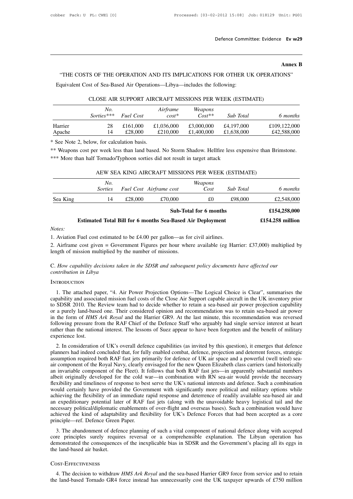# Ev w29<br>**Annex B**<br>DNS"

Defence Committee: Evidence Ev w29<br>Annex B<br>THE COSTS OF THE OPERATION AND ITS IMPLICATIONS FOR OTHER UK OPERATIONS"<br>quivalent Cost of Sea-Based Air Operations—Libya—includes the following: THE COSTS OF THE OPERATION AND ITS IMPLICATIONS FOR OTHER U.<br>Equivalent Cost of Sea-Based Air Operations—Libya—includes the following:<br>CLOSE AIR SUPPORT AIRCRAFT MISSIONS PER WEEK (ESTIM

| Equivalent Cost of Sea-Based Air Operations—Libya—includes the following: |  |  |  |
|---------------------------------------------------------------------------|--|--|--|
|---------------------------------------------------------------------------|--|--|--|

|         |              |                  |            |            | CLOSE AIR SUPPORT AIRCRAFT MISSIONS PER WEEK (ESTIMATE) |              |
|---------|--------------|------------------|------------|------------|---------------------------------------------------------|--------------|
|         | No.          |                  | Airframe   | Weapons    |                                                         |              |
|         | $Sorties***$ | <b>Fuel Cost</b> | $cost^*$   | $Cost**$   | <b>Sub</b> Total                                        | 6 months     |
| Harrier | 28           | £161,000         | £1,036,000 | £3,000,000 | £4,197,000                                              | £109,122,000 |
| Apache  | 14           | £28,000          | £210,000   | £1,400,000 | £1,638,000                                              | £42,588,000  |

| Apache                                                  | 14             | LZO.UUU | LZIU.UUU                | L1,400,000                                                                    | 1,000,000 | L42,300,000                                                                                              |
|---------------------------------------------------------|----------------|---------|-------------------------|-------------------------------------------------------------------------------|-----------|----------------------------------------------------------------------------------------------------------|
| * See Note 2, below, for calculation basis.             |                |         |                         |                                                                               |           |                                                                                                          |
|                                                         |                |         |                         |                                                                               |           | ** Weapons cost per week less than land based. No Storm Shadow. Hellfire less expensive than Brimstone.  |
|                                                         |                |         |                         | *** More than half Tornado/Typhoon sorties did not result in target attack    |           |                                                                                                          |
|                                                         |                |         |                         |                                                                               |           |                                                                                                          |
|                                                         |                |         |                         | AEW SEA KING AIRCRAFT MISSIONS PER WEEK (ESTIMATE)                            |           |                                                                                                          |
|                                                         | No.            |         |                         | Weapons                                                                       |           |                                                                                                          |
|                                                         | <i>Sorties</i> |         | Fuel Cost Airframe cost | Cost                                                                          | Sub Total | 6 months                                                                                                 |
| Sea King                                                | 14             | £28,000 | £70,000                 | £0                                                                            | £98,000   | £2,548,000                                                                                               |
|                                                         |                |         |                         | <b>Sub-Total for 6 months</b>                                                 |           | £154,258,000                                                                                             |
|                                                         |                |         |                         | <b>Estimated Total Bill for 6 months Sea-Based Air Deployment</b>             |           | $£154.258$ million                                                                                       |
| Notes:                                                  |                |         |                         |                                                                               |           |                                                                                                          |
|                                                         |                |         |                         | 1. Aviation Fuel cost estimated to be £4.00 per gallon—as for civil airlines. |           |                                                                                                          |
| length of mission multiplied by the number of missions. |                |         |                         |                                                                               |           | 2. Airframe cost given = Government Figures per hour where available (eg Harrier: £37,000) multiplied by |
|                                                         |                |         |                         |                                                                               |           |                                                                                                          |

# *Notes:*

**Estimated Total Bill for 6 months Sea-Based All Notes:**<br>1. Aviation Fuel cost estimated to be £4.00 per gallon—as for<br>2. Airframe cost given = Government Figures per hour when<br>length of mission multiplied by the number of Notes:<br>
1. Aviation Fuel cost estimated to be £4.00 per gallon—as for civil airlines.<br>
2. Airframe cost given = Government Figures per hour where available (eg Harrier: £37,000) multiplied length of mission multiplied by t 1. Aviation Fuel cost estimated to be £4.00 per gallon—as for civil airlines.<br>
2. Airframe cost given = Government Figures per hour where available (eg Harrier: £37,000) mullength of mission multiplied by the number of mis

# **INTRODUCTION**

1. The attached paper, "4. Air Power Projection Options—The Logical Choice is Clear", summarises the The attached paper, "4. Air Power Projection Options—The Logical Choice is Clear", summarises the pability and associated C. How capability decisions taken in the SDSR and subsequent policy documents have affected our<br>contribution in Libya<br>INTRODUCTION<br>1. The attached paper, "4. Air Power Projection Options—The Logical Choice is Clear", summa C. How capability decisions taken in the SDSR and subsequent policy documents have affected our<br>contribution in Libya<br>INTRODUCTION<br>1. The attached paper, "4. Air Power Projection Options—The Logical Choice is Clear", summa capability and associated mission fuel costs of the Close Air Support capable aircraft in the UK inventory prior<br>to SDSR 2010. The Review team had to decide whether to retain a sea-based air power projection capability<br>or INTRODUCTION<br>1. The attached paper, "4. Air Power Projection Options—The Logical Choice is Clear", summarises the<br>capability and associated mission fuel costs of the Close Air Support capable aircraft in the UK inventory p INTRODUCTION<br>1. The attached paper, "4. Air Power Projection Options—The Logical Choice is Clear", summarises the<br>capability and associated mission fuel costs of the Close Air Support capable aircraft in the UK inventory p 1. The attached paper, "4. Air Power Projection Options—The Logical Choice is Clear", summarises the capability and associated mission fuel costs of the Close Air Support capable aircraft in the UK inventory prior to SDSR capability and association SDSR 2010. The lost of a purely land-base<br>or a purely land-base<br>in the form of *HMS*<br>following pressure from the nation<br>experience lost.<br>2. In consideration 2. In consideration of UK's overall defence capabilities (as invited by this question), it emerges that defence that and independent of UK's and the Harrier GR9. At the last minute, this recommendation was reversed llowing or a purcity fand-based one. Then considered optimon and recommendation was to retain sea-based an power<br>in the form of *HMS Ark Royal* and the Harrier GR9. At the last minute, this recommendation was reversed<br>following pr

assumption required both RAF fast jets primarily for defence of UK air space and the benefit of military experience lost.<br>
2. In consideration of UK's overall defence capabilities (as invited by this question), it emerges Fraction of the Royal Navy, clearly envisaged for the new Queen forgotten and the benefit of military experience lost.<br>
2. In consideration of UK's overall defence capabilities (as invited by this question), it emerges tha Frequence lost.<br>
2. In consideration of UK's overall defence capabilities (as invited by this question), it emerges that defence<br>
planners had indeed concluded that, for fully enabled combat, defence, projection and deterr 2. In consideration of UK's overall defence capabilities (as invited by this question), it emerges that defence<br>planners had indeed concluded that, for fully enabled combat, defence, projection and deterrent forces, strate 2. In consideration of UK's overall defence capabilities (as invited by this question), it emerges that defence planners had indeed concluded that, for fully enabled combat, defence, projection and deterrent forces, strate planners had indeed concluded that, for fully enabled combat, defence, projection and deterrent forces, strategic assumption required both RAF fast jets primarily for defence of UK air space and a powerful (well tried) sea assumption required both RAF fast jets primarily for defence of UK air space and a powerful (well tried) sea-<br>air component of the Royal Navy, clearly envisaged for the new Queen Elizabeth class carriers (and historically<br> air component of the Royal Navy, clearly envisaged for the new Queen Elizabeth class carriers (and historically<br>an invariable component of the Fleet). It follows that both RAF fast jets—in apparently substantial numbers<br>al an invariable component of the Fleet). It follows that both RAF fast jets—in apparently substantial numbers albeit originally developed for the cold war—in combination with RN sea-air would provide the necessary flexibilit albeit originally developed for the cold war—in combination with RN sea-air would provide the necessary flexibility and timeliness of response to best serve the UK's national interests and defence. Such a combination would flexibility and timeliness of response to be<br>would certainly have provided the Govern<br>achieving the flexibility of an immediate r<br>an expeditionary potential later of RAF 1<br>necessary political/diplomatic enablements<br>achieve 3. The abandonment of defence planning of such a vital component of readily available sea-based air and<br>an expeditionary potential later of RAF fast jets (along with the unavoidable heavy logistical tail and the<br>necessary achieving the hexibility of an initial act rapid response and detericted of readily avariable sea-based an and<br>an expeditionary potential later of RAF fast jets (along with the unavoidable heavy logistical tail and the<br>nec

an expeditionally potential fact of KAP fast jets (along with the unavoidable heavy logistical tan and the inecessary political/diplomatic enablements of over-flight and overseas bases). Such a combination would have achie necessary pointeandiplomatic definition<br>achieved the kind of adaptabil<br>principle—ref. Defence Green<br>3. The abandonment of defer<br>core principles surely requir<br>demonstrated the consequences<br>the land-based air basket. Free principles surely requires reversal or a comprehensible explanation. The Libyan operation has<br>monstrated the consequences of the inexplicable bias in SDSR and the Government's placing all its eggs in<br>e land-based air demonstrated the consequences of the inexplicable bias in SDSR and the Government's placing all its eggs in<br>the land-based air basket.<br>COST-EFFECTIVENESS<br>4. The decision to withdraw *HMS Ark Royal* and the sea-based Harri

# Cost-Effectiveness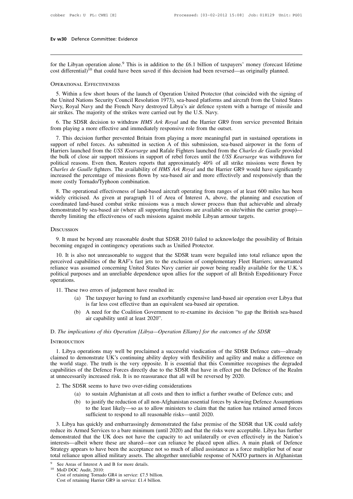**Ev w30** Defence Committee: Evidence<br>
for the Libyan operation alone.<sup>9</sup> This is in addition to the £6.1 billion of taxpayers' money (forecast lifetime<br>
cost differential)<sup>10</sup> that could have been saved if this decision ha Ev w30 Defence Committee: Evidence<br>
for the Libyan operation alone.<sup>9</sup> This is in addition to the £6.1 billion of taxpayers' money (forecast lifetime<br>
cost differential)<sup>10</sup> that could have been saved if this decision had **Ev w30** Defence Committee: Evidence<br>
for the Libyan operation alone.<sup>9</sup> This is<br>
cost differential)<sup>10</sup> that could have been<br>
OPERATIONAL EFFECTIVENESS

The Libyan operation alone.<sup>9</sup> This is in addition to the £6.1 billion of taxpayers' money (forecast lifetime st differential)<sup>10</sup> that could have been saved if this decision had been reversed—as originally planned.<br>
The p for the Libyan operation alone.<sup>9</sup> This is in addition to the £6.1 billion of taxpayers' money (forecast lifetime cost differential)<sup>10</sup> that could have been saved if this decision had been reversed—as originally planned.<br> Navy, Royal Navy and the French Navy destroyed Libya's since of differential)<sup>10</sup> that could have been saved if this decision had been reversed—as originally planned.<br>
OPERATIONAL EFFECTIVENESS<br>
5. Within a few short hours **CONDERATIONAL EFFECTIVENESS**<br> **CONDERATIONAL EFFECTIVENESS**<br> **S.** Within a few short hours of the launch of Operation United Protector (thathe United Nations Security Council Resolution 1973), sea-based platforms and<br>
Nav **EXAMELATE SOLUTE SOLUTE:**<br>
5. Within a few short hours of the launch of Operation United Protector (that coincided with the signing of<br>
8. United Nations Security Council Resolution 1973), sea-based platforms and aircraft 5. Within a few short hours of the launch of Operation United Protector (that coin<br>the United Nations Security Council Resolution 1973), sea-based platforms and aircra<br>Navy, Royal Navy and the French Navy destroyed Libya's 1. United Nations Security Council Resolution 1973), sea-based platforms and aircraft from the United States<br>
1. Novel Navy and the French Navy destroyed Libya's air defence system with a barrage of missile and<br>
1. Strikes

Surface System with a barrage of missile and<br>air strikes. The majority of the strikes were carried out by the U.S. Navy.<br>6. The SDSR decision to withdraw *HMS Ark Royal* and the Harrier GR9 from service prevented Britain<br>f air strikes. The majority of the strikes were carried out by the U.S. Navy.<br>
6. The SDSR decision to withdraw *HMS Ark Royal* and the Harrier GR9 from service prevented Britain<br>
from playing a more effective and immediatel 6. The SDSR decision to withdraw *HMS Ark Royal* and the Harrier GR9 from service prevented Britain<br>from playing a more effective and immediately responsive role from the outset.<br>7. This decision further prevented Britain o. The SDSK decision to wutual *RMS Ark Royal* and the Hartier GK9 from service prevented Britain from playing a more effective and immediately responsive role from the outset.<br>7. This decision further prevented Britain fr *Charles de Gaulle* fighters. The availability of *HMS Ark Royal* and more effectively and responsive is the form of Harriers launched from the *USS Kearsarge* and Rafale Fighters launched from the *Charles de Gaulle* prov 7. This decision further prevented Britain from playing a more meaningful part in sustained operations in support of rebel forces. As submitted in section A of this submission, sea-based airpower in the form of Harriers la support of rebel forces. As submitted in section<br>Harriers launched from the *USS Kearsarge* and R<br>the bulk of close air support missions in support<br>political reasons. Even then, Reuters reports tha<br>*Charles de Gaulle* figh 11 The operational effectiveness of land-based aircraft operating from ranges of at least 600 miles has been dely critical reasons. Even then, Reuters reports that approximately 40% of all strike missions were flown by *sa* the buik of close an support missions in support of rebet forces until the *CSS Reursurge* was withdiawn for political reasons. Even then, Reuters reports that approximately 40% of all strike missions were flown by *Charle* 

pointed reasons. Even then, Rethers reports that approximately 40% of an strike missions were nown by Charles de Gaulle fighters. The availability of *HMS Ark Royal* and the Harrier GR9 would have significantly increased t Charles de Gautie inglues. The availability of *HMS AFK Royal* and the Haffiel GK9 would have significantly increased the percentage of missions flown by sea-based air and more effectively and responsively than the more co increased the percentage of missions flown by sea-based air and more effectively and responsively than the<br>more costly Tornado/Typhoon combination.<br>8. The operational effectiveness of land-based aircraft operating from ran 9. It must be beyond any reasonable doubt that SDSR 2010 failed to acknowledge the possibility of Britain coming engaged in contingency operations such as Unified to acknowledge the possibility of Britain coming engaged in

# **D***ISCUSSION*

thereby limiting the effectiveness of such missions against mobile Libyan armour targets.<br>
DISCUSSION<br>
9. It must be beyond any reasonable doubt that SDSR 2010 failed to acknowledge the possibility of Britain<br>
becoming eng

Exercy limiting the effectiveness of such missions against mobile Libyan armour targets.<br>
10. It must be beyond any reasonable doubt that SDSR 2010 failed to acknowledge the possibility of Britain<br>
10. It is also not unrea DISCUSSION<br>9. It must be beyond any reasonable doubt that SDSR 2010 failed to acknowledge the possibility of Britain<br>becoming engaged in contingency operations such as Unified Protector.<br>10. It is also not unreasonable to DISCUSSION<br>9. It must be beyond any reasonable doubt that SDSR 2010 failed to acknowledge the possibility of Britain<br>becoming engaged in contingency operations such as Unified Protector.<br>10. It is also not unreasonable to 9. It must be beyond any reasonable doubt that SDSR 2010 failed to acknowledge the possibility of Britain becoming engaged in contingency operations such as Unified Protector.<br>10. It is also not unreasonable to suggest tha operations. 10. It is also not unreasonable to suggest that the SDSR<br>reeived capabilities of the RAF's fast jets to the exclusion<br>iance was assumed concerning United States Navy carrie<br>litical purposes and an unreliable dependence upo capabilities of the RAF's fast jets to the exclusion of complementary Fleet Harriers; unwarranted<br>as assumed concerning United States Navy carrier air power being readily available for the U.K.'s<br>urposes and an unreliable Example different concerning United States Navy carrier air power being readily are sand an unreliable dependence upon allies for the support of all British is and an unreliable dependence upon allies for the support of al urposes and an unreliable dependence upon allies for the support of all British Expeditionary Force<br>
(a) The taxpayer having to fund an exorbitantly expensive land-based air operation over Libya that<br>
is far less cost effe

- 11. These two errors of judgement have resulted in:<br>
(a) The taxpayer having to fund an exorbitantly expensive land-based air operation over Libya that<br>
is far less cost effective than an equivalent sea-based air operatio (a) The taxpayer having to fund an exorbitantly expensive land-based air operation over Libya that<br>is far less cost effective than an equivalent sea-based air operation.<br>(b) A need for the Coalition Government to re-examin
	-

# **INTRODUCTION**

1. Libya operations may well be proclaimed a successful vindication of the SDSR Defence cuts—already<br>
1. Libya operations may well be proclaimed a successful vindication of the SDSR Defence cuts—already<br>
1. Libya operation air capability until at least 2020".<br>
D. The implications of this Operation [Libya—Operation Ellamy] for the outcomes of the SDSR<br>
INTRODUCTION<br>
1. Libya operations may well be proclaimed a successful vindication of the SD D. The implications of this Operation [Libya—Operation Ellamy] for the outcomes of the SDSR<br>INTRODUCTION<br>1. Libya operations may well be proclaimed a successful vindication of the SDSR Defence cuts—already<br>claimed to demon D. The implications of this Operation [Libya—Operation Ellamy] for the outcomes of the SDSR<br>
INTRODUCTION<br>
1. Libya operations may well be proclaimed a successful vindication of the SDSR Defence cuts—already<br>
claimed to de INTRODUCTION<br>1. Libya operations may well be proclaimed a successful vindication of the SDSR Det<br>claimed to demonstrate UK's continuing ability deploy with flexibility and agility and m<br>the world stage. The truth is the ve 1. Libya operations may well be proclaimed a successful vindication<br>timed to demonstrate UK's continuing ability deploy with flexibilit<br>e world stage. The truth is the very opposite. It is essential that the<br>pabilities of demonstrate UK's continuing ability deploy with flexibility and agility and make a difference on stage. The truth is the very opposite. It is essential that this Committee recognises the degraded so f the Defence Forces di stage. The truth is the very opposite. It is essential that this Committee recognises the degraded<br>s of the Defence Forces directly due to the SDSR that have in effect put the Defence of the Realm<br>sarily increased risk. It

- 
- the Defence Forces directly due to the SDSR that have in effect put the Defence of the Realm vincreased risk. It is no reassurance that all will be reversed by 2020.<br>
Least like the nation of all costs and then to inflict at unnecessarily increased risk. It is no reassurance that all will be reversed by 2020.<br>
2. The SDSR seems to have two over-riding considerations<br>
(a) to sustain Afghanistan at all costs and then to inflict a further swat

1. The SDSR seems to have two over-riding considerations<br>
(a) to sustain Afghanistan at all costs and then to inflict a further swathe of Defence cuts; and<br>
(b) to justify the reduction of all non-Afghanistan essential for reduce its Armed Services to a bare minimum (until 2020) and that the risks were acceptable. Assumptions to the least likely—so as to allow ministers to claim that the nation has retained armed forces sufficient to respond demonstrated that the UK does not have the capacity to act unilaterally or even effectively and embarrassingly demonstrated the false premise of the SDSR that UK could safely reduce its Armed Services to a bare minimum (un interests—albeit where these are shared—nor can reliance be placed upon allies. A main plank of Defence Sufficient to respond to all reasonable risks—until 2020.<br>3. Libya has quickly and embarrassingly demonstrated the fal to the least intery—so as to allow infinisters to claim that the halton has retained afficient forces sufficient to respond to all reasonable risks—until 2020.<br>3. Libya has quickly and embarrassingly demonstrated the false 3. Libya has quickly and embarrassingly demonstrated the false premise of the SDSR that UK could safely reduce its Armed Services to a bare minimum (until 2020) and that the risks were acceptable. Libya has further demons reduce its Armed services to a bare minimum (the<br>demonstrated that the UK does not have the c<br>interests—albeit where these are shared—nor of<br>Strategy appears to have been the acceptance no<br>total reliance upon allied milit erests—albeit where these are shared—nor can relately appears to have been the acceptance not so mal reliance upon allied military assets. The altogeth See Areas of Interest A and B for more details.<br>MoD DOC Audit, 2010:<br>C

ategy appears to have been the acceptance no<br>al reliance upon allied military assets. The alt<br>See Areas of Interest A and B for more details.<br>MoD DOC Audit, 2010:<br>Cost of retaining Tornado GR4 in service: £7.5 billion.<br>Cos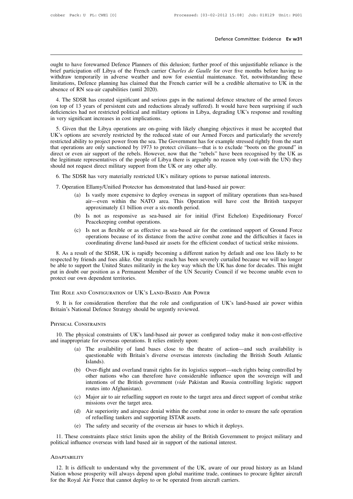**Defence Committee: Evidence Ev w31**<br>
ought to have forewarned Defence Planners of this delusion; further proof of this unjustifiable reliance is the<br>
brief participation off Libya of the French carrier *Charles de Gaulle* **befence Committee: Evidence Ev w31**<br>
bught to have forewarned Defence Planners of this delusion; further proof of this unjustifiable reliance is the<br>
brief participation off Libya of the French carrier *Charles de Gaulle* Defence Committee: Evidence **Ev w31**<br>
wught to have forewarned Defence Planners of this delusion; further proof of this unjustifiable reliance is the<br>
brief participation off Libya of the French carrier *Charles de Gaulle* ought to have forewarned Defence Planners of this delusion; further proof of this unjustifiable reliance is the brief participation off Libya of the French carrier *Charles de Gaulle* for over five months before having to ought to have forewarned Defence Planners of this delusion; further proof of this unjustifiable reliance is the brief participation off Libya of the French carrier *Charles de Gaulle* for over five months before having to ght to have forewarned Defence Planners of this delusion; further proof of this unjustifiable reliance is the<br>effectivation off Libya of the French carrier *Charles de Gaulle* for over five months before having to<br>thdraw t ought to have forewarided Defence Framicis of different charles poor of different charles is the brief participation off Libya of the French carrier *Charles de Gaulle* for over five months before having to withdraw tempor

once participation of Engla of the Friedrical cannot chartes at oddite for over two momits octoc naving to withdraw temporarily in adverse weather and now for essential maintenance. Yet, notwithstanding these limitations, with the emplorative in adverse weather and now<br>limitations, Defence planning has claimed that the Fr<br>absence of RN sea-air capabilities (until 2020).<br>4. The SDSR has created significant and serious ga<br>(on top of 13 years sence of RN sea-air capabilities (until 2020).<br>4. The SDSR has created significant and serious gaps in the national defence structure of the armed forces<br>1 to pof 13 years of persistent cuts and reductions already suffered 4. The SDSR has created significant and serious gaps in the national defence structure of the armed forces<br>(on top of 13 years of persistent cuts and reductions already suffered). It would have been surprising if such<br>defi

From the significant and serious gaps in the national deferred structure of the affiled forces<br>(on top of 13 years of persistent cuts and reductions already suffered). It would have been surprising if such<br>deficiencies had (on top or 15 years or persistent cats and reductions ancady surrecta). It would have been supprising it such<br>deficiencies had not restricted political and military options in Libya, degrading UK's response and resulting<br>i directively induced both and initially options in Eloya, degrading OK's response and resulting<br>in very significant increases in cost implications.<br>5. Given that the Libya operations are on-going with likely changing object the very significant increases in cost implications.<br>
5. Given that the Libya operations are on-going with likely changing objectives it must be accepted that UK's options are severely restricted by the reduced state of ou 5. Given that the Libya operations are on-going with likely changing objectives it must be accepted that UK's options are severely restricted by the reduced state of our Armed Forces and particularly the severely restricte Example is a syphony and severicly restricted by the reduced state of our Affilied Forces and particularly the<br>stricted ability to project power from the sea. The Government has for example stressed rightly from<br>at operati The legitimate representatives of the people of Libya there is arguably no reason why (out-with the UN) they<br>should not request direct military support from the UK or any other ally.<br>6. The SDSR has very materially restric

- (a) The version of the Holess. However, how that the Tebess Trave been recognised by the OK as<br>ate representatives of the people of Libya there is arguably no reason why (out-with the UN) they<br>request direct military suppo epresentatives of the people of Endya there is alguatry no reason wiry (out-with the Civ) they<br>est direct military support from the UK or any other ally.<br>Linear very materially restricted UK's military options to pursue na 6. The SDSR has very materially restricted UK's military options to pursue national interests.<br>
7. Operation Ellamy/Unified Protector has demonstrated that land-based air power:<br>
(a) Is vastly more expensive to deploy over SDSR has very materially restricted UK's military options to pursue national interests.<br>
ition Ellamy/Unified Protector has demonstrated that land-based air power:<br>
(a) Is vastly more expensive to deploy overseas in suppo air—even within the NATO area. This Operation will have cost the British taxpayer<br>approximately £1 billion over a six-month period.<br>(b) Is not as responsive as sea-based air for initial (First Echelon) Expeditionary Force/
	-
	- (a) Is vastly more expensive to deploy overseas in support of military operations than sea-based<br>air—even within the NATO area. This Operation will have cost the British taxpayer<br>approximately £1 billion over a six-month Solution because the NATO area. This Operation will have cost the British taxpayer approximately £1 billion over a six-month period.<br>Is not as responsive as sea-based air for initial (First Echelon) Expeditionary Force/<br>Pe an—vech whilm the TNATO atea. This Operation with have cost the British taxpayer<br>approximately £1 billion over a six-month period.<br>Is not as responsive as sea-based air for initial (First Echelon) Expeditionary Force/<br>Peac

8. (b) Is not as responsive as sea-based air for initial (First Echelon) Expeditionary Force/<br>
9. Peacekeeping combat operations.<br>
(c) Is not as flexible or as effective as sea-based air for the continued support of Ground Friends and foestige and spectral and foestige are sea-based air for the continued support of Ground Force<br>operations because of its distance from the active combat zone and the difficulties it faces in<br>coordinating divers Figure 1.1 Solution is the subset of its distance from the active combat zone and the difficulties it faces in coordinating diverse land-based air assets for the efficient conduct of tactical strike missions.<br>
8. As a resu put in doubt our position as a Permanent Member of the UN Security Council if we become unable even to protect our own dependent territories.<br>
The UN Security Council if we become unable to support the UN Security Council protect our own dependent successors of its unstance from the active combat zone coordinating diverse land-based air assets for the efficient conduction.<br>
8. As a result of the SDSR, UK is rapidly becoming a different nati able to support the United States militarily in the key way which the UK has done for decades. This might<br>t in doubt our position as a Permanent Member of the UN Security Council if we become unable even to<br>btect our own d put in doubt our position as a Permanent Member of the UN Security Council if we become unable even to protect our own dependent territories.<br>THE ROLE AND CONFIGURATION OF UK's LAND-BASED AIR POWER<br>9. It is for considerati protect our own dependent territories.

10. It is for consideration therefore that the role and configuration of UK's land-based air power within<br>
10. The physical Defence Strategy should be urgently reviewed.<br>
10. The physical constraints of UK's land-based air 9. It is for consideration therefore that the role and configuration<br>Britain's National Defence Strategy should be urgently reviewed.<br>PHYSICAL CONSTRAINTS<br>10. The physical constraints of UK's land-based air power as confi<br>

- (a) The availability of land bases close to the theatre of action—and such availability is<br>
(a) The availability of land bases close to the theatre of action—and such availability is<br>
(a) The availability of land bases clo STRAINTS<br>ical constraints of UK's land-based air power as configured today make it non-cost-effective<br>te for overseas operations. It relies entirely upon:<br>The availability of land bases close to the theatre of action—and s Islands). physical constraints of UK's land-based air power as configured today make it non-cost-effective<br>copriate for overseas operations. It relies entirely upon:<br>(a) The availability of land bases close to the theatre of action—
- other interests of order in power as comiglical loday make it hon-cost-chective<br>te for overseas operations. It relies entirely upon:<br>The availability of land bases close to the theatre of action—and such availability is<br>qu The availability of land bases close to the theatre of action—and such availability is questionable with Britain's diverse overseas interests (including the British South Atlantic Islands).<br>
Over-flight and overland transi The availability of land bas<br>questionable with Britain's d<br>Islands).<br>Over-flight and overland transi<br>other nations who can there<br>intentions of the British gove<br>routes into Afghanistan).<br>Major air to air refuelling supp<br>mis (b) Over-flight and overland transit rights for its logistics support—such rights being controlled by other nations who can therefore have considerable influence upon the sovereign will and intentions of the British govern Standas).<br>
Over-flight and overland transit rig<br>
other nations who can therefore<br>
intentions of the British governm<br>
routes into Afghanistan).<br>
Major air to air refuelling support e<br>
missions over the target area.<br>
Air sup (d) Over-ingit and overland transit rights for its logistics support—such rights denig controlled by<br>other nations who can therefore have considerable influence upon the sovereign will and<br>intentions of the British governm of refugees and support and the support and the distributions of the British government (*vide* Pakistan and routes into Afghanistan).<br>Major air to air refuelling support en route to the target amissions over the target ar
- The safety and security and security and security and security and security of the overseas air bases (d) Air superiority and airspace denial within the combat zone in order to ensume of refuelling tankers and supporting I
- 
- 

11. These constraints place strict limits upon the ability of the national interest.<br>
11. These constraints place strict limits upon the ability of the British Government to project military and<br>
11. These constraints plac missions over the target area.<br>
(d) Air superiority and airspace denial within the combat zone in order to er of refuelling tankers and supporting ISTAR assets.<br>
(e) The safety and security of the overseas air bases to whi

# **ADAPTABILITY**

(c) The sately and seeding of the overseas an bases to which it deploys.<br>
11. These constraints place strict limits upon the ability of the British Government to project military and<br>
12. It is difficult to understand why 11. These constraints place strict limits upon the ability of the British Government to project military and political influence overseas with land based air in support of the national interest.<br>ADAPTABILITY<br>12. It is diff For the Royal Air Force that cannot deploy to or be operated from aircraft carriers.<br>
The Royal Air Force that cannot deploy to or be operated from aircraft carriers.<br>
The Royal Air Force that cannot deploy to or be operat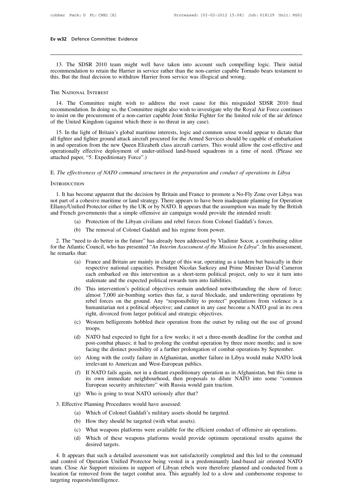w<sup>32</sup> Defence Committee: Evidence<br>
13. The SDSR 2010 team might well have taken into account such compelling logic. Their initial<br>
13. The SDSR 2010 team might well have taken into account such compelling logic. Their init For WERE COMMITTED EVIDENCIAL SURFACT THE SURFACT THE SURFACT THAN THE SURFACT THAN THE SURFACT THAN THE TORONOM THAN THE TORONOM THAN THE TORONOM CHE TO THAN THE TORONOM CHE TO THE SURFACT THAN THE TORONOM CHE TO THE SURF Ev w32 Defence Committee: Evidence<br>
13. The SDSR 2010 team might well have taken into account such compelling l<br>
recommendation to retain the Harrier in service rather than the non-carrier capable Tornadc<br>
this. But the fi

13. The SDSR 2010 team might well have taken into account such compelling logic. Their initial<br>commendation to retain the Harrier in service rather than the non-carrier capable Tornado bears testament to<br>s. But the final d recommendation to retain the Harrier in service rather than the non-carrier capable Tornado bears testament to<br>this. But the final decision to withdraw Harrier from service was illogical and wrong.<br>THE NATIONAL INTEREST<br>14 this. But the final decision to withdraw Harrier from service was illogical and wrong.<br>THE NATIONAL INTEREST<br>14. The Committee might wish to address the root cause for this misguided SDSR 2010 final<br>recommendation. In doin THE NATIONAL INTEREST<br>14. The Committee might wish to address the root cause for the<br>recommendation. In doing so, the Committee might also wish to investigate<br>to insist on the procurement of a non-carrier capable Joint Str IF NATIONAL INTEREST<br>
14. The Committee might wish to address the root cause for this misguided SDSR 2010 final<br>
commendation. In doing so, the Committee might also wish to investigate why the Royal Air Force continues<br>
in

14. The Committee might wish to address the root cause for this misguided SDSR 2010 final<br>recommendation. In doing so, the Committee might also wish to investigate why the Royal Air Force continues<br>to insist on the procure From the new Columbus and the new Committee might who contained the new streams instanced DDSR 2010 minds to investigate why the Royal Air Force continues to insist on the procurement of a non-carrier capable Joint Strike operationally effective deployment of under-utilised land-based squadrons in a time of need. (Please see attached paper, "5. Expeditionary Force".) attached paper, "5. Expeditionary Force".<br>
The application (against which there is no<br>
15. In the light of Britain's global maritime int<br>
all fighter and fighter ground attack aircraft procurin<br>
in and operation from the n 15. In the light of Britain's global maritime interests, logic and common sense would appear to dictate that all fighter and fighter ground attack aircraft procured for the Armed Services should be capable of embarkation i

# **INTRODUCTION**

1. It has become apparent that the decision by Britain and France to promote a No-Fly Zone over Libya<br>
1. It has become apparent that the decision by Britain and France to promote a No-Fly Zone over Libya was<br>
1. It has be E. The effectiveness of NATO command structures in the preparation and conduct of operations in Libya<br>
INTRODUCTION<br>
1. It has become apparent that the decision by Britain and France to promote a No-Fly Zone over Libya was E. The effectiveness of NATO command structures in the preparation and conduct of operations in Libya<br>INTRODUCTION<br>1. It has become apparent that the decision by Britain and France to promote a No-Fly Zone over Libya was<br>n E. The effectiveness of NATO command structures in the preparation and conduct of operations in Liby<br>
INTRODUCTION<br>
1. It has become apparent that the decision by Britain and France to promote a No-Fly Zone over Lib<br>
not p TION<br>
become apparent that the decision by Britain and France to promote a No-Fly Zone over Lib<br>
a cohesive maritime or land strategy. There appears to have been inadequate planning for Op<br>
ified Protector either by the UK become apparent that the decision by Britain and France to promote a l'<br>a cohesive maritime or land strategy. There appears to have been inade<br>uified Protector either by the UK or by NATO. It appears that the assump<br>a gove

- 
- 

2. The "need to do better in the future" has already been madequate planning for Operation lamy/Unified Protector either by the UK or by NATO. It appears that the assumption was made by the British d French governments tha Ellamy/Unihed Protector either by the UK or by NATO. It appears that the assumption was made by the British<br>and French governments that a simple offensive air campaign would provide the intended result:<br>(a) Protection of t and French governmen<br>
(a) Protect<br>
(b) The remarks that:<br>
2. The "need to do I<br>
for the Atlantic Councine<br>
he remarks that:<br>
(a) France

- (a) Frotection of the Libyan civilians and rebel forces from Colonel Gaddafi s forces.<br>
(b) The removal of Colonel Gaddafi and his regime from power.<br>
ineed to do better in the future" has already been addressed by Vladimi The removal of Colonel Gaddafi and his regime from power.<br>
to do better in the future" has already been addressed by Vladimir Socor, a contributing editor<br>
Council, who has presented "*An Interim Assessment of the Mission* to do better in the future" has already been addressed by Vladimir Socor, a contributing editor<br>Council, who has presented "An Interim Assessment of the Mission In Libya". In his assessment,<br>France and Britain are mainly i to do better in the future" has already been addressed by Vladimir Sc<br>Council, who has presented "An Interim Assessment of the Mission In i<br>
:<br>
France and Britain are mainly in charge of this war, operating as a tan<br>
resp (a) France and Britain are mainly in charge of this war, operating as a tandem but basically in their respective national capacities. President Nicolas Sarkozy and Prime Minister David Cameron each embarked on this interve
- France and Britain are mainly in charge of this war, operating as a tandem but basically in their respective national capacities. President Nicolas Sarkozy and Prime Minister David Cameron each embarked on this interventio France and Britain are mainly in charge of this war, operating as a tandem but basically in their respective national capacities. President Nicolas Sarkozy and Prime Minister David Cameron each embarked on this interventio respective national capacities. President Nicolas Sarkozy and Prime Minister David Cameron<br>each embarked on this intervention as a short-term political project, only to see it turn into<br>stalemate and the expected political each embarked on this intervention as a short-term political pro-<br>stalemate and the expected political rewards turn into liabilities.<br>This intervention's political objectives remain undefined notwith<br>almost 7,000 air-bombi (b) This intervention's political objectives remain undefined notwithstanding the show of force:<br>almost 7,000 air-bombing sorties thus far, a naval blockade, and underwriting operations by<br>rebel forces on the ground. Any " (d) The difference of the ground. Any "responsibility to protect" populations from violence is a humanitarian not a political objective; and cannot in any case become a NATO goal in its own right, divorced from larger poli
- troops.
- post-combat phases; it had to prolong the combat phases; it set a three-month deadline for the combat phases; we<br>stern belligerents hobbled their operation from the outset by ruling out the use of ground<br>troops.<br>NATO had e manifiant mot a pointed objective, and calling the distinct possible a twitted goal in its own<br>right, divorced from larger political and strategic objectives.<br>Western belligerents hobbled their operation from the outset by (c) Western belligerents hobbled their operation from the outset by ruling out the use of ground troops.<br>
(d) NATO had expected to fight for a few weeks; it set a three-month deadline for the combat and post-combat phases; From the american shooted that operation from the designed<br>troops.<br>NATO had expected to fight for a few weeks; it set a thr<br>post-combat phases; it had to prolong the combat operatif<br>acing the distinct possibility of a furt
- 
- (d) NATO had expected to fight for a few weeks; it set a three-month deadline for the combat and post-combat phases; it had to prolong the combat operation by three more months; and is now facing the distinct possibility o From the distinct phases; it had to prolong the combat operation by three more months; and is now<br>facing the distinct possibility of a further prolongation of combat operations by September.<br>Along with the costly failure i Fracing the distinct possibility of a further prolongation of combat operation is facing the distinct possibility of a further prolongation of combat oper<br>Along with the costly failure in Afghanistan, another failure in Li (e) Along with the costly failure in Afghanistan, another failur irrelevant to American and West-European publics.<br>
(f) If NATO fails again, not in a distant expeditionary operation its own immediate neighbourhood, then pr Irrelevant to American and west-European puble<br>
(f) If NATO fails again, not in a distant expeditiona<br>
its own immediate neighbourhood, then prop<br>
European security architecture" with Russia wor<br>
(g) Who is going to treat (f) If NATO fails again, not in a distant expeditionary operation as in A<br>its own immediate neighbourhood, then proposals to dilute NA<br>European security architecture" with Russia would gain traction.<br>(g) Who is going to tr European security architecture" with Russia would ga<br>(g) Who is going to treat NATO seriously after that?<br>tive Planning Procedures would have assessed:<br>(a) Which of Colonel Gaddafi's military assets should be<br>(b) How they
	-
- -
	-
	-
- (g) Who is going to treat NATO seriously after that?<br>
tive Planning Procedures would have assessed:<br>
(a) Which of Colonel Gaddafi's military assets should be targeted.<br>
(b) How they should be targeted (with what assets).<br> (a) Which of Colonel Gaddafi's military assets should be targeted.<br>
(b) How they should be targeted (with what assets).<br>
(c) What weapons platforms were available for the efficient conduct of offensive air operations.<br>
(d) Planning Procedures<br>Which of Colonel G<br>How they should be<br>What weapons platfor<br>Which of these weak<br>desired targets.<br>that such a detailed

4. It appears that such a detailed assessment was not satisfactorily completed and this led to the command<br>
4. It appears that such a detailed assessment was not satisfactorily completed and this led to the command<br>
4. It and control of Mow they should be targeted (with what assets).<br>
(c) What weapons platforms were available for the efficient conduct of offensive air operations.<br>
(d) Which of these weapons platforms would provide optimum o (c) What weapons platforms were available for the efficient conduct of offensive air operations.<br>
(d) Which of these weapons platforms would provide optimum operational results against the desired targets.<br>
4. It appears t (d) Which of these weapons platforms would provide optimum operational results against the desired targets.<br>4. It appears that such a detailed assessment was not satisfactorily completed and this led to the command and con (a) Which of these desired targets.<br>
4. It appears that such a det<br>
and control of Operation Unitelligence.<br>
Ication far removed from the<br>
targeting requests/intelligence.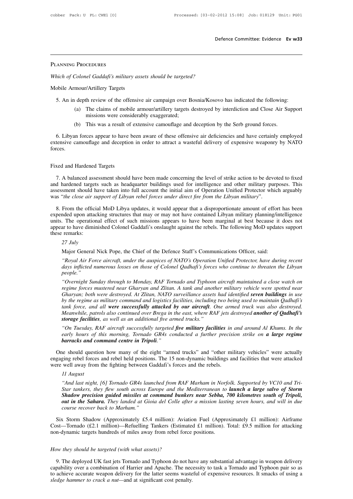# Planning Procedures

*Which of Colonel Gaddafi's military assets should be targeted?* PLANNING PROCEDURES<br>
Which of Colonel Gaddafi's military asse<br>
Mobile Armour/Artillery Targets<br>
5. An in depth review of the offensive

- Find the of Colonel Gaddafi's military assets should be targeted?<br>
S. An in depth review of the offensive air campaign over Bosnia/Kosovo has indicated the following:<br>
(a) The claims of mobile armour/artillery targets dest (a) The claims of mobile armour/artillery targeted?<br>
(a) The claims of mobile armour/artillery targets destroyed by interdiction and Close Air Support<br>
(a) The claims of mobile armour/artillery targets destroyed by interdi vel Gaddafi's military assets should be targeted<br>
"Artillery Targets"<br>
th review of the offensive air campaign over B<br>
The claims of mobile armour/artillery targets c<br>
missions were considerably exaggerated;<br>
This was a re mour/Artillery Targets<br>
(a) the offensive air campaign over Bosnia/Kosovo has indicated the following:<br>
(a) The claims of mobile armour/artillery targets destroyed by interdiction and Close Air Su<br>
missions were considerab
	-

6. An in depth review of the offensive air campaign over Bosnia/Kosovo has indicated the following:<br>
(a) The claims of mobile armour/artillery targets destroyed by interdiction and Close Air Support<br>
missions were consider extensive camouflage and extensive camouflage and deception and Close Air Support<br>
issions were considerably exaggerated;<br>
(b) This was a result of extensive camouflage and deception by the Serb ground forces.<br>
6. Libyan f forces. Fixed and Hardened Targets<br>Tixed and Hardened Targets<br>7. A balanced assessment should h

7. A balanced assessment should have been made concerning the level of strike action to be devoted to fixed and Hardened Targets<br>7. A balanced assessment should have been made concerning the level of strike action to be de Fixed and Hardened Targets<br>
7. A balanced assessment should have been made concerning the level of strike action to be devoted to fixed<br>
and hardened targets such as headquarter buildings used for intelligence and other mi Fixed and Hardened Targets<br>
7. A balanced assessment should have been made concerning the level of strike action to be devoted to fixed<br>
and hardened targets such as headquarter buildings used for intelligence and other mi Fixed and Hardened Targets<br> *T*. A balanced assessment should have been made concerning the level of strike action to be deve<br>
and hardened targets such as headquarter buildings used for intelligence and other military pur 1. A balanced assessment should have been made concerning the level of strike action to be devoted to fixed<br>
1. A balanced targets such as headquarter buildings used for intelligence and other military purposes. This<br>
1. S

7. A balanced assessment should have been made concerning the level of strike action to be devoted to fixed<br>and hardened targets such as headquarter buildings used for intelligence and other military purposes. This<br>assessm and hardened targets such as headquarter buildings used for intelligence and other military purposes. This<br>assessment should have taken into full account the initial aim of Operation Unified Protector which arguably<br>was " assessment should have taken into full account the initial aim of Operation Unified Protector which arguably<br>was "*the close air support of Libyan rebel forces under direct fire from the Libyan military*".<br>8. From the offi was "*the close air st*<br>8. From the official<br>expended upon attace<br>units. The operation<br>appear to have dimin<br>these remarks:<br>27 July 8. From the official MoD Libya updates, it would appear that a disproportionate amount of effort has been expended upon attacking structures that may or may not have contained Libyan military planning/intelligence units. T units. The operational effect of such missions appears to have been marginal at best because it does not<br>appear to have diminished Colonel Gaddafi's onslaught against the rebels. The following MoD updates support<br>these rem

*The operational effect of such missions appears to have been marginal at best because it does not ar to have diminished Colonel Gaddafi's onslaught against the rebels. The following MoD updates support remarks:*<br> *27 July days influenced numerous losses on those of Colonel Qadhafi's continue to the following MoD updates support*<br> *days influenced Nick Pope, the Chief of the Defence Staff's Communications Officer, said:*<br> *days inflicted nu people." 27 July*<br>
Major General Nick Pope, the Chief of the Defence Staff's Communications Officer, said:<br>
"Royal Air Force aircraft, under the auspices of NATO's Operation Unified Protector, have during recent<br>
days inflicted nu

*Major General Nick Pope, the Chief of the Defence Staff's Communications Officer, said:*<br> *"Royal Air Force aircraft, under the auspices of NATO's Operation Unified Protector, have during recent*<br> *days inflicted numerous Gharyan; botherar tried 1 epet, and entired transpices of NATO's Operation Unified Protector, have during recent* days inflicted numerous losses on those of Colonel Qadhafi's forces who continue to threaten the Libyan peo *bayal Air Force aircraft, under the auspices of NATO's Operation Unified Protector, have during recent*<br>days inflicted numerous losses on those of Colonel Qadhafi's forces who continue to threaten the Libyan<br>people."<br>"Ove *tangus inflicted numerous losses on those of Colonel Qadhafi's forces who continue to threaten the Libyan*<br>people."<br>"Overnight Sunday through to Monday, RAF Tornado and Typhoon aircraft maintained a close watch on<br>regime *Meanwhile, Wernight Sunday through to Monday, RAF Tornado and Typhoon aircraft maintained a close watch on* regime forces mustered near Gharyan and Zlitan. A tank and another military vehicle were spotted near Gharyan; bo *Storage facilities* and a model in the and *Sphoon* aircraft maintained a close watch on regime forces mustered near Gharyan and Zlitan. A tank and another military vehicle were spotted near Gharyan; both were destroyed. *regime forces mustered near Gharyan and Zlitan. A tank and another military vehicle were spotted near Gharyan; both were destroyed. At Zlitan, NATO surveillance assets had identified seven buildings in use by the regime Gharyan; both were destroyed. At Zlitan, NATO surveillance assets had identified seven buildings in use* by the regime as military command and logistics facilities, including two being used to maintain Qadhafi's tank forc

early hours of this morning, Tornado GR4s conducted a further precision strike on **a large regime**<br>**barracks and command centre in Tripoli**."<br>One should question how many of the eight "armed trucks" and "other military veh

Meanwhile, patrols also continued over Brega in the east, where RAF jets destroyed **another of Qadhafi's**<br>storage facilities, as well as an additional five armed trucks."<br>"On Tuesday, RAF aircraft successfully targeted fiv storage facilities, as well as an additional five armed trucks."<br>
"On Tuesday, RAF aircraft successfully targeted five military facilities in and around Al Khums. In the<br>
early hours of this morning, Tornado GR4s conducted "On Tuesday, RAF aircraft successfully targeted **five military facilities** in early hours of this morning, Tornado GR4s conducted a further precisi **barracks and command centre in Tripoli**."<br>One should question how many of *11 August 12 August*<br>*11 August*<br>*11 August*<br>*11 August*<br>*<sup>4</sup> And last night*, *And distings and command center in Tripoli.*<br> *And last night is and rebel held positions.* The 15 non-dynamic buildings and facilities that were attacked<br> *Well away from the fighting between Gaddafi's forces and the reb* 

*Star tankers, they flexers, they flexers, the sight "armed trucks"* and "other military vehicles" were actually eing rebel forces and rebel held positions. The 15 non-dynamic buildings and facilities that were attacked we *Shadow precision now many of an exigmal and south and south and south and south and facilities that were attacked* well away from the fighting between Gaddafi's forces and the rebels.<br> *II August*<br> *Shadow fight,* [6] *To out in the Sahara. The Sahara in the Sahara in Norfolk. Supported by VC10 and Tri-<br><sup><i>And last night,* [6] *Tornado GR4s launched from RAF Marham in Norfolk. Supported by VC10 and Tri-*<br>*Star tankers, they flew south acros*</sup> *course away from the figuring sevident data ii CH Angust*<br> *course and last night,* [6] *Tornado GRAs launched f*<br> *Star tankers, they flew south across Europe*<br> **Shadow precision guided missiles at commature of the Sah** "And last night, [6] Tornado GR4s launched from RAF Marham in Norfolk. Supported by VC10 and Tri-<br>Star tankers, they flew south across Europe and the Mediterranean to **launch a large salvo of Storm**<br>**Shadow precision guide** Star tankers, they flew south across Europe and the Mediterranean to **launch a large salvo of Storm**<br> **Shadow precision guided missiles at command bunkers near Sebha, 700 kilometres south of Tripoli,**<br>
out in the Sahara. T Shadow precision guided missiles at command bunkers near Sebha, '<br>
out in the Sahara. They landed at Gioia del Colle after a mission lastic<br>
course recover back to Marham."<br>
Six Storm Shadow (Approximately £5.4 million): A

*How the Hecover back to mamam.*<br>
Six Storm Shadow (Approximately £5.4 million): Avia<br>
Cost—Tornado (£2.1 million)—Refuelling Tankers (Estima<br>
non-dynamic targets hundreds of miles away from rebel for<br>
How they should be t

9. The deployed UK fast jets Tornado and Typhoon do not have any substantial advantage in weapon delivery<br>9. The deployed UK fast jets Tornado and Typhoon do not have any substantial advantage in weapon delivery<br>9. The dep For a combination of Harrier and Apache.<br>
How they should be targeted (with what assets)?<br>
9. The deployed UK fast jets Tornado and Typhoon do not have any substantial advantage in weapon delivery<br>
capability over a combin How they should be targeted (with what assets)?<br>9. The deployed UK fast jets Tornado and Typhoon do not have any substantial advantage in weapon delivery<br>capability over a combination of Harrier and Apache. The necessity t *How they should be targeted (with what assets)?*<br>9. The deployed UK fast jets Tornado and Typhoon do not ha<br>capability over a combination of Harrier and Apache. The nec<br>to achieve accurate weapon delivery for the latter s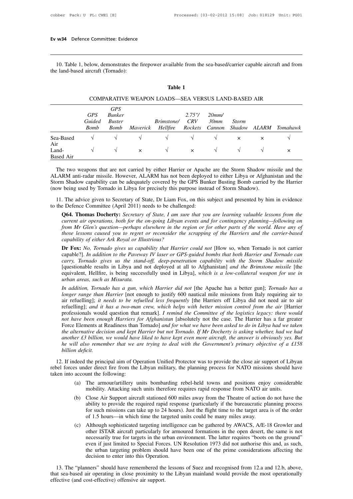10. Table 1, below, demonstrates the firepower available from the sea-based/carrier capable aircraft and from the land-based aircraft (Tornado): Ev w34 Defence Committee: Evidence<br>10. Table 1, below, demonstrates the 1<br>the land-based aircraft (Tornado): Final Table from the set the set of the set of the set of the set of the set of the set of the set of the set of the set of the set of the set of the set of the set of the set of the set of the set of the set of the set of

|                                  |                                     |                                                      |          | <b>Table 1</b>                                     |                           |                         |                        |          |          |
|----------------------------------|-------------------------------------|------------------------------------------------------|----------|----------------------------------------------------|---------------------------|-------------------------|------------------------|----------|----------|
|                                  |                                     |                                                      |          | COMPARATIVE WEAPON LOADS—SEA VERSUS LAND-BASED AIR |                           |                         |                        |          |          |
|                                  | <b>GPS</b><br>Guided<br><b>Bomb</b> | <b>GPS</b><br><b>Bunker</b><br><b>Buster</b><br>Bomb | Maverick | <i>Brimstone/</i><br>Hellfire                      | 2.75''/<br>CRV<br>Rockets | 20mm/<br>30mm<br>Cannon | <b>Storm</b><br>Shadow | ALARM    | Tomahawk |
| Sea-Based                        | V                                   | $\sqrt{ }$                                           | V        | V                                                  | V                         | V                       | $\times$               | $\times$ |          |
| Air<br>Land-<br><b>Based Air</b> | $\sqrt{ }$                          | $\sqrt{ }$                                           | $\times$ | $\sqrt{ }$                                         | $\times$                  | $\sqrt{}$               | $\sqrt{ }$             | V        | $\times$ |

Land-<br>
The two weapons that are not carried by either Harrier or Apache are the Storm Shadow missile and the<br>
ALARM anti-radar missile. However, ALARM has not been deployed to either Libya or Afghanistan and the<br>
Storm Sh ALARM anti-radar missile. However, ALARM has not been deployed to either Libya or Afghanistan and the Air<br>
Land-<br>
Storm Shadow capability can be adequately covered by the GPS Bunker Busting Bomb carried by the Harrier<br>
Storm Shadow capability can be adequately covered by the GPS Bunker Busting Bomb carried by the Harrier<br> The two weapons that are not carried by either Harrier or Apache are the Storm Shadow missile and the ALARM anti-radar missile. However, ALARM has not been deployed to either Libya or Afghanistan and the Storm Shadow capab The two weapons that are not carried by either Harrier or Apache are the Storm Shadow missile and the LARM anti-radar missile. However, ALARM has not been deployed to either Libya or Afghanistan and the orm Shadow capabili RM anti-radar missile. However, ALARM has not been deployed to either Libya or Afghanistan and the<br>In Shadow capability can be adequately covered by the GPS Bunker Busting Bomb carried by the Harrier<br>being used by Tornado

The advice given to Secretary of State, Dr Liam Fox, on this subject and presented by him in evidence<br>to the Defence Committee (April 2011) needs to be challenged:<br>**Q64. Thomas Docherty:** Secretary of State, I am sure that

*current air operations, both for the on-going Libyan events and form Shadow).*<br> *current advice given to Secretary of State, Dr Liam Fox, on this subject and presented by him in evidence*<br> *current air operations, both fo f* being used by Tornado in Libya for precisely this purpose instead of Storm Shadow).<br> *From Area divice given to Secretary of State, Dr Liam Fox, on this subject and presented by him in evidence*<br> *From Area Committee the advice given to Secretary of State, Dr Liam Fox, on this subject and presented by him in evidence*<br> *the Defence Committee (April 2011) needs to be challenged:*<br> **Q64. Thomas Docherty:** *Secretary of State, I am sure* Free advice given to Secretary of State, Dr Liam Fox,<br> *c* Defence Committee (April 2011) needs to be challeng<br> **Q64. Thomas Docherty:** *Secretary of State, I am sure*<br> *current air operations, both for the on-going Libyan* **Q64. Thomas Docherty:** *Secretary of State, I am sure that you are learning valuable lessons from the current air operations, both for the on-going Libyan events and for contingency planning—following on from Mr Glen's qu* **Q64. Thomas Docherty:** *Secretary of State, I am sure that you are learning valuable lessons from the current air operations, both for the on-going Libyan events and for contingency planning—following on from Mr Glen's qu* 

*current air operations, both for the on-going Libyan events and for contingency planning—following on*<br>*from Mr Glen's question—perhaps elsewhere in the region or for other parts of the world. Have any of*<br>*those lessons* from Mr Glen's question—perhaps elsewhere in the region or for other parts of the world. Have any of<br>those lessons caused you to regret or reconsider the scrapping of the Harriers and the carrier-based<br>capability of either those lessons caused you to regret or reconsider the scrapping of the Harriers and the carrier-based<br>capability of either Ark Royal or Illustrious?<br>**Dr Fox:** No, Tornado gives us capability that Harrier could not [How so, *capability of either Ark Royal or Illustrious?*<br> **Dr Fox:** *No, Tornado gives us capability that Harrier could not* [How so, when Tornado is not carrier capable?]. *In addition to the Paveway IV laser or GPS-guided bombs* **Dr Fox:** *No, Tornado gives us capability that Harrier could not* [How so, when Tornado is not carrier capable?]. *In addition to the Paveway IV laser or GPS-guided bombs that both Harrier and Tornado can carry, <i>Tornado* capable?]. *In addition to the Paveway IV laser or GPS-guided bombs that both Harrier and Tornado can* carry, *Tornado gives us the stand-off*, *deep-penetration capability with the Storm Shadow missile* [questionable resu

carry, Tornado gives us the stand-off, deep-penetration capability with the Storm Shadow missile [questionable results in Libya and not deployed at all to Afghanistan] and the Brimstone missile [the equivalent, Hellfire, i [questionable results in Libya and not deployed at all to Afghanistan] *and the Brimstone missile* [the equivalent, Hellfire, is being successfully used in Libya], *which is a low-collateral weapon for use in urban areas* equivalent, Hellfire, is being successfully used in Libya], which is a low-collateral weapon for use in<br>urban areas, such as Misurata.<br>In addition, Tornado has a gun, which Harrier did not [the Apache has a better gun]; To *in* and an areas, such as Misurata.<br>*In addition, Tornado has a gun, which Harrier did not* [the Apache has a better gun]; *Tornado has a longer range than Harrier* [not enough to justify 600 nautical mile missions from In addition, Tornado has a gun, which Harrier did not [the Apache has a better gun]; Tornado has a longer range than Harrier [not enough to justify 600 nautical mile missions from Italy requiring air to air refuelling]; *i the alternative decision and kept Harrier but not Tornado. If Mr Docherty is primary of every which helps with better missions from Italy requiring air to air refuelling]; <i>it needs to be refuelled less frequently* [the H *air refuelling]; it needs to be refuelled less frequently* [the Harriers off Libya did not need air to air refuelling]; and it has a two-man crew, which helps with better mission control from the air [Harrier professional *he* frequaling]; and it has a two-man crew, which helps with better mission control from the air [Harrier professionals would question that remark]. *I remind the Committee of the logistics legacy: there would not have be* refuelling]; and it has a two-man crew, which helps with better mission control from the air [Harrier professionals would question that remark]. *I remind the Committee of the logistics legacy: there would not have been en* 12. If indeed the principal aim of Operation Unified Protector was to provide the close air support of Libyan Mad we taken<br>the alternative decision and kept Harrier but not Tornado. If Mr Docherty is asking whether, had we the alternative decision and kept Harrier but not Tornado. If Mr Docherty is asking whether, had we had<br>another f.3 billion, we would have liked to have kept even more aircraft, the answer is obviously yes. But<br>he will als

rebel forces under direct fire from the Libyan military, the planning process for NATO missions should have taken into account the following:<br>
(a) The armour/artillery units bombarding rebel-held towns and positions enjoy (a) The armour/artillery units bombarding rebel-held towns and position do not have the armour/artillery units bombarding rebel-held towns and positions enjoy considerable mobility. Attacking such units bombarding rebel-h

- 
- (b) Close Air Support aircraft stationed 600 miles away from the Theatre of action do not have the ability to provide the required rapid response (particularly if the bureaucratic planning process deed the principal aim of Operation Unified Protector was to provide the close air support of Libyan<br>s under direct fire from the Libyan military, the planning process for NATO missions should have<br>account the following:<br>( able direct fire from the Libyan military, the planning process for NATO missions should have unt the following:<br>The armour/artillery units bombarding rebel-held towns and positions enjoy considerable mobility. Attacking s For such missions can take up to 24 hours). The armour/artillery units bombarding rebel-held towns and positions enjoy considerable mobility. Attacking such units therefore requires rapid response from NATO air units.<br>Clos The armour/artillery units bombarding rebel-held towns and positions enjom mobility. Attacking such units therefore requires rapid response from NATO air Close Air Support aircraft stationed 600 miles away from the Theatre (b) Close Air Support aircraft stationed 600 miles away from the Theatre of action do not have the ability to provide the required rapid response (particularly if the bureaucratic planning process for such missions can tak
- The Air Support aircraft stationed 600 miles away from the Theatre of action do not have the ability to provide the required rapid response (particularly if the bureaucratic planning process for such missions can take up t Close Air Support aircraft stationed 600 miles away from the Theatre of action do not have the ability to provide the required rapid response (particularly if the bureaucratic planning process for such missions can take up ability to provide the required rapid response (particularly if the bureaucratic planning process<br>for such missions can take up to 24 hours). Just the flight time to the target area is of the order<br>of 1.5 hours—in which ti for such missions can take up to 24 hours). Just the flight time to the target area is of the order of 1.5 hours—in which time the targeted units could be many miles away.<br>Although sophisticated targeting intelligence can of 1.5 hours—in which time the targeted units could be many miles away.<br>
(c) Although sophisticated targeting intelligence can be gathered by AWACS, A/E-18 Growler and<br>
other ISTAR aircraft particularly for armoured format 13. The "planners" should have remembered the lessons of Suez and recognised from 12.a and 12.b, above, the same is not decision to enter into this Operal Forces. UN Resolution 1973 did not authorise this and, as such, the that sea-based air operating in close proximity to the Libyan mainland would provide the most operation.<br>
13. The "planners" should have been one of the prime considerations affecting the decision to enter into this Operat

even if just limited to Special Force<br>
even if just limited to Special Force<br>
the urban targeting problem shoule<br>
decision to enter into this Operation<br>
13. The "planners" should have remembered the<br>
that sea-based air ope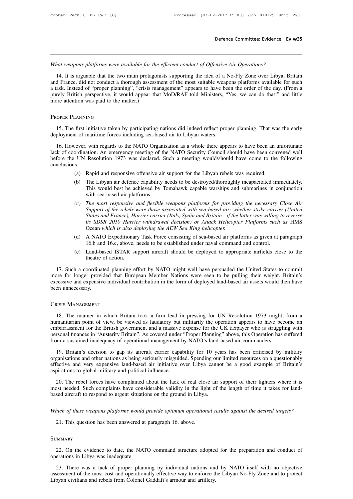*Defence Committee: Evidence Ev w35*<br>*What weapons platforms were available for the efficient conduct of Offensive Air Operations?*<br>14. It is arguable that the two main protagonists supporting the idea of a No-Fly Zone ove 14. It is arguable that the two main protagonists supporting the idea of a No-Fly Zone over Libya, Britain<br>14. It is arguable that the two main protagonists supporting the idea of a No-Fly Zone over Libya, Britain<br>14. It i What weapons platforms were available for the efficient conduct of Offensive Air Operations?<br>14. It is arguable that the two main protagonists supporting the idea of a No-Fly Zone over Libya, Britain<br>14. It is arguable tha What weapons platforms were available for the efficient conduct of Offensive Air Operations?<br>14. It is arguable that the two main protagonists supporting the idea of a No-Fly Zone over Libya, Britain<br>and France, did not co What weapons platforms were available for the efficient conduct of Offensive Air Operations?<br>14. It is arguable that the two main protagonists supporting the idea of a No-Fly Zone over Libya, Britain<br>14. It is arguable tha What weapons platforms were available for th<br>14. It is arguable that the two main protage<br>and France, did not conduct a thorough assess<br>a task. Instead of "proper planning", "crisis m<br>purely British perspective, it would a purely British perspective, it would appear that MoD/RAF told Ministers, "Yes, we can do that!" and little more attention was paid to the matter.)<br>
PROPER PLANNING<br>
15. The first initiative taken by participating nations d

purely British perspective, it would appear that MOD/KAF told Ministers,<br>more attention was paid to the matter.)<br>PROPER PLANNING<br>15. The first initiative taken by participating nations did indeed reflect prop<br>deployment of

The first initiative taken by participating nations did indeed reflect proper planning. That was the early<br>ployment of maritime forces including sea-based air to Libyan waters.<br>16. However, with regards to the NATO Organis PROPER PLANNING<br>15. The first initiative taken by participating nations did indeed reflect proper planning. That was the early<br>deployment of maritime forces including sea-based air to Libyan waters.<br>16. However, with regar 15. The first initiative taken by participating nations did indeed reflect proper planning. That was the early deployment of maritime forces including sea-based air to Libyan waters.<br>
16. However, with regards to the NATO conclusions: (a) 16. However, with regards to the NATO Organisation as a whole there appears to have been an unfortunate lack of coordination. An emergency meeting of the NATO Security Council should have been convened well before the Wever, with regards to the NATO Organisation as a whole there appears to have been an unfortunate ordination. An emergency meeting of the NATO Security Council should have been convened well UN Resolution 1973 was declared For the achieved by Tomahawk capable warships and submarines in conjunction. The energy meeting of the NATO Security Council should have been convened well Resolution 1973 was declared. Such a meeting would/should have co

- 
- before the UN Resolution 1973 was declared. Such a meeting would/should have come to the following conclusions:<br>
(a) Rapid and responsive offensive air support for the Libyan rebels was required.<br>
(b) The Libyan air defenc *(a)* Rapid and responsive offensive air support for the Libyan rebels was required.<br> *(b)* The Libyan air defence capability needs to be destroyed/thoroughly incapacitated immediately.<br>
This would best be achieved by Toma
	- *Support and responsive offensive air support for the Libyan rebels was required.*<br>
	The Libyan air defence capability needs to be destroyed/thoroughly incapacitated immediately.<br>
	This would best be achieved by Tomahawk cap *States and France), Harrier carrier (Italy, Spain and Britain—if the latter was will and tesponsive of the achieved by Tomahawk capable warships and submarines in conjunction with sea-based air platforms.<br>The most respons* The Libyan air defence capability needs to be destroyed/thoroughly incapacitated immediately.<br>
	This would best be achieved by Tomahawk capable warships and submarines in conjunction<br>
	with sea-based air platforms.<br> *The mos* (c) The most responsive and flexible weapons platforms for providing the necessary Close Air Support of the rebels were those associated with sea-based air: whether strike carrier (United States and France), Harrier carrie (c) The most responsive and flexible weapons platforms for providing the necessary Close Air<br>Support of the rebels were those associated with sea-based air: whether strike carrier (United<br>States and France), Harrier carri Support of the rebels were those associated with sea-based air: whether strike carrier (United<br>States and France), Harrier carrier (Italy, Spain and Britain—if the latter was willing to reverse<br>its SDSR 2010 Harrier withdr States and France), Harrier carrier (Italy, Spain and Britain—if the latter was willing to reverse<br>its SDSR 2010 Harrier withdrawal decision) or Attack Helicopter Platforms such as HMS<br>Ocean which is also deploying the AEW
	-
	-

(d) A NATO Expeditionary Task Force consisting of sea-based air platforms as given at paragraph 16.b and 16.c, above, needs to be established under naval command and control.<br>
(e) Land-based ISTAR support aircraft should b 17. Such a coordinated planning effort by NATO might well have persuaded the United States to commit<br>17. Such a coordinated planning effort by NATO might well have persuaded the United States to commit<br>17. Such a coordinat more for longer provided that European Member Nations were seen to be pulling their veight. Britain's excessive and expendited that European Member Nations were seen to be pulling their weight. Britain's excessive and expe 16.b and 16.c, above, needs to be established under naval command and control.<br>
(e) Land-based ISTAR support aircraft should be deployed to appropriate airfields close to the<br>
theatre of action.<br>
17. Such a coordinated pla (e) Land-based IST<br>theatre of action<br>17. Such a coordinated planm<br>more for longer provided that<br>excessive and expensive individ<br>been unnecessary.<br>CRISIS MANAGEMENT

The manner provided that European Member Nations were seen to be pulling their weight. Britain s<br>cessive and expensive individual contribution in the form of deployed land-based air assets would then have<br>en unnecessary.<br>1 excessive and expensive individual contribution in the form of deployed land-based air assets would then have<br>been unnecessary.<br>CRISIS MANAGEMENT<br>18. The manner in which Britain took a firm lead in pressing for UN Resoluti ERISIS MANAGEMENT<br>
18. The manner in which Britain took a firm lead in pressing for UN Resolution 1973 might, from a<br>
humanitarian point of view, be viewed as laudatory but militarily the operation appears to have become a CRISIS MANAGEMENT<br>18. The manner in which Britain took a firm lead in pressing for UN Resolution 1973 might, from a<br>humanitarian point of view, be viewed as laudatory but militarily the operation appears to have become an<br> CRISIS MANAGEMENT<br>
18. The manner in which Britain took a firm lead in pressing for UN Resolution 1973 might, from a<br>
humanitarian point of view, be viewed as laudatory but militarily the operation appears to have become a 18. The manner in which Britain took a firm lead in pressing for UN Resolution 1973 might, from a<br>manitarian point of view, be viewed as laudatory but militarily the operation appears to have become an<br>hbarrassment for the In the matrim and other have being seriously in militarily the operation appears to have become an embarrassment for the British government and a massive expense for the UK taxpayer who is struggling with personal finances

embarrassment for the British government and a massive expense for the UK taxpayer who is struggling with<br>personal finances in "Austerity Britain". As covered under "Proper Planning" above, this Operation has suffered<br>from From a sustained in "Austerity Britain". As covered under<br>from a sustained inadequacy of operational management b<br>19. Britain's decision to gap its aircraft carrier capa<br>organisations and other nations as being seriously m 20. The rebel forces have complained about the lack of real close air support of their fighters where it is not needed. Such complaints have complained about the lack of real close air support of their fighters where it is 19. Britain's decision to gap its aircraft carrier capability for 10 years has been criticised by military organisations and other nations as being seriously misguided. Spending our limited resources on a questionably effe because and other nations as being seriously misguided. Spending our effective and very expensive land-based air initiative over Libya cannot aspirations to global military and political influence.<br>20. The rebel forces hav

aspirations to global military and political influence.<br>
20. The rebel forces have complained about the lack of real close air support of their fighters where it is<br>
most needed. Such complaints have considerable validity 20. The rebel forces have complained about the lack of real close air support of their fighters where it is most needed. Such complaints have considerable validity in the light of the length of time it takes for land-<br>base

## **SUMMARY**

Find of these weapons platforms would provide optimum operational results against the desired targets?<br>21. This question has been answered at paragraph 16, above.<br>22. On the evidence to date, the NATO command structure ado 21. This question has been answered at<br>SUMMARY<br>22. On the evidence to date, the NAT<br>operations in Libya was inadequate.<br>23. There was a lack of proper plane

EXTERT 23. There was a lack of proper planning by individual nations and by NATO itself with no objective exessment of the most cost and operationally effective way to enforce the Libyan No-Fly Zone and to protect by an ci SUMMARY<br>22. On the evidence to date, the NATO command structure adopted for the preparation and conduct of<br>operations in Libya was inadequate.<br>23. There was a lack of proper planning by individual nations and by NATO itsel 22. On the evidence to date, the NATO command structure adopted operations in Libya was inadequate.<br>
23. There was a lack of proper planning by individual nations and assessment of the most cost and operationally effective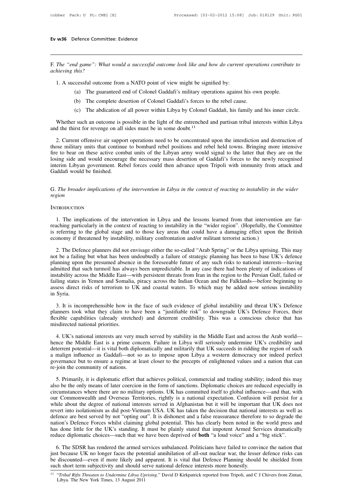F. *The "end game": What would a successful outcome look like and how do current operations contribute to* **Ev w36** Defence Committ<br>*F. The "end game": What*<br>*achieving this?*<br>1. A successful outcome 1. The "end game": What would a successful outcome look like and how do current<br>
hieving this?<br>
1. A successful outcome from a NATO point of view might be signified by:<br>
(a) The guaranteed end of Colonel Gaddafi's military (a) The game in the guaranteed and a successful outcome look like and how do current operations contribute<br>this?<br>(a) The guaranteed end of Colonel Gaddafi's military operations against his own people.<br>(b) The complete dese (b) The complete desertion of colonel Gaddafi's military operators against his?<br>
(complete desertion of Colonel Gaddafi's military operations against his own<br>
(b) The complete desertion of Colonel Gaddafi's forces to the r

- 
- 
- 

The section of a NATO point of view might be signified by:<br>
(a) The guaranteed end of Colonel Gaddafi's military operations against his own people.<br>
(b) The complete desertion of Colonel Gaddafi's forces to the rebel cause 1. A successful outcome from a NATO point of view might be signified by:<br>
(a) The guaranteed end of Colonel Gaddafi's military operations against his own people.<br>
(b) The complete desertion of Colonel Gaddafi's forces to

(a) The guaranteed end of Colonel Gaddafi's military operations against his own people.<br>
(b) The complete desertion of Colonel Gaddafi's forces to the rebel cause.<br>
(c) The abdication of all power within Libya by Colonel (c) The abdication of all power within Libya by Colonel Gaddafi, his family and his inner circle.<br>
Whether such an outcome is possible in the light of the entrenched and partisan tribal interests within Libya<br>
and the thi Whether such an outcome is possible in the light of the entrenched and partisan tribal interests within Libya<br>and the thirst for revenge on all sides must be in some doubt.<sup>11</sup><br>2. Current offensive air support operations Whether such an outcome is possible in the light of the entrenched and partisan tribal interests within Libya<br>and the thirst for revenge on all sides must be in some doubt.<sup>11</sup><br>2. Current offensive air support operations n and the thirst for revenge on all sides must be in some doubt.<sup>11</sup><br>2. Current offensive air support operations need to be concentrated upon the interdiction and destruction of<br>those military units that continue to bombard 2. Current offensive air suppothose military units that continuation<br>fire to bear on these active com<br>losing side and would encourage<br>interim Libyan government. Re<br>Gaddafi would be finished. Free to bear on these active combat units of the Libyan army would signal to the latter that they are on the losing side and would encourage the necessary mass desertion of Gaddafi's forces to the newly recognised interim

# *region*

# **INTRODUCTION**

The broader implications of the intervention in Libya in the context of reacting to instability in the wider<br>sion<br>TRODUCTION<br>1. The implications of the intervention in Libya and the lessons learned from that intervention a Frame Context of reacting to instability in the wider<br>region<br>INTRODUCTION<br>1. The implications of the intervention in Libya and the lessons learned from that intervention are far-<br>reaching particularly in the context of rea INTRODUCTION<br>
1. The implications of the intervention in Libya and the lessons learned from that intervention are far-<br>
reaching particularly in the context of reacting to instability in the "wider region". (Hopefully, the Example 1. The implications of the intervention in Libya and the lessons learned from that intervent<br>reaching particularly in the context of reacting to instability in the "wider region". (Hopefully, the<br>is referring to th 1. The implications of the intervention in Libya and the lessons learned from that intervention are far-<br>aching particularly in the context of reacting to instability in the "wider region". (Hopefully, the Committee<br>referr

1. The implications of the intervention in Libya and the lessons learned from that intervention are far-<br>reaching particularly in the context of reacting to instability in the "wider region". (Hopefully, the Committee<br>is r reaching particularly in the context of reacting to instability in the "wider region". (Hopefully, the Committee<br>is referring to the global stage and to those key areas that could have a damaging effect upon the British<br>ec is referring to the global stage and to those key areas that could have a damaging effect upon the British<br>economy if threatened by instability, military confrontation and/or militant terrorist action.)<br>2. The Defence plan economy if threatened by instability, military confrontation and/or militant terrorist action.)<br>
2. The Defence planners did not envisage either the so-called "Arab Spring" or the Libya uprising. This may<br>
not be a failing 2. The Defence planners did not envisage either the so-called "Arab Spring" or the Libya uprising. This may not be a failing but what has been undoubtedly a failure of strategic planning has been to base UK's defence plann 2. The Defence planners did not envisage either the so-called "Arab Spring" or the Libya uprising. This may not be a failing but what has been undoubtedly a failure of strategic planning has been to base UK's defence plann not be a failin<br>planning upon<br>admitted that<br>instability acre<br>failing states i<br>assess direct in<br>Syria.<br>3. It is inco mitted that such turmoil has always been unpredictable. In any case there had been plenty of indications of stability across the Middle East—with persistent threats from Iran in the region to the Persian Gulf, failed or li instability across the Middle East—with persistent threats from Iran in the region to the Persian Gulf, failed or failing states in Yemen and Somalia, piracy across the Indian Ocean and the Falklands—before beginning to as

failing states in Yemen and Somalia, piracy across the Indian Ocean and the Falklands—before beginning to assess direct risks of terrorism to UK and coastal waters. To which may be added now serious instability in Syria.<br>3 assess direct risks of terrorism to in Syria.<br>3. It is incomprehensible how in<br>planners took what they claim to l<br>flexible capabilities (already stretc<br>misdirected national priorities.<br>4. UK's national interests are very 4. It is incomprehensible how in the face of such evidence of global instability and threat UK's Defence<br>nnners took what they claim to have been a "justifiable risk" to downgrade UK's Defence Forces, their<br>xible capabilit 3. It is incomprehensible how in the face of such evidence of global instability and threat UK's Defence planners took what they claim to have been a "justifiable risk" to downgrade UK's Defence Forces, their flexible capa

planners took what they claim to have been a "justifiable risk" to downgrade UK's Defence Forces, their flexible capabilities (already stretched) and deterrent credibility. This was a conscious choice that has misdirected a misdirected national priorities.<br>
A uK's national priorities.<br>
4. UK's national interests are very much served by stability in the Middle East and across the Arab world—<br>
hence the Middle East is a prime concern. Failure misdirected national priorities.<br>4. UK's national interests are very much served by stability in the Middle East and across the Arab world—<br>hence the Middle East is a prime concern. Failure in Libya will seriously undermin 4. UK's national interests are very m<br>hence the Middle East is a prime con<br>deterrent potential—it is vital both diple<br>a malign influence as Gaddafi—not s<br>governance but to ensure a regime at l<br>re-join the community of nati nce the Middle East is a prime concern. Failure in Libya will seriously undermine UK's credibility and<br>terrent potential—it is vital both diplomatically and militarily that UK succeeds in ridding the region of such<br>malign deterrent potential—it is vital both diplomatically and militarily that UK succeeds in ridding the region of such<br>a malign influence as Gaddafi—not so as to impose upon Libya a western democracy nor indeed perfect<br>governan

a malign influence as Gaddafi—not so as to impose upon Libya a western democracy nor indeed perfect<br>governance but to ensure a regime at least closer to the precepts of enlightened values and a nation that can<br>re-join the governance but to ensure a regime at least closer to the precepts of enlightened values and a nation that can<br>re-join the community of nations.<br>5. Primarily, it is diplomatic effort that achieves political, commercial and re-join the community of nations.<br>5. Primarily, it is diplomatic effort that achieves political, commercial and trading stability; indeed this may<br>also be the only means of later coercion in the form of sanctions. Diplomat 5. Primarily, it is diplomatic effort that achieves political, commercial and trading stability; indeed this may also be the only means of later coercion in the form of sanctions. Diplomatic choices are reduced especially 5. Primarily, it is diplomatic effort that achieves political, commercial and trading stability; indeed this may also be the only means of later coercion in the form of sanctions. Diplomatic choices are reduced especially also be the only means of later coercion in the form of sanctions. Diplomatic choices are reduced especially in<br>circumstances where there are no military options. UK has committed itself to global influence—and that, with<br> circumstances where there are no military options. UK has committed itself to global influence—and that, with<br>our Commonwealth and Overseas Territories, rightly is a national expectation. Confusion will persist for a<br>while our Commonwealth and Overseas Territories, rightly is a national expectation. Confusion will persist for while about the degree of national interests served in Afghanistan but it will be important that UK does nevert into vert into isolationism as did post-Vietnam USA. UK has taken the decision that national interests as well as<br>fence are best served by not "opting out". It is dishonest and a false reassurance therefore to so degrade the<br>ti defence are best served by not "opting out". It is dishonest and a false reassurance therefore to so degrade the nation's Defence Forces whilst claiming global potential. This has clearly been noted in the world press and

nation's Defence Forces whilst claiming global potential. This has clearly been noted in the world press and<br>has done little for the UK's standing. It must be plainly stated that impotent Armed Services dramatically<br>reduce has done little for the UK's standing. It must be plainly stated that impotent Armed Services dramatically reduce diplomatic choices—such that we have been deprived of **both** "a loud voice" and a "big stick".<br>6. The SDSR h such short term subjectivity and should serve national defence interests more honestly.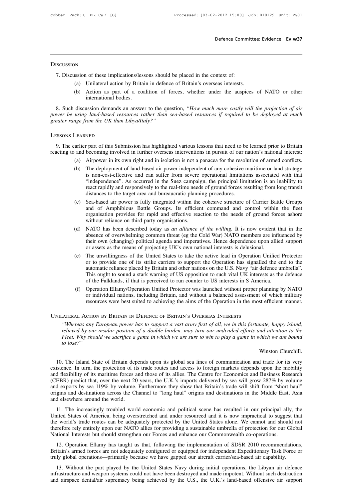# **DISCUSSION**

Exercises Defence Comm<br>
T. Discussion of these implications/lessons should be placed in the context of:<br>
(a) Unilateral action by Britain in defence of Britain's overseas interests.

- 
- (a) Unilateral action by Britain in defence of Britain's overseas interests.<br>
(b) Action as part of a coalition of forces, whether under the auspices international bodies (a) Action as part of a coalition as part of a coalition of forces, whether under the auspices of NATO or other international bodies.

7. Discussion of these implications/lessons should be placed in the context of:<br>
(a) Unilateral action by Britain in defence of Britain's overseas interests.<br>
(b) Action as part of a coalition of forces, whether under the 8. Such discussion of these implications/lessons should be placed in the context of:<br>
(a) Unilateral action by Britain in defence of Britain's overseas interests.<br>
(b) Action as part of a coalition of forces, whether under *power be using land-based resources rather than sea-based resources if required to be deployed at much* areas final and-based resources rather than sea-based resources if required to be deployed at much greater range from (a) Unilateral action by Britain in defence of **F**<br>
(b) Action as part of a coalition of forces,<br>
international bodies.<br>
8. Such discussion demands an answer to the question,<br> *gower be using land-based resources rather th* greater range from the UK than Libya/Italy?"<br>Lessons Learned 9. Such discussion demands an answer to the question, "How much more costly will the projection of air<br>wer be using land-based resources rather than sea-based resources if required to be deployed at much<br>eater range from t reacting to and becoming the UK than Libya/Italy?"<br>
Lessons Learner range from the UK than Libya/Italy?"<br>
Lessons Learner part of this Submission has highlighted various lessons that need to be learned prior to Britain<br>
re

(a) Airpower in its own right and in isolation is not a paracea for the resolution is not be reached prior to Britain<br>
(a) Airpower in its own right and in isolation is not a panacea for the resolution of armed conflicts.<br>

- 
- (EXARNED)<br>
Saralier part of this Submission has highlighted various lessons that need to be learned prior to Britain<br>
and becoming involved in further overseas interventions in pursuit of our nation's national interest:<br>
( NED<br>
in part of this Submission has highlighted various lessons that need to be learned prior to Britain<br>
becoming involved in further overseas interventions in pursuit of our nation's national interest:<br>
Airpower in its o r part of this Submission has highlighted various lessons that need to be learned prior to Britain becoming involved in further overseas interventions in pursuit of our nation's national interest:<br>Airpower in its own right Fact of this Submission has ingimighted various ressons that heed to be realited prior to Dritain<br>becoming involved in further overseas interventions in pursuit of our nation's national interest:<br>Airpower in its own right distances to the target area and bureaucratic planning procedures.<br>See all the target area and the target area and the target area and the target area and bureaucratic "independence". As occurred in the Suez campaign, the (a) Anpower in its own right and in solation is not a panacea for the resolution of affined confinets.<br>
(b) The deployment of land-based air power independent of any cohesive maritime or land strategy<br>
is non-cost-effectiv The deployment of land-based air power independent of any cohesive maritime or land strategy<br>is non-cost-effective and can suffer from severe operational limitations associated with that<br>"independence". As occurred in the
- is non-cost-effective and can suffer from severe operational limitations associated with that "independence". As occurred in the Suez campaign, the principal limitation is an inability to react rapidly and responsively to "independence". As occurred in the Suez campaig<br>react rapidly and responsively to the real-time need<br>distances to the target area and bureaucratic planni<br>Sea-based air power is fully integrated within the<br>and of Amphibious Fract rapidly and responsively to the real-time heeds of ground forces resulting from long transit<br>distances to the target area and bureaucratic planning procedures.<br>(c) Sea-based air power is fully integrated within the c Sea-based air power is fully integrated within the cohesive structure of Carrier Battle Groups and of Amphibious Battle Groups. Its efficient command and control within the fleet organisation provides for rapid and effecti
- Sea-based air power is fully integrated within the cohesive structure of Carrier Battle Groups<br>and of Amphibious Battle Groups. Its efficient command and control within the fleet<br>organisation provides for rapid and effecti and of Amphibious Battle Groups. Its efficient command and control within<br>organisation provides for rapid and effective reaction to the needs of ground for<br>without reliance on third party organisations.<br>NATO has been descr (d) NATO has been described today as *an alliance of the willing*. It is now evident that in the absence of overwhelming common threat (eg the Cold War) NATO members are influenced by their own (changing) political agenda
- WHOO has been described today as *an alliance of the willing*. It is now evident that in the absence of overwhelming common threat (eg the Cold War) NATO members are influenced by their own (changing) political agenda and NATO has been described today as *an alliance of the willing*. It is now evident that in the absence of overwhelming common threat (eg the Cold War) NATO members are influenced by their own (changing) political agenda and absence of overwhelming common threat (eg the Cold War) NATO members are influenced by<br>their own (changing) political agenda and imperatives. Hence dependence upon allied support<br>or assets as the means of projecting UK's o their own (changing) political agenda and imperatives. Hence dependence upon allied support<br>or assets as the means of projecting UK's own national interests is delusional.<br>(e) The unwillingness of the United States to take (e) The unwillingness of the United States to take the active lead in Operation Unified Protector or to provide one of its strike carriers to support the Operation has signalled the end to the automatic reliance placed by The unwillingness of the United States to take the active lead in Operation Unified Protector<br>or to provide one of its strike carriers to support the Operation has signalled the end to the<br>automatic reliance placed by Brit or to provide one of its strike carriers to support the Operation has signalled the end to the automatic reliance placed by Britain and other nations on the U.S. Navy "air defence umbrella". This ought to sound a stark war or to provide one of its strike carriers to support the Operation has signale<br>automatic reliance placed by Britain and other nations on the U.S. Navy "air de<br>This ought to sound a stark warning of US opposition to such vit
	- *(f)* Operation Ellamy/Operation Unified Protector was launched without proper planning by NATO or individual nations, including Britain, and without a balanced assessment of which military resources were best suited to ac

*relieved by our insular position of a double burden, may turn our undivided efforts and sensores were best suited to achieving the aims of the Operation in the most efficient manner.*<br>ATERAL ACTION BY BRITAIN IN DEFENCE O *FRERAL ACTION BY BRITAIN IN DEFENCE OF BRITAIN'S OVERSEAS INTERESTS*<br>*FRERAL ACTION BY BRITAIN IN DEFENCE OF BRITAIN'S OVERSEAS INTERESTS*<br>*FRERAL ACTION BY BRITAIN IN DEFENCE OF BRITAIN'S OVERSEAS INTERESTS*<br>*Flieved by tesources v*<br>*ATERAL ACTION BY F*<br>*"Whereas any Europe*<br>*relieved by our insula<br><i>Fleet. Why should we*<br>*to lose?"* mate, happy island,<br>nd attention to the<br>hich we are bound<br>Winston Churchill.<br>1 trade for its very Whereas any European power has to support a vast army first of all, we in this fortunate, happy island,<br>relieved by our insular position of a double burden, may turn our undivided efforts and attention to the<br>Fleet. Why sh

relieved by our insular position of a double burden, may turn our undivided efforts and attention to the<br>Fleet. Why should we sacrifice a game in which we are sure to win to play a game in which we are bound<br>to lose?"<br>Wins Fleet. Why should we sacrifice a game in which we are sure to win to play a game in which we are bound<br>to lose?"<br>Winston Churchill.<br>10. The Island State of Britain depends upon its global sea lines of communication and tra to lose?"<br>Winston Churchill.<br>10. The Island State of Britain depends upon its global sea lines of communication and trade for its very<br>existence. In turn, the protection of its trade routes and access to foreign markets de Winston Churchill.<br>
10. The Island State of Britain depends upon its global sea lines of communication and trade for its very<br>
existence. In turn, the protection of its trade routes and access to foreign markets depends up <sup>WHSOH</sup> Chalch Channel 10. The Island State of Britain depends upon its global sea lines of communication and trade for its very existence. In turn, the protection of its trade routes and access to foreign markets depends 10. The Island State of Britain depexistence. In turn, the protection of it and flexibility of its maritime forces a (CEBR) predict that, over the next 20 and exports by sea 119% by volume. origins and destinations across 11. The increasingly troubled world economic and political scene has resulted in our principal ally, the yord's trade routes are appears, the U.K.'s imports delivered by sea will grow 287% by volume dexports by sea 119% by diate increasingly to the next 20 years, the U.K.'s imports delivered by sea will grow 287% by volume and exports by sea 119% by volume. Furthermore they show that Britain's trade will shift from "short haul" origins and d

The world's trade routes can be adequately protected by sea will shift from "short haul" origins and destinations across the Channel to "long haul" origins and destinations in the Middle East, Asia and elsewhere around the and exports by sea 11970 by volume. I attnehing they show that Britain's trade with sinterline short had<br>origins and destinations across the Channel to "long haul" origins and destinations in the Middle East, Asia<br>and else Interests but should strengthen our Forces and enhance our Commonwealth co-operations.<br>
Thirted States of America, being overstretched and under resourced and it is now impractical to sugges<br>
the world's trade routes can b 11. The increasingly troubled world economic and political scene has resulted in our principal ally, the hited States of America, being overstretched and under resourced and it is now impractical to suggest that e world's IT. The increasingly total world economic and pointear seche has resulted in our principal any, the United States of America, being overstretched and under resourced and it is now impractical to suggest that the world's tr of the world's trade routes can be adequately protected and under resourced and it is now impractical to suggest that<br>the world's trade routes can be adequately protected by the United States alone. We cannot and should no

expection to the part publish of the part played by the United States Navy during into U.S., the U.K.'s land-based offensive air support distingation of space denial/air samed forces are not adequately configured or equipp National Interests but should strengthen our Forces and enhance our Commonwealth co-operations.<br>
12. Operation Ellamy has taught us that, following the implementation of SDSR 2010 recommendations,<br>
Britain's armed forces a 12. Operation Ellamy has taught us that, following the implementation of SDSR 2010 recommendations, Britain's armed forces are not adequately configured or equipped for independent Expeditionary Task Force or truly global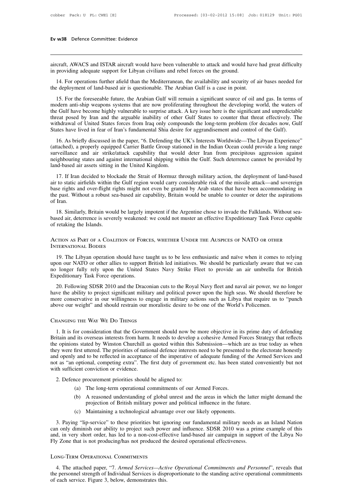Ev w38 Defence Committee: Evidence<br>
aircraft, AWACS and ISTAR aircraft would have been vulnerable to attack and would have had great difficulty<br>
in providing adequate support for Libyan civilians and rebel forces on the gr Ev w38 Defence Committee: Evidence<br>in providing adequate support for Libyan civilians and rebel forces on the ground.<br>14. For operations further afield than the Mediterranean, the availability and security on

14. For operations further afield than the Mediterranean, the availability and security of air bases needed for<br>14. For operations further afield than the Mediterranean, the availability and security of air bases needed fo aircraft, AWACS and ISTAR aircraft would have been vulnerable to attack and would have l<br>in providing adequate support for Libyan civilians and rebel forces on the ground.<br>14. For operations further afield than the Mediter

14. For operations further afield than the Mediterranean, the availability and security of air bases needed for<br>14. For operations further afield than the Mediterranean, the availability and security of air bases needed fo ancerart, AWACS and ISTAK ancerart would nave been vulnerable to attack and would nave had great difficulty<br>in providing adequate support for Libyan civilians and rebel forces on the ground.<br>14. For operations further afie In providing adequate support for Libyan crythans and rebet forces on the ground.<br>
14. For operations further afield than the Mediterranean, the availability and security of air bases needed for<br>
the deployment of land-bas 14. For operations further afield than the Mediterranean, the availability and security of air bases needed for<br>the deployment of land-based air is questionable. The Arabian Gulf is a case in point.<br>15. For the foreseeable The Hall of The Arabian Gulf is a case in point.<br>
15. For the foreseeable future, the Arabian Gulf will remain a significant source of oil and gas. In terms of<br>
modern anti-ship weapons systems that are now proliferating t IS. For the foreseeable future, the Arabian Gulf will remain a significant source of oil and gas. In terms comdern anti-ship weapons systems that are now proliferating throughout the developing world, the waters the Gulf h 15. For the foresecution traction of the Friendin Community of significant and supported in anti-ship weapons systems that are now proliferating throughout the developing world, the waters of eGulf have become highly vulne mouted and same weaking and at the Group stational station and the Gulf have become highly vulnerable to surprise attack. A key issue here is the significant and unpredictable threat posed by Iran and the arguable inabilit

sure our air we occure inginy valentials to surprise attack. The system that the strike are different problem (for decades now, Gulf States have lived in fear of Iran's fundamental Shia desire for aggrandisement and contro withdrawal of United States forces from Iraq only compounds the long-term problem (for decades now, Gulf States have lived in fear of Iran's fundamental Shia desire for aggrandisement and control of the Gulf).<br>
16. As brie Mindawar of Onices states forces from Ind<sub>1</sub> only competend States have lived in fear of Iran's fundamental Shia desire (attached), a properly equipped Carrier Battle Group station surveillance and air strike/attack capabi 16. As briefly discussed in the paper, "6. Defending the UK's Interests Worldwide—The Libyan Experience"<br>tached), a properly equipped Carrier Battle Group stationed in the Indian Ocean could provide a long range<br>rveillance and air to static airfields within the Gulf region would carry of the Indian Ocean could provide a long range<br>surveillance and air strike/attack capability that would deter Iran from precipitous aggression against<br>neighbou

(attaction), a propert) equipped canter battle of orde a hotel in the mattant ocean coald provide a long range<br>surveillance and air strike/attack capability that would deter Iran from precipitous aggression against<br>neighbo our visitive and against international shipping within the Gulf. Such deterrence cannot be provided by land-based air assets sitting in the United Kingdom.<br>
17. If Iran decided to blockade the Strait of Hormuz through mili land-based air assets sitting in the United Kingdom.<br>
17. If Iran decided to blockade the Strait of Hormuz through military action, the deployment of land-based<br>
air to static airfields within the Gulf region would carry c 17. If Iran decided to blockade the Strait of Hormuz through military action, the deployment of land-based air to static airfields within the Gulf region would carry considerable risk of the missile attack—and sovereign ba based air, deterrence is severely weakened: we could not muster an effective Expeditionary Task Force capable is that have been accommodating in the past. Without a robust sea-based air capability, Britain would be unable For retains and over-flight rights might not even be granted by Arab states that have been accommodating in the past. Without a robust sea-based air capability, Britain would be unable to counter or deter the aspirations o

the past. Without a robust sea-base<br>of Iran.<br>18. Similarly, Britain would be l<br>based air, deterrence is severely we<br>of retaking the Islands.<br>ACTION AS PART OF A COALITION<br>INTERNATIONAL BODIES

19. The Libyan operation should have taught us to be less enthusiastic and naïve when it comes to relying<br>19. The Libyan operation should have taught us to be less enthusiastic and naïve when it comes to relying<br>19. The Li of retaking the Islands.<br>ACTION AS PART OF A COALITION OF FORCES, WHETHER UNDER THE AUSPICES OF NATO OR OTHER<br>INTERNATIONAL BODIES<br>19. The Libyan operation should have taught us to be less enthusiastic and naïve when it co ACTION AS PART OF A COALITION OF FORCES, WHETHER UNDER THE AUSPICES OF NATO OR OTHER<br>INTERNATIONAL BODIES<br>19. The Libyan operation should have taught us to be less enthusiastic and naïve when it comes to relying<br>upon our N ACTION AS PART OF A COALITION OF FORCES, WHETHER UNDER THE AUSPICES OF NATO OR OTHER<br>INTERNATIONAL BODIES<br>19. The Libyan operation should have taught us to be less enthusiastic and naïve when it comes to relying<br>19. The Li TERNATIONAL BODIES<br>
19. The Libyan operation should have taught us to be less enthusiastic and naïve when it comes to relying<br>
on our NATO or other allies to support British led initiatives. We should be particularly aware

19. The Libyan operation should have taught us to be less enthusiastic and naïve when it comes to relying<br>upon our NATO or other allies to support British led initiatives. We should be particularly aware that we can<br>no lon more one allies to support British led initiatives. We should be particularly aware that we can no longer fully rely upon the United States Navy Strike Fleet to provide an air umbrella for British Expeditionary Task Force above our weight" and should restrain our moralistic desire to provide an air umbrella for Expeditionary Task Force operations.<br>
20. Following SDSR 2010 and the Draconian cuts to the Royal Navy fleet and naval air power, w

1. It is for consideration that the Government should now be more objective in its prime duty of defending<br>1. It is for consideration that the Government should now be more objective in its prime duty of defending<br>1. It is more conservative in our willingness to engage in military actions such as Libya that require us to "punch<br>above our weight" and should restrain our moralistic desire to be one of the World's Policemen.<br>CHANGING THE WAY WE above our weight" and should restrain our moralistic desire to be one of the World's Policemen.<br>CHANGING THE WAY WE Do THINGS<br>1. It is for consideration that the Government should now be more objective in its prime duty of CHANGING THE WAY WE DO THINGS<br>1. It is for consideration that the Government should now be more objective in its prime duty of defending<br>Britain and its overseas interests from harm. It needs to develop a cohesive Armed Fo CHANGING THE WAY WE DO THINGS<br>1. It is for consideration that the Government should now be more objective in its prime duty of defending<br>Britain and its overseas interests from harm. It needs to develop a cohesive Armed Fo not as "an optional, competing extra". The first duty of government etc. has been stated conveniently that reflects the opinions stated by Winston Churchill as quoted within this Submission—which are as true today as when Britain and its overseas interests from harm. It needs to develop a cohesive Armed Forces Strategy that reflects<br>the opinions stated by Winston Churchill as quoted within this Submission—which are as true today as when<br>the they were first uttered. The priorities of national defence interests need to be presented to the electorate honestly<br>and openly and to be reflected in acceptance of the imperative of adequate funding of the Armed Services (b) and openly and to be reflected in acceptance of the imperative of adequate funding of the Armed Services and<br>
and as "an optional, competing extra". The first duty of government etc. has been stated conveniently but no (a) Maintaining a technological advantage over our likely opponents<br>
(c) Maintaining a technological advantage over our likely opponents<br>
(c) Maintaining a technological advantage over our likely opponents<br>
(c) Maintaining

- 
- provided by the British military of government etc. has been stated conconviction or evidence.<br>
Focurement priorities should be aligned to:<br>
The long-term operational commitments of our Armed Forces.<br>
A reasoned understand
- 

(c) Maintaining a technological advantage over our likely opponents.<br>3. Paying "lip-service" to these priorities but ignoring our fundamental military needs as an Island Nation 3. Paying "lip-service" to these priorities but ignoring our fundamental military needs as an Island Nation<br>
3. Paying "lip-service" to these priorities but ignoring our fundamental military needs as an Island Nation<br>
3. P (a) The long-term operational communents of our Armed Forces.<br>
(b) A reasoned understanding of global unrest and the areas in which the latter might demand the<br>
projection of British military power and political influence and, in very short order, has led to a non-cost-effective land-based air campaign in support of the Libya No Fly Zone that is not producing/has not produced the desired operational effectiveness.<br>
Fig. 2010 was a prime exa projection of British military power and political influence in the future.<br>
(c) Maintaining a technological advantage over our likely opponents.<br>
3. Paying "lip-service" to these priorities but ignoring our fundamental mi It also the system of this d, in very short order, has led to a non-cost-effective land-based air campaign in support of the Libya No and the attached paper, that is not producing/has not produced the desired operational e

and, in very short order, has led to a non-cost-effective land-based air campaign in support of the Libya No<br>Fly Zone that is not producing/has not produced the desired operational effectiveness.<br>LONG-TERM OPERATIONAL COMM Fly Zone that is not producing/has not produced the desired operational effectiveness.<br>
LONG-TERM OPERATIONAL COMMITMENTS<br>
4. The attached paper, "7. Armed Services—Active Operational Commitments and Personnel", reveals th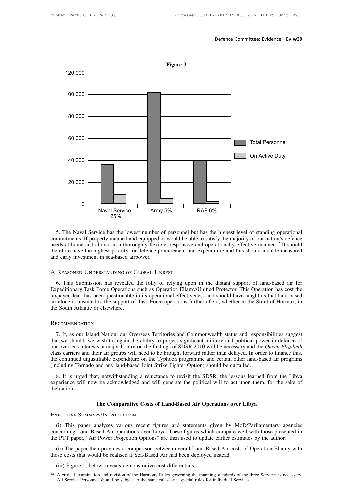

needs at home and service has the lowest number of personnel but has the highest level of standing operational<br>ommitments. If properly manned and equipped, it would be able to satisfy the majority of our nation's defence<br>n The Naval Service<br>
25% The Naval Service has the lowest number of personnel but has the highest level of standing operational<br>
commitments. If properly manned and equipped, it would be able to satisfy the majority of our n <sup>2376</sup><br>
5. The Naval Service has the lowest number of personnel bi<br>
commitments. If properly manned and equipped, it would be abl<br>
needs at home and abroad in a thoroughly flexible, responsive<br>
therefore have the highest p Free the highest priority for defence procurement and expenditure and this should include measured<br>dearly investment in sea-based airpower.<br>REASONED UNDERSTANDING OF GLOBAL UNREST<br>6. This Submission has revealed the folly

therefore have the highest priority for defence procurement and expenditure and this should include measured<br>and early investment in sea-based airpower.<br>A REASONED UNDERSTANDING OF GLOBAL UNREST<br>6. This Submission has reve and early investment in sea-based airpower.<br>
A REASONED UNDERSTANDING OF GLOBAL UNREST<br>
6. This Submission has revealed the folly of relying upon in the distant support of land-based air for<br>
Expeditionary Task Force Opera A REASONED UNDERSTANDING OF GLOBAL UNREST<br>6. This Submission has revealed the folly of relying upon in the distant support of land-based air for<br>Expeditionary Task Force Operations such as Operation Ellamy/Unified Protecto A REASONED UNDERSTANDING OF C<br>6. This Submission has revealed<br>Expeditionary Task Force Operations<br>taxpayer dear, has been questionable is<br>air alone is unsuited to the support of<br>the South Atlantic or elsewhere.

## Recommendation

Supayer dear, has been questionable in its operational effectiveness and should have taught us that land-based<br>
The is unsuited to the support of Task Force operations further afield, whether in the Strait of Hormuz, in<br>
E The should, whether in the Strait of Hormuz, in<br>the South Atlantic or elsewhere.<br>RECOMMENDATION<br>7. If, as our Island Nation, our Overseas Territories and Commonwealth status and responsibilities suggest<br>that we should, we The South Atlantic or elsewhere.<br>
RECOMMENDATION<br>
7. If, as our Island Nation, our Overseas Territories and Commonwealth status and responsibilities suggest<br>
that we should, we wish to regain the ability to project signifi RECOMMENDATION<br>
7. If, as our Island Nation, our Overseas Territories and Commonwealth status and responsibilities suggest<br>
that we should, we wish to regain the ability to project significant military and political power RECOMMENDATION<br>
7. If, as our Island Nation, our Overseas Territories and Commonwealth status and responsibilities suggest<br>
that we should, we wish to regain the ability to project significant military and political power 7. If, as our Island Nation, our Overseas Territories and Commonwealth status and responsibilities suggest<br>that we should, we wish to regain the ability to project significant military and political power in defence of<br>our 1. It, as our Islama Hadoli, our wish to regain the ability to project significant military and political power in defence of r overseas interests, a major U-turn on the findings of SDSR 2010 will be necessary and the *Que* the control of the mation. We wish to regain the ability to project signmed thindary and pointed power in detecte of our overseas interests, a major U-turn on the findings of SDSR 2010 will be necessary and the *Queen Eliz* France Control of the continued units of the continued units of the nation.<br>Solution and the system of the nation.<br>The nation.

and any land-based Joint Strike Fighter Option) should be curtailed.<br>
It, notwithstanding a reluctance to revisit the SDSR, the lessons learned from the vertical will generate the political will to act upon them, for the<br> Including Tornado and any land-based Joint Strike<br>
8. It is urged that, notwithstanding a reluctance<br>
experience will now be acknowledged and will ge<br>
the nation.<br>
The Comparative Costs of La<br>
EXECUTIVE SUMMARY/INTRODUCTIO

The Comparative Costs of Land-Based Air Operations over Libya<br>
(i) This paper analyses various recent figures and statements given by MoD/Parliamentary agencies<br>
neerning Land-Based Air operations over Libya. These figures **CONCERT COMMARY/INTRODUCTION**<br>(i) This paper analyses various recent figures and statements given by MoD/Parliamentary agencies<br>concerning Land-Based Air operations over Libya. These figures which compare well with those The Comparative Costs of Land-Based Air Operations over Libya<br>EXECUTIVE SUMMARY/INTRODUCTION<br>(i) This paper analyses various recent figures and statements given by MoD/Parliamentary agencic<br>concerning Land-Based Air operat (i) This paper analyses various recent figures and statements given by MoD/Parliamentary agencies<br>necerning Land-Based Air operations over Libya. These figures which compare well with those presented in<br>e PTT paper, "Air P EXECUTIVE SUMMARY/INTRODUCTION<br>
(i) This paper analyses various recent figures and statements given by Mol<br>
concerning Land-Based Air operations over Libya. These figures which compare we<br>
the PTT paper, "Air Power Project (i) This paper analyses various recent ngures and statements given by MOD/Parliamentary agencies<br>concerning Land-Based Air operations over Libya. These figures which compare well with those presented in<br>the PTT paper, "Ai

(ii) The paper then provides a comparison between overall Land-Based Air costs of Operation Ellamy with<br>those costs that would be realised if Sea-Based Air had been deployed instead.<br>(iii) Figure 1, below, reveals demonstr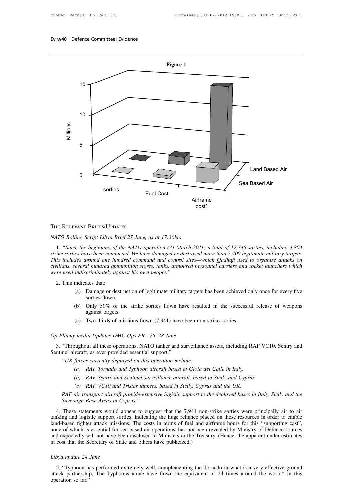

<sup>2</sup><br>1. *"Since the beginning of the NATO operation (31 March 2011) a total of 12,745 sorties, including 4,804*<br>1. "Since the beginning of the NATO operation (31 March 2011) a total of 12,745 sorties, including 4,804<br>ike so **THE RELEVANT BRIEFS/UPDATES**<br>*NATO Rolling Script Libya Brief 27 June, as at 17:30hrs*<br>*1. "Since the beginning of the NATO operation (31 March 2011) a total of 12,745 sorties, including 4,804*<br>*strike sorties have been c* **THE RELEVANT BRIEFS/UPDATES**<br>*NATO Rolling Script Libya Brief 27 June, as at 17:30hrs*<br>*1. "Since the beginning of the NATO operation (31 March 2011) a total of 12,745 sorties, including 4,804*<br>*strike sorties have been c* The ReLevant Briefs/Uppares<br>*NATO Rolling Script Libya Brief 27 June, as at 17:30hrs*<br>1. "Since the beginning of the NATO operation (31 March 2011) a total of 12,745 sorties, including 4,804<br>strike sorties have been conduc *WATO Rolling Script Libya Brief 27 June, as at 17:30hrs*<br>1. "*Since the beginning of the NATO operation (31 March 20*<br>*strike sorties have been conducted. We have damaged or destroyer*<br>*This includes around one hundred co* 1. "Since the beginning of if<br>
ike sorties have been conductions includes around one hunculary<br>
illians, several hundred amnumer used indiscriminately age<br>
2. This indicates that:<br>
(a) Damage or des (a) Damage or destruction of legitimate military targets around one hundred command and control sites—which Qadhafi used to organize attacks on everal hundred ammunition stores, tanks, armoured personnel carriers and rocke Fround one hundred<br>namunicriminately againsites that:<br>Damage or destructions<br>orties flown.<br>Only 50% of the

- 
- (b) *indiscriminately against his own people.*<br>
indiscriminately against his own people."<br>
indicates that:<br>
(a) Damage or destruction of legitimate military targets has been achieved only once for every five<br>
sorties flown criminately against<br>tates that:<br>Damage or destructions<br>orties flown.<br>Only 50% of the s<br>against targets.<br>Two thirds of missic (a) Damage or destruction of legitimate military targets has been achieved of sorties flown.<br>
(b) Only 50% of the strike sorties flown have resulted in the successful against targets.<br>
(c) Two thirds of missions flown (7, Sorties flown.<br>
(b) Only 50% of the strike sorties flown have res<br>
against targets.<br>
(c) Two thirds of missions flown (7,941) have been r<br> *Op Ellamy media Updates DMC-Ops PR—25–28 June*<br>
3. "Throughout all these operation
	-

3. "Throughout all these operations, NATO tanker and surveillance assets, including RAF VC10, Sentry and  $"IIK forces currently de {\it above}$  and these operations, NATO tanker and surveillance assets, including RAF VC10, Sentry and  $"IIK forces currently de {\it above}$  Sentingthe against targets.<br>
Sentingthe aircraft, as ever provided essential support."<br>
Sentinel aircraft, as ever provided essential support."<br>
Sentinel aircraft, as ever provided essential support."<br>
"UK forces currently *(c)* Two thirds of missions flown (7,941) have been non-s<br> *Ulamy media Updates DMC-Ops PR—25–28 June*<br>
<br>
"Throughout all these operations, NATO tanker and surveillance<br>
nel aircraft, as ever provided essential support."<br> *(a) (a) (a) (a) (a) RAFO (a) RAFO (a) ARTO (a) anker and surveillance assets, including RA rcraft, as ever provided essential support."<br><i>forces currently deployed on this operation include:*<br>*(a) R (b)* RAF VC with an experimental these operations, NATO tanker and surveillance assets, including RAF VC rcraft, as ever provided essential support."<br> *forces currently deployed on this operation include:*<br>
(a) RAF Tornad *compound all these operations, NATO tanker and surveillance assets, including RA*<br>*ccraft, as ever provided essential support."*<br>*forces currently deployed on this operation include:*<br>*(a) RAF Tornado and Typhoon aircraft* 

- 
- 
- 

*RAF air transport aircraft provided extensive aircraft based at Gioia del Colle in Italy.*<br>
(a) RAF *Tornado and Typhoon aircraft based at Gioia del Colle in Italy.*<br>
(b) RAF *Sentry and Sentinel surveillance aircraft, ba Solution CHT CONTEX CONTEX CONTEX (a)* RAF Tornado and Typhoon aircraft (b) RAF Sentry and Sentinel surveilland (c) RAF VC10 and Tristar tankers, base RAF air transport aircraft provide extensive lo Sovereign Base Areas i

4. These statements would appear to suggest that the 7,941 non-strike sorties were principally air to air<br>AdF air transport aircraft provide extensive logistic support to the deployed bases in Italy, Sicily and the<br>Soverei (b) KAF Sentry and Sentinel surveillance aircraft, based in Sicily and Cyprus.<br>
(c) RAF VC10 and Tristar tankers, based in Sicily, Cyprus and the UK.<br>
RAF air transport aircraft provide extensive logistic support to the de (c) RAF VC10 and Tristar tankers, based in Sicily, Cyprus and the UK.<br>
RAF air transport aircraft provide extensive logistic support to the deployed bases in Italy, Sicily and the<br>
Sovereign Base Areas in Cyprus."<br>
4. Thes RAF air transport aircraft provide extensive logistic support to the deployed bases in Italy, Sicily and the<br>Sovereign Base Areas in Cyprus."<br>4. These statements would appear to suggest that the 7,941 non-strike sorties we For the application and the application of the deployed buses in halp, stelly and the Sovereign Base Areas in Cyprus."<br>4. These statements would appear to suggest that the 7,941 non-strike sorties were principally air to a Exercist that the Secretary of State and others have publicized.)<br>
14. These statements would appear to suggest that the 7,941 non-<br>
tanking and logistic support sorties, indicating the huge reliance place<br>
land-based figh tanking and logistic support soland-based fighter attack mission<br>and-based fighter attack mission<br>and expectedly will not have be<br>in cost that the Secretary of Sta<br>Libya update 24 June<br>5. "Typhoon has performed e is a me of which is essential for sea-based air operations, has not been revealed by Ministry of Defence sources<br>d expectedly will not have been disclosed to Ministers or the Treasury. (Hence, the apparent under-estimates<br>

and expectedly will not have been disclosed to Ministers or the Treasury. (Hence, the apparent under-estimates<br>in cost that the Secretary of State and others have publicized.)<br>Libya update 24 June<br>5. "Typhoon has performed in cost that the Secretary of State and others have publicized.)<br>
Libya update 24 June<br>
5. "Typhoon has performed extremely well, complementing the Tornado in what is a very effective ground<br>
attack partnership. The Typhoo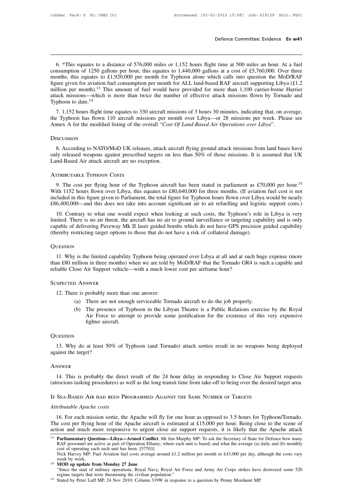**Example 1.152** bound be the committee: Evidence Ev w41<br> **Example 1.440.000** miles or 1,152 hours flight time at 500 miles an hour. At a fuel<br>
msumption of 1250 gallons per hour, this equates to 1,440,000 gallons at a cost **Example 10** befence Committee: Evidence **Ev w41**<br> **Consumption** of 1250 gallons per hour, this equates to 1,440,000 gallons at a cost of £5,760,000. Over three<br>
months, this equates to £1,920,000 per month for Typhoon alo Defence Committee: Evidence Ev w41<br>
This equates to a distance of 576,000 miles or 1,152 hours flight time at 500 miles an hour. At a fuel<br>
consumption of 1250 gallons per hour, this equates to 1,440,000 gallons at a cost 6. \*This equates to a distance of 576,000 miles or 1,152 hours flight time at 500 miles an hour. At a fuel consumption of 1250 gallons per hour, this equates to 1,440,000 gallons at a cost of £5,760,000. Over three months 6. \*This equates to a distance of 576,000 miles or 1,152 hours flight time at 500 miles an hour. At a fuel consumption of 1250 gallons per hour, this equates to 1,440,000 gallons at a cost of £5,760,000. Over three months 6. \*This equates to a distance of 576,000 miles or 1,152 hours flight time at 500 miles an hour. At a fuel<br>consumption of 1250 gallons per hour, this equates to 1,440,000 gallons at a cost of £5,760,000. Over three<br>months 6. \*This equates to a distance of 576,000 miles or 1,152 hours flight time at 500 miles an hour. At a fuel<br>consumption of 1250 gallons per hour, this equates to 1,440,000 gallons at a cost of £5,760,000. Over three<br>months The Typhoon has flown 110 aircraft missions per month over Libya—or 28 missions per week. Please see Annex A for the modified listing of the overall "Cost Of Land-Based RAF aircraft supporting Libya (£1.2 million per mont If the modified listing of the overall "*Cost Of Land-Based KAF* and 1,100 carrier-borne I<br>attack missions—which is more than twice the number of effective attack missions flown by Tornac<br>Typhoon to date.<sup>14</sup><br>7. 1,152 hour

1. 1,152 hours flight time equates to 330 aircraft missions of 3 hours 30 minutes, indicating that, on average,<br>
1. Typhoon has flown 110 aircraft missions per month over Libya—or 28 missions per week. Please see<br>
1. Typho

## **DISCUSSION**

the Typhoon has flown 110 aircraft missions per month over Libya—or 28 missions per week. Please see<br>Annex A for the modified listing of the overall "Cost Of Land-Based Air Operations over Libya".<br>DISCUSSION<br>8. According t the Typhoon has flown 110 aircraft missions per month over Libya—or 28 missions per week. Please see<br>Annex A for the modified listing of the overall "Cost Of Land-Based Air Operations over Libya".<br>DISCUSSION<br>8. According t Land-Based Air attack aircraft are no exception.

8. According to NATO/MoD UK releases, attack aircraft flying ground attack missions from land bases have<br>only released weapons against prescribed targets on less than 50% of those missions. It is assumed that UK<br>Land-Based Land-Based Air attack aircraft are no exception.<br>
ATTRIBUTABLE TYPHOON COSTS<br>
9. The cost per flying hour of the Typhoon aircraft has been stated in parliament as £70,000 per hour.<sup>15</sup><br>
With 1152 hours flown over Libya, t ATTRIBUTABLE TYPHOON COSTS<br>
9. The cost per flying hour of the Typhoon aircraft has been stated in parliament as £70,000 per hour.<sup>15</sup><br>
With 1152 hours flown over Libya, this equates to £80,640,000 for three months. (If av TTRIBUTABLE TYPHOON COSTS<br>9. The cost per flying hour of the Typhoon aircraft has been stated in parliament as £70,000 per hour.<sup>15</sup><br>tith 1152 hours flown over Libya, this equates to £80,640,000 for three months. (If avia 9. The cost per flying hour of the Typhoon aircraft has been stated in parliament as £70,000 per hour.<sup>15</sup><br>With 1152 hours flown over Libya, this equates to £80,640,000 for three months. (If aviation fuel cost is not<br>incl

9. The cost per hying nour of the Typhoon anciant has been stated in parhament as  $\angle 10,000$  per hour.<br>With 1152 hours flown over Libya, this equates to £80,640,000 for three months. (If aviation fuel cost is not<br>include With 1152 hours flown over Libya, this equates to £80,640,000 for three months. (If aviation fuel cost is not included in this figure given to Parliament, the total figure for Typhoon hours flown over Libya would be nearly inted. There is no air threat, the aircraft has no air to ground surveillance or targeting capability and is only pable of delivering Paveway Mk II laser guided bombs which do not have GPS precision guided capability ereby

# **QUESTION**

capable of delivering Paveway Mk II laser guided bombs which do not have GPS precision guided capability<br>(thereby restricting target options to those that do not have a risk of collateral damage).<br>QUESTION<br>11. Why is the l (thereby restricting target options to those that do not have a risk of collateral damage).<br>
QUESTION<br>
11. Why is the limited capability Typhoon being operated over Libya at all and at such<br>
than £80 million in three month 11. Why is the limited capability Typhoon being option in three months) when we are told by<br>iable Close Air Support vehicle—with a much low<br>spectred Answer<br>12. There is probably more than one answer:<br>(a) There are not eno (a) There are not the months) when we are told by MoD/RAF that the Tornado GR4 is sue<br>ose Air Support vehicle—with a much lower cost per airframe hour?<br>
(b) ANSWER<br>
(c) There are not enough serviceable Tornado aircraft to

- 
- (b) The presence of Typhoon in the Libyan Theatre is a Public Relations exercise by the Royal<br>
(b) The presence of Typhoon in the Libyan Theatre is a Public Relations exercise by the Royal<br>
Air Force to attempt to provide SWER<br>
probably more than one answer:<br>
There are not enough serviceable Tornado aircraft to do the job properly.<br>
The presence of Typhoon in the Libyan Theatre is a Public Relations exercise by the Royal<br>
Air Force to attem SWER<br>probably more than (<br>There are not enough<br>The presence of Typ<br>Air Force to attemp<br>fighter aircraft. 13. Why do at least 50% of Typhoon (and Tornado) attack sorties result in no weapons being deployed (b) the target?<br>
13. Why do at least 50% of Typhoon (and Tornado) attack sorties result in no weapons being deployed ainst

## **QUESTION**

Air Force to<br>fighter aircra<br>Questron<br>13. Why do at least 50%<br>against the target?<br>ANSWER

## Answer

13. Why do at least 50% of Typhoon (and Tornado) attack sorties result in no weapons being deployed<br>ainst the target?<br>NSWER<br>14. This is probably the direct result of the 24 hour delay in responding to Close Air Support req 13. Why do at least 50% of Typhoon (and Tornado) attack sorties result in no weapons being deployed against the target?<br>
ANSWER<br>
14. This is probably the direct result of the 24 hour delay in responding to Close Air Suppor 13. Why do at least 50% of Typhoon (and Tornado) attack sorties result in no weapons being deployed against the target?<br>
ANSWER<br>
14. This is probably the direct result of the 24 hour delay in responding to Close Air Suppor *ANSWER*<br>
14. This is probably the direct<br>
(atrocious tasking procedures) as w<br>
IF SEA-BASED AIR HAD BEEN PRO<br>
Attributable Apache costs<br>
16. For each mission sortie, the

14. This is probably the direct result of the 24 hour delay in responding to Close Air Support requests<br>rocious tasking procedures) as well as the long transit time from take-off to being over the desired target area.<br>SEA-The SEA-BASED AIR HAD BEEN PROGRAMMED AGAINST THE SAME NUMBER OF TARGETS<br>The SEA-BASED AIR HAD BEEN PROGRAMMED AGAINST THE SAME NUMBER OF TARGETS<br>Attributable Apache costs<br>16. For each mission sortie, the Apache will fly f IF SEA-BASED AIR HAD BEEN PROGRAMMED AGAINST THE SAME NUMBER OF TARGETS<br>Attributable Apache costs<br>16. For each mission sortie, the Apache will fly for one hour as opposed to 3.5 hours for Typhoon/Tornado.<br>The cost per fly Attributable Apache costs<br>16. For each mission sortie, the Apache will fly for one hour as opposed to 3.5 hours for Typhoon/Tornado.<br>The cost per flying hour of the Apache aircraft is estimated at £15,000 per hour. Being c 16. For each mission sortie, the Apache will fly for one hour as opposed to 3.5 hours for Typhoon/Tornado.<br>
e cost per flying hour of the Apache aircraft is estimated at £15,000 per hour. Being close to the scene of<br>
ion 16. For each mission sortie, the Apache will fly f<br>e cost per flying hour of the Apache aircraft is e<br>ion and much more responsive to urgent close<br>**Parliamentary Question—Libya—Armed Conflict**. Mr .<br>RAF personnel are activ

e cost per flying hour of the Apache aircraft is estimated at £15,000 per hour. Being close to the scene of<br>ion and much more responsive to urgent close air support requests, it is likely that the Apache attack<br>**Parliamen** The cost per hying hoat of the riplace anceta<br>action and much more responsive to urgent<br>action and much more responsive to urgent<br>action RI<br>action Salary cost of operating each such unit has been. [57703]<br>Nick Harvey MP: F **Parliamentary Question—Libya—Armed Conflict**. Mr Jim Murphy MP: To ask the Secretary of State for Defence how many RAF personnel are active as part of Operation Ellamy; where each unit is based; and what the average (a) d RAF personnel are active as part of Operation Ellamy; where each unit<br>cost of operating each such unit has been. [57703]<br>Nick Harvey MP: Fuel Aviation fuel costs average around £1.2 millio<br>week by week.<br>**MOD op update from** 

<sup>15</sup> Stated by Peter Luff MP, 24 Nov 2010: Column 319W in response to a question by Penny Mordaunt MP.<br>
<sup>14</sup> MOD op update from Monday 27 June<br>
"Since the start of military operations, Royal Navy, Royal Air Force and Army Ai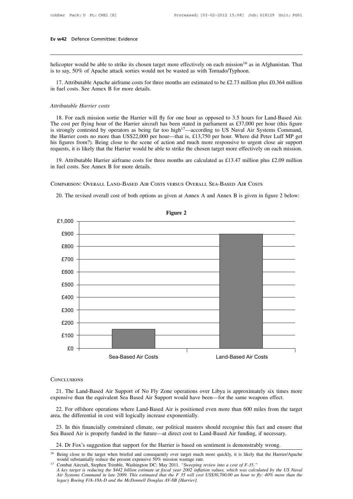**Ev w42** Defence Committee: Evidence<br>helicopter would be able to strike its chosen target more effectively on each mission<sup>16</sup> as in Afghanistan. That<br>is to say, 50% of Apache attack sorties would not be wasted as with Tor **Ev w42** Defence Committee: Evidence<br>helicopter would be able to strike its chosen target more effectively on each mission<sup>16</sup> as in *A*<br>is to say, 50% of Apache attack sorties would not be wasted as with Tornado/Typhoon.<br> 11. Hence and the Apache airframe costs for three months are estimated to be £2.73 million plus £0.364 million fuel costs. See Annex B for more details. helicopter would be able to strike its chosen targe<br>is to say, 50% of Apache attack sorties would not<br>17. Attributable Apache airframe costs for three<br>in fuel costs. See Annex B for more details.

is to say, 50% of Apache attack sorties would not be wasted as with Tornado/Typhoon.<br>
17. Attributable Apache airframe costs for three months are estimated to be £2.73 million plus £0.364 million<br>
in fuel costs. See Annex

17. Attributable Apache airframe costs for three months are estimated to be £2.73 million plus £0.364 million<br>fuel costs. See Annex B for more details.<br>Itibutable Harrier costs<br>18. For each mission sortie the Harrier will The costs. See Annex B for more details.<br>
Attributable Harrier costs<br>
18. For each mission sortie the Harrier will fly for one hour as opposed to 3.5 hours for Land-Based Air.<br>
The cost per flying hour of the Harrier airc Attributable Harrier costs<br>
18. For each mission sortie the Harrier will fly for one hour as opposed to 3.5 hours for Land-Based Air.<br>
18. For each mission sortie the Harrier aircraft has been stated in parliament as £37, Attributable Harrier costs<br>
18. For each mission sortie the Harrier will fly for one hour as opposed to 3.5 hours for Land-Based Air.<br>
The cost per flying hour of the Harrier aircraft has been stated in parliament as £37,0 Attributable Harrier costs<br>18. For each mission sortie the Harrier will fly for one hour as opposed to 3.5 hours for Land-Based Air.<br>The cost per flying hour of the Harrier aircraft has been stated in parliament as £37,000 18. For each mission sortie the Harrier will fly for one hour as opposed to 3.5 hours for Land-Based Air. The cost per flying hour of the Harrier aircraft has been stated in parliament as £37,000 per hour (this figure is is externally contested by operators as being far too high<sup>17</sup>—according to US Naval Air Systems Command, i.e Harrier costs no more than US\$22,000 per hour—that is, £13,750 per hour. Where did Peter Luff MP get is figures is strongly contested by operators as being far to<br>the Harrier costs no more than US\$22,000 per ho<br>his figures from?). Being close to the scene of a<br>requests, it is likely that the Harrier would be able<br>19. Attributable Ha the Harrier costs no more than US\$22,000 per hour—that is, £13,750 per hour. Where did Peter Luff MP get<br>his figures from?). Being close to the scene of action and much more responsive to urgent close air support<br>requests,

20. 19. Attributable Harrier airframe costs for three months are calculated as £13.47 million plus £2.09 million fuel costs. See Annex B for more details.<br>
DMPARISON: OVERALL LAND-BASED AIR COSTS VERSUS OVERALL SEA-BASED A



**CONCLUSIONS** 

21. The Land-Based Air Support of No Fly Zone operations over Libya is approximately six times more expensive than the equivalent Sea Based Air Support would have been—for the same weapons effect.<br>22. For offshore operatio

22. For offshore operations where Land-Based Air Support would have been—for the same weapons effect.<br>22. For offshore operations where Land-Based Air is positioned even more than 600 miles from the target<br>22. For offshore CONCLUSIONS<br>
21. The Land-Based Air Support of No Fly Zone operations over<br>
expensive than the equivalent Sea Based Air Support would have been<br>
22. For offshore operations where Land-Based Air is positioned ev<br>
area, the 21. The Land-Based Air Support of No Fly Zone operations over Libya is approximately six times more<br>pensive than the equivalent Sea Based Air Support would have been—for the same weapons effect.<br>22. For offshore operations Sea Based Air Support of The Same operation and the expensive than the equivalent Sea Based Air Support would have been—for the same weapons effect.<br>22. For offshore operations where Land-Based Air is positioned even more 22. For offshore operations where Land-Based Air is positioned even more than 600 miles from the target area, the differential in cost will logically increase exponentially.<br>
23. In this financially constrained climate, o

<sup>&</sup>lt;sup>16</sup> Being close to the target when briefed and consequently over target much more quickly, it is likely that the Harrier/Apache

<sup>23.</sup> In this financially constrained climate, our political masters should recognise this fact and ensure that Sea Based Air is properly funded in the future—at direct cost to Land-Based Air funding, if necessary.<br>
24. Dr *A* key target is reducing the start is reduced in the start is and the start is demonstrably wrong.<br> *A key target is suggestion that support for the Harrier is based on sentiment is demonstrably wrong.<br>
<i>A key target is* 24. Dr Fox's suggestion that support for the Harrier is based on sentiment is demonstrably wrong.<br>*Being close to the target when briefed and consequently over target much more quickly, it is likely that the Harrier/Apache*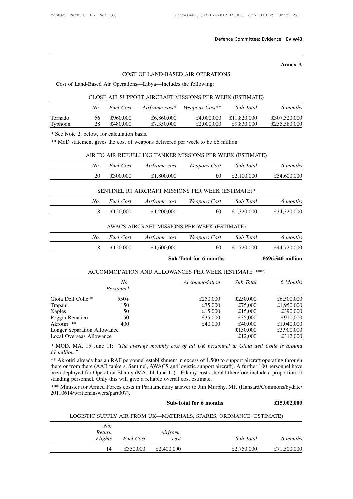# Defence Committee<br>
COST OF LAND-BASED AIR OPERATIONS<br>
rations—Libya—Includes the following:

COST OF LAND-BASED AIR OPERATION:<br>Cost of Land-Based Air Operations—Libya—Includes the following:<br>CLOSE AIR SUPPORT AIRCRAFT MISSIONS PER WEEL

# Annex A<br>COST OF LAND-BASED AIR OPERATIONS<br>Cost of Land-Based Air Operations—Libya—Includes the following:<br>CLOSE AIR SUPPORT AIRCRAFT MISSIONS PER WEEK (ESTIMATE)

|         |     |                                             |                                                                 | COST OF LAND-BASED AIR OPERATIONS                                               |             |              |
|---------|-----|---------------------------------------------|-----------------------------------------------------------------|---------------------------------------------------------------------------------|-------------|--------------|
|         |     |                                             | Cost of Land-Based Air Operations—Libya—Includes the following: |                                                                                 |             |              |
|         |     |                                             |                                                                 | CLOSE AIR SUPPORT AIRCRAFT MISSIONS PER WEEK (ESTIMATE)                         |             |              |
|         | No. | <b>Fuel Cost</b>                            | Airframe $cost*$                                                | Weapons Cost**                                                                  | Sub Total   | 6 months     |
| Tornado | 56  | £960,000                                    | £6,860,000                                                      | £4,000,000                                                                      | £11,820,000 | £307,320,000 |
| Typhoon | 28  | £480,000                                    | £7,350,000                                                      | £2,000,000                                                                      | £9,830,000  | £255,580,000 |
|         |     | * See Note 2, below, for calculation basis. |                                                                 |                                                                                 |             |              |
|         |     |                                             |                                                                 | ** MoD statement gives the cost of weapons delivered per week to be £6 million. |             |              |
|         |     |                                             |                                                                 | AIR TO AIR REFUELLING TANKER MISSIONS PER WEEK (ESTIMATE)                       |             |              |
|         | No. | <b>Fuel Cost</b>                            | Airframe cost                                                   | Weapons Cost                                                                    | Sub Total   | 6 months     |
|         |     |                                             |                                                                 |                                                                                 |             |              |

| I Y PHOOH | $\angle$ O | <b>L</b> HOU, UUU                           | 1,330,000                                                                       | LZ,000,000          | <b>LY,000,000</b> | £233,300,000 |
|-----------|------------|---------------------------------------------|---------------------------------------------------------------------------------|---------------------|-------------------|--------------|
|           |            | * See Note 2, below, for calculation basis. |                                                                                 |                     |                   |              |
|           |            |                                             | ** MoD statement gives the cost of weapons delivered per week to be £6 million. |                     |                   |              |
|           |            |                                             | AIR TO AIR REFUELLING TANKER MISSIONS PER WEEK (ESTIMATE)                       |                     |                   |              |
|           |            |                                             |                                                                                 |                     |                   |              |
|           | No.        | <b>Fuel Cost</b>                            | Airframe cost                                                                   | <i>Weapons Cost</i> | Sub Total         | 6 months     |
|           | 20         | £300,000                                    | £1,800,000                                                                      | £0                  | £2,100,000        | £54,600,000  |
|           |            |                                             |                                                                                 |                     |                   |              |
|           |            |                                             | SENTINEL R1 AIRCRAFT MISSIONS PER WEEK (ESTIMATE)*                              |                     |                   |              |
|           | No.        | <b>Fuel Cost</b>                            | Airframe cost                                                                   | Weapons Cost        | Sub Total         | 6 months     |
|           | 8          | £120,000                                    | £1,200,000                                                                      | £0                  | £1,320,000        | £34,320,000  |
|           |            |                                             |                                                                                 |                     |                   |              |

| 20  | £300,000         | £1,800,000                                         | £0           | £2,100,000 | £54,600,000 |
|-----|------------------|----------------------------------------------------|--------------|------------|-------------|
|     |                  |                                                    |              |            |             |
|     |                  | SENTINEL R1 AIRCRAFT MISSIONS PER WEEK (ESTIMATE)* |              |            |             |
| No. | <b>Fuel Cost</b> | Airframe cost                                      | Weapons Cost | Sub Total  | 6 months    |
| 8   | £120,000         | £1,200,000                                         | £0           | £1,320,000 | £34,320,000 |
|     |                  |                                                    |              |            |             |
|     |                  | AWACS AIRCRAFT MISSIONS PER WEEK (ESTIMATE)        |              |            |             |
| No. | Fuel Cost        | Airframe cost                                      | Weapons Cost | Sub Total  | 6 months    |
| 8   | £120,000         | £1,600,000                                         | £0           | £1,720,000 | £44,720,000 |

| 8   | £120,000         | £1,200,000    | £0                                                   | £1,320,000 | £34,320,000        |
|-----|------------------|---------------|------------------------------------------------------|------------|--------------------|
|     |                  |               | AWACS AIRCRAFT MISSIONS PER WEEK (ESTIMATE)          |            |                    |
| No. | <b>Fuel Cost</b> | Airframe cost | Weapons Cost                                         | Sub Total  | 6 months           |
| 8   | £120,000         | £1,600,000    | £0                                                   | £1,720,000 | £44,720,000        |
|     |                  |               | Sub-Total for 6 months                               |            | $£696.540$ million |
|     |                  |               | ACCOMMODATION AND ALLOWANCES PER WEEK (ESTIMATE ***) |            |                    |
|     | No.              |               | Accommodation                                        | Sub Total  | 6 Months           |

| 8                           | £120,000         | £1,600,000                                           | £0            | £1,720,000 | £44,720,000      |
|-----------------------------|------------------|------------------------------------------------------|---------------|------------|------------------|
|                             |                  | Sub-Total for 6 months                               |               |            | £696.540 million |
|                             |                  | ACCOMMODATION AND ALLOWANCES PER WEEK (ESTIMATE ***) |               |            |                  |
|                             | No.<br>Personnel |                                                      | Accommodation | Sub Total  | 6 Months         |
| Gioia Dell Colle *          | $550+$           |                                                      | £250,000      | £250,000   | £6,500,000       |
| Trapani                     | 150              |                                                      | £75,000       | £75,000    | £1,950,000       |
| <b>Naples</b>               | 50               |                                                      | £15,000       | £15,000    | £390,000         |
| Poggia Renatico             | 50               |                                                      | £35,000       | £35,000    | £910,000         |
| Akrotiri **                 | 400              |                                                      | £40,000       | £40,000    | £1,040,000       |
| Longer Separation Allowance |                  |                                                      |               | £150,000   | £3,900,000       |
| Local Overseas Allowance    |                  |                                                      |               | £12,000    | £312,000         |

Longer Separation Allowance<br>
Local Overseas Allowance<br>
\* MOD, MA, 15 June 11: "The average monthly cost of all UK personnel at Gioia dell Colle is around<br>  $\pm 1$  million."<br>
\*\* Akrotiri already has an RAF personnel establis **Example 12,000** E312,000<br> **Example 7.12,000** E512,000<br> **Example 7.12,000** E512,000<br> **Example 7.12,000** E512,000<br> **Example 7.12,000** E512,000<br> **Example 7.12,000**<br> **Example 7.12,000**<br> **Example 7.12,000**<br> **Example 7.12,000 EXAM STANGE THEMANGE 11.1.** "The average monthly cost of all UK personnel."<br>
\*\* MOD, MA, 15 June 11: "The average monthly cost of all UK personnel."<br>
\*\* Akrotiri already has an RAF personnel establishment in excess of 1,5 <sup>24</sup> MOD, MA, 13 June 11: The average monthly cost of all UK personnet at Glota aeti Colle is around  $\pm 1$  million."<br>
<sup>24</sup> Akrotiri already has an RAF personnel establishment in excess of 1,500 to support aircraft operat S and logistic support aircraft). A further 100 personnel have 11)—Ellamy costs should therefore include a proportion of verall cost estimate.<br>
ary answer to Jim Murphy, MP. (Hansard/Commons/bydate/<br> **Sub-Total for 6 month** 

20110614/writtenanswers/part007). standing personnel. Only this will give a reliable overall cost estimate.<br>
\*\*\* Minister for Armed Forces costs in Parliamentary answer to Jim Murphy, MP. (Hansard/Commons/bydate/<br>
20110614/writtenanswers/part007).<br> **Sub-To** 

|         |                  | Sub-Total for 6 months |                                                                    | £15,002,000 |
|---------|------------------|------------------------|--------------------------------------------------------------------|-------------|
|         |                  |                        | LOGISTIC SUPPLY AIR FROM UK—MATERIALS, SPARES, ORDNANCE (ESTIMATE) |             |
| No.     |                  |                        |                                                                    |             |
| Return  |                  | Airframe               |                                                                    |             |
| Flights | <b>Fuel Cost</b> | cost                   | Sub Total                                                          | 6 months    |
| 14      | £350,000         | £2,400,000             | £2,750,000                                                         | £71,500,000 |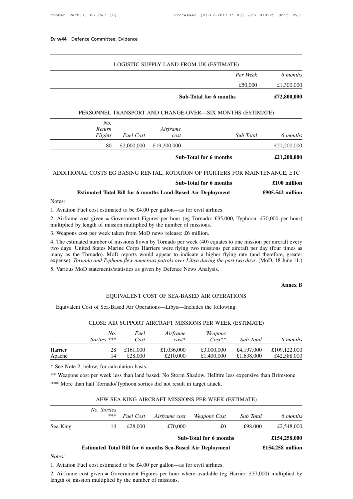| Ev w44 Defence Committee: Evidence                        |             |
|-----------------------------------------------------------|-------------|
| LOGISTIC SUPPLY LAND FROM UK (ESTIMATE)                   |             |
| Per Week                                                  | 6 months    |
| £50,000                                                   | £1,300,000  |
| <b>Sub-Total for 6 months</b>                             | £72,800,000 |
| PERSONNEL TRANSPORT AND CHANGE-OVER-SIX MONTHS (ESTIMATE) |             |
| No.                                                       |             |

|                                                                              |                  | Sub-Total for 6 months                                    |           | £72,800,000  |
|------------------------------------------------------------------------------|------------------|-----------------------------------------------------------|-----------|--------------|
|                                                                              |                  | PERSONNEL TRANSPORT AND CHANGE-OVER—SIX MONTHS (ESTIMATE) |           |              |
| No.                                                                          |                  |                                                           |           |              |
| Return                                                                       |                  | Airframe                                                  |           |              |
| Flights                                                                      | <b>Fuel Cost</b> | cost                                                      | Sub Total | 6 months     |
| 80                                                                           | £2,000,000       | £19,200,000                                               |           | £21,200,000  |
|                                                                              |                  | Sub-Total for 6 months                                    |           | £21,200,000  |
|                                                                              |                  |                                                           |           |              |
| ADDITIONAL COSTS EG BASING RENTAL, ROTATION OF FIGHTERS FOR MAINTENANCE, ETC |                  |                                                           |           |              |
|                                                                              |                  | Sub-Total for 6 months                                    |           | £100 million |
|                                                                              |                  |                                                           |           |              |

| £2,000,000<br>80                                                                                                                                                               | £19,200,000            | £21,200,000        |
|--------------------------------------------------------------------------------------------------------------------------------------------------------------------------------|------------------------|--------------------|
|                                                                                                                                                                                | Sub-Total for 6 months | £21,200,000        |
| ADDITIONAL COSTS EG BASING RENTAL, ROTATION OF FIGHTERS FOR MAINTENANCE, ETC                                                                                                   |                        |                    |
|                                                                                                                                                                                | Sub-Total for 6 months | £100 million       |
| <b>Estimated Total Bill for 6 months Land-Based Air Deployment</b>                                                                                                             |                        | $£905.542$ million |
| Notes:                                                                                                                                                                         |                        |                    |
| 1. Aviation Fuel cost estimated to be £4.00 per gallon—as for civil airlines.                                                                                                  |                        |                    |
| 2. Airframe cost given = Government Figures per hour (eg Tornado: £35,000, Typhoon: £70,000 per hour)<br>multiplied by length of mission multiplied by the number of missions. |                        |                    |
| 3. Weapons cost per week taken from MoD news release: £6 million.                                                                                                              |                        |                    |
|                                                                                                                                                                                |                        |                    |

**ESUMATE TOTAL INTO THE EXECUTE:**<br>3. Aviation Fuel cost estimated to be £4.00 per gallon—as for civil airlines<br>3. Airframe cost given = Government Figures per hour (eg Tornado: £35<br>multiplied by length of mission multiplie

1. Aviation Fuel cost estimated to be £4.00 per gallon—as for civil airlines.<br>
2. Airframe cost given = Government Figures per hour (eg Tornado: £35,000, Typhoon: £70,000 per hour)<br>
multiplied by length of mission multipli 1. Aviation Fuel cost estimated to be £4.00 per gallon—as for civil airlines.<br>
2. Airframe cost given = Government Figures per hour (eg Tornado: £35,000, Typhoon: £70,000 per hour)<br>
multiplied by length of mission multipli 2. Airframe cost given = Government Figures per hour (eg Tornado: £35,000, Typhoon: £70,000 per hour) multiplied by length of mission multiplied by the number of missions.<br>3. Weapons cost per week taken from MoD news rele 2. All traine cost given – Government Figures per nout (eg Tomado, 255,000, Typhoon, 270,000 per nout)<br>multiplied by length of mission multiplied by the number of missions.<br>3. Weapons cost per week taken from MoD news rele 3. Weapons cost per week taken from MoD news release: £6 million.<br>4. The estimated number of missions flown by Tornado per week (40) equates to<br>two days. United States Marine Corps Harriers were flying two missions per<br>man times as<br>
e, greater<br>
June 11.)<br> **Annex B** expense): *Tornado and Typhoon flew numerous patrols over Libya during the past two days*. (MoD, 18 June 11.)<br>5. Various MoD statements/statistics as given by Defence News Analysis.<br>**Annex B**<br>EQUIVALENT COST OF SEA-BASED A

Various MoD statements/statistics as given by Defence News Analysis.<br>
EQUIVALENT COST OF SEA-BASED AIR OPERATIONS<br>
Equivalent Cost of Sea-Based Air Operations—Libya—Includes the following:<br>
CLOSE AIR SUPPORT AIRCRAFE MISSI

| CLOSE AIR SUPPORT AIRCRAFT MISSIONS PER WEEK (ESTIMATE) |  |  |  |  |  |  |  |
|---------------------------------------------------------|--|--|--|--|--|--|--|
|---------------------------------------------------------|--|--|--|--|--|--|--|

|         |                                             |          |                                                                                                         |            |            | <b>Annex B</b> |
|---------|---------------------------------------------|----------|---------------------------------------------------------------------------------------------------------|------------|------------|----------------|
|         |                                             |          | EQUIVALENT COST OF SEA-BASED AIR OPERATIONS                                                             |            |            |                |
|         |                                             |          | Equivalent Cost of Sea-Based Air Operations—Libya—Includes the following:                               |            |            |                |
|         |                                             |          |                                                                                                         |            |            |                |
|         |                                             |          | CLOSE AIR SUPPORT AIRCRAFT MISSIONS PER WEEK (ESTIMATE)                                                 |            |            |                |
|         | No.                                         | Fuel     | Airframe                                                                                                | Weapons    |            |                |
|         | Sorties ***                                 | Cost     | $cost^*$                                                                                                | $Cost**$   | Sub Total  | 6 months       |
| Harrier | 28                                          | £161,000 | £1,036,000                                                                                              | £3,000,000 | £4,197,000 | £109,122,000   |
| Apache  | 14                                          | £28,000  | £210,000                                                                                                | £1,400,000 | £1,638,000 | £42,588,000    |
|         | * See Note 2, below, for calculation basis. |          |                                                                                                         |            |            |                |
|         |                                             |          | ** Weapons cost per week less than land based. No Storm Shadow. Hellfire less expensive than Brimstone. |            |            |                |
|         |                                             |          | *** More than half Tornado/Typhoon sorties did not result in target attack.                             |            |            |                |

% See Note 2, below, for calculation basis.<br>\*\* Weapons cost per week less than land based. No Storm Shadow. Hellfire less expensive than Brimstone.<br>\*\*\* More than half Tornado/Typhoon sorties did not result in target attack

|     |                                                                                                                         |               | AEW SEA KING AIRCRAFT MISSIONS PER WEEK (ESTIMATE) |                                                                                                                                                    |                               |
|-----|-------------------------------------------------------------------------------------------------------------------------|---------------|----------------------------------------------------|----------------------------------------------------------------------------------------------------------------------------------------------------|-------------------------------|
| *** | <b>Fuel Cost</b>                                                                                                        | Airframe cost | Weapons Cost                                       | Sub Total                                                                                                                                          | 6 months                      |
| 14  | £28,000                                                                                                                 | £70,000       | £0                                                 | £98,000                                                                                                                                            | £2,548,000                    |
|     |                                                                                                                         |               |                                                    |                                                                                                                                                    | £154,258,000                  |
|     |                                                                                                                         |               |                                                    |                                                                                                                                                    | $£154.258$ million            |
|     |                                                                                                                         |               |                                                    |                                                                                                                                                    |                               |
|     |                                                                                                                         |               |                                                    |                                                                                                                                                    |                               |
|     | No. Sorties<br>2. Airframe cost given = Government Figures per hour where available (eg Harrier: £37,000) multiplied by |               |                                                    | <b>Estimated Total Bill for 6 months Sea-Based Air Deployment</b><br>1. Aviation Fuel cost estimated to be £4.00 per gallon—as for civil airlines. | <b>Sub-Total for 6 months</b> |

*Notes:*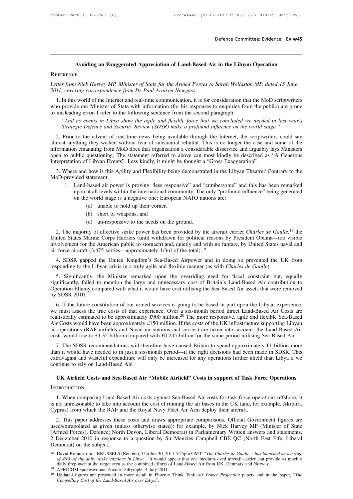# **Defence Committee: Evidence Ev w45**<br>Avoiding an Exaggerated Appreciation of Land-Based Air in the Libyan Operation<br>E

# **REFERENCE**

*Letter from Nick Harvey MP, Minister of State for the Armed Forces to Sarah Wollaston MP, dated 15 June*<br>2011, covering correspondence from Dr Paul Arnison-Newgass *2011, Avoiding an Exaggerated Appreciation of Land-Based Air REFERENCE*<br>*2011, covering correspondence from Dr Paul Arnison-Newgass*<br>2011, *covering correspondence from Dr Paul Arnison-Newgass*<br>1. In this world of the Int

Avoiding an Exaggerated Appreciation of Land-Based Air in the Libyan Operation<br> *EFERENCE*<br> *Iter from Nick Harvey MP, Minister of State for the Armed Forces to Sarah Wollaston MP, dated 15 June*<br> *II, covering corresponde* EXETERENCE<br> *Exter from Nick Harvey MP, Minister of State for the Armed Forces to Sarah Wollaston MP, dated 15 June*<br>
2011, *covering correspondence from Dr Paul Arnison-Newgass*<br>
1. In this world of the Internet and real-REFERENCE<br>
Letter from Nick Harvey MP, Minister of State for the Armed Forces to Sarah Wollasto<br>
2011, covering correspondence from Dr Paul Arnison-Newgass<br>
1. In this world of the Internet and real-time communication, it *r from Nick Harvey MP, Minister of State for the Armed Forces to Sarah Wollaston MP, dated 15 June*, covering correspondence from Dr Paul Arnison-Newgass<br>In this world of the Internet and real-time communication, it is fo *State from Nick Harvey MP, Minister of State for the Armed Forces to Sarah Wollaston MP, dated 15 June* 2011, *covering correspondence from Dr Paul Arnison-Newgass*<br>
1. In this world of the Internet and real-time communic 1. In this world of the Internet and real-time communication, it is for consideration that the MoD scriptwriters<br>no provide our Minister of State with information (for his responses to enquiries from the public) are prone<br>

most anything they wished with information (for his responses to enquiries from the public) are prone<br>to misleading error. I refer to the following sentence from the second paragraph:<br>"And as events in Libya show the agile information emanating from MoD does that organisation a considerable disservice and several in that year's Strategic Defence and Security Review (SDSR) make a profound influence on the world stage."<br>2. Prior to the advent Consumer to public questioning. The statement referred to above that we concluded we needed in last year's<br>Strategic Defence and Security Review (SDSR) make a profound influence on the world stage."<br>2. Prior to the advent Interpretation of Libyan Events in Libyan Show the agite and jextible jorce that we concluded we heeded Strategic Defence and Security Review (SDSR) make a profound influence on the world stage.<br>2. Prior to the advent of r 2. Prior to the advent of real-time news being available through the Internet, the scriptwriters could say most anything they wished without fear of substantial rebuttal. This is no longer the case and some of the formatio 2. Prior to the advent of real<br>almost anything they wished w<br>information emanating from Mo<br>open to public questioning. Th<br>Interpretation of Libyan Events'<br>3. Where and how is this Agi<br>MoD-provided statement:<br>1. Land-based The station emanating from MoD does that organisation a considerable disservice and arguably lays Ministers<br>
is providic questioning. The statement referred to above can most kindly be described as "A Generous<br>
retation of

- upon at all levels within the international community. The statement referred to above can most kindly be described as "A Generous<br>
ion of Libyan Events". Less kindly, it might be thought a "Gross Exaggeration".<br>
Le and ho ion of Libyan Events". Less kindly, it might be thought a "Gross Exagge"<br>
e and how is this Agility and Flexibility being demonstrated in the Libya<br>
ided statement:<br>
Land-based air power is proving "less responsive" and "c (a) low is this Agility and Flexibility being<br>
statement:<br>
based air power is proving "less respon<br>
at all levels within the international comm<br>
e world stage is a negative one: Europea<br>
(a) unable to hold up their corner, (b) short of weapons, and the media of which the international conduction of world stage is a negative one: Europ (a) unable to hold up their corner, (b) short of weapons, and (c) un-responsive to the needs on the based air power is proving "less responsive" and "<br>
at all levels within the international community. The<br>
e world stage is a negative one: European NATO nat<br>
(a) unable to hold up their corner,<br>
(b) short of weapons, and<br>
	-
	-
	-

12. The majority of effective strike power has been provided by the aircraft carrier *Charles de Gaulle*,<sup>18</sup> the inted States Marine Corps Harriers (until withdrawn for political reasons by President Obama—too visible vol on the world stage is a negative one: European NATO nations are:<br>
(a) unable to hold up their corner,<br>
(b) short of weapons, and<br>
(c) un-responsive to the needs on the ground.<br>
2. The majority of effective strike power ha (a) unable to hold up their corner,<br>
(b) short of weapons, and<br>
(c) un-responsive to the needs on the ground.<br>
2. The majority of effective strike power has been provided by the aircraft carrier *Charles de Gaulle*,<sup>18</sup> t (b) short of weapons, and<br>
(c) un-responsive to the needs on the ground.<br>
2. The majority of effective strike power has been provided by the aircraft carrier *Charles de Gaulle*,<sup>18</sup> the<br>
United States Marine Corps Harrie 2. The majority of effective strike power has been provided by the aircraft carrier *Charles de Gaul* United States Marine Corps Harriers (until withdrawn for political reasons by President Obama—toe involvement for the Am ited States Marine Corps Harriers (until withdrawn for political reasons by President Obama—too visible<br>volvement for the American public to stomach) and, quietly and with no fanfare, by United States naval and<br>force aircr

involvement for the American public to stomach) and, quietly and with no fanfare, by United States naval and<br>air force aircraft (3,475 sorties—approximately 1/3rd of the total).<sup>19</sup><br>4. SDSR gapped the United Kingdom's Seaair force aircraft (3,475 sorties—approximately 1/3rd of the total).<sup>19</sup><br>4. SDSR gapped the United Kingdom's Sea-Based Airpower and in doing so prevented the UK from<br>responding to the Libyan crisis in a truly agile and fl 4. SDSR gapped<br>responding to the Lib<br>5. Significantly, t<br>significantly, failed t<br>Operation Ellamy cor<br>by SDSR 2010.<br>6. If the future cor sponding to the Libyan crisis in a truly agile and flexible manner (as with *Charles de Gaulle*).<br>
5. Significantly, the Minister remarked upon the overriding need for fiscal constraint but, equally<br>
mificantly, failed to

5. Significantly, the Minister remarked upon the overriding need for fiscal constraint but, equally significantly, failed to mention the large and unnecessary cost of Britain's Land-Based Air contribution to Operation Ell 3. Significantly, the Minister Felliar Real upon the overliding heed for fiscal constraint out, equally significantly, failed to mention the large and unnecessary cost of Britain's Land-Based Air contribution to Operation Signincanty, raned to mention the range and unnecessary cost of Britain's Land-Based Air contribution to<br>Operation Ellamy compared with what it would have cost utilising the Sea-Based Air assets that were removed<br>by SDSR by SDSR 2010.<br>
6. If the future constitution of our armed services is going to be based in part upon the Libyan experience,<br>
we must assess the true costs of that experience. Over a six-month period direct Land-Based Air C by SDSR 2010.<br>
6. If the future constitution of our armed services is going to be based in part upon the Libyan experience,<br>
we must assess the true costs of that experience. Over a six-month period direct Land-Based Air 6. It the future constitution of our affilied services is going to be based in part upon the Libyan experience,<br>
2. must assess the true costs of that experience. Over a six-month period direct Land-Based Air Costs are<br>
a we must assess the the costs of that experience. Over a six-month period direct Land-Based Air Costs are realistically estimated to be approximately £900 million.<sup>20</sup> The more responsive, agile and flexible Sea-Based Air C

Franklicantly estimated to be approximately £900 infinion. The inference is exponsive, agrie and nexture sea-Based Air Air Costs would have been approximately £150 million. If the costs of the UK infrastructure supporting Air Costs would have been approximately £150 million. If the costs of the UK infrastructure supporting Libyan air operations (RAF airfields and Naval air stations and carrier) are taken into account, the Land-Based Air. c The SDSR recommendations will therefore have caused Britain to spend approximately £1 billion more in it would have needed to in just a six-month period—if the right decisions had been made in SDSR. This travagant and wast

# **INTRODUCTION**

Extravagant and wastetul expenditure will only be increased for any operations further afield than Libya if we<br>thinue to rely on Land-Based Air.<br>I. When comparing Land-Based Air costs against Sea-Based Air costs for task f IVI Airfield Costs and Sea-Based Air "Mobile Airfield" Costs in support of Task Force Operations<br>
INTRODUCTION<br>
1. When comparing Land-Based Air costs against Sea-Based Air costs for task force operations offshore, it<br>
is 1. When comparing Land-Based Air costs against Sea-Based Air costs for task force operations offshore, it<br>is not unreasonable to take into account the cost of running the air bases in the UK (and, for example, Akrotiri,<br>Cy 2. This paper addresses these costs and the Robine Anneta Costs in support of task force operations offshore, it<br>and unreasonable to take into account the cost of running the air bases in the UK (and, for example, Akrotiri

INTRODUCTION<br>
1. When comparing Land-Based Air costs against Sea-Based Air costs for task force operations offshore, it<br>
is not unreasonable to take into account the cost of running the air bases in the UK (and, for exampl 1. When comparing Land-Based Air costs against Sea-Based Air costs for task force operations offshore, it<br>is not unreasonable to take into account the cost of running the air bases in the UK (and, for example, Akrotiri,<br>Cy 2 December 2010 in response to a question by Sir Menzies Campbell CBE QC (North East Fife, Liberal Democrat) in Parliamentary Cyprus and statements, a December 2010 in response to a question by Sir Menzies Campbell CBE QC Is not unleasonable to take into account the cost of funning the air bases in the OK (and, tor example, AKOuT,<br>Cyprus) from which the RAF and the Royal Navy Fleet Air Arm deploy their aircraft.<br>2. This paper addresses thes *cd/extrapolated as given (unless otherwise stated): for example, by Nick Harvey MP (Minister of State rmed Forces), Defence; North Devon, Liberal Democrat) in Parliamentary Written answers and statements, December 2010 in* (Armed Forces), Defence; North Devon, Liberal Democrat) in Parliamentary Written answers and statements,<br>2 December 2010 in response to a question by Sir Menzies Campbell CBE QC (North East Fife, Liberal<br>Democrat) on the

**Democrat) on the subject.**<br>
<sup>18</sup> David Brunnstrom—BRUSSELS (Reuters), Thu Jun 30, 2011 5:25pm GMT. "*The Charles de Gaulle*... *has launched an average*<br> *of 40% of the daily strike missions in Libya*." It would appear th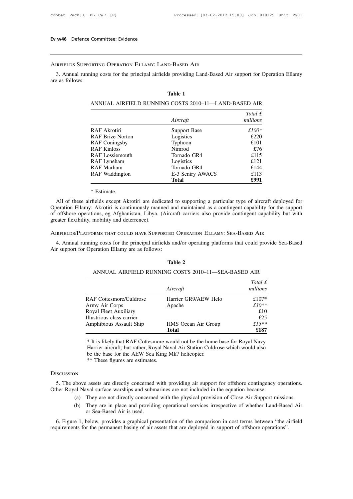# Airfields Supporting Operation Ellamy: Land-Based Air

3. Annual running costs for the principal airfields providing Land-Based Air support for Operation Ellamy<br>3. Annual running costs for the principal airfields providing Land-Based Air support for Operation Ellamy<br>2. as foll EV W<sub>3</sub> Betchee Contract Control Betchee Control AIRFIELDS SUPPORTIES<br>3. Annual running are as follows: **D-Based AIR**<br>Is providing Land-1<br>**Table 1**<br>G COSTS 2010–11-*Total E*<br> *Total £*<br> *Total £*<br> **Total** *£*<br> **Total** *£* 

|                         | Table 1                                              |           |
|-------------------------|------------------------------------------------------|-----------|
|                         | ANNUAL AIRFIELD RUNNING COSTS 2010–11—LAND-BASED AIR |           |
|                         |                                                      | Total $f$ |
|                         | Aircraft                                             | millions  |
| RAF Akrotiri            | Support Base                                         | $£100*$   |
| <b>RAF Brize Norton</b> | Logistics                                            | £220      |
| <b>RAF Coningsby</b>    | Typhoon                                              | £101      |
| <b>RAF Kinloss</b>      | Nimrod                                               | £76       |
| <b>RAF</b> Lossiemouth  | Tornado GR4                                          | £115      |
| RAF Lyneham             | Logistics                                            | £121      |
| RAF Marham              | Tornado GR4                                          | £144      |
| RAF Waddington          | E-3 Sentry AWACS                                     | £113      |
|                         | <b>Total</b>                                         | £991      |

RAF Lyneham<br>
RAF Marham<br>
RAF Waddington<br>
RAF Waddington<br>
E-3 Sentry AWACS<br>
Total<br>
Total<br>
Total<br>
Total<br>
P-3 Sentry AWACS<br>
E-3 Sentry AWACS<br>
E-3 Sentry AWACS<br>
E-113<br> **E-9991**<br>
P-991<br>
S-991<br>
S-991<br>
S-991<br>
S-91<br>
Total<br>
C-8 Agh RAF Marham<br>
RAF Waddington<br>
E-3 Sentry AWACS<br>
Total<br>
Total<br>
E-3 Sentry AWACS<br>
E113<br>
E113<br>
E113<br>
E113<br>
E113<br>
E113<br>
E113<br>
E113<br>
E991<br>
E113<br>
E991<br>
SERIME:<br>
SERIME:<br>
SERIME:<br>
SERIME:<br>
SERIME:<br>
SERIME:<br>
SERIME:<br>
SERIME:<br>
SERIME **E-3 Sentry AWACS** E113<br> **Cotal**<br> **Continuously manufold and maintained as a contingent capability for the support**<br>
operation Ellamy: Akrotiri is continuously manned and maintained as a contingent capability for the suppo \* Estimate.<br>
All of these airfields except Akrotiri are dedicoperation Ellamy: Akrotiri is continuously mann<br>
of offshore operations, eg Afghanistan, Libya.<br>
(greater flexibility, mobility and deterrence).<br>
AIRFIELDS/PLATF **Extimate.**<br>
<sup>\*</sup> Estimate.<br>
All of these airfields except Akrotiri are dedicated to supporting a particular type of aircraft deploye<br>
Operation Ellamy: Akrotiri is continuously manned and maintained as a contingent capabil First of these annexts except Akform are dedicated to supporting a particular type of anterart deployed for beration Ellamy: Akrotiri is continuously manned and maintained as a contingent capability for the support offshor Speration Enany. Twooler is committed by manned and<br>of offshore operations, eg Afghanistan, Libya. (Aircra<br>greater flexibility, mobility and deterrence).<br>AIRFIELDS/PLATFORMS THAT COULD HAVE SUPPORTED<br>4. Annual running cost

AIRFIELDS/PLATFORMS THAT COULD HAVE SUPPORTED OPERATION ELLAMY: SEA-BASED AIR<br>4. Annual running costs for the principal airfields and/or operating platforms that could pr<br>Air support for Operation Ellamy are as follows:<br>**T** 4. Annual running costs for the principal airfields and/or operating platforms that could provide Sea-Based Air support for Operation Ellamy are as follows: *Total* **Example Sea-B**<br>*Total £*<br>*Total £*<br>*Total £* 

|                           | Aircraft                   | Total £<br>millions |
|---------------------------|----------------------------|---------------------|
| RAF Cottesmore/Culdrose   | Harrier GR9/AEW Helo       | £107*               |
| Army Air Corps            | Apache                     | $f30**$             |
| Royal Fleet Auxiliary     |                            | £10                 |
| Illustrious class carrier |                            | £25                 |
| Amphibious Assault Ship   | <b>HMS</b> Ocean Air Group | £15**               |
|                           | Total                      | £187                |

Amphibious Assault Ship<br>
T<br>
\* It is likely that RAF Cottesmore we<br>
Harrier aircraft; but rather, Royal Na<br>
be the base for the AEW Sea King l<br>
\*\* These figures are estimates. For a sincery diat NET Coldshibit would not be the home base for Noyal Navy<br>
Harrier aircraft; but rather, Royal Naval Air Station Culdrose which would also<br>
be the base for the AEW Sea King Mk7 helicopter.<br>
\*\* These figur

# **DISCUSSION**

DISCUSSION<br>
Solution Control Naval Andre Models when would also<br>
be the base for the AEW Sea King Mk7 helicopter.<br>
\*\* These figures are estimates.<br>
DISCUSSION<br>
5. The above assets are directly concerned with providing air <sup>\*\*</sup> These figures are estimates.<br>
(bove assets are directly concerned with providing air support for offshore contingency operations.<br>
(a) They are not directly concerned with the physical provision of Close Air Support m

- 
- (a) They are in place and providing air support for offshore contingency operations.<br>
Shows all Naval surface warships and submarines are not included in the equation because:<br>
(a) They are not directly concerned with the Exercise are directly concerned<br>
inval surface warships and subm<br>
They are not directly concerned<br>
They are in place and providion<br>
or Sea-Based Air is used.<br>
below, provides a graphical pre

5. The above assets are directly concerned with providing air support for offshore contingency operations.<br>
her Royal Naval surface warships and submarines are not included in the equation because:<br>
(a) They are not direct Other Royal Naval surface warships and submarines are not included in the equation because:<br>
(a) They are not directly concerned with the physical provision of Close Air Support missions.<br>
(b) They are in place and providi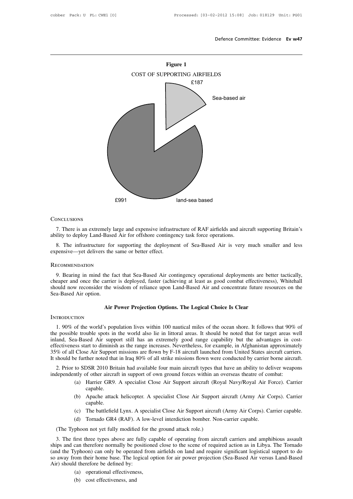

# **CONCLUSIONS**

8. There is an extremely large and expensive infrastructure of RAF airfields and aircraft supporting Britain's<br>8. The infrastructure for supporting the deployment of Sea-Based Air is very much smaller and less<br>pensive—yet Conclusions<br>
7. There is an extremely large and expensive infrastriability to deploy Land-Based Air for offshore continge:<br>
8. The infrastructure for supporting the deployme<br>
expensive—yet delivers the same or better effec

# **RECOMMENDATION**

S. The infrastructure for supporting the deployment of Sea-Based Air is very much smaller and less<br>
18. The infrastructure for supporting the deployment of Sea-Based Air is very much smaller and less<br>
19. Bearing in mind t Solution 8. The infrastructure for supporting the deployment of Sea-Based Air is very much smaller and less<br>expensive—yet delivers the same or better effect.<br>RECOMMENDATION<br>9. Bearing in mind the fact that Sea-Based Air co showled now reconsidered the same or better effect.<br>
RECOMMENDATION<br>
9. Bearing in mind the fact that Sea-Based Air contingency operational deployments are better tactically,<br>
cheaper and once the carrier is deployed, fast RECOMMENDATION<br>9. Bearing in mind the f<br>cheaper and once the carrie<br>should now reconsider the<br>Sea-Based Air option. the fact that Sea-Based Air contingency operational deployments are be arrier is deployed, faster (achieving at least as good combat effectivenes the wisdom of reliance upon Land-Based Air and concentrate future res<br>**Air P** 

## **INTRODUCTION**

1. 90% of the world's population lives within 100 nautical miles of the ocean shore. It follows that 90% of<br>
1. 90% of the world's population lives within 100 nautical miles of the ocean shore. It follows that 90% of<br>
1. 9 Sea-Based Air option.<br> **Air Power Projection Options. The Logical Choice Is Clear**<br>
INTRODUCTION<br>
1. 90% of the world's population lives within 100 nautical miles of the ocean shore. It follows that 90% of<br>
the possible tr Air Power Projection Options. The Logical Choice Is Clear<br>INTRODUCTION<br>1. 90% of the world's population lives within 100 nautical miles of the ocean shore. It follows that 90% of<br>the possible trouble spots in the world als Air Power Projection Options. The Logical Choice Is Clear<br>INTRODUCTION<br>1. 90% of the world's population lives within 100 nautical miles of the ocean shore. It follows that 90% of<br>the possible trouble spots in the world als 1. 90% of the world's population lives within 100 nautical miles of the ocean shore. It follows that 90% of the possible trouble spots in the world also lie in littoral areas. It should be noted that for target areas well It should be further noted that in Iraq 80% of all strike missions flow many aircraft types that hot diversions flow were conducted that for target areas well inland, Sea-Based Air support still has an extremely good range 1. 90% of the world's population lives within 100 haditeal films of the ocean shore. It follows that 90% of possible trouble spots in the world also lie in littoral areas. It should be noted that for target areas well and, independently of other aircraft in support of own ground forces within an overseas theatre aircraft in support<br>
and, Sea-Based Air support still has an extremely good range capability but the advantages in coeffectiveness Solution: Solution as the range increases. Nevertheless, for example, in Afghanistan approximately Close Air Support missions are flown by F-18 aircraft launched from United States aircraft carriers.<br>
e further noted that

- capable. (b) Apache attack helicopter. A specialist Close Air Support aircraft (Army Air Corps). Carrier can<br>
(c) The battlefield Lynx A specialist Close Air Support aircraft (Army Air Corps). Carrier<br>
(c) The battlefield Lynx A sp (a) Harrier GR9. A specialist Close Air Support aircraft (Royal Navy/Royal Air Force). Carrier capable.<br>
(b) Apache attack helicopter. A specialist Close Air Support aircraft (Army Air Corps). Carrier capable.<br>
(c) The bat
- capable. (a) Harrier GR9. A specialist Close Air Support aircraft (Royal Navy/Royal Air Force). Carrier capable.<br>
(b) Apache attack helicopter. A specialist Close Air Support aircraft (Army Air Corps). Carrier capable.<br>
(c) The bat Capable.<br>
(b) Apache attack helicopter. A specialist Close Air Support capable.<br>
(c) The battlefield Lynx. A specialist Close Air Support aircraft<br>
(d) Tornado GR4 (RAF). A low-level interdiction bomber. Not<br>
(The Typhoon
	-
	-

3. The first three types above are fully capable of operation bomber. Non-carrier capable.<br>
3. The first three types above are fully capable of operating from aircraft carriers and amphibious assault<br>
3. The first three ty Ships and can therefore normally be positioned close Air Support aircraft (Army Air Corps). Carrier capable.<br>
(d) Tornado GR4 (RAF). A low-level interdiction bomber. Non-carrier capable.<br>
(The Typhoon not yet fully modifie (c) The battleneld Lynx. A specialist Close Air Support aircraft (Army Air Corps). Carrier capable.<br>
(d) Tornado GR4 (RAF). A low-level interdiction bomber. Non-carrier capable.<br>
The Typhoon not yet fully modified for the (d) Tornado GR4 (RAF). A low-level interdiction bomber. Non-carrier capable.<br>
(The Typhoon not yet fully modified for the ground attack role.)<br>
3. The first three types above are fully capable of operating from aircraft ca (The Typhoon not yet fully modified for<br>3. The first three types above are fully<br>ships and can therefore normally be positit<br>(and the Typhoon) can only be operated f<br>so away from their home base. The logica<br>Air) should the The time that is a solve are fully captived that therefore normally be positioned<br>the position of position of position of the position of the position of the position of the position of the defined by:<br>(a) operational effe This time types above are from<br>the can therefore normally be p<br>yphoon) can only be operat<br>tom their home base. The Ic<br>d therefore be defined by:<br>(a) operational effectivenes<br>(b) cost effectiveness, and

- 
-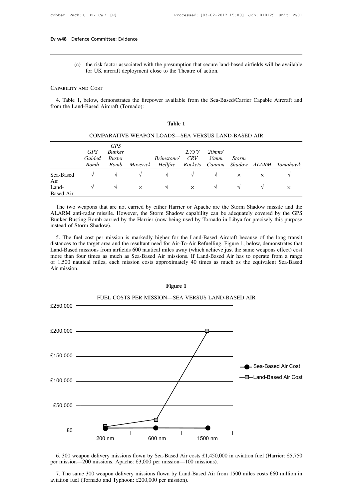(c) the risk factor associated with the presumption that secure land-based airfields will be available<br>for UK aircraft deployment close to the Theatre of action. For UK aircraft deployment close to the Theatre of action.<br>The risk factor associated with the presumption that secure land-<br>for UK aircraft deployment close to the Theatre of action. Ev w48 Defence Committee: Evi<br>
(c) the risk factor ass<br>
for UK aircraft d<br>
CAPABILITY AND COST

4. Table 1, below, demonstrates the firepower available from the Sea-Based/Carrier Capable Aircraft and Anal-Based Aircraft (Tornado): From the Land-Based Aircraft deployment close<br>CAPABILITY AND COST<br>4. Table 1, below, demonstrates the firepow<br>from the Land-Based Aircraft (Tornado): vailable from the<br>**Table 1**<br>DS—SEA VERSU

|                                  |                                     |                                                      |          | Table 1                                            |                           |                         |                        |          |          |
|----------------------------------|-------------------------------------|------------------------------------------------------|----------|----------------------------------------------------|---------------------------|-------------------------|------------------------|----------|----------|
|                                  |                                     |                                                      |          | COMPARATIVE WEAPON LOADS—SEA VERSUS LAND-BASED AIR |                           |                         |                        |          |          |
|                                  | <b>GPS</b><br>Guided<br><b>Bomb</b> | <b>GPS</b><br><b>Bunker</b><br><b>Buster</b><br>Bomb | Maverick | <i>Brimstone/</i><br><i>Hellfire</i>               | 2.75''/<br>CRV<br>Rockets | 20mm/<br>30mm<br>Cannon | <b>Storm</b><br>Shadow | ALARM    | Tomahawk |
| Sea-Based                        | V                                   | $\sqrt{}$                                            | V        | V                                                  | V                         | V                       | $\times$               | $\times$ |          |
| Air<br>Land-<br><b>Based Air</b> | V                                   | $\sqrt{}$                                            | $\times$ | V                                                  | $\times$                  | V                       | $\sqrt{ }$             | V        | $\times$ |

|  |  |  | COMPARATIVE WEAPON LOADS—SEA VERSUS LAND-BASED AIR |  |
|--|--|--|----------------------------------------------------|--|
|  |  |  |                                                    |  |

Land-<br>
The two weapons that are not carried by either Harrier or Apache are the Storm Shadow missile and the<br>
ALARM anti-radar missile. However, the Storm Shadow capability can be adequately covered by the GPS<br>
Bunker Bus Sea-Based  $\sqrt{}$   $\sqrt{}$   $\sqrt{}$   $\sqrt{}$   $\sqrt{}$   $\sqrt{}$   $\sqrt{}$   $\sqrt{}$   $\sqrt{}$   $\sqrt{}$   $\sqrt{}$   $\sqrt{}$   $\sqrt{}$   $\sqrt{}$   $\sqrt{}$   $\sqrt{}$   $\sqrt{}$   $\sqrt{}$   $\sqrt{}$   $\sqrt{}$   $\sqrt{}$   $\sqrt{}$   $\sqrt{}$   $\sqrt{}$   $\sqrt{}$   $\sqrt{}$   $\sqrt{}$   $\sqrt{}$   $\sqrt{}$   $\sqrt{}$  Air<br>
Land-<br>
Based Air<br>
The two weapons that are not carried by either Harrier or Apache are the Storm Shadow missile and the<br>
ALARM anti-radar missile. However, the Storm Shadow capability can be adequately covered by the The two weapons that are not carried by either Harrier or Apache are the Storm Shadow missile and the ALARM anti-radar missile. However, the Storm Shadow capability can be adequately covered by the GPS Bunker Busting Bomb The two weapons that are not carried by either Harrier or Apache are the Storm Shadow missile and the LARM anti-radar missile. However, the Storm Shadow capability can be adequately covered by the GPS unker Busting Bomb ca The two weapons that are not carried by either Harrier or Apache are the Storm Shadow missile and the ALARM anti-radar missile. However, the Storm Shadow capability can be adequately covered by the GPS Bunker Busting Bomb

ALARM anti-radar missile. However, the Storm Shadow capability can be adequately covered by the GPS<br>Bunker Busting Bomb carried by the Harrier (now being used by Tornado in Libya for precisely this purpose<br>instead of Storm Bunker Busting Bomb carried by the Harrier (now being used by Tornado in Libya for precisely this purpose<br>instead of Storm Shadow).<br>5. The fuel cost per mission is markedly higher for the Land-Based Aircraft because of the instead of Storm Shadow).<br>
5. The fuel cost per mission is markedly higher for the Land-Based Aircraft because of the long transit<br>
distances to the target area and the resultant need for Air-To-Air Refuelling. Figure 1, b 5. The fuel cos<br>distances to the ta<br>Land-Based missi<br>more than four ti<br>of 1,500 nautical<br>Air mission. Figure 1<br>**Figure 1**<br>**Figure 1**<br>**Figure 1**<br>**Figure 1**<br>**Figure 1**<br>**Figure 1** more than four times as much as Sea-Based Air missions. If Land-Based Air has to operate from a range of 1,500 nautical miles, each mission costs approximately 40 times as much as the equivalent Sea-Based Air mission.<br>Figu



6. 300 weapon delivery missions flown by Sea-Based Air costs  $\pounds1,450,000$  in aviation fuel (Harrier: £5,750 per mission—200 missions. Apache: £3,000 per mission—100 missions).<br>7. The same 300 weapon delivery missions fl

aviation fuel (Tornado and Typhoon: £200,000 per mission).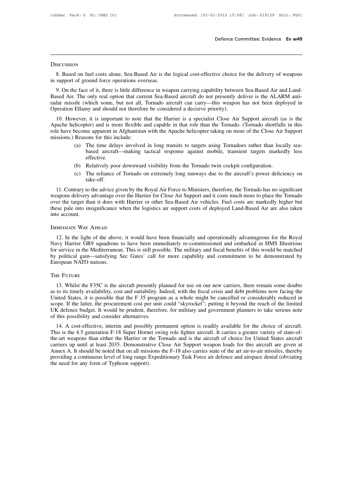# **DISCUSSION**

Befence Committee: Evidence Ev w49<br>
8. Based on fuel costs alone, Sea-Based Air is the logical cost-effective choice for the delivery of weapons<br>
support of ground force operations overseas. In Succession<br>
S. Based on fuel costs alone, Sea-Based Air is the<br>
in support of ground force operations overseas.<br>
9. On the face of it, there is little difference in wea

SCUSSION<br>8. Based on fuel costs alone, Sea-Based Air is the logical cost-effective choice for the delivery of weapons<br>support of ground force operations overseas.<br>9. On the face of it, there is little difference in weapon Based on fuel costs alone, Sea-Based Air is the logical cost-effective choice for the delivery of weapons<br>in support of ground force operations overseas.<br>9. On the face of it, there is little difference in weapon carrying S. Based on fuel costs alone, Sea-Based Air is the logical cost-effective choice for the delivery of weapons<br>in support of ground force operations overseas.<br>9. On the face of it, there is little difference in weapon carryi 8. Based on fuel costs alone, Sea-Based Air is the logical cost-effective choice f<br>in support of ground force operations overseas.<br>9. On the face of it, there is little difference in weapon carrying capability betwee<br>Based support of ground force operations overseas.<br>
9. On the face of it, there is little difference in weapon carrying capability between Sea-Based Air and Land-<br>
sead Air. The only real option that current Sea-Based aircraft d 9. On the face of it, there is little difference in weapon carrying capability between Sea-Based Air and Land-Based Air. The only real option that current Sea-Based aircraft do not presently deliver is the ALARM anti-<br>rada

9. On the race of it, there is flute difference in weapon carrying capability between sea-Based Air and Land-Based Air. The only real option that current Sea-Based aircraft do not presently deliver is the ALARM anti-<br>radar Based Air. The only real option that curr<br>radar missile (which some, but not all, '<br>Operation Ellamy and should not therefor<br>10. However, it is important to note t<br>Apache helicopter) and is more flexible a<br>role have become (a) The time delays involved in long transits to targets using Tornadoes rather than locally seabased aircraft—making tactical response against mobile, transient targets markedly less<br>relative in Afghanistan with the Apache helicopter taking on more of the Close Air Support<br>ons for this include:<br>The time delays invol (Formado shortfalls in this role have become apparent in Afghanistan with the Apache helicopter taking on more of the Close Air Support missions.) Reasons for this include:<br>
(a) The time delays involved in long transits to

- effective. (a) The time delays involved in long transits to targets using Tornadoes rather than locally sea-<br>based aircraft—making tactical response against mobile, transient targets markedly less<br>effective.<br>(b) Relatively poor downw
- 
- take-off.

based aircraft—making tactical response against mobile, transient targets markedly less<br>effective.<br>(b) Relatively poor downward visibility from the Tornado twin cockpit configuration.<br>(c) The reliance of Tornado on extreme effective.<br>
(b) Relatively poor downward visibility from the Tornado twin cockpit configuration.<br>
(c) The reliance of Tornado on extremely long runways due to the aircraft's power deficiency on<br>
take-off.<br>
11. Contrary to (b) Relatively poor downward visibility from the Tornado twin cockpit configuration.<br>
(c) The reliance of Tornado on extremely long runways due to the aircraft's power deficiency on take-off.<br>
11. Contrary to the advice gi (c) The reliance of Tornado on extremely long runways due to the aircraft's power deficiency on take-off.<br>
11. Contrary to the advice given by the Royal Air Force to Ministers, therefore, the Tornado has no significant<br>
we (c) The renance or Tornad<br>take-off.<br>11. Contrary to the advice given by the<br>weapons delivery advantage over the H<br>over the target than it does with Harri<br>these pale into insignificance when the<br>into account.<br>IMMEDIATE WAY 12. In the light of the above, it would have been financially and operationally advantageous for the Royal of the light of the above, it would have been financially and operationally advantageous for the Royal N. MEDIATE W

Navy Harrier GR9 squadrons to have been immediately re-commissioned and embarked in HMS Illustrious<br>The light of the above, it would have been financially and operationally advantageous for the Royal<br>Navy Harrier GR9 squad IMMEDIATE WAY AHEAD<br>12. In the light of the above, it would have been financially and operationally advantageous for the Royal<br>Navy Harrier GR9 squadrons to have been immediately re-commissioned and embarked in HMS Illustr IMMEDIATE WAY AHEAD<br>12. In the light of the above, it would have been financially and operationally advantageous for the Royal<br>Navy Harrier GR9 squadrons to have been immediately re-commissioned and embarked in HMS Illustr IMMEDIATE WAY AHEAD<br>
12. In the light of the above<br>
Navy Harrier GR9 squadrons<br>
for service in the Mediterranea<br>
by political gain—satisfying<br>
European NATO nations.<br>
THE FUTURE 13. Whilst the F35C is the aircraft presently planned for use on our new carriers, there remain some doubts to its timely availability, cost and suitability. Indeed, with the fiscal examples the remain some doubts to its t

For service in the Mediterralican. This is sun possible. The filmitaly and itseal centerits of this would be intacted<br>by political gain—satisfying Sec Gates' call for more capability and commitment to be demonstrated by<br>Eu Buropean NATO nations.<br>
THE FUTURE<br>
13. Whilst the F35C is the aircraft presently planned for use on our new carriers, there remain some doubts<br>
as to its timely availability, cost and suitability. Indeed, with the fiscal European IVMO hadrons.<br>
13. Whilst the F35C is the aircraft presently planned for use on our new carriers, there remain some doubts<br>
as to its timely availability, cost and suitability. Indeed, with the fiscal crisis and d THE FUTURE<br>
13. Whilst the F35C is the aircraft presently planned for use on our new carriers, there remain some doubts<br>
as to its timely availability, cost and suitability. Indeed, with the fiscal crisis and debt problems 13. Whilst the F35C is the aircraft presently pl<br>as to its timely availability, cost and suitability. In<br>United States, it is possible that the F 35 progra<br>scope. If the latter, the procurement cost per unit<br>UK defence bu 15. Whilst the F35C is the ancial presently planned for the on our new carriers, there remain some doubts<br>to its timely availability, cost and suitability. Indeed, with the fiscal crisis and debt problems now facing the<br>in as to its timely availability, cost and suitability. Indeed, with the itseal crisis and debt problems now facting the<br>United States, it is possible that the F 35 program as a whole might be cancelled or considerably reduce

of the latter, the procurement cost per unit could "skyrocket"; putting it beyond the reach of the limited UK defence budget. It would be prudent, therefore, for military and government planners to take serious note of thi scope. It the latter, the procurement cost per unit could skylocket, putting it beyond the reach of the initied<br>UK defence budget. It would be prudent, therefore, for military and government planners to take serious note<br>o OR defence budget. It would be prudent, inerefore, for infinity and government planners to take serious note<br>of this possibility and consider alternatives.<br>14. A cost-effective, interim and possibly permanent option is rea of uns possibility and consider alternatives.<br>
14. A cost-effective, interim and possibly permanent option is readily available for the choice of aircraft.<br>
This is the 4.5 generation F-18 Super Hornet swing role fighter a 14. A cost-effective, interim and possibly permanent option is readily available for the choice of aircraft.<br>This is the 4.5 generation F-18 Super Hornet swing role fighter aircraft. It carries a greater variety of state-o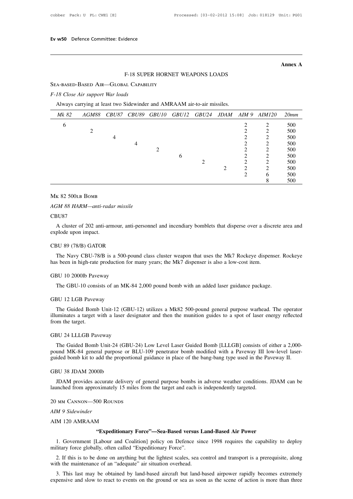**Annex A**

# dence<br>F-18 SUPER HORNET WEAPONS LOADS<br>AL CAPABILITY

Ev w50 Defence Committee: Evidence<br>F-18 SUPER HORNET<br>SEA-BASED-BASED AIR—GLOBAL CAPABILITY *F-18 Close Air support War loads*

|                                       |                                                                         |              |              |              |       |                                        |             |                |                | Annex A |
|---------------------------------------|-------------------------------------------------------------------------|--------------|--------------|--------------|-------|----------------------------------------|-------------|----------------|----------------|---------|
|                                       |                                                                         |              |              |              |       | <b>F-18 SUPER HORNET WEAPONS LOADS</b> |             |                |                |         |
| SEA-BASED-BASED AIR-GLOBAL CAPABILITY |                                                                         |              |              |              |       |                                        |             |                |                |         |
| F-18 Close Air support War loads      |                                                                         |              |              |              |       |                                        |             |                |                |         |
|                                       | Always carrying at least two Sidewinder and AMRAAM air-to-air missiles. |              |              |              |       |                                        |             |                |                |         |
| Mk 82                                 | AGM88                                                                   | <i>CBU87</i> | <b>CBU89</b> | <i>GBU10</i> | GBU12 | <i>GBU24</i>                           | <b>JDAM</b> | AIM9           | <i>AIM120</i>  | 20mm    |
| 6                                     |                                                                         |              |              |              |       |                                        |             | 2              | 2              | 500     |
|                                       | 2                                                                       |              |              |              |       |                                        |             | $\overline{c}$ | $\overline{c}$ | 500     |
|                                       |                                                                         | 4            |              |              |       |                                        |             | $\overline{2}$ | 2              | 500     |
|                                       |                                                                         |              | 4            |              |       |                                        |             | 2              | $\overline{c}$ | 500     |
|                                       |                                                                         |              |              | 2            |       |                                        |             | 2              | $\overline{c}$ | 500     |
|                                       |                                                                         |              |              |              | 6     |                                        |             | $\overline{c}$ | $\overline{c}$ | 500     |
|                                       |                                                                         |              |              |              |       | $\overline{2}$                         |             | $\overline{c}$ | $\mathbf 2$    | 500     |
|                                       |                                                                         |              |              |              |       |                                        | 2           | $\overline{c}$ | $\overline{c}$ | 500     |
|                                       |                                                                         |              |              |              |       |                                        |             | $\overline{2}$ | 6              | 500     |
|                                       |                                                                         |              |              |              |       |                                        |             |                | 8              | 500     |

# CBU87

K 82 500LB BOMB<br>A 88 HARM—anti-radar missile<br>BU87<br>A cluster of 202 anti-armour, anti-personnel and incendiary bomblets that disperse over a discrete area and<br>plode upon impact. Mk 82 500LB BOMB<br>AGM 88 HARM—anti-rade<br>CBU87<br>A cluster of 202 anti-arr<br>explode upon impact.<br>CBU 89 (78/B) GATOR AGM 88 HARM—anti-radar missile<br>CBU87<br>A cluster of 202 anti-armour, anti-pe<br>explode upon impact.<br>CBU 89 (78/B) GATOR<br>The Navy CBU-78/B is a 500-pound SU87<br>A cluster of 202 anti-armour, anti-personnel and incendiary bomblets that disperse over a discrete area and<br>plode upon impact.<br>The Navy CBU-78/B is a 500-pound class cluster weapon that uses the Mk7 Rockeye dispenser. A cluster of 202 anti-armour, anti-personnel and incendiary bomblets that disperse over a discrete area and explode upon impact.<br>
CBU 89 (78/B) GATOR<br>
The Navy CBU-78/B is a 500-pound class cluster weapon that uses the Mk7

CBU 89 (78/B) GATOR<br>The Navy CBU-78/B is a 500-pot<br>has been in high-rate production for<br>GBU 10 2000lb Paveway<br>The GBU-10 consists of an MK-8 3U 89 (78/B) GATOR<br>The Navy CBU-78/B is a 500-pound class cluster weapon that uses the Mk7 Rockeye dispenser. If<br>s been in high-rate production for many years; the Mk7 dispenser is also a low-cost item.<br>3U 10 2000lb Pavewa

has been in high-rate production fo<br>GBU 10 2000lb Paveway<br>The GBU-10 consists of an MK<br>GBU 12 LGB Paveway<br>The Guided Bomb Unit-12 (GB The GBU-10 consists of an MK-84 2,000 pound bomb with an added laser guidance package.<br>
The GBU-10 consists of an MK-84 2,000 pound bomb with an added laser guidance package.<br>
The Guided Bomb Unit-12 (GBU-12) utilizes a Mk GBU 10 20001b Paveway<br>
The GBU-10 consists of an MK-84 2,000 pound bomb with an added laser guidance package.<br>
GBU 12 LGB Paveway<br>
The Guided Bomb Unit-12 (GBU-12) utilizes a Mk82 500-pound general purpose warhead. The ope The GBU-10 consi<br>GBU 12 LGB Pavew<br>The Guided Bomb<br>illuminates a target.<br>from the target.<br>GBU 24 LLLGB Pav GBU 12 LGB Paveway<br>
The Guided Bomb Unit-12 (GBU-<br>
illuminates a target with a laser design<br>
from the target.<br>
GBU 24 LLLGB Paveway<br>
The Guided Bomb Unit-24 (GBU-2 The Guided Bomb Unit-12 (GBU-12) utilizes a Mk82 500-pound general purpose warhead. The operator<br>uminates a target with a laser designator and then the munition guides to a spot of laser energy reflected<br>om the target.<br>BU

pound MK-84 general purpose or BLU-109 penetrator bomb modified with a Paveway III low-level laser<br>guided Bomb Unit-24 (GBU-24) Low Level Laser Guided Bomb [LLLGB] consists of either a 2,000-<br>pound MK-84 general purpose or GBU 24 LLLGB Paveway<br>The Guided Bomb Unit-24 (GBU-24) Low Level Laser Guided Bomb [LLLGB] consists of either a 2,000-<br>pound MK-84 general purpose or BLU-109 penetrator bomb modified with a Paveway III low-level laser-<br>guid GBU 24 LLLGB Paveway<br>The Guided Bomb Unit-24 (GB<br>pound MK-84 general purpose or<br>guided bomb kit to add the propor<br>GBU 38 JDAM 2000lb<br>JDAM provides accurate delive The Guided Bomb Unit-24 (GBU-24) Low Level Laser Guided Bomb [LLLGB] consists of either a 2,000-<br>und MK-84 general purpose or BLU-109 penetrator bomb modified with a Paveway III low-level laser-<br>ided bomb kit to add the pr launched from approximately 15 miles from the target and each is independently targeted.<br>20 MM provides accurate delivery of general purpose bombs in adverse weather conditions.<br>30 MM provides accurate delivery of general

*GBU 38 JDAM 200016<br>JDAM provides accurate<br>launched from approximate<br>20 MM CANNON—500 ROM<br><i>AIM 9 Sidewinder*<br>AIM 120 AMRAAM JDAM provides accurate delivery of g<br>launched from approximately 15 miles fr<br>20 MM CANNON—500 ROUNDS<br>*AIM 9 Sidewinder*<br>AIM 120 AMRAAM<br>**Expeditionary For** 

20 MM CANNON—500 ROUNDS<br>
AIM 9 Sidewinder<br> **AIM 120 AMRAAM**<br> **"Expeditionary Force"—Sea-Based versus Land-Based Air Power**<br>
1. Government [Labour and Coalition] policy on Defence since 1998 requires the capability to deplo MM CANNON—500 ROUNDS<br>
M 9 Sidewinder<br>
M 120 AMRAAM<br>
"Expeditionary Force"—Sea-Based versus Land-Based Air Power<br>
1. Government [Labour and Coalition] policy on Defence since 1998 requires the capability to deploy<br>
litary f AIM 9 Sidewinder<br>
AIM 120 AMRAAM<br> **Expeditionary Force"—Sea-Based versus**<br>
1. Government [Labour and Coalition] policy on Defence s<br>
military force globally, often called "Expeditionary Force".<br>
2. If this is to be done on 2. If this is to be done on anything but the lightest scales, sea control and transport is a prerequisite, along<br>
2. If this is to be done on anything but the lightest scales, sea control and transport is a prerequisite, a **Expeditionary Force"—Sea-Based versus L**<br>1. Government [Labour and Coalition] policy on Defence sine<br>military force globally, often called "Expeditionary Force".<br>2. If this is to be done on anything but the lightest scale 2. If this is to be done on anything but the lightest scales, sea control and transport is a prerequisite, along the maintenance of an "adequate" air situation overhead.<br>3. This last may be obtained by land-based aircraft

expensive and slow to react to events on the ground or sea as soon as the scene of action is more than three expensive and slow to react to events on the ground or sea as soon as the scene of action is more than three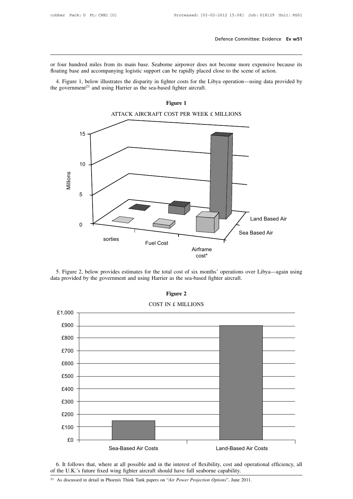Defence Committee: Evidence Ev w51<br>
or four hundred miles from its main base. Seaborne airpower does not become more expensive because its<br>
floating base and accompanying logistic support can be rapidly placed close to the Frame Committee: Evidence<br>For four hundred miles from its main base. Seaborne airpower does not become more expensive becau<br>floating base and accompanying logistic support can be rapidly placed close to the scene of action four hundred miles from its main base. Seaborne airpower does not become more expensive because its<br>ating base and accompanying logistic support can be rapidly placed close to the scene of action.<br>4. Figure 1, below illust or four hundred miles from its main base. Seaborne airpower does not become more expensive because its<br>floating base and accompanying logistic support can be rapidly placed close to the scene of action.<br>4. Figure 1, below



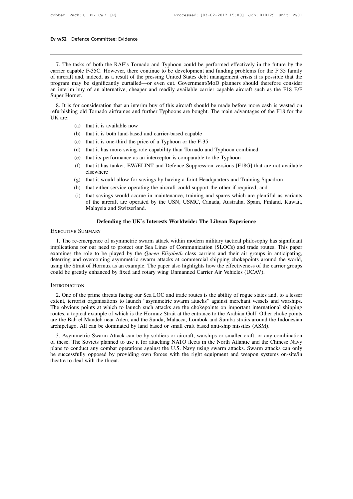w<sup>52</sup> Defence Committee: Evidence<br>
7. The tasks of both the RAF's Tornado and Typhoon could be performed effectively in the future by the<br>
Trier capable F-35C. However, there continue to be development and funding problems **EV W52** Defence Committee: Evidence<br>
7. The tasks of both the RAF's Tornado and Typhoon could be performed effectively in the future by the<br>
carrier capable F-35C. However, there continue to be development and funding pro **EV W52** Defence Committee: Evidence<br> **COM**<br> **COM**<br> **COM**<br> **COM**<br> **COM**<br> **COM**<br> **COM**<br> **COM**<br> **COM**<br> **COM**<br> **COM**<br> **COM**<br> **COM**<br> **COM**<br> **COM**<br> **COM**<br> **COM**<br> **COM**<br> **COM**<br> **COM**<br> **COM**<br> **COM**<br> **COM**<br> **COM**<br> **COM**<br> **COM**<br> **C** 7. The tasks of both the RAF's Tornado and Typhoon could be performed effectively in the future by the carrier capable F-35C. However, there continue to be development and funding problems for the F 35 family of aircraft a 7. The tasks of both the RAF's Tornado and Typhoon could be performed effectively in the future by the carrier capable F-35C. However, there continue to be development and funding problems for the F 35 family of aircraft a 7. The tasks of b<br>carrier capable F-33<br>of aircraft and, inde<br>program may be si<br>an interim buy of :<br>Super Hornet.<br>8. It is for consic 7. The tasks of bould the KAP's formado and Typhoon could be performed effectively in the future by the river or consider F-35C. However, there continue to be development and funding problems for the F 35 family aircraft a carrier capable F-55C. However, there continue to be development and funding problems for the F-55 family<br>of aircraft and, indeed, as a result of the pressing United States debt management crisis it is possible that the<br>pr or ancraft and<br>program may<br>an interim buy<br>Super Hornet.<br>8. It is for c<br>refurbishing of<br>UK are:<br>(a)

(b) that it is available now<br>
(a) that it is available now<br>
(b) that it is available now<br>
(b) that it is both land-based and carrier-ba (b) that it is a mean when we have the Fightest<br>
(a) that it is available now<br>
(b) that it is both land-based and carrier-based capable<br>
(c) that it is one-third the price of a Typhoon or the F-35<br>
(d) that it is both mean (c) consideration that an interim buy of this aircraft should be made by gold Tornado airframes and further Typhoons are bought. The main (a) that it is available now<br>
(b) that it is one-third the price of a Typhoon or th (a) that it is available now<br>
(b) that it is available now<br>
(b) that it is both land-based and carrier-based capable<br>
(c) that it is one-third the price of a Typhoon or the F-35<br>
(d) that it has more swing-role capability

- 
- 
- 
- 
- 
- (a) that it is available now<br>
(b) that it is both land-based and carrier-based capable<br>
(c) that it is one-third the price of a Typhoon or the F-35<br>
(d) that it has more swing-role capability than Tornado and Typhoon combi (a) that it is available now<br>
(b) that it is both land-based and carrier-based capable<br>
(c) that it is one-third the price of a Typhoon or the F-35<br>
(d) that it has more swing-role capability than Tornado and Typhoon comb elsewhere (c) that it is one-third the price of a Typhoon or the F-35<br>
(d) that it has more swing-role capability than Tornado and Typhoon combined<br>
(e) that its performance as an interceptor is comparable to the Typhoon<br>
(f) that (d) that it has more swing-role capability than Tornado and Typhoon combined<br>
(e) that its performance as an interceptor is comparable to the Typhoon<br>
(f) that it has tanker, EW/ELINT and Defence Suppression versions [F18G
- 
- 
- (e) that its performance as an interceptor is comparable to the Typhoon<br>
(f) that it has tanker, EW/ELINT and Defence Suppression versions [F18G] that are not available<br>
elsewhere<br>
(g) that it would allow for savings by ha that it has tanker, EW/ELINT and Defence Suppression versions [F18G] that are not available elsewhere<br>elsewhere that it would allow for savings by having a Joint Headquarters and Training Squadron<br>that either service opera Example and Switzerland.<br>
Elsewhere<br>
that it would allow for savings I<br>
that either service operating the<br>
that savings would accrue in m<br>
of the aircraft are operated by<br>
Malaysia and Switzerland.<br> **Defending the UK's Int EXECUTE:** The UK's Interests Worldwide: The Libyan Experience Ry<br>
Defending the UK's Interests Worldwide: The Libyan Experience<br>
Note that UK's Interests Worldwide: The Libyan Experience<br>
Note that UK's Interests Worldwi (g) that it would allow<br>
(h) that either service<br>
(i) that savings woul<br>
of the aircraft are<br>
Malaysia and Swi<br> **Defending the EXECUTIVE SUMMARY**

of the aircraft are operated by the USN, USMC, Canada, Australia, Spain, Finland, Kuwait,<br>Malaysia and Switzerland.<br>**Defending the UK's Interests Worldwide: The Libyan Experience**<br>EXECUTIVE SUMMARY<br>1. The re-emergence of a Malaysia and Switzerland.<br> **Defending the UK's Interests Worldwide: The Libyan Experience**<br>
EXECUTIVE SUMMARY<br>
1. The re-emergence of asymmetric swarm attack within modern military tactical philosophy has significant<br>
impl **EXECUTIVE SUMMARY**<br> **EXECUTIVE SUMMARY**<br>
1. The re-emergence of asymmetric swarm attack within modern military tactical philosophy has significant<br>
implications for our need to protect our Sea Lines of Communication (SLOC **Defending the UK's Interests Worldwide: The Libyan Experience**<br>EXECUTIVE SUMMARY<br>1. The re-emergence of asymmetric swarm attack within modern military tactical philosophy has significant<br>implications for our need to prote EXECUTIVE SUMMARY<br>1. The re-emergence of asymmetric swarm attack within modern military tactical philosophy has significant<br>implications for our need to protect our Sea Lines of Communication (SLOCs) and trade routes. This EXECUTIVE SUMMARY<br>1. The re-emergence of asymmetric swarm attack within modern military tactical philosophy has<br>implications for our need to protect our Sea Lines of Communication (SLOCs) and trade routes.<br>examines the rol Examples the role to be played by the *gaten Engabem* class cannot and their and groups in anterpating, terring and overcoming asymmetric swarm attacks at commercial shipping chokepoints around the world, ing the Strait of

## **INTRODUCTION**

externing and overcoming asymmetric swarm attacks at commercial singping enoxepoints around the world, using the Strait of Hormuz as an example. The paper also highlights how the effectiveness of the carrier groups could b The obvious points at which to launch such attacks are the chokepoints of view and carrier Air Vehicles (UCAV).<br>The obvious points are the prime threats facing our Sea LOC and trade routes is the ability of rogue states an EXAMPLE INTRODUCTION<br>2. One of the prime threats facing our Sea LOC and trade routes is the ability of rogue states and, to a lesser<br>extent, terrorist organisations to launch "asymmetric swarm attacks" against merchant ves Example of the prime threats facing our Sea LOC and trade routes is the ability of rogue states and, to a lesser extent, terrorist organisations to launch "asymmetric swarm attacks" against merchant vessels and warships. T 2. One of the prime threats facing our Sea LOC and trade routes is the ability of rogue states and, to extent, terrorist organisations to launch "asymmetric swarm attacks" against merchant vessels and The obvious points at 2. One of the prime threats facting our sea LOC and trade foutes is the ability of fogue states and, to a fesser<br>tent, terrorist organisations to launch "asymmetric swarm attacks" against merchant vessels and warships.<br>ne Extent, terrorist organisations to ratincial asymmetric swarm attacks against merchant vessers and waisnips.<br>The obvious points at which to launch such attacks are the chokepoints on important international shipping<br>routes

The obvious points at which to faunch such attacks are the chokepoints on important international simpling<br>routes, a topical example of which is the Hormuz Strait at the entrance to the Arabian Gulf. Other choke points<br>are be successfully opposed by providing own forces with the right equipment and weapon systems on-site/in the theatre to deal with the threat.<br>
All can be dominated by land based or small craft based anti-ship missiles (ASM). archipelago. All can be dominated by land based or small craft based anti-ship missiles (ASM).<br>3. Asymmetric Swarm Attack can be by soldiers or aircraft, warships or smaller craft, or any combination<br>of these. The Soviets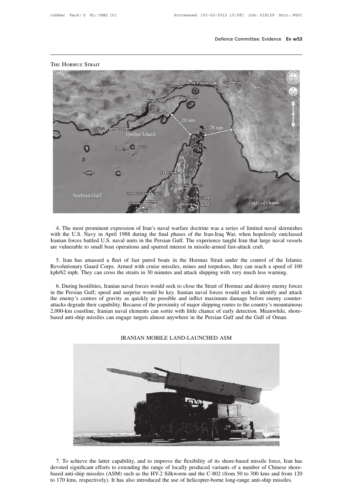

# **THE HORMUZ STRAIT**

When the U.S. Navy in April 1988 during the final phases of the Iran-Iraq War, when hopelessly outclassed<br>Tranian forces battled U.S. naval units in the Persian Gulf. The experience taught Iran that large naval vessels<br>are Iranian forces battled U.S. naval units in the Persian Gulf. The experience taught Iran that large naval vessels<br>are vulnerable to small boat operations and spurred interest in missile-armed fast-attack craft. 4. The most prominent expression of Iran's naval warfare doctrine was a series of limited naval skirmishes with the U.S. Navy in April 1988 during the final phases of the Iran-Iraq War, when hopelessly outclassed Iranian f 4. The most prominent expression of Iran's naval warfare doctrine was a series of limited naval skirmishes<br>th the U.S. Navy in April 1988 during the final phases of the Iran-Iraq War, when hopelessly outclassed<br>nian forces 4. The most prominent expression of Iran's naval warfare doctrine was a series of limited naval skirmishes with the U.S. Navy in April 1988 during the final phases of the Iran-Iraq War, when hopelessly outclassed Iranian f

Iranian forces battled U.S. naval units in the Persian Gulf. The experience taught Iran that large naval vessels<br>are vulnerable to small boat operations and spurred interest in missile-armed fast-attack craft.<br>5. Iran has Exercise to small boat operations and spurred interest in missile-armed fast-attack craft.<br>
5. Iran has amassed a fleet of fast patrol boats in the Hormuz Strait under the control of the Islamic<br>
wolutionary Guard Corps. A

5. Iran has amassed a fleet of fast patrol boats in the Hormuz Strait under the control of the Islamic<br>Revolutionary Guard Corps. Armed with cruise missiles, mines and torpedoes, they can reach a speed of 100<br>kph/62 mph. T 5. Iran has amassed a fleet of fast patrol boats in the Hormuz Strait under the control of the Islamic<br>Revolutionary Guard Corps. Armed with cruise missiles, mines and torpedoes, they can reach a speed of 100<br>kph/62 mph. T Revolutionary Guard Corps. Armed with cruise missiles, mines and torpedoes, they can reach a speed of 100 kph/62 mph. They can cross the straits in 30 minutes and attack shipping with very much less warning.<br>6. During host kph/62 mph. They can cross the straits in 30 minutes and attack shipping with very much less warning.<br>6. During hostilities, Iranian naval forces would seek to close the Strait of Hormuz and destroy enemy forces<br>in the Per 6. During hostilities, Iranian naval forces would seek to close the Strait of Hormuz and destroy enemy force in the Persian Gulf; speed and surprise would be key. Iranian naval forces would seek to identify and attacle ene A as quickly as possible and inflict maximum damage before enen<br>
Because of the proximity of major shipping routes to the country's m<br>
wal elements can sortie with little chance of early detection. Meanw<br>
gage targets almo



7. To achieve the latter capability, and to improve the flexibility of its shore-based missile force, Iran has devoted significant efforts to extending the range of locally produced variants of a number of Chinese shore-ba 7. To achieve the latter capability, and to improve the flexibility of its shore-based missile force, Iran has devoted significant efforts to extending the range of locally produced variants of a number of Chinese shore-ba T. To achieve the latter capability, and to improve the flexibility of its shore-based missile force, Iran devoted significant efforts to extending the range of locally produced variants of a number of Chinese shased anti-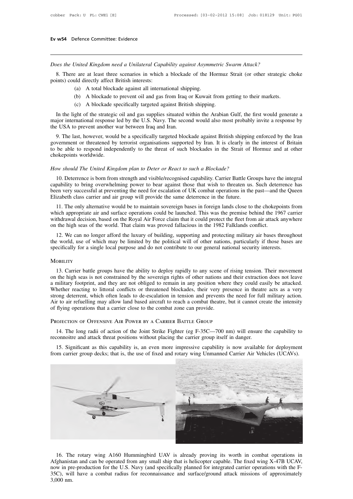*Does the United Kingdom need a Unilateral Capability against Asymmetric Swarm Attack?* 8. There are at least three scenarios in which a blockade of the Hormuz Strait (or other strategic choke<br>18. There are at least three scenarios in which a blockade of the Hormuz Strait (or other strategic choke<br>19. A total **EV W34** Befeind Committee. Evidence<br>
Does the United Kingdom need a Unilateral Capai<br>
8. There are at least three scenarios in which is<br>
points) could directly affect British interests:<br>
(a) A total blockade against all i United Kingdom need a Unilateral Capability against Asymm<br>
2 are at least three scenarios in which a blockade of the H<br>
1 all directly affect British interests:<br>
(a) A total blockade against all international shipping.<br>
( United Kingdom need a Unilateral Capability against Asymmetric Swarm Attack?<br>
2 are at least three scenarios in which a blockade of the Hormuz Strait (or other strategic ch<br>
1 ald directly affect British interests:<br>
(a) A 8. There are at least three scenarios in which a blockade of the Hormuz Strait (or other strategic choke<br>points) could directly affect British interests:<br>(a) A total blockade against all international shipping.<br>(b) A block

- 
- 
- 

8. There are at least three scenarios in which a blockade of the Hormuz Strait (or other strategic choke<br>ints) could directly affect British interests:<br>(a) A total blockade against all international shipping.<br>(b) A blockad many points) could directly affect British interests:<br>
(a) A total blockade against all international shipping.<br>
(b) A blockade to prevent oil and gas from Iraq or Kuwait from getting to their markets.<br>
(c) A blockade spec (a) A total blockade against all international ship<br>
(b) A blockade to prevent oil and gas from Iraq (<br>
(c) A blockade specifically targeted against Britis<br>
In the light of the strategic oil and gas supplies situated w<br>
ma

(b) A blockade to prevent oil and gas from Iraq or Kuwait from getting to their markets.<br>
(c) A blockade specifically targeted against British shipping.<br>
In the light of the strategic oil and gas supplies situated within t (c) A blockade specifically targeted against British shipping.<br>In the light of the strategic oil and gas supplies situated within the Arabian Gulf, the first would generate a<br>major international response led by the U.S. Na In the light of the strategic oil and gas supplies situated within the Arabian Gulf, the first would generate a<br>major international response led by the U.S. Navy. The second would also most probably invite a response by<br>th In the fight of the strategic<br>major international response<br>the USA to prevent another v<br>9. The last, however, would<br>government or threatened by<br>to be able to respond indepe<br>chokepoints worldwide.<br>How should The United Kine *How should The United Kingdom plan to Deter or React to such a Blockade?*<br>*How should The United Kingdom plan to Deter or React to such a Blockade?*<br>*How should The United Kingdom plan to Deter or React to such a Blockade* 10. The flast, however, would be a specifically digeted ofockade against Dritish shipping enforced by the Hand<br>vernment or threatened by terrorist organisations supported by Iran. It is clearly in the interest of Britain<br>b

Evention of uncluded by the only of the summary of the summary of the Strait of Hormuz and at other<br>chokepoints worldwide.<br>How should The United Kingdom plan to Deter or React to such a Blockade?<br>10. Deterrence is born fro between very successful at preventing the need for escalation of a Blockade?<br>
How should The United Kingdom plan to Deter or React to such a Blockade?<br>
10. Deterrence is born from strength and visible/recognised capability Elizabeth class carrier and surface operations could be launched. This was the premise behind the properties in the same deterrence is born from strength and visible/recognised capability. Carrier Battle Groups have the in w should The United Kingdom plan to Deter or React to such a Blockade?<br>
10. Deterrence is born from strength and visible/recognised capability. Carrier Battle Groups have the integral<br>
pability to bring overwhelming power

10. Deterrence is born from strength and visible/recognised capability. Carrier Battle Groups have the integral capability to bring overwhelming power to bear against those that wish to threaten us. Such deterrence has bee For Deterior is born from sueight and visione/recognised capability. Carrier Battle Groups have the integral capability to bring overwhelming power to bear against those that wish to threaten us. Such deterrence has been v capability to bing overwill almost to bear against those that wish to threaten us. Such deter<br>been very successful at preventing the need for escalation of UK combat operations in the past—and t<br>Elizabeth class carrier and izabeth class carrier and air group will provide the same deterrence in the future.<br>
11. The only alternative would be to maintain sovereign bases in foreign lands close to the chokepoints from<br>
ich appropriate air and sur 11. The only alternative would be to maintain sovereign bases in foreign lands close to the chokepoints from which appropriate air and surface operations could be launched. This was the premise behind the 1967 carrier with Fi. The omy anefhative would be to maintain sovereign bases in foreign fants close to the chokepoints in which appropriate air and surface operations could be launched. This was the premise behind the 1967 can withdrawal d

12. We can no longer afford the luxury of building, supporting and protecting military air bases throughout<br>
21. We can no longer afford may be limited by the political will of other nations, particularly if those bases ar

# **MOBILITY**

The world, use of which may be limited by the political will of other nations, particularly if those bases are specifically for a single local purpose and do not contribute to our general national security interests.<br>MOBIL a military footprint, and they are not obliged to remain in any position. Their movement on the high seas is not constrained by the sovereign rights of other national security interests.<br>
MOBILITY<br>
13. Carrier battle group MOBILITY<br>13. Carrier battle groups have the ability to deploy rapidly to any scene of rising tension. Their movement<br>on the high seas is not constrained by the sovereign rights of other nations and their extraction does no MOBILITY<br>13. Carrier battle groups have the ability to deploy rapidly to any scene of rising tension. Their movement<br>on the high seas is not constrained by the sovereign rights of other nations and their extraction does no All 13. Carrier battle groups have the ability to deploy rapidly to any scene of rising tension. Their movement<br>on the high seas is not constrained by the sovereign rights of other nations and their extraction does not lea 13. Carrier battle groups have the ability to deploy rapidly to any scene of ris on the high seas is not constrained by the sovereign rights of other nations and the a military footprint, and they are not obliged to remain near reading to mionar connects or uncatened orderates, then very presence in theate acts as a very ong deterrent, which often leads to de-escalation in tension and prevents the need for full military action.<br>
To air refue Strong decirical, which often leads to de escalation in tension and prevents the field for fail Air to air refuelling may allow land based aircraft to reach a combat theatre, but it cannot cre of flying operations that a c

15. Significant as this capability is, an even more impressive capability is now available for deployment 14. The long radii of action of the Joint Strike Fighter (eg F-35C—700 nm) will ensure the capability to connoitre a



16. The rotary wing A160 Hummingbird UAV is already proving its worth in combat operations in Afghanistan and can be operated from any small ship that is helicopter capable. The fixed wing X-47B UCAV, now in pre-production 16. The rotary wing A160 Hummingbird UAV is already proving its worth in combat operations in Afghanistan and can be operated from any small ship that is helicopter capable. The fixed wing X-47B UCAV, now in pre-production 16. The<br>Afghanist<br>now in pre<br>35C), wil<br>3,000 nm.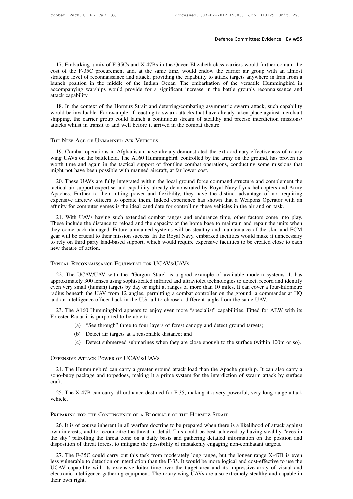Defence Committee: Evidence **Ev w55**<br>17. Embarking a mix of F-35Cs and X-47Bs in the Queen Elizabeth class carriers would further contain the<br>17. Embarking a mix of F-35Cs and X-47Bs in the Queen Elizabeth class carriers w Defence Committee: Evidence Ev w55<br>
17. Embarking a mix of F-35Cs and X-47Bs in the Queen Elizabeth class carriers would further contain the<br>
cost of the F-35C procurement and, at the same time, would endow the carrier air Defence Committee: Evidence **Ev w55**<br>
17. Embarking a mix of F-35Cs and X-47Bs in the Queen Elizabeth class carriers would further contain the<br>
cost of the F-35C procurement and, at the same time, would endow the carrier a 17. Embarking a mix of F-35Cs and X-47Bs in the Queen Elizabeth class carriers would further contain the cost of the F-35C procurement and, at the same time, would endow the carrier air group with an almost strategic level 17. Embarking a mix of F-35Cs and X-47Bs in the Queen Elizabeth class carriers would further contain the cost of the F-35C procurement and, at the same time, would endow the carrier air group with an almost strategic level 17. Embarking a mi<br>cost of the F-35C pro<br>strategic level of record<br>launch position in th<br>accompanying warship<br>attack capability.<br>18. In the context of 18. In the Hormuz Strait and deterring/combating asymmetric swarm attack, such capability and the Hormuz Strategic level of reconnaissance and attack, providing the capability to attack targets anywhere in Iran from a unch Stategic level of reconnaissance and attack, providing the capability to attack targets anywhere in Iran from a launch position in the middle of the Indian Ocean. The embarkation of the versatile Hummingbird in accompanyin

shakes the carrier of recommissance and attack, providing the captuomy to attack targets anywhere in that from a launch position in the middle of the Indian Ocean. The embarkation of the versatile Hummingbird in accompanyi accompanying warships would provide for a significant increase in the battle group's reconnaissance and attack capability.<br>
18. In the context of the Hormuz Strait and deterring/combating asymmetric swarm attack, such capa would be invaluable. For example, if reacting to swarm attacks that have already taken place against merchant

Figure 19. Combat operations in Afghanistan have already taken place against merchant<br>ipping, the carrier group could launch a continuous stream of stealthy and precise interdiction missions/<br>acks whilst in transit to and shipping, the carrier group could launch a continuous stream of stealthy and precise interdiction missions/<br>attacks whilst in transit to and well before it arrived in the combat theatre.<br>THE NEW AGE OF UNMANNED AIR VEHICLE attacks whilst in transit to and well before it arrived in the combat theatre.<br>
THE NEW AGE OF UNMANNED AIR VEHICLES<br>
19. Combat operations in Afghanistan have already demonstrated the extraordinary effectiveness of rotary 19. Combat operations in Afghanistan have already demonstrated the extraordinary effectiveness of rotary wing UAVs on the battlefield. The A160 Hummingbird, controlled by the army on the ground, has proven its worth time a E NEW AGE OF UNMANNED AIR VEHICLES<br>19. Combat operations in Afghanistan have already demonstrated the extraordinary effectiveness of rotary<br>ng UAVs on the battlefield. The A160 Hummingbird, controlled by the army on the gr

19. Combat operations in Afghanistan have already demonstrated the extraordinary effectiveness of rotary wing UAVs on the battlefield. The A160 Hummingbird, controlled by the army on the ground, has proven its worth time a Apaches. Further to their hitting power and flexibility, they have the distinct and on task.<br>The supervisor of the annual in the tactical support of frontline combat operations, conducting some missions that<br>might not have expensive aircrew officers to operate them. Indeed experience has shown that a Weapons operator with time and again in the tactical support of frontline combat operations, conducting some missions that might not have been and the use of the interact the interact the interact of the interact of the interact of the interactions, conducing some interaction in the interactical air support expertise and capability already demonstrated by Royal N 20. These UAVs are fully integrated within the local ground force command structure and complement the sticial air support expertise and capability already demonstrated by Royal Navy Lynx helicopters and Army baches. Furth Exercical air support expertise and capability already demonstrated by Royal Navy Lynx helicopters and Army<br>Apaches. Further to their hitting power and flexibility, they have the distinct advantage of not requiring<br>expensi

Apaches. Further to their hitting power and flexibility, they have the distinct advantage of not requiring expensive aircrew officers to operate them. Indeed experience has shown that a Weapons Operator with an affinity fo Figures. Further to their mission grown and headed experience has shown that a Weapons Operator with an affinity for computer games is the ideal candidate for controlling these vehicles in the air and on task.<br>21. With UAV Experiment and the operator means is the ideal candidate for controlling these vehicles in the air and on task.<br>
21. With UAVs having such extended combat ranges and endurance time, other factors come into play.<br>
These inc 21. With UAVs having such extended combat ranges and endurar<br>These include the distance to reload and the capacity of the home bas<br>they come back damaged. Future unmanned systems will be stealthy<br>gear will be crucial to th

In the Royal Navy, embarked facilities would make it unnecessary<br>
22. The UCAV/UAV with the "Gorgon Stare" is a good example of available modern systems. It has<br>
22. The UCAV/UAV with the "Gorgon Stare" is a good example o to rely on third party land-based support, which would require expensive facilities to be created close to each<br>new theatre of action.<br>TYPICAL RECONNAISSANCE EQUIPMENT FOR UCAVS/UAVS<br>22. The UCAV/UAV with the "Gorgon Stare new theatre of action.<br>TYPICAL RECONNAISSANCE EQUIPMENT FOR UCAVS/UAVS<br>22. The UCAV/UAV with the "Gorgon Stare" is a good example of available modern systems. It has<br>approximately 300 lenses using sophisticated infrared an TYPICAL RECONNAISSANCE EQUIPMENT FOR UCAVS/UAVS<br>22. The UCAV/UAV with the "Gorgon Stare" is a good example of available modern systems. It has<br>approximately 300 lenses using sophisticated infrared and ultraviolet technolog TYPICAL RECONNAISSANCE EQUIPMENT FOR UCAVS/UAVS<br>
22. The UCAV/UAV with the "Gorgon Stare" is a good example of available modern syster<br>
approximately 300 lenses using sophisticated infrared and ultraviolet technologies to 22. The UCAV/UAV with the "Gorgon Stare" is a good example of available modern systems. It has<br>proximately 300 lenses using sophisticated infrared and ultraviolet technologies to detect, record and identify<br>en very small ( E. The CONVONY with the Colgon state<br>approximately 300 lenses using sophisticated infra<br>even very small (human) targets by day or night a<br>radius beneath the UAV from 12 angles, permitti<br>and an intelligence officer back in small (human) targets by day or night at ranges of more than 10 miles. It can cover a four eath the UAV from 12 angles, permitting a combat controller on the ground, a command elligence officer back in the U.S. all to choo

and an intelligence officer back in the U.S. all to choose a different angle from the same UAV.<br>
23. The A160 Hummingbird appears to enjoy even more "specialist" capabilities. Fitted for AEW with its<br>
Forester Radar it is (c) Detect submerged submarines when they are close enough to the surface (within 100m or so).<br>
(c) Detect submerged submarines when they are close enough to the surface (within 100m or so).<br>
(c) Detect submerged submarin 23. The A160 Hummingbird appears to enjoy even mo<br>Forester Radar it is purported to be able to:<br>(a) "See through" three to four layers of fores<br>(b) Detect air targets at a reasonable distance;<br>(c) Detect submerged submarin

- 
- 
- 

24. The Hummingbird can carry a greater ground attack load than the Apache gunship. It can also carry a stress we Arrack Power of UCAVs/UAVs 24. The Hummingbird can carry a greater ground attack load than the Apache gunshi solution bettect an targets at a reasonable ustance, and<br>
(c) Detect submerged submarines when they are close enough to the surface (within 100m or so).<br>
OFFENSIVE ATTACK POWER OF UCAVS/UAVS<br>
24. The Hummingbird can carry craft. FEENSIVE ATTACK POWER OF UCAVS/UAVS<br>24. The Hummingbird can carry a greater ground attack load than the Apache gunship. It can also carry a<br>no-buoy package and torpedoes, making it a prime system for the interdiction of sw OFFENSIVE ATTACK POWER OF UCAVS/UAVS<br>
24. The Hummingbird can carry a greater ground attack load than the Apache gunship. It can also carry a<br>
sono-buoy package and torpedoes, making it a prime system for the interdiction

vehicle.

25. The X-47B can carry all ordnance destined for F-35, making it a very powerful, very long range attack<br>hicle.<br>EEPARING FOR THE CONTINGENCY OF A BLOCKADE OF THE HORMUZ STRAIT<br>26. It is of course inherent in all warfare d 25. The X-47B can carry all ordnance destined for F-35, making it a very powerful, very long range attack<br>vehicle.<br>PREPARING FOR THE CONTINGENCY OF A BLOCKADE OF THE HORMUZ STRAIT<br>26. It is of course inherent in all warfar vehicle.<br>
PREPARING FOR THE CONTINGENCY OF A BLOCKADE OF THE HORMUZ STRAIT<br>
26. It is of course inherent in all warfare doctrine to be prepared when there is a likelihood of attack against<br>
own interests, and to reconnoitr PREPARING FOR THE CONTINGENCY OF A BLOCKADE OF THE HORMUZ STRAIT<br>26. It is of course inherent in all warfare doctrine to be prepared when there is a likelihood of attack aga<br>own interests, and to reconnoitre the threat in 26. It is of course inherent in all warfare doctrine to be prepared when there is a likelihood of attack against  $n$ n interests, and to reconnoitre the threat in detail. This could be best achieved by having stealthy "eyes

26. It is of course inherent in all warfare doctrine to be prepared when there is a likelihood of attack against<br>own interests, and to reconnoitre the threat in detail. This could be best achieved by having stealthy "eyes Extra is of commotive the threat in dealth in This could be best achieved by having stealthy "eyes in the sky" patrolling the threat zone on a daily basis and gathering detailed information on the position and disposition below metals and confinent the distance wind and the sky" patrolling the threat zone on a daily basis and gathering detailed information on the position and disposition of threat forces, to mitigate the possibility of mist disposition of threat forces, to mitigate the possibility of mistakenly engaging non-combatant targets.<br>27. The F-35C could carry out this task from moderately long range, but the longer range X-47B is even<br>less vulnerable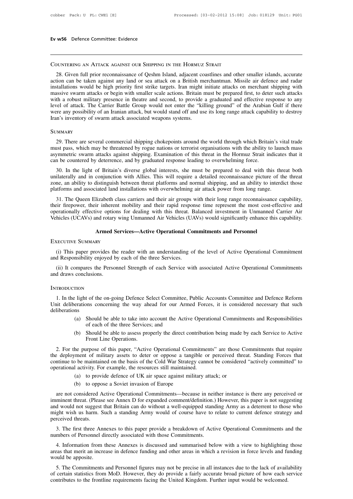# Countering an Attack against our Shipping in the Hormuz Strait

28. Given full prior reconnaissance of Qeshm Island, adjacent coastlines and other smaller islands, accurate<br>28. Given full prior reconnaissance of Qeshm Island, adjacent coastlines and other smaller islands, accurate<br>28. **COUNTERING AN ATTACK AGAINST OUR SHIPPING IN THE HORMUZ STRAIT**<br>28. Given full prior reconnaissance of Qeshm Island, adjacent coastlines and other smaller islands, accurate<br>action can be taken against any land or sea atta **COUNTERING AN ATTACK AGAINST OUR SHIPPING IN THE HORMUZ STRAIT**<br>28. Given full prior reconnaissance of Qeshm Island, adjacent coastlines and other smaller islands, accurate<br>action can be taken against any land or sea atta COUNTERING AN ATTACK AGAINST OUR SHIPPING IN THE HORMUZ STRAIT<br>28. Given full prior reconnaissance of Qeshm Island, adjacent coastlines and other smaller islands, accurate<br>action can be taken against any land or sea attack COUNTERING AN ATTACK AGAINST OUR SHIPPING IN THE HORMUZ STRAIT<br>28. Given full prior reconnaissance of Qeshm Island, adjacent coastlines and other smaller islands, accurate<br>action can be taken against any land or sea attack COONTERING AN ATTACK AGAINST OOK SHIPTING IN THE TIOKMOZ STKATT<br>28. Given full prior reconnaissance of Qeshm Island, adjacent coastlines and other smaller islands, accurate<br>action can be taken against any land or sea attac 28. Given full prior reconnaissance of Qeshm Island, adjacent coastlines and other smaller islands, accurate action can be taken against any land or sea attack on a British merchantman. Missile air defence and radar instal action can be taken against any land or sea attack on a British m<br>installations would be high priority first strike targets. Iran might<br>massive swarm attacks or begin with smaller scale actions. Britain i<br>with a robust mil 29. There are several commercial shipping chokepoints are several commentation of the Arabian Gulf if there any possibility of an Iranian attack, but would stand off and use its long range attack capability to destroy or a

# **SUMMARY**

must pass, which may be threatened by two well stand off and use its long range attack capability to destroy Iran's inventory of swarm attack associated weapons systems.<br>
SUMMARY<br>
29. There are several commercial shipping Fran's inventory of swarm attack associated weapons systems.<br>
SUMMARY<br>
29. There are several commercial shipping chokepoints around the world through which Britain's vital trade<br>
must pass, which may be threatened by rogue COMMARY<br>
29. There are several commercial shipping chokepoints around the world through which Britai<br>
must pass, which may be threatened by rogue nations or terrorist organisations with the ability to<br>
asymmetric swarm att IMMARY<br>29. There are several commercial shipping chokepoints around the world through which Britain's vital trade<br>151. In the light of Britain's against shipping. Examination of this threat in the Hormuz Strait indicates t 29. There are several commercial shipping chokepoints around the world through which Britain's vital trade must pass, which may be threatened by rogue nations or terrorist organisations with the ability to launch mass asym

zone, an ability to distinguish between threat platforms and normal shipping chomes asymmetric swarm attacks against shipping. Examination of this threat in the Hormuz Strait indicates that it can be countered by deterrenc must pass, which may be uncated by logue hations of terrorist organisations with the abiny to faunt asymmetric swarm attacks against shipping. Examination of this threat in the Hormuz Strait indicate can be countered by de If the Understanding to overwhelming force.<br>
30. In the light of Britain's diverse global interests, she must be prepared to deal with this threat both<br>
ilaterally and in conjunction with Allies. This will require a detail 30. In the light of Britain's diverse global interests, she must be prepared to deal with this threat both unilaterally and in conjunction with Allies. This will require a detailed reconnaissance picture of the threat zone

both the fight of Britain's diverse global interests, site must be prepared to deal with this threat both unilaterally and in conjunction with Allies. This will require a detailed reconnaissance picture of the threat zone, unnaterary and in conjunction win Allies. This win require a detailed recomfassance picture of the threat<br>zone, an ability to distinguish between threat platforms and normal shipping, and an ability to interdict those<br>plat platforms and associated land installations with overwhelming air attack power from long range.<br>
31. The Queen Elizabeth class carriers and their air groups with their long range reconnaissar<br>
their firepower, their inhere

erationally effective options for dealing with this threat. Balanced investment in Unmanned Carrier Air<br>hicles (UCAVs) and rotary wing Unmanned Air Vehicles (UAVs) would significantly enhance this capability.<br>**Armed Servic** Venicles (UCAVs) and rotary wing Unmanned Air Venicles (UA<br> **Armed Services—Active Operational Co**<br>
EXECUTIVE SUMMARY<br>
(i) This paper provides the reader with an understanding of<br>
and Responsibility enjoyed by each of the Armed Services—Active Operational Commitments and Personnel<br>
(i) This paper provides the reader with an understanding of the level of Active Operational Commitment<br>
(ii) It compares the Personnel Strength of each Service w Armed Services—Active Operational Commitments and Personnel<br>EXECUTIVE SUMMARY<br>(i) This paper provides the reader with an understanding of the level of Active Operational Commitment<br>and Responsibility enjoyed by each of the

# **INTRODUCTION**

1. In the light of the on-going Defence Select Committee, Public Accounts Committee and Defence Reform<br>1. In the light of the on-going Defence Select Committee, Public Accounts Committee and Defence Reform<br>1. In the light (ii) It compares the Personnel Strength of each Service with associated Active Operational Commitments<br>
and draws conclusions.<br>
INTRODUCTION<br>
1. In the light of the on-going Defence Select Committee, Public Accounts Commit deliberations (b) Should be able to assess properly the direct contribution being made by each Service to Active<br>(a) Should be able to take into account the Active Operational Commitments and Responsibilities<br>(b) Should be able to asses t of the on-going Defence Select Committee,<br>ons concerning the way ahead for our Arn<br>Should be able to take into account the Active<br>of each of the three Services; and<br>Should be able to assess properly the direct c<br>Front Li (b) Should be able to take into account the Active Operational Committee and Defence Reform erations concerning the way ahead for our Armed Forces, it is considered necessary that such ns<br>
(a) Should be able to take into a From the on-going Defence Seconds concerning the way ahe<br>Should be able to take into a<br>of each of the three Services<br>Should be able to assess proferent Line Operations.

- 
- 

(a) Should be able to take into account the Active Operational Commitments and Responsibilities<br>of each of the three Services; and<br>(b) Should be able to assess properly the direct contribution being made by each Service to The deployment of military assets to deter or oppose a tangible or perceived threat. Standing Forces to Active<br>Front Line Operations.<br>2. For the purpose of this paper, "Active Operational Commitments" are those Commitments of each of the three Services; and<br>
(b) Should be able to assess properly the direct contribution being made by each Service to Active<br>
Front Line Operations.<br>
2. For the purpose of this paper, "Active Operational Commitme (b) Should be able to assess properly the direct contribution<br>Front Line Operations.<br>2. For the purpose of this paper, "Active Operational Commitment<br>the deployment of military assets to deter or oppose a tangible or<br>conti Front Line Operations.<br>
The purpose of this paper, "Active Operational Commitments" are those C<br>
From the military assets to deter or oppose a tangible or perceived through<br>
the be maintained on the basis of the Cold War S 2. For the purpose of this paper, "Active Operational Commitments" are those Commitments that require<br>the deployment of military assets to deter or oppose a tangible or perceived threat. Standing Forces that<br>continue to be are not considered Active Operational Commitments—because in neither instance is there are not considered Actively committed" to erational activity. For example, the resources still maintained.<br>
(a) to provide defence of U

- 
- 

continue to be maintained on the basis of the Cold War Strategy cannot be considered "actively committed" to<br>operational activity. For example, the resources still maintained.<br>(a) to provide defence of UK air space against operational activity. For example, the resources still maintained.<br>
(a) to provide defence of UK air space against military attack; or<br>
(b) to oppose a Soviet invasion of Europe<br>
are not considered Active Operational Commi (a) to provide defence of UK air space against military attack; or<br>
(b) to oppose a Soviet invasion of Europe<br>
are not considered Active Operational Commitments—because in neither instance is there any perceived or<br>
immine (b) to oppo<br>are not considered A<br>imminent threat. (Pleas<br>and would not suggest<br>might wish us harm. S<br>perceived threats.<br>3. The first three An are not considered Active Operational Commitments—because in neither instance is there any perceived or<br>minent threat. (Please see Annex D for expanded comment/definition.) However, this paper is not suggesting<br>d would not are not considered Active Operational Commitments—because in net<br>imminent threat. (Please see Annex D for expanded comment/definition.)<br>and would not suggest that Britain can do without a well-equipped stand<br>might wish us d would not suggest that Britain can do without a well-equipped standing Army as a deterrent to those who ght wish us harm. Such a standing Army would of course have to relate to current defence strategy and received threa

might wish us harm. Such a standing Army would of course have to relate to current defence strategy and<br>perceived threats.<br>3. The first three Annexes to this paper provide a breakdown of Active Operational Commitments and 3. The first three Annexes to this paper provide a breakdown of Active Operational Commitments and the numbers of Personnel directly associated with those Commitments.<br>4. Information from these Annexes is discussed and sum 5. The first three Annexes to this paper provide a breakdown of Active Operational Commitments and the<br>mbers of Personnel directly associated with those Commitments.<br>4. Information from these Annexes is discussed and summa numbers of Personnel directly associated with those Commitments.<br>
4. Information from these Annexes is discussed and summarised below with a view to highlighting those<br>
areas that merit an increase in defence funding and o

contributes to the frontline requirements facing the United Kingdom. Further input would be welcomed.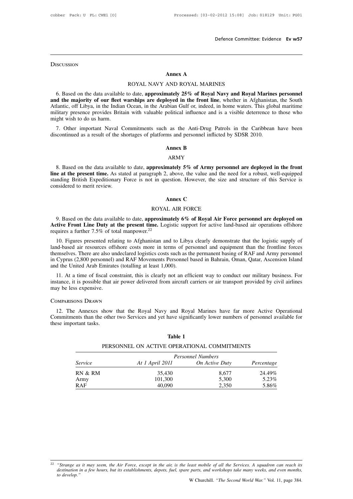# **DISCUSSION**

# **Def**<br> **Annex A**<br>
AND ROYAL MARINES

Annex A<br>ROYAL NAVY AND ROYAL MARINES<br>6. Based on the data available to date, approximately 25% of Royal Navy and Royal Marines personnel<br>and the majority of our fleet warships are deployed in the front line, whether in Afg Atlantic, off Libya, in the Indian Ocean, in the Arabian Gulf or, indeed, in home waters. This global maritime **and the majority of our fleet warships are deployed in the front line, whether in Afghanistan, the South Atlantic, off Libya, in the Indian Ocean, in the Arabian Gulf or, indeed, in home waters. This global maritime milit** A<br>
Atlantic, off Libya, in the Indian Ocean, in the Arabian Gulf or, indeed, in home waters. This global maritime<br>
Atlantic, off Libya, in the Indian Ocean, in the Arabian Gulf or, indeed, in home waters. This global marit **EXECUTE ARRIS AND ROYAL MARINES**<br>6. Based on the data available to date, **approximately 25% of Royal Navy and Royal Marines personnel**<br>**and the majority of our fleet warships are deployed in the front line**, whether in Af 6. Based on the data available<br> **and the majority of our fleet**<br>
Atlantic, off Libya, in the Indian<br>
military presence provides Brita<br>
might wish to do us harm.<br>
7. Other important Naval C 16. Based on the data available to date, **approximately 25% of Royal Navy and Royal Marines personnel**<br> **d the majority of our fleet warships are deployed in the front line**, whether in Afghanistan, the South<br>
lantic, off discontinued as a result of the shortages of platforms and personnel inflicted by SDSR 2010.<br>
Atlantic, off Libya, in the Indian Ocean, in the Arabian Gulf or, indeed, in home waters. This glob<br>
military presence provides abian out of, macca, modifical influence and is<br>
a as the Anti-Drug Pa<br>
ms and personnel inflicte<br> **Annex B**<br>
ARMY

## ARMY

9. Other important Naval Commitments such as the Anti-Drug Patrols in the Caribbean have been<br>
scontinued as a result of the shortages of platforms and personnel inflicted by SDSR 2010.<br> **ARMY**<br>
8. Based on the data availa **discontinued as a result of the shortages of platforms and personnel inflicted by SDSR 2010.**<br>**ARMY**<br>**8.** Based on the data available to date, **approximately 5% of Army personnel are deployed in the front<br><b>line at the pre Standing British Expeditionary Force is not in question. However, the size and structure of this Service is considered to merit review.**<br> **Expeditionary Force is not in question. However, the size and structure of this Se** 8. Based on the data available<br>**line at the present time.** As star<br>standing British Expeditionary I<br>considered to merit review. **ANNT**<br> **Annex 5% of Army per**<br> **Annex C**<br> **Annex C**<br> **Annex C**<br> **L** AIR FORCE Example 2, above, the value and the net in question. However, the size and<br>t in question. However, the size and the net in question. However, the size and<br>Annex C<br>ROYAL AIR FORCE<br>proximately 6% of Royal Air Forms. Latitud

9. Based on the data available to date, **approximately 6% of Royal Air Force personnel are deployed on**<br>9. Based on the data available to date, **approximately 6% of Royal Air Force personnel are deployed on**<br>tive Front Lin **Annex C**<br>**Active Front Line Duty at the present time.** Logistic support for active land-based air operations offshore<br>requires a further 7.5% of total manpower.<sup>22</sup><br>10. Figures assembly altrice to Afghanitas and to Librar

**EXECUTE:**<br> **REPUTE:**<br> **REPUTE:**<br> **REPUTE:**<br> **REPUTE:**<br> **REPUTE:**<br> **REPUTE:**<br> **REPUTE:**<br> **REPUTE:**<br> **REPUTE:**<br> **REPUTE:**<br> **REPUTE:**<br> **REPUTE:**<br> **REPUTE:**<br> **REPUTE:**<br> **REPUTE:**<br> **REPUTE:**<br> **REPUTE:**<br> **REPUTE:**<br> **REPUTE:**<br> land-based on the data available to date, **approximately 6% of Royal Air Force personnel are deployed on**<br> **Active Front Line Duty at the present time.** Logistic support for active land-based air operations offshore<br>
requi 9. Based on the data available to date, **approximately 6% of Royal Air Force personnel are deployed on**<br>**Active Front Line Duty at the present time.** Logistic support for active land-based air operations offshore<br>requires 9. Based on the data avantable to date, approximately 0% of Noyal Air Force personnel are deployed on<br>Active Front Line Duty at the present time. Logistic support for active land-based air operations offshore<br>requires a f Active Front Line Duty at the present time. Logistic support for active land-based air operations offshore<br>requires a further 7.5% of total manpower.<sup>22</sup><br>10. Figures presented relating to Afghanistan and to Libya clearly d 10. Figures presented relating to Afghanistan and to Libya clearly demonstrate that the logistic supply of nd-based air resources offshore costs more in terms of personnel and equipment than the frontline forces emselves. In Figures presented relating to Argnamstan and to Libya creatry demonstrate that the fogistic supply of land-based air resources offshore costs more in terms of personnel and equipment than the frontline forces themselves Figure 3.1 and -based air resources orishore compared themselves. There are also undeclare in Cyprus (2,800 personnel) and RA and the United Arab Emirates (totall 11. At a time of fiscal constraint, instance, it is possibl

11. At a time of fiscal constraint, this is clearly not an efficient way to conduct our military business. For<br>stance, it is possible that air power delivered from aircraft carriers or air transport provided by civil airli

COMPARISONS DRAWN<br>
12. The Annexes show that the Royal Navy and Royal Marines have far more Active Operational<br>
COMPARISONS DRAWN<br>
12. The Annexes show that the Royal Navy and Royal Marines have far more Active Operational these important tasks.<br>The Annexes show<br>Comparisons Drawn<br>Commitments than the other<br>these important tasks. and Royal Marin<br>
have significantly lex<br> **Table 1**<br> **OPERATIONAL COPERATIONAL** Show that the Royal Navy and Royal Marines have far more Active C<br>
other two Services and yet have significantly lower numbers of personnel av<br> **Table 1**<br>
PERSONNEL ON ACTIVE OPERATIONAL COMMITMENTS<br>
Personnel Numbers

| ortant tasks.  | ents than the other two Services and yet have significantly lower numbers of personnel available for |                   |            |
|----------------|------------------------------------------------------------------------------------------------------|-------------------|------------|
|                | Table 1                                                                                              |                   |            |
|                | PERSONNEL ON ACTIVE OPERATIONAL COMMITMENTS                                                          |                   |            |
|                |                                                                                                      | Personnel Numbers |            |
| <i>Service</i> | At 1 April 2011                                                                                      | On Active Duty    | Percentage |
| RN & RM        | 35,430                                                                                               | 8,677             | 24.49%     |
| Army           | 101,300                                                                                              | 5,300             | 5.23%      |
| RAF            | 40,090                                                                                               | 2,350             | 5.86%      |

<sup>&</sup>lt;sup>22</sup> "Strange as it may seem, the Air Force, except in the air, is the least mobile of all the Services. A squadron can reach its destination in a few hours, but its establishments, depots, fuel, spare parts, and workshops *destination in a few hours, but its establishments, depots, fuel, spare parts, and workshops take many weeks, and even months, therefore as it may seen*<br>*destination in a few hour*<br>*to develop.*" east mobile of all the Services. A squadron can reach its<br>parts, and workshops take many weeks, and even months,<br>W Churchill. "*The Second World War."* Vol. 11, page 384.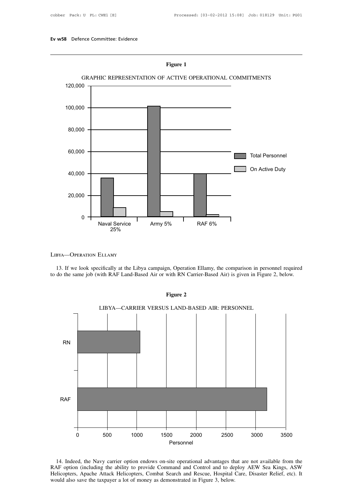

25%<br>
13. If we look specifically at the Libya campaign, Operation Ellamy, the comparison in personnel required<br>
do the same job (with RAF Land-Based Air or with RN Carrier-Based Air) is given in Figure 2, below. LIBYA—OPERATION ELLAMY<br>13. If we look specifically at the Libya campaign, Operation Ellamy, the comparison in personnel required<br>to do the same job (with RAF Land-Based Air or with RN Carrier-Based Air) is given in Figure



Fried and the material of the material of the method of the method of the method of the method of the method of the method including the ability to provide Command and Control and to deploy AEW Sea Kings, ASW Helicopters, 14. Indeed, the Navy carrier option endows on-site operational advantages that are not available from the RAF option (including the ability to provide Command and Control and to deploy AEW Sea Kings, ASW Helicopters, Apach Personnel<br>14. Indeed, the Navy carrier option endows on-site operational advantages th<br>RAF option (including the ability to provide Command and Control and to de<br>Helicopters, Apache Attack Helicopters, Combat Search and Re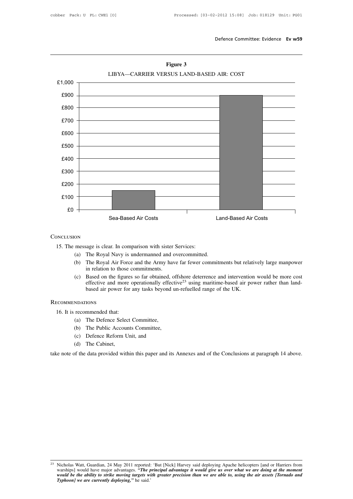

**Figure 3**<br>LIBYA—CARRIER VERSUS LAND-BASED AIR: COST

# **CONCLUSION**

- 
- Sea-Based Air Costs<br>
Concessage is clear. In comparison with sister Services:<br>
(a) The Royal Navy is undermanned and overcommitted.<br>
(b) The Royal Air Force and the Army have far fewer committing in relation to those commi (a) The Royal Navy is undermanned and overcommitted.<br>
(b) The Royal Navy is undermanned and overcommitted.<br>
(b) The Royal Air Force and the Army have far fewer commitments but relatively large manpower<br>
in relation to thos Example is clear. In comparison with sister<br>The Royal Navy is undermanned and commitments.<br>The Royal Air Force and the Army have<br>in relation to those commitments.<br>Based on the figures so far obtained, offective and more op
- (a) The Royal Navy is undermanned and overcommitted.<br>
(b) The Royal Navy is undermanned and overcommitted.<br>
(b) The Royal Air Force and the Army have far fewer commitments but relatively large manpower<br>
in relation to thos rather Royal Navy is undermanned and overcommitted.<br>The Royal Navy is undermanned and overcommitted.<br>The Royal Air Force and the Army have far fewer commitments but relatively large manpower<br>in relation to those commitment The Royal Navy is undermanned and overcommitted.<br>The Royal Air Force and the Army have far fewer commitments but relati<br>in relation to those commitments.<br>Based on the figures so far obtained, offshore deterrence and interv (c) Based on the figures<br>
effective and more c<br>
based air power for a<br>
ECOMMENDATIONS<br>
16. It is recommended that:<br>
(a) The Defence Select (4) (c) Based on the figures so far obtained, offshore deterrence and intervention would be more cost<br>effective and more operationally effective<sup>23</sup> using maritime-based air power rather than land-<br>based air power for any tas based air power for any tasks beyond un<br>
NDATIONS<br>
recommended that:<br>
(a) The Defence Select Committee,<br>
(b) The Public Accounts Committee,<br>
(c) Defence Reform Unit, and<br>
(d) The Cabinet

# Recommendations

- 
- (a) The Defence Select Committee,<br>
(a) The Defence Select Committee,<br>
(b) The Public Accounts Committee,<br>
(c) Defence Reform Unit, and<br>
(d) The Cabinet,
- 
- 

(d) The Cabinet,<br>take note of the data provided within this paper and its Annexes and of the Conclusions at paragraph 14 above. take note of the data provided within this paper and its Annexes and of the Conclusions at paragraph 14 above.<br>
take note of the data provided within this paper and its Annexes and of the Conclusions at paragraph 14 above.

<sup>&</sup>lt;sup>23</sup> Nicholas Watt, Guardian, 24 May 2011 reported: 'But [Nick] Harvey said deploying Apache helicopters [and or Harriers from<br>warships] would have major advantages. "The principal advantage it would give us over what we a *Nicholas Watt, Guardian, 24 May 2011 reported: "Warships] would have major advantages. "<i>The primidual be the ability to strike moving targets with Typhoon] we are currently deploying," he said."*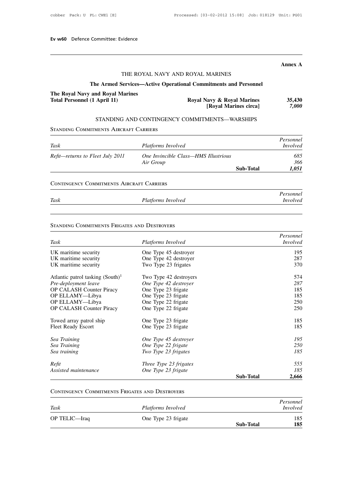# **Annex A**

# vidence<br>THE ROYAL NAVY AND ROYAL MARINES<br>Services—Active Operational Commitments and Personne THE ROYAL NAVY AND ROYAL MARINES<br> **The Armed Services—Active Operational Commitments and Personnel**<br> **Advertised**<br> **Commitments and Personnel Marines**

# THE ROYAL NAVY AND ROYAL MARINES<br> **The Armed Services—Active Operational Commitments and The Royal Navy and Royal Marines<br>
Total Personnel (1 April 11) Royal Navy & Royal Navy & Royal Navy & Royal Navy & Royal Navy & Royal** The Armed Services—Active Operati<br>The Royal Navy and Royal Marines<br>Total Personnel (1 April 11)<br>STANDING AND CONTINGENCY<br>STANDING COMMITMENTS AIRCRAFT CARRIERS

|                                                                  |                                                                 | <b>Annex A</b>  |
|------------------------------------------------------------------|-----------------------------------------------------------------|-----------------|
|                                                                  | THE ROYAL NAVY AND ROYAL MARINES                                |                 |
|                                                                  | The Armed Services—Active Operational Commitments and Personnel |                 |
| The Royal Navy and Royal Marines<br>Total Personnel (1 April 11) | Royal Navy & Royal Marines<br>[Royal Marines circa]             | 35,430<br>7,000 |
|                                                                  | STANDING AND CONTINGENCY COMMITMENTS—WARSHIPS                   |                 |

# STANDING AND CONTINGENCY COMMITMENTS—WARSHIPS STANDING COMMITMENTS AIRCRAFT CARRIERS

|                                                  | <b>Roval Marines circal</b>                       |                  | 7,000                        |
|--------------------------------------------------|---------------------------------------------------|------------------|------------------------------|
|                                                  | STANDING AND CONTINGENCY COMMITMENTS—WARSHIPS     |                  |                              |
| <b>STANDING COMMITMENTS AIRCRAFT CARRIERS</b>    |                                                   |                  |                              |
| Task                                             | Platforms Involved                                |                  | Personnel<br><i>Involved</i> |
| Refit-returns to Fleet July 2011                 | One Invincible Class—HMS Illustrious<br>Air Group |                  | 685<br>366                   |
|                                                  |                                                   | <b>Sub-Total</b> | 1,051                        |
| <b>CONTINGENCY COMMITMENTS AIRCRAFT CARRIERS</b> |                                                   |                  |                              |
|                                                  |                                                   |                  | Personnel                    |
| Task                                             | Platforms Involved                                |                  | <i>Involved</i>              |

|      |                    | Personnel       |
|------|--------------------|-----------------|
| Task | Platforms Involved | <i>Involved</i> |

| <b>STANDING COMMITMENTS FRIGATES AND DESTROYERS</b> |                        |                  |                 |
|-----------------------------------------------------|------------------------|------------------|-----------------|
|                                                     |                        |                  | Personnel       |
| Task                                                | Platforms Involved     |                  | <i>Involved</i> |
| UK maritime security                                | One Type 45 destroyer  |                  | 195             |
| UK maritime security                                | One Type 42 destroyer  |                  | 287             |
| UK maritime security                                | Two Type 23 frigates   |                  | 370             |
| Atlantic patrol tasking $(South)^1$                 | Two Type 42 destroyers |                  | 574             |
| Pre-deployment leave                                | One Type 42 destroyer  |                  | 287             |
| OP CALASH Counter Piracy                            | One Type 23 frigate    |                  | 185             |
| OP ELLAMY-Libya                                     | One Type 23 frigate    |                  | 185             |
| OP ELLAMY-Libya                                     | One Type 22 frigate    |                  | 250             |
| OP CALASH Counter Piracy                            | One Type 22 frigate    |                  | 250             |
| Towed array patrol ship                             | One Type 23 frigate    |                  | 185             |
| <b>Fleet Ready Escort</b>                           | One Type 23 frigate    |                  | 185             |
| Sea Training                                        | One Type 45 destroyer  |                  | 195             |
| Sea Training                                        | One Type 22 frigate    |                  | 250             |
| Sea training                                        | Two Type 23 frigates   |                  | 185             |
| Refit                                               | Three Type 23 frigates |                  | 555             |
| Assisted maintenance                                | One Type 23 frigate    |                  | 185             |
|                                                     |                        | <b>Sub-Total</b> | 2,666           |

| Assisted maintenance                                   | One Type 23 frigate |                  | 185                          |
|--------------------------------------------------------|---------------------|------------------|------------------------------|
|                                                        |                     | <b>Sub-Total</b> | 2,666                        |
| <b>CONTINGENCY COMMITMENTS FRIGATES AND DESTROYERS</b> |                     |                  |                              |
| Task                                                   | Platforms Involved  |                  | Personnel<br><i>Involved</i> |
|                                                        |                     |                  |                              |
| OP TELIC—Iraq                                          | One Type 23 frigate |                  | 185                          |
|                                                        |                     | <b>Sub-Total</b> | 185                          |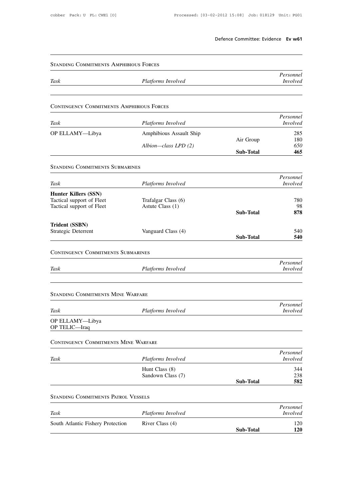|                                                          |                                     | Defence Committee: Evidence Ev w61 |                              |
|----------------------------------------------------------|-------------------------------------|------------------------------------|------------------------------|
| <b>STANDING COMMITMENTS AMPHIBIOUS FORCES</b>            |                                     |                                    |                              |
| Task                                                     | Platforms Involved                  |                                    | Personnel<br><i>Involved</i> |
| <b>CONTINGENCY COMMITMENTS AMPHIBIOUS FORCES</b>         |                                     |                                    |                              |
| Task                                                     | Platforms Involved                  |                                    | Personnel<br><i>Involved</i> |
| OP ELLAMY-Libya                                          | Amphibious Assault Ship             |                                    | 285                          |
|                                                          | Albion-class LPD (2)                | Air Group<br><b>Sub-Total</b>      | 180<br>650<br>465            |
| <b>STANDING COMMITMENTS SUBMARINES</b>                   |                                     |                                    |                              |
| Task                                                     | Platforms Involved                  |                                    | Personnel<br><i>Involved</i> |
| <b>Hunter Killers (SSN)</b><br>Tactical support of Fleet | Trafalgar Class (6)                 |                                    | 780<br>98                    |
| Tactical support of Fleet                                | Astute Class (1)                    | <b>Sub-Total</b>                   | 878                          |
| Trident (SSBN)<br>Strategic Deterrent                    | Vanguard Class (4)                  | Sub-Total                          | 540<br>540                   |
| <b>CONTINGENCY COMMITMENTS SUBMARINES</b>                |                                     |                                    |                              |
| Task                                                     | Platforms Involved                  |                                    | Personnel<br><i>Involved</i> |
| <b>STANDING COMMITMENTS MINE WARFARE</b>                 |                                     |                                    |                              |
| Task                                                     | Platforms Involved                  |                                    | Personnel<br>Involved        |
| OP ELLAMY-Libya<br>OP TELIC-Iraq                         |                                     |                                    |                              |
| CONTINGENCY COMMITMENTS MINE WARFARE                     |                                     |                                    |                              |
| Task                                                     | Platforms Involved                  |                                    | Personnel<br><b>Involved</b> |
|                                                          | Hunt Class (8)<br>Sandown Class (7) | <b>Sub-Total</b>                   | 344<br>238<br>582            |
| <b>STANDING COMMITMENTS PATROL VESSELS</b>               |                                     |                                    |                              |
| Task                                                     | Platforms Involved                  |                                    | Personnel<br><i>Involved</i> |
| South Atlantic Fishery Protection                        | River Class (4)                     | Sub-Total                          | 120<br>120                   |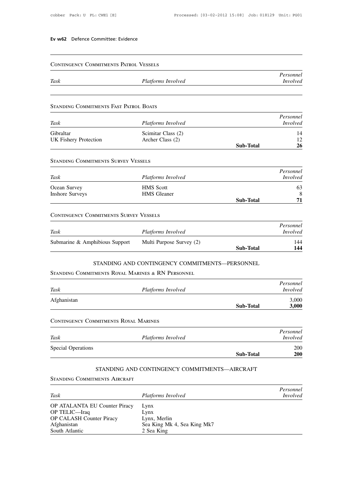# Contingency Commitments Patrol Vessels

|      | <b>CONTINGENCY COMMITMENTS PATROL VESSELS</b> |                 |
|------|-----------------------------------------------|-----------------|
|      |                                               | Personnel       |
| Task | Platforms Involved                            | <i>Involved</i> |

| TUSN                                   | <i>L latjorius Hivotv</i> ca |                  | <i><u>INVOLVEU</u></i> |
|----------------------------------------|------------------------------|------------------|------------------------|
|                                        |                              |                  |                        |
| STANDING COMMITMENTS FAST PATROL BOATS |                              |                  |                        |
|                                        |                              |                  | Personnel              |
| Task                                   | Platforms Involved           |                  | <i>Involved</i>        |
| Gibraltar                              | Scimitar Class (2)           |                  | 14                     |
| <b>UK Fishery Protection</b>           | Archer Class (2)             |                  | 12                     |
|                                        |                              | <b>Sub-Total</b> | 26                     |

| <b>UK Fishery Protection</b>               | Archer Class (2)   |                  | 12              |
|--------------------------------------------|--------------------|------------------|-----------------|
|                                            |                    | <b>Sub-Total</b> | 26              |
| <b>STANDING COMMITMENTS SURVEY VESSELS</b> |                    |                  |                 |
|                                            |                    |                  | Personnel       |
| Task                                       | Platforms Involved |                  | <i>Involved</i> |
| Ocean Survey                               | <b>HMS</b> Scott   |                  | 63              |
| <b>Inshore Surveys</b>                     | <b>HMS</b> Gleaner |                  | 8               |
|                                            |                    | <b>Sub-Total</b> | 71              |

| <b>Inshore Surveys</b>                        | <b>HMS</b> Gleaner       |                  | 8                            |
|-----------------------------------------------|--------------------------|------------------|------------------------------|
|                                               |                          | <b>Sub-Total</b> | 71                           |
| <b>CONTINGENCY COMMITMENTS SURVEY VESSELS</b> |                          |                  |                              |
| Task                                          | Platforms Involved       |                  | Personnel<br><i>Involved</i> |
| Submarine & Amphibious Support                | Multi Purpose Survey (2) |                  | 144                          |
|                                               |                          | <b>Sub-Total</b> | 144                          |

|             |                                                   | 5uv- 10tal       | 144                          |
|-------------|---------------------------------------------------|------------------|------------------------------|
|             | STANDING AND CONTINGENCY COMMITMENTS-PERSONNEL    |                  |                              |
|             | STANDING COMMITMENTS ROYAL MARINES & RN PERSONNEL |                  |                              |
| Task        | Platforms Involved                                |                  | Personnel<br><i>Involved</i> |
| Afghanistan |                                                   | <b>Sub-Total</b> | 3,000<br>3,000               |

| Afghanistan                                  |                    |                  | 3,000           |
|----------------------------------------------|--------------------|------------------|-----------------|
|                                              |                    | <b>Sub-Total</b> | 3,000           |
| <b>CONTINGENCY COMMITMENTS ROYAL MARINES</b> |                    |                  |                 |
|                                              |                    |                  | Personnel       |
| Task                                         | Platforms Involved |                  | <i>Involved</i> |
| <b>Special Operations</b>                    |                    |                  | 200             |
|                                              |                    | <b>Sub-Total</b> | <b>200</b>      |

# STANDING AND CONTINGENCY COMMITMENTS—AIRCRAFT STANDING COMMITMENTS AIRCRAFT

|                                      | <b>SUD-TOTAL</b>                              | ∠UU             |
|--------------------------------------|-----------------------------------------------|-----------------|
|                                      | STANDING AND CONTINGENCY COMMITMENTS-AIRCRAFT |                 |
| <b>STANDING COMMITMENTS AIRCRAFT</b> |                                               |                 |
|                                      |                                               | Personnel       |
| Task                                 | Platforms Involved                            | <i>Involved</i> |
| OP ATALANTA EU Counter Piracy        | Lynx                                          |                 |
| OP TELIC-Iraq                        | Lynx                                          |                 |
| <b>OP CALASH Counter Piracy</b>      | Lynx, Merlin                                  |                 |
| Afghanistan                          | Sea King Mk 4, Sea King Mk7                   |                 |
| South Atlantic                       | 2 Sea King                                    |                 |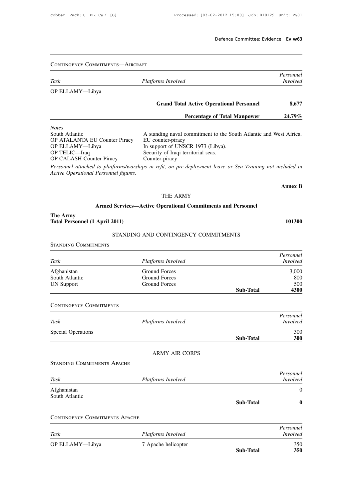# Contingency Commitments—Aircraft *Personnel* **Task** *Platforms Involved PLETANY*—Libya<br> *Platforms Involved Involved Involved Involved Involved Involved PPETANY*—Libya OP ELLAMY—Libya **Fersonnel** *Involved*<br>*Involved*<br>**Grand Total Active Operational Personnel 8,677**<br>**Percentage of Total Manpower** 24.79% Fersonnel<br> *Involved*<br> **Percentage of Total Manpower** 24.79% *Notes* South Atlantic and Total Active Operational Personnel<br>
Motes<br>
South Atlantic A standing naval commitment to the South Atlantic and West Africa.<br>
OP ATALANTA EU Counter Piracy EU counter-piracy In support of UNSCR 1973 (Lib Grand Total Active O<br>
Percentage<br>
Notes<br>
South Atlantic<br>
OP ATALANTA EU Counter Piracy<br>
OP ELLAMY—Libya<br>
In support of UNSCR 1973 (<br>
OP TELIC—Iraq<br>
OP TELIC—Iraq<br>
OP TELIC—Iraq Percentage of Total Minds<br>
Notes<br>
South Atlantic<br>
OP ATALANTA EU Counter Piracy<br>
OP ELLAMY—Libya<br>
OP TELIC—Iraq<br>
OP CALASH Counter Piracy<br>
OP CALASH Counter Piracy<br>
Counter-piracy<br>
Counter-piracy<br>
Counter-piracy<br>
Counter-p **Percentage of Tota**<br>
Notes<br>
South Atlantic<br>
OP ATALANTA EU Counter Piracy<br>
OP ELLAMY—Libya<br>
OP TELIC—Iraq<br>
OP CALASH Counter Piracy<br>
OP CALASH Counter Piracy<br>
OP CALASH Counter Piracy<br>
Personnel attached to platforms/wars Notes<br>
Notes<br>
South Atlantic<br>
OP ATALANTA EU Counter-Piracy<br>
OP ELLAMY—Libya<br>
OP TELIC—Iraq<br>
OP TELIC—Iraq<br>
OP CALASH Counter-Piracy<br>
Personnel attached to platforms/warships in refit, on pre-deployn<br>
Active Operational Pe *Personnel attached to platforms/warships in refit, on pre-deployment to the South Atlantic and West Africa.*<br>
Personnel attached to platforms/warships in refit, on pre-deployment leave or Sea Training not included in<br>
Act South Atlantic A<br>
OP ATALANTA EU Counter Piracy EU<br>
OP ELLAMY—Libya In<br>
OP TELIC—Iraq Se<br>
OP CALASH Counter Piracy Co<br> *Personnel attached to platforms/warships*<br>
Active Operational Personnel figures. **Annex B** -piracy<br>fit, *on pre-deployment leave*<br>THE ARMY<br>pe<mark>rational Commitments a</mark>n to platforms/warships in refit, on pre-deployment leave or Sea Training no<br>Personnel figures.<br>THE ARMY<br>**Armed Services—Active Operational Commitments and Personnel**<br>A .: 1,2011) **The Army<br>
The Army<br>
Total Personnel (1 A)** THE ARMY<br> **101300**<br> **101300**<br> **101300**<br> **101300**<br> **101300**<br> **101300**<br> **101300**<br> **101300**<br> **101300**<br> **101300** THE ARMY<br>Services—Active Operational Commitments and Personnel<br>2011)<br>STANDING AND CONTINGENCY COMMITMENTS **Standing Committee Service**<br> **Standing Commitments**<br>
Standing Commitments<br>
Standing Commitments *Personnel* **Total Personnel (1 April 2011)**<br> **STANDING AND CONTINGENCY COMMITMENTS**<br> **Platforms Involved**<br> *Platforms Involved*<br> *Platforms Involved*<br> *Platforms Involved*<br> *Platforms Involved*<br> *Presonnel Involved*<br> *Afghanistan*<br>
3 STANDING AND CONTINGENCY COMMITMENTS<br>
Afghanistan *Platforms Involved*<br>
Afghanistan Ground Forces 3,000<br>
UN Support Ground Forces 500 STANDING COMMITMENTS<br>
Fask Platforms Involved<br>
Afghanistan Ground Forces 3,000<br>
South Atlantic Ground Forces 800<br>
UN Support Ground Forces 500<br>
Sub-Total 4300 STANDING COMMITMENTS<br>
Task Platforms Involved Involved<br>
Afghanistan Ground Forces 3,000<br>
South Atlantic Ground Forces 500<br>
UN Support Ground Forces 500<br>
Afghanistan Ground Forces 500<br>
Communication Sub-Total 4300 **Sub-Total 4300** Task<br>Afghanistan<br>South Atlantic<br>UN Support<br>CONTINGENCY COMMITMENTS *Personnel Task Platforms Involved Platforms Involved Platforms Involved Platforms Involved Platforms Involved Involved Involved Platforms Involved Involved Involved Special Operations* 300 EONTINGENCY COMMITMENTS<br>
CONTINGENCY COMMITMENTS<br>
Task Platforms Involved Involved<br>
Special Operations 300<br>
Sub-Total 300<br>
300 **Sub-Total 300 Forms Involved**<br>ARMY AIR CORPS Task Platfo<br>Special Operations<br>ASTANDING COMMITMENTS APACHE *Personnel* **EXAMPING COMMITMENTS APACHE**<br> *Platforms Involved*<br> *Platforms Involved*<br> *Platforms Involved*<br> *Platforms Involved*<br> *Platforms Involved*<br> *Platforms Involved*<br>
<sup>0</sup> Afghanistan 0 Standing Commitment<br>Task<br>Afghanistan<br>South Atlantic **Sub-Total 0** STANDING COMMITMENTS APACHE<br>
Task Platforms<br>
Afghanistan<br>
South Atlantic<br>
CONTINGENCY COMMITMENTS APACHE *Personnel* **FRANCE IN Atlantic South Atlantic Sub-Total 10**<br> **CONTINGENCY COMMITMENTS APACHE**<br> *Platforms Involved Platforms Involved Involved*<br> **Platforms Involved** *Involved*<br> **PPELLAMY—Libya** 7 Apache helicopter 350 CONTINGENCY COMMITMENTS APACHE<br>
Platforms Involved<br>
Platforms Involved<br>
DP ELLAMY—Libya 7 Apache helicopter 350<br>
Sub-Total 350<br>
350<br>
350

**Sub-Total 350**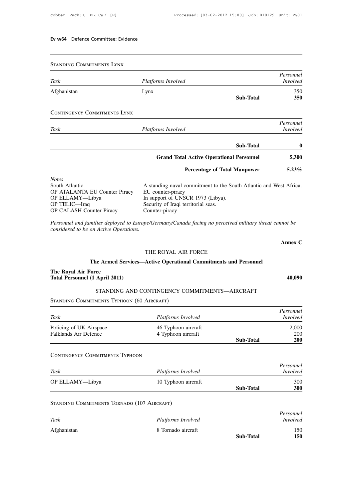Standing Commitments Lynx *Personnel* **FIANDING COMMITMENTS LYNX**<br>
Platforms Involved<br> *Platforms Involved*<br> *Platforms Involved*<br> *Involved*<br> **Afghanistan**<br> **Lynx**<br> **250** Afghanistan Lynx 350 **Sub-Total 350** STANDING COMMITMENTS LYNX<br>
Task Platform<br>
Afghanistan Lynx<br>
CONTINGENCY COMMITMENTS LYNX *Personnel Task Platforms Involved*<br> *Platforms Involved*<br> *Platforms Involved*<br> *Platforms Involved*<br> *Platforms Involved*<br> *Platforms Involved* **Sub-Total 0 Fersonnel** *Involved*<br> **Sub-Total 1996**<br> **Grand Total Active Operational Personnel 5,300**<br> **Percentage of Total Manpower** 5.23% **Percentage of Total Manpower 3.23%**<br> **Percentage of Total Manpower 5.23%** *Notes* Sub-1otal<br>
South Atlantic A standing naval commitment to the South Atlantic and West Africa.<br>
OP ATALANTA EU Counter Piracy EU counter-piracy In support of UNSCR 1973 (Libya). Grand Total Active O<br>
Percentage<br>
Notes<br>
South Atlantic<br>
OP ATALANTA EU Counter Piracy<br>
OP ELLAMY—Libya<br>
In support of UNSCR 1973 (<br>
OP TELIC—Iraq<br>
OP TELIC—Iraq<br>
OP TELIC—Iraq Grand Total Active Operational P<br>
Percentage of Total M:<br>
South Atlantic<br>
OP ATALANTA EU Counter Piracy<br>
OP ELLAMY—Libya<br>
In support of UNSCR 1973 (Libya).<br>
OP TELIC—Iraq<br>
OP CALASH Counter Piracy<br>
Counter-piracy<br>
Counter-**Percentage of Tota**<br>
South Atlantic<br>
OP ATALANTA EU Counter Piracy<br>
OP ELLAMY—Libya<br>
OP TELIC—Iraq<br>
OP CALASH Counter Piracy<br>
OP CALASH Counter Piracy<br>
Security of Iraqi territorial seas.<br>
OP CALASH Counter Piracy<br>
Counte Fereent<br>
Notes<br>
South Atlantic<br>
OP ATALANTA EU Counter-Piracy<br>
OP ELLAMY—Libya<br>
OP TELIC—Iraq<br>
OP CALASH Counter-Piracy<br>
Personnel and families deployed to Europe/Germany/Canada facir<br>
Personnel and families deployed to Eu **FRIMENTA EU Counter Piracy**<br> **PELLANTA EU Counter Piracy**<br> **PELLANT—Libya**<br> **PELLANT—Libya**<br> **PELIC—Iraq**<br> **PELIC—Iraq**<br> **PERIC—Iraq**<br> **PERIC—Iraq**<br> **PERICASH Counter Piracy**<br> **PERICASH Counter Piracy**<br> **PERICASH Counter** *COP ATALANTA EU Counter Piracy*<br> *COP ELLAMY—Libya*<br> *COP TELIC—Iraq*<br> *cor CALASH Counter Piracy*<br> *Personnel and families deployed to Europe/Considered to be on Active Operations.* **Annex C**

unter Piracy<br>
milies deployed to Europe/Germany/Canada facing no perceived military this<br>
on Active Operations.<br>
THE ROYAL AIR FORCE<br> **The Armed Services—Active Operational Commitments and Personnel** milies deployed to Europe/Germany/Canada facing no perceived military threat com<br>Active Operations.<br>THE ROYAL AIR FORCE<br>The Armed Services—Active Operational Commitments and Personnel<br><sup>c</sup>orce

THE ROYAL AIR FORCE<br> **The Armed Services—Active Operational Commitments and Personnel<br>
<b>The Royal Air Force**<br> **40,090**<br> **40,090**<br> **40,090**<br> **40,090**<br> **40,090**<br> **40,090**<br> **40,090** THE ROYAL AIR FORCE<br>
a Armed Services—Active Operational Commitments and Personnel<br>
ce<br>
April 2011)<br>
STANDING AND CONTINGENCY COMMITMENTS—AIRCRAFT<br>
MENTS TYPHOON (60 AIRCRAFT)

considered to be on Active Operations.<br> **The Armed Services**<br> **The Royal Air Force<br>
Total Personnel (1 April 2011)** THE ROYAL AIR<br>
The Armed Services—Active Operationa<br>
The Royal Air Force<br>
Total Personnel (1 April 2011)<br>
STANDING AND CONTINGENCY CO<br>
STANDING COMMITMENTS TYPHOON (60 AIRCRAFT)

| Total Personnel (1 April 2011)                                 |                                               |                  | 40,090                       |  |
|----------------------------------------------------------------|-----------------------------------------------|------------------|------------------------------|--|
|                                                                | STANDING AND CONTINGENCY COMMITMENTS—AIRCRAFT |                  |                              |  |
| STANDING COMMITMENTS TYPHOON (60 AIRCRAFT)                     |                                               |                  |                              |  |
|                                                                |                                               |                  | Personnel                    |  |
| Task                                                           | Platforms Involved                            |                  | <i>Involved</i>              |  |
| Policing of UK Airspace                                        | 46 Typhoon aircraft                           |                  | 2,000                        |  |
| <b>Falklands Air Defence</b>                                   | 4 Typhoon aircraft                            |                  | 200                          |  |
|                                                                |                                               | <b>Sub-Total</b> | 200                          |  |
|                                                                |                                               |                  | Personnel<br><i>Involved</i> |  |
|                                                                |                                               |                  |                              |  |
| Task                                                           | Platforms Involved                            |                  |                              |  |
|                                                                | 10 Typhoon aircraft                           |                  | 300                          |  |
|                                                                |                                               | <b>Sub-Total</b> | <b>300</b>                   |  |
| OP ELLAMY-Libya<br>STANDING COMMITMENTS TORNADO (107 AIRCRAFT) |                                               |                  |                              |  |
|                                                                |                                               |                  | Personnel                    |  |
|                                                                | Platforms Involved                            |                  | <i>Involved</i>              |  |
| Task<br>Afghanistan                                            | 8 Tornado aircraft                            |                  | 150                          |  |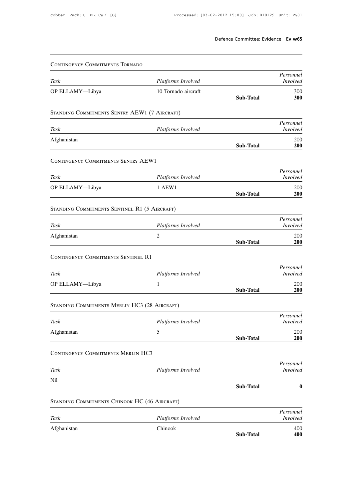|                                               |                         | Defence Committee: Evidence Ev w65 |                              |
|-----------------------------------------------|-------------------------|------------------------------------|------------------------------|
| <b>CONTINGENCY COMMITMENTS TORNADO</b>        |                         |                                    |                              |
| Task                                          | Platforms Involved      |                                    | Personnel<br><i>Involved</i> |
| OP ELLAMY-Libya                               | 10 Tornado aircraft     | Sub-Total                          | 300<br>300                   |
| STANDING COMMITMENTS SENTRY AEW1 (7 AIRCRAFT) |                         |                                    |                              |
| Task                                          | Platforms Involved      |                                    | Personnel<br><b>Involved</b> |
| Afghanistan                                   |                         | <b>Sub-Total</b>                   | 200<br><b>200</b>            |
| <b>CONTINGENCY COMMITMENTS SENTRY AEW1</b>    |                         |                                    |                              |
| Task                                          | Platforms Involved      |                                    | Personnel<br><b>Involved</b> |
| OP ELLAMY-Libya                               | 1 AEW1                  | Sub-Total                          | 200<br><b>200</b>            |
| STANDING COMMITMENTS SENTINEL R1 (5 AIRCRAFT) |                         |                                    |                              |
|                                               |                         |                                    | Personnel                    |
| Task<br>Afghanistan                           | Platforms Involved<br>2 |                                    | <i>Involved</i><br>200       |
|                                               |                         | <b>Sub-Total</b>                   | <b>200</b>                   |
| <b>CONTINGENCY COMMITMENTS SENTINEL R1</b>    |                         |                                    | Personnel                    |
| Task                                          | Platforms Involved      |                                    | <i>Involved</i>              |
| OP ELLAMY-Libya                               | 1                       | Sub-Total                          | 200<br>200                   |
| STANDING COMMITMENTS MERLIN HC3 (28 AIRCRAFT) |                         |                                    |                              |
| Task                                          | Platforms Involved      |                                    | Personnel<br><i>Involved</i> |
| Afghanistan                                   | 5                       | Sub-Total                          | 200<br><b>200</b>            |
| <b>CONTINGENCY COMMITMENTS MERLIN HC3</b>     |                         |                                    |                              |
| Task                                          | Platforms Involved      |                                    | Personnel<br><b>Involved</b> |
| Nil                                           |                         |                                    |                              |
|                                               |                         | Sub-Total                          | $\boldsymbol{0}$             |
| STANDING COMMITMENTS CHINOOK HC (46 AIRCRAFT) |                         |                                    | Personnel                    |
| Task                                          | Platforms Involved      |                                    | <b>Involved</b>              |
| Afghanistan                                   | Chinook                 | Sub-Total                          | 400<br>400                   |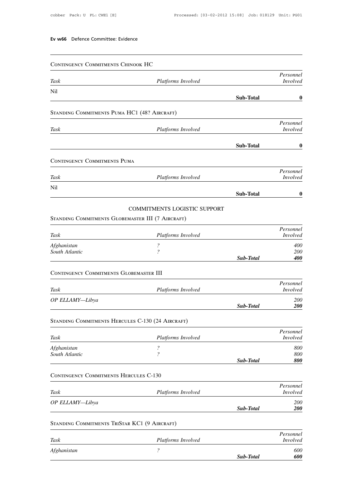|                                                   | Ev w66 Defence Committee: Evidence                   |           |                              |
|---------------------------------------------------|------------------------------------------------------|-----------|------------------------------|
| CONTINGENCY COMMITMENTS CHINOOK HC                |                                                      |           |                              |
| Task                                              | Platforms Involved                                   |           | Personnel<br><i>Involved</i> |
| Nil                                               |                                                      |           |                              |
|                                                   |                                                      | Sub-Total | $\boldsymbol{0}$             |
| STANDING COMMITMENTS PUMA HC1 (48? AIRCRAFT)      |                                                      |           |                              |
| Task                                              | Platforms Involved                                   |           | Personnel<br>Involved        |
|                                                   |                                                      |           |                              |
|                                                   |                                                      | Sub-Total | $\boldsymbol{0}$             |
| <b>CONTINGENCY COMMITMENTS PUMA</b>               |                                                      |           |                              |
| Task                                              | Platforms Involved                                   |           | Personnel<br><i>Involved</i> |
| Nil                                               |                                                      |           |                              |
|                                                   |                                                      | Sub-Total | $\boldsymbol{0}$             |
|                                                   | COMMITMENTS LOGISTIC SUPPORT                         |           |                              |
| STANDING COMMITMENTS GLOBEMASTER III (7 AIRCRAFT) |                                                      |           |                              |
| Task                                              | Platforms Involved                                   |           | Personnel<br><i>Involved</i> |
| Afghanistan                                       | $\boldsymbol{\mathcal{P}}$                           |           | 400                          |
| South Atlantic                                    | $\overline{\mathcal{E}}$                             | Sub-Total | 200<br>400                   |
| CONTINGENCY COMMITMENTS GLOBEMASTER III           |                                                      |           |                              |
|                                                   |                                                      |           | Personnel                    |
| Task                                              | Platforms Involved                                   |           | Involved                     |
| OP ELLAMY-Libya                                   |                                                      | Sub-Total | 200<br><b>200</b>            |
|                                                   |                                                      |           |                              |
| STANDING COMMITMENTS HERCULES C-130 (24 AIRCRAFT) |                                                      |           | Personnel                    |
| Task                                              | Platforms Involved                                   |           | Involved                     |
| Afghanistan<br>South Atlantic                     | $\overline{\mathcal{E}}$<br>$\overline{\mathcal{E}}$ |           | 800<br>800                   |
|                                                   |                                                      | Sub-Total | 800                          |
| <b>CONTINGENCY COMMITMENTS HERCULES C-130</b>     |                                                      |           |                              |
|                                                   |                                                      |           | Personnel                    |
| Task<br>OP ELLAMY-Libya                           | Platforms Involved                                   |           | <i>Involved</i><br>200       |
|                                                   |                                                      | Sub-Total | <b>200</b>                   |
| STANDING COMMITMENTS TRISTAR KC1 (9 AIRCRAFT)     |                                                      |           |                              |
|                                                   |                                                      |           | Personnel                    |
| Task                                              | Platforms Involved<br>$\overline{\mathcal{E}}$       |           | <i>Involved</i><br>600       |
| Afghanistan                                       |                                                      |           |                              |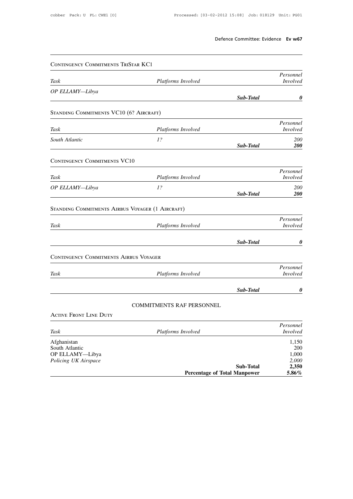|                                         | Defence Committee: Evidence Ev w67 |                           |                                                                          |
|-----------------------------------------|------------------------------------|---------------------------|--------------------------------------------------------------------------|
|                                         |                                    |                           |                                                                          |
|                                         |                                    |                           | CONTINGENCY COMMITMENTS TRISTAR KC1                                      |
| Personnel<br><i>Involved</i>            |                                    | Platforms Involved        | Task                                                                     |
| 0                                       | Sub-Total                          |                           | OP ELLAMY-Libya                                                          |
|                                         |                                    |                           | STANDING COMMITMENTS VC10 (6? AIRCRAFT)                                  |
| Personnel<br><b>Involved</b>            |                                    | Platforms Involved        | Task                                                                     |
| 200<br><b>200</b>                       | Sub-Total                          | 1?                        | South Atlantic                                                           |
|                                         |                                    |                           | <b>CONTINGENCY COMMITMENTS VC10</b>                                      |
| Personnel<br><i>Involved</i>            |                                    | Platforms Involved        | Task                                                                     |
| 200<br><b>200</b>                       | Sub-Total                          | 1?                        | OP ELLAMY-Libya                                                          |
|                                         |                                    |                           | STANDING COMMITMENTS AIRBUS VOYAGER (1 AIRCRAFT)                         |
| Personnel<br>Involved                   |                                    | Platforms Involved        | Task                                                                     |
| 0                                       | Sub-Total                          |                           |                                                                          |
|                                         |                                    |                           | CONTINGENCY COMMITMENTS AIRBUS VOYAGER                                   |
|                                         |                                    | Platforms Involved        | Task                                                                     |
|                                         |                                    |                           |                                                                          |
|                                         | Sub-Total                          |                           |                                                                          |
|                                         |                                    | COMMITMENTS RAF PERSONNEL |                                                                          |
| Personnel<br>Involved<br>0              |                                    |                           | <b>ACTIVE FRONT LINE DUTY</b>                                            |
| Personnel<br><i>Involved</i>            |                                    | Platforms Involved        | Task                                                                     |
| 1,150<br>200<br>1,000<br>2,000<br>2,350 | <b>Sub-Total</b>                   |                           | Afghanistan<br>South Atlantic<br>OP ELLAMY-Libya<br>Policing UK Airspace |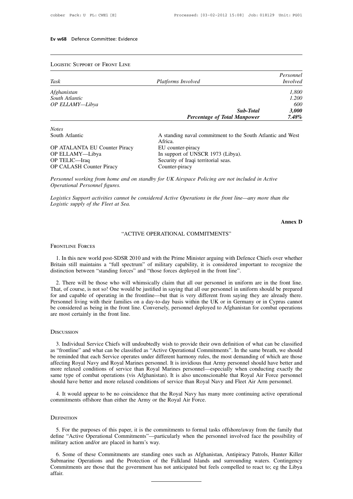| <b>LOGISTIC SUPPORT OF FRONT LINE</b> |                                                                       |                 |
|---------------------------------------|-----------------------------------------------------------------------|-----------------|
|                                       |                                                                       | Personnel       |
| Task                                  | Platforms Involved                                                    | <i>Involved</i> |
| Afghanistan                           |                                                                       | 1,800           |
| South Atlantic                        |                                                                       | 1.200           |
| OP ELLAMY-Libya                       |                                                                       | 600             |
|                                       | Sub-Total                                                             | 3,000           |
|                                       | <b>Percentage of Total Manpower</b>                                   | 7.48%           |
| <b>Notes</b>                          |                                                                       |                 |
| South Atlantic                        | A standing naval commitment to the South Atlantic and West<br>Africa. |                 |
| OP ATALANTA EU Counter Piracy         | EU counter-piracy                                                     |                 |

Africa.<br>EU counter-piracy **Percentage of Tells**<br>
Notes<br>
South Atlantic<br>
OP ATALANTA EU Counter Piracy<br>
OP ELLAMY—Libya<br>
OP TELIC—Iraq<br>
OP TELIC—Iraq<br>
OP TELIC—Iraq<br>
OP TELIC—Iraq<br>
OP TELIC—Iraq<br>
OP TELIC—Iraq<br>
OP TELIC—Iraq<br>
OP TELIC—Iraq<br>
OP TELIC **Percentage of Total Manpow**<br>
Notes<br>
South Atlantic<br>
OP ATALANTA EU Counter Piracy<br>
OP ELLAMY—Libya<br>
OP ELLAMY—Libya<br>
OP TELIC—Iraq<br>
OP CALASH Counter Piracy<br>
OP CALASH Counter Piracy<br>
OP CALASH Counter Piracy<br>
OP CALASH C Notes<br>
South Atlantic<br>
OP ATALANTA EU Counter Piracy<br>
OP ELLAMY—Libya<br>
OP TELIC—Iraq<br>
OP TELIC—Iraq<br>
OP CALASH Counter Piracy<br>
OP CALASH Counter Piracy<br>
Security of Iraqi territorial seas.<br>
Counter-piracy<br>
Counter-piracy Notes<br>
South Atlantic<br>
OP ATALANTA EU Counter Piracy<br>
OP ELLAMY—Libya<br>
OP TELIC—Iraq<br>
OP TELIC—Iraq<br>
OP CALASH Counter-piracy<br>
OP CALASH Counter-piracy<br>
Personnel working from home and on standby for UK Airspace Policing<br> **PERFORMANTA EU Counter Piracy**<br> **PELLAMY—Libya**<br> **PELIC—Iraq**<br> **PELIC—Iraq**<br> **PERIC—Iraq**<br> **PERIC—Iraq**<br> **PERIC—Iraq**<br> **PERIC — Iraq**<br> **PERIC — Iraq**<br> **PERIC — Iraq**<br> **PERIC — Iraq**<br> **PERIC — Iraq**<br> **PERIC — Iraq**<br> **PERIC** *OP ELLAMY—Libya* EU counter-piracy<br> *OP ELLAMY—Libya* In support of UNSCR 1973 (Libya).<br> *OP TELIC—Iraq* Security of Iraqi territorial seas.<br> *OP CALASH Counter Piracy* Counter-piracy<br> *Personnel working from home and on Logistics Support activities cannot be considered Active Operations in the front line—any more than the*<br>*Logistics Support activities cannot be considered Active Operations in the front line—any more than the*<br>*Logistics* 

*DP CALASH Counter Piracy<br>Personnel working from home and on state of the Fleet at Sea.***<br>***Logistics Support activities cannot be co***<br>***Logistic supply of the Fleet at Sea.* 

not be considered Active Operations in the front line—an<br>Sea.<br>"ACTIVE OPERATIONAL COMMITMENTS" Logistic supply of the Fleet at Sea.<br>"AC<br>Frontline Forces

**Annex D**

1. In this new world post-SDSR 2010 and with the Prime Minister arguing with Defence Chiefs over whether<br>1. In this new world post-SDSR 2010 and with the Prime Minister arguing with Defence Chiefs over whether<br>1. In this n SERIM STREET THE SERIM STREET THE SPECIES THE TRIM THE SPECIES SERIMUM IN THE SPECIES SOFT U. In this new world post-SDSR 2010 and with the Prime Minister arguing with Defence Chiefs over whether Britain still maintains a SER THE STREET "STANDAL COMMITMENTS"<br>TREADULE FORCES<br>1. In this new world post-SDSR 2010 and with the Prime Minister arguing with Defence<br>Britain still maintains a "full spectrum" of military capability, it is considered i EXTERT 1. In this new world post-SDSR 2010 and with the Prime Minister arguing with Defence Chiefs over whether<br>
itain still maintains a "full spectrum" of military capability, it is considered important to recognize the<br>

1. In this new world post-SDSR 2010 and with the Prime Minister arguing with Defence Chiefs over whether Britain still maintains a "full spectrum" of military capability, it is considered important to recognize the distinc 1. In this new world post-SDSR 2010 and with the Prime Minister arguing with Defence Chiefs over whether Britain still maintains a "full spectrum" of military capability, it is considered important to recognize the distinc Britain still maintains a "full spectrum" of military capability, it is considered important to recognize the distinction between "standing forces" and "those forces deployed in the front line".<br>2. There will be those who distinction between "standing forces" and "those forces deployed in the front line".<br>
2. There will be those who will whimsically claim that all our personnel in uniform are in the front line.<br>
That, of course, is not so! 2. There will be those who will whin<br>That, of course, is not so! One would be<br>for and capable of operating in the from<br>Personnel living with their families on a<br>be considered as being in the front line.<br>are most certainly

# **DISCUSSION**

3. Individual Service Chiefs will undoubtedly wish to provide their own definition of what can be classified<br>3. Individual Service Chiefs will undoubtedly wish to provide their own definition of what can be classified<br>3. I are most certainly in the front line.<br>This is the frontline.<br>DISCUSSION<br>3. Individual Service Chiefs will undoubtedly wish to provide their own definition of what can be classified<br>as "frontline" and what can be classified Be remained that Service Chiefs will undoubtedly wish to provide their own definition of what can be classified<br>as "frontline" and what can be classified as "Active Operational Commitments". In the same breath, we should<br>b DISCUSSION<br>3. Individual Service Chiefs will undoubtedly wish to provide their own definition of what can be classified<br>as "frontline" and what can be classified as "Active Operational Commitments". In the same breath, we DISCUSSION<br>3. Individual Service Chiefs will undoubtedly wish to provide their own definition of what can be classified<br>as "frontline" and what can be classified as "Active Operational Commitments". In the same breath, we 3. Individual Service Chiefs will undoubtedly wish to provide their own definition of what can be classified as "frontline" and what can be classified as "Active Operational Commitments". In the same breath, we should be r 3. Individual Service Chiefs will undoubtedly wish to provide their own definition of what can be classified as "frontline" and what can be classified as "Active Operational Commitments". In the same breath, we should be r reminded that each Service operates under different harmony rules, the most demanding of which are those event<br>exceling Royal Navy and Royal Marines personnel. It is invidious that Army personnel should have better and<br>ore affecting Royal Navy and Royal Marines personnel. It is invidious that Armore relaxed conditions of service than Royal Marines personnel—espessame type of combat operations (vis Afghanistan). It is also unconscion should h

# **DEFINITION**

1. It would appear to be no coincidence that the Royal Navy has many more continuing active operational<br>
EFINITION<br>
5. For the purposes of this paper, it is the commitments to formal tasks offshore/away from the family tha define "Active Operational Commitments"—particularly when the personnel involved face the possibility of military action and/or are placed in harm's way. commitments offshore than either the Army or the Royal Air Force.<br>
DEFINITION<br>
5. For the purposes of this paper, it is the commitments to formal tasks offshore/away from the family that<br>
define "Active Operational Commitm

EFINITION<br>5. For the purposes of this paper, it is the commitments to formal tasks offshore/away from the family that<br>fine "Active Operational Commitments"—particularly when the personnel involved face the possibility of<br>l 5. For the purposes of this paper, it is the commitments to formal tasks offshore/away from the family that define "Active Operational Commitments"—particularly when the personnel involved face the possibility of military 5. For the purposes of this paper, it is the commitments to formal tasks offshore/away from the family that define "Active Operational Commitments"—particularly when the personnel involved face the possibility of military affair.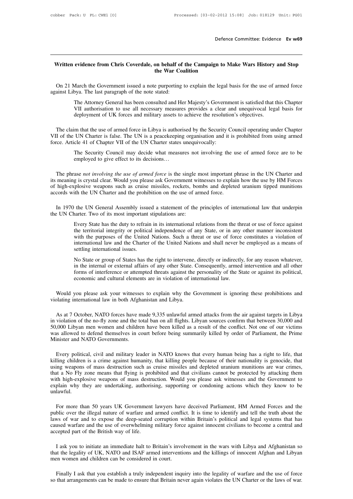# **Defence Committee: Evidence Ev w69**<br>Written evidence from Chris Coverdale, on behalf of the Campaign to Make Wars History and Stop<br>the War Coalition **Defence Committee: Evidence Ev w69**<br>Written evidence from Chris Coverdale, on behalf of the Campaign to Make Wars History and Stop<br>the War Coalition

Written evidence from Chris Coverdale, on behalf of the Campaign to Make Wars History and Stop<br>the War Coalition<br>On 21 March the Government issued a note purporting to explain the legal basis for the use of armed force<br>ain Written evidence from Chris Coverdale, on behalf of<br>the War Co:<br>On 21 March the Government issued a note purporting<br>against Libya. The last paragraph of the note stated:<br>The Attorney General has been consulted and He

**Exercise Attorney Consulted and Her Attorney General has been consulted and Her Majesty's Government is satisfied that this Chapter The Attorney General has been consulted and Her Majesty's Government is satisfied that th EXECUTE:**<br>March the Government issued a note purporting to explain the legal basis for the use of armed force<br>bya. The last paragraph of the note stated:<br>The Attorney General has been consulted and Her Majesty's Governmen On 21 March the Government issued a note purporting to explain the legal basis for the use of armed force against Libya. The last paragraph of the note stated:<br>The Attorney General has been consulted and Her Majesty's Gove

inst Libya. The last paragraph of the note stated:<br>
The Attorney General has been consulted and Her Majesty's Government is satisfied that this Chapter<br>
VII authorisation to use all necessary measures provides a clear and The Attorney General has been consulted and Her Majesty's Government is satisfied that this Chapter<br>VII authorisation to use all necessary measures provides a clear and unequivocal legal basis for<br>deployment of UK forces a The Attorney General has been consulted and Her Majesty's Governm<br>VII authorisation to use all necessary measures provides a clear a<br>deployment of UK forces and military assets to achieve the resolutic<br>The claim that the u deployment of UK forces and military assets to achieve the resolution's objectives.<br>
m that the use of armed force in Libya is authorised by the Security Council operating under Chapter<br>
UN Charter is false. The UN is a pe m that the use of armed force in Libya is authorised by the Secure UN Charter is false. The UN is a peacekeeping organisation and cle 41 of Chapter VII of the UN Charter states unequivocally:<br>The Security Council may decid

The phrase *not involving the use of armed force* is the single most involving the use of armed force are to be employed to give effect to its decisions...<br>The phrase *not involving the use of armed force* is the single mo force. Article 41 of Chapter VII of the UN Charter states unequivocally:<br>
The Security Council may decide what measures not involving the use of armed force are to be<br>
employed to give effect to its decisions...<br>
The phras The Security Council may decide what measures not involving the use of armed force are to be employed to give effect to its decisions...<br>The phrase *not involving the use of armed force* is the single most important phrase The Security Council may decide what measures not involving the u<br>employed to give effect to its decisions...<br>The phrase *not involving the use of armed force* is the single most important p<br>its meaning is crystal clear. W The phrase *not involving the use of armed force* is the single most important phrase in the UN Charter and meaning is crystal clear. Would you please ask Government witnesses to explain how the use by HM Forces high-explo The phrase *not involving the use of armed force* is the single nits meaning is crystal clear. Would you please ask Government wis of high-explosive weapons such as cruise missiles, rockets, bor accords with the UN Charter

plosive weapons such as cruise missiles, rockets, bombs and depleted uranium tipped munitions<br>ith the UN Charter and the prohibition on the use of armed force.<br>the UN General Assembly issued a statement of the principles o ith the UN Charter and the prohibition on the use of armed force.<br>
the UN General Assembly issued a statement of the principles of international law that underpin<br>
narter. Two of its most important stipulations are:<br>
Every the UN General Assembly issued a statement of the principles of international law that underpin narter. Two of its most important stipulations are:<br>Every State has the duty to refrain in its international relations from th the UN General Assembly issued a statement of the principles of international law that underpin<br>narter. Two of its most important stipulations are:<br>Every State has the duty to refrain in its international relations from th anter. Two of its most important<br>arter. Two of its most important<br>Every State has the duty to refrain<br>the territorial integrity or politica<br>with the purposes of the United<br>international law and the Charter<br>settling interna Every State has the duty to refrain in its international relations from the threat or use of force against<br>the territorial integrity or political independence of any State, or in any other manner inconsistent<br>with the purp Every state has the dary to ferralm in this international relations from the threat of use of force against<br>the territorial integrity or political independence of any State, or in any other manner inconsistent<br>with the pur

for the purposes of the United Nations. Such a threat or use of force constitutes a violation of international law and the Charter of the United Nations and shall never be employed as a means of settling international issu which the purposes of the United Nations. Such a time of use of force<br>international law and the Charter of the United Nations and shall never b<br>settling international issues.<br>No State or group of States has the right to in No State or group of States has the right to intervene, directly or indirectly, for any reason whatever, in the internal or external affairs of any other State. Consequently, armed intervention and all other forms of inter No State or group of States has the right to intervene,<br>in the internal or external affairs of any other State. C<br>forms of interference or attempted threats against the<br>economic and cultural elements are in violation of in

For the Fact of the Helments are in violation of international law.<br>
Would you please ask your witnesses to explain why the Government is ignoring these prohibitions and<br>
Dating international law in both Afghanistan and Li in violating the no-fly zone and the no-fly zone and the no-fly and the no-fly zone and Libya.<br>As at 7 October, NATO forces have made 9,335 unlawful armed attacks from the air against targets in Libya<br>in violation of the n Would you please ask your witnesses to explain why the Government is ignoring these prohibitions and violating international law in both Afghanistan and Libya.<br>As at 7 October, NATO forces have made 9,335 unlawful armed at Would you please ask your witnesses to explain why the Government is ignoring these prohibitions and<br>violating international law in both Afghanistan and Libya.<br>As at 7 October, NATO forces have made 9,335 unlawful armed at violating international law in both Afghat<br>As at 7 October, NATO forces have m<br>in violation of the no-fly zone and the tc<br>50,000 Libyan men women and childre<br>was allowed to defend themselves in co<br>Minister and NATO Governm As at */* October, NATO forces have made 9,335 unlawful armed attacks from the air against targets in Libya violation of the no-fly zone and the total ban on all flights. Libyan sources confirm that between 30,000 and ,000

In violation of the no-fly zone and the total ban on all flights. Libyan sources confirm that between 30,000 and 50,000 Libyan men women and children have been killed as a result of the conflict. Not one of our victims was 50,000 Libyan men women and children have been killed as a result of the conflict. Not one of our victims<br>was allowed to defend themselves in court before being summarily killed by order of Parliament, the Prime<br>Minister a was allowed to defend themselves in court before being summarily killed by order of Parliament, the Prime<br>Minister and NATO Governments.<br>Every political, civil and military leader in NATO knows that every human being has a Minister and NATO Governments.<br>
Every political, civil and military leader in NATO knows that every human being has a right to life, that<br>
killing children is a crime against humanity, that killing people because of their Every political, civil and military leader in NATO knows that every human being has a right to life, that killing children is a crime against humanity, that killing people because of their nationality is genocide, that usi unlawful. ing weapons of mass destruction such as cruise missiles and depleted uranium munitions are war crimes,<br>at a No Fly zone means that flying is prohibited and that civilians cannot be protected by attacking them<br>th high-explo

that a No Fly zone means that flying is prohibited and that civilians cannot be protected by attacking them<br>with high-explosive weapons of mass destruction. Would you please ask witnesses and the Government to<br>explain why with high-explosive weapons of mass destruction. Would you please ask witnesses and the Government to<br>explain why they are undertaking, authorising, supporting or condoning actions which they know to be<br>unlawful.<br>For more explain why they are undertaking, authorising, supporting or condoning actions which they know to be<br>unlawful.<br>For more than 50 years UK Government lawyers have deceived Parliament, HM Armed Forces and the<br>public over the For more than 50 years UK Government lawyers have deceived Parliament, HM Armed Forces and the public over the illegal nature of warfare and armed conflict. It is time to identify and tell the truth about the laws of war a For more than 50 years UK Government lawyers have deceived Parliament, HM Armed Forces and the<br>blic over the illegal nature of warfare and armed conflict. It is time to identify and tell the truth about the<br>ws of war and t public over the illegal nature of wartare and armed conflict. It is time to identity and tell the truth about the laws of war and to expose the deep-seated corruption within Britain's political and legal systems that has c

caused warfare and the use of overwhelming military force against innocent civilians to become a central and<br>accepted part of the British way of life.<br>I ask you to initiate an immediate halt to Britain's involvement in the Finally I ask that you establish a truly independent inquiry into the legality of UK, NATO and ISAF armed interventions and the killings of innocent Afghan and Libyan en women and children can be considered in court.<br>Final

so that arrangements can be made to ensure that Britain never again violates the UN Charter or the laws of war.